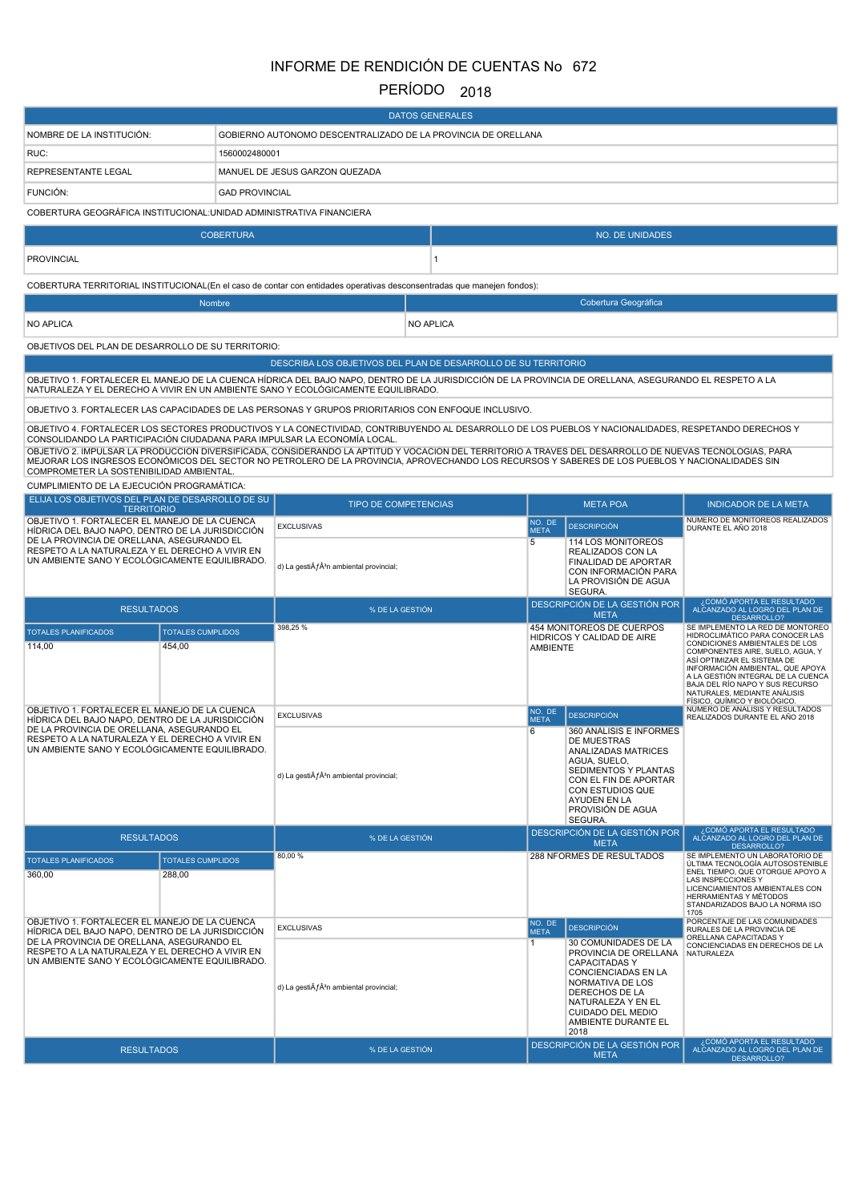# INFORME DE RENDICIÓN DE CUENTAS No 672

# PERÍODO 2018

| <b>DATOS GENERALES</b>                                                                                                                                                                              |                                |                                                                                                                                                                                                                                                                                                                                                                                                                                                                                                                                                  |                  |                       |                                                                                                                                                                                                                    |                                                                                                                                                                                                                                                                                |
|-----------------------------------------------------------------------------------------------------------------------------------------------------------------------------------------------------|--------------------------------|--------------------------------------------------------------------------------------------------------------------------------------------------------------------------------------------------------------------------------------------------------------------------------------------------------------------------------------------------------------------------------------------------------------------------------------------------------------------------------------------------------------------------------------------------|------------------|-----------------------|--------------------------------------------------------------------------------------------------------------------------------------------------------------------------------------------------------------------|--------------------------------------------------------------------------------------------------------------------------------------------------------------------------------------------------------------------------------------------------------------------------------|
| NOMBRE DE LA INSTITUCIÓN:                                                                                                                                                                           |                                | GOBIERNO AUTONOMO DESCENTRALIZADO DE LA PROVINCIA DE ORELLANA                                                                                                                                                                                                                                                                                                                                                                                                                                                                                    |                  |                       |                                                                                                                                                                                                                    |                                                                                                                                                                                                                                                                                |
| RUC:                                                                                                                                                                                                | 1560002480001                  |                                                                                                                                                                                                                                                                                                                                                                                                                                                                                                                                                  |                  |                       |                                                                                                                                                                                                                    |                                                                                                                                                                                                                                                                                |
| REPRESENTANTE LEGAL                                                                                                                                                                                 | MANUEL DE JESUS GARZON QUEZADA |                                                                                                                                                                                                                                                                                                                                                                                                                                                                                                                                                  |                  |                       |                                                                                                                                                                                                                    |                                                                                                                                                                                                                                                                                |
| <b>FUNCION:</b>                                                                                                                                                                                     | <b>GAD PROVINCIAL</b>          |                                                                                                                                                                                                                                                                                                                                                                                                                                                                                                                                                  |                  |                       |                                                                                                                                                                                                                    |                                                                                                                                                                                                                                                                                |
| COBERTURA GEOGRÁFICA INSTITUCIONAL: UNIDAD ADMINISTRATIVA FINANCIERA                                                                                                                                |                                |                                                                                                                                                                                                                                                                                                                                                                                                                                                                                                                                                  |                  |                       |                                                                                                                                                                                                                    |                                                                                                                                                                                                                                                                                |
|                                                                                                                                                                                                     | <b>COBERTURA</b>               |                                                                                                                                                                                                                                                                                                                                                                                                                                                                                                                                                  |                  |                       | <b>NO. DE UNIDADES</b>                                                                                                                                                                                             |                                                                                                                                                                                                                                                                                |
| <b>PROVINCIAL</b>                                                                                                                                                                                   |                                |                                                                                                                                                                                                                                                                                                                                                                                                                                                                                                                                                  | 1                |                       |                                                                                                                                                                                                                    |                                                                                                                                                                                                                                                                                |
|                                                                                                                                                                                                     |                                | COBERTURA TERRITORIAL INSTITUCIONAL(En el caso de contar con entidades operativas desconsentradas que manejen fondos):                                                                                                                                                                                                                                                                                                                                                                                                                           |                  |                       |                                                                                                                                                                                                                    |                                                                                                                                                                                                                                                                                |
|                                                                                                                                                                                                     | Nombre                         |                                                                                                                                                                                                                                                                                                                                                                                                                                                                                                                                                  |                  |                       | Cobertura Geográfica                                                                                                                                                                                               |                                                                                                                                                                                                                                                                                |
| <b>NO APLICA</b>                                                                                                                                                                                    |                                |                                                                                                                                                                                                                                                                                                                                                                                                                                                                                                                                                  | <b>NO APLICA</b> |                       |                                                                                                                                                                                                                    |                                                                                                                                                                                                                                                                                |
| OBJETIVOS DEL PLAN DE DESARROLLO DE SU TERRITORIO:                                                                                                                                                  |                                |                                                                                                                                                                                                                                                                                                                                                                                                                                                                                                                                                  |                  |                       |                                                                                                                                                                                                                    |                                                                                                                                                                                                                                                                                |
|                                                                                                                                                                                                     |                                | DESCRIBA LOS OBJETIVOS DEL PLAN DE DESARROLLO DE SU TERRITORIO                                                                                                                                                                                                                                                                                                                                                                                                                                                                                   |                  |                       |                                                                                                                                                                                                                    |                                                                                                                                                                                                                                                                                |
|                                                                                                                                                                                                     |                                | OBJETIVO 1. FORTALECER EL MANEJO DE LA CUENCA HÍDRICA DEL BAJO NAPO, DENTRO DE LA JURISDICCIÓN DE LA PROVINCIA DE ORELLANA, ASEGURANDO EL RESPETO A LA<br>NATURALEZA Y EL DERECHO A VIVIR EN UN AMBIENTE SANO Y ECOLÓGICAMENTE EQUILIBRADO.                                                                                                                                                                                                                                                                                                      |                  |                       |                                                                                                                                                                                                                    |                                                                                                                                                                                                                                                                                |
|                                                                                                                                                                                                     |                                | OBJETIVO 3. FORTALECER LAS CAPACIDADES DE LAS PERSONAS Y GRUPOS PRIORITARIOS CON ENFOQUE INCLUSIVO.                                                                                                                                                                                                                                                                                                                                                                                                                                              |                  |                       |                                                                                                                                                                                                                    |                                                                                                                                                                                                                                                                                |
| COMPROMETER LA SOSTENIBILIDAD AMBIENTAL.<br>CUMPLIMIENTO DE LA EJECUCIÓN PROGRAMÁTICA:                                                                                                              |                                | OBJETIVO 4. FORTALECER LOS SECTORES PRODUCTIVOS Y LA CONECTIVIDAD, CONTRIBUYENDO AL DESARROLLO DE LOS PUEBLOS Y NACIONALIDADES, RESPETANDO DERECHOS Y<br>CONSOLIDANDO LA PARTICIPACIÓN CIUDADANA PARA IMPULSAR LA ECONOMÍA LOCAL.<br>OBJETIVO 2. IMPULSAR LA PRODUCCIÓN DIVERSIFICADA, CONSIDERANDO LA APTITUD Y VOCACIÓN DEL TERRITORIO A TRAVÉS DEL DESARROLLO DE NUEVAS TECNOLOGÍAS, PARA<br>MEJORAR LOS INGRESOS ECONÓMICOS DEL SECTOR NO PETROLERO DE LA PROVINCIA, APROVECHANDO LOS RECURSOS Y SABERES DE LOS PUEBLOS Y NACIONALIDADES SIN |                  |                       |                                                                                                                                                                                                                    |                                                                                                                                                                                                                                                                                |
| ELIJA LOS OBJETIVOS DEL PLAN DE DESARROLLO DE SU                                                                                                                                                    |                                | <b>TIPO DE COMPETENCIAS</b>                                                                                                                                                                                                                                                                                                                                                                                                                                                                                                                      |                  |                       | <b>META POA</b>                                                                                                                                                                                                    | <b>INDICADOR DE LA META</b>                                                                                                                                                                                                                                                    |
| <b>TERRITORIO</b><br>OBJETIVO 1. FORTALECER EL MANEJO DE LA CUENCA                                                                                                                                  |                                |                                                                                                                                                                                                                                                                                                                                                                                                                                                                                                                                                  |                  | NO. DE                |                                                                                                                                                                                                                    | NUMERO DE MONITOREOS REALIZADOS                                                                                                                                                                                                                                                |
| HIDRICA DEL BAJO NAPO, DENTRO DE LA JURISDICCIÓN<br>DE LA PROVINCIA DE ORELLANA, ASEGURANDO EL<br>RESPETO A LA NATURALEZA Y EL DERECHO A VIVIR EN<br>UN AMBIENTE SANO Y ECOLÓGICAMENTE EQUILIBRADO. |                                | <b>EXCLUSIVAS</b><br>d) La gesti $\tilde{A}f\hat{A}^3$ n ambiental provincial;                                                                                                                                                                                                                                                                                                                                                                                                                                                                   |                  | <b>META</b><br>5      | <b>DESCRIPCIÓN</b><br>114 LOS MONITOREOS<br>REALIZADOS CON LA<br>FINALIDAD DE APORTAR<br>CON INFORMACIÓN PARA                                                                                                      | DURANTE EL AÑO 2018                                                                                                                                                                                                                                                            |
|                                                                                                                                                                                                     |                                |                                                                                                                                                                                                                                                                                                                                                                                                                                                                                                                                                  |                  |                       | LA PROVISIÓN DE AGUA<br>SEGURA.                                                                                                                                                                                    |                                                                                                                                                                                                                                                                                |
| <b>RESULTADOS</b>                                                                                                                                                                                   |                                | % DE LA GESTIÓN                                                                                                                                                                                                                                                                                                                                                                                                                                                                                                                                  |                  |                       | DESCRIPCIÓN DE LA GESTIÓN POR<br><b>META</b>                                                                                                                                                                       | ¿COMÓ APORTA EL RESULTADO<br>ALCANZADO AL LOGRO DEL PLAN DE                                                                                                                                                                                                                    |
| <b>TOTALES PLANIFICADOS</b>                                                                                                                                                                         | <b>TOTALES CUMPLIDOS</b>       | 398,25 %                                                                                                                                                                                                                                                                                                                                                                                                                                                                                                                                         |                  |                       | 454 MONITOREOS DE CUERPOS                                                                                                                                                                                          | DESARROLLO?<br>SE IMPLEMENTO LA RED DE MONTOREO<br>HIDROCLIMÁTICO PARA CONOCER LAS                                                                                                                                                                                             |
| 114,00                                                                                                                                                                                              | 454,00                         |                                                                                                                                                                                                                                                                                                                                                                                                                                                                                                                                                  |                  | <b>AMBIENTE</b>       | HIDRICOS Y CALIDAD DE AIRE                                                                                                                                                                                         | CONDICIONES AMBIENTALES DE LOS<br>COMPONENTES AIRE, SUELO, AGUA, Y<br>ASÍ OPTIMIZAR EL SISTEMA DE<br>INFORMACIÓN AMBIENTAL, QUE APOYA<br>A LA GESTIÓN INTEGRAL DE LA CUENCA<br>BAJA DEL RÍO NAPO Y SUS RECURSO<br>NATURALES, MEDIANTE ANÁLISIS<br>FÍSICO, QUÍMICO Y BIOLÓGICO. |
| OBJETIVO 1. FORTALECER EL MANEJO DE LA CUENCA<br>HIDRICA DEL BAJO NAPO, DENTRO DE LA JURISDICCIÓN                                                                                                   |                                | <b>EXCLUSIVAS</b>                                                                                                                                                                                                                                                                                                                                                                                                                                                                                                                                |                  | NO. DE<br><b>META</b> | <b>DESCRIPCIÓN</b>                                                                                                                                                                                                 | NUMERO DE ANALISIS Y RESULTADOS<br>REALIZADOS DURANTE EL AÑO 2018                                                                                                                                                                                                              |
| DE LA PROVINCIA DE ORELLANA, ASEGURANDO EL<br>RESPETO A LA NATURALEZA Y EL DERECHO A VIVIR EN<br>UN AMBIENTE SANO Y ECOLOGICAMENTE EQUILIBRADO.                                                     |                                | d) La gesti $\tilde{A} f \hat{A}^3$ n ambiental provincial;                                                                                                                                                                                                                                                                                                                                                                                                                                                                                      |                  | 6                     | 360 ANALISIS E INFORMES<br>DE MUESTRAS<br><b>ANALIZADAS MATRICES</b><br>AGUA, SUELO,<br><b>SEDIMENTOS Y PLANTAS</b><br>CON EL FIN DE APORTAR<br>CON ESTUDIOS QUE<br>AYUDEN EN LA<br>PROVISIÓN DE AGUA<br>SEGURA.   |                                                                                                                                                                                                                                                                                |
| <b>RESULTADOS</b>                                                                                                                                                                                   |                                | % DE LA GESTIÓN                                                                                                                                                                                                                                                                                                                                                                                                                                                                                                                                  |                  |                       | DESCRIPCIÓN DE LA GESTIÓN POR<br><b>META</b>                                                                                                                                                                       | ¿COMÓ APORTA EL RESULTADO<br>ALCANZADO AL LOGRO DEL PLAN DE<br>DESARROLLO?                                                                                                                                                                                                     |
| <b>TOTALES PLANIFICADOS</b>                                                                                                                                                                         | <b>TOTALES CUMPLIDOS</b>       | 80,00%                                                                                                                                                                                                                                                                                                                                                                                                                                                                                                                                           |                  |                       | 288 NFORMES DE RESULTADOS                                                                                                                                                                                          | SE IMPLEMENTO UN LABORATORIO DE<br>ÚLTIMA TECNOLOGÍA AUTOSOSTENIBLE                                                                                                                                                                                                            |
| 360,00                                                                                                                                                                                              | 288,00                         |                                                                                                                                                                                                                                                                                                                                                                                                                                                                                                                                                  |                  |                       |                                                                                                                                                                                                                    | ENEL TIEMPO, QUE OTORGUE APOYO A<br>LAS INSPECCIONES Y<br>LICENCIAMIENTOS AMBIENTALES CON<br>HERRAMIENTAS Y MÉTODOS<br>STANDARIZADOS BAJO LA NORMA ISO<br>1705                                                                                                                 |
| OBJETIVO 1. FORTALECER EL MANEJO DE LA CUENCA<br>HÍDRICA DEL BAJO NAPO, DENTRO DE LA JURISDICCIÓN                                                                                                   |                                | <b>EXCLUSIVAS</b>                                                                                                                                                                                                                                                                                                                                                                                                                                                                                                                                |                  | NO. DE<br><b>META</b> | <b>DESCRIPCIÓN</b>                                                                                                                                                                                                 | PORCENTAJE DE LAS COMUNIDADES<br>RURALES DE LA PROVINCIA DE                                                                                                                                                                                                                    |
| DE LA PROVINCIA DE ORELLANA, ASEGURANDO EL<br>RESPETO A LA NATURALEZA Y EL DERECHO A VIVIR EN<br>UN AMBIENTE SANO Y ECOLÓGICAMENTE EQUILIBRADO.                                                     |                                | d) La gesti $\tilde{A} f \hat{A}^3$ n ambiental provincial;                                                                                                                                                                                                                                                                                                                                                                                                                                                                                      |                  | $\overline{1}$        | 30 COMUNIDADES DE LA<br>PROVINCIA DE ORELLANA<br><b>CAPACITADASY</b><br>CONCIENCIADAS EN LA<br>NORMATIVA DE LOS<br>DERECHOS DE LA<br>NATURALEZA Y EN EL<br><b>CUIDADO DEL MEDIO</b><br>AMBIENTE DURANTE EL<br>2018 | ORELLANA CAPACITADAS Y<br>CONCIENCIADAS EN DERECHOS DE LA<br>NATURALEZA                                                                                                                                                                                                        |
| <b>RESULTADOS</b>                                                                                                                                                                                   |                                | % DE LA GESTIÓN                                                                                                                                                                                                                                                                                                                                                                                                                                                                                                                                  |                  |                       | DESCRIPCIÓN DE LA GESTIÓN POR<br><b>META</b>                                                                                                                                                                       | ¿COMÓ APORTA EL RESULTADO<br>ALCANZADO AL LOGRO DEL PLAN DE<br>DESARROLLO?                                                                                                                                                                                                     |
|                                                                                                                                                                                                     |                                |                                                                                                                                                                                                                                                                                                                                                                                                                                                                                                                                                  |                  |                       |                                                                                                                                                                                                                    |                                                                                                                                                                                                                                                                                |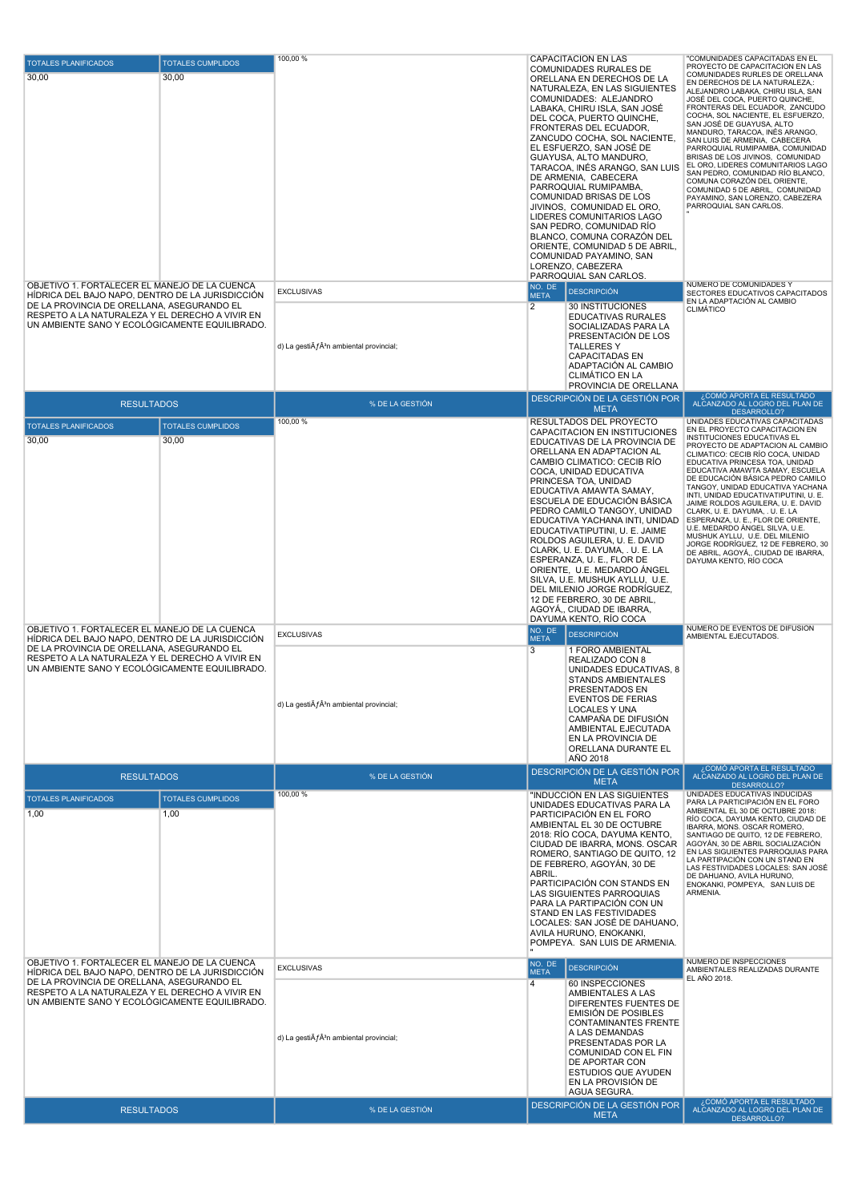| <b>TOTALES PLANIFICADOS</b><br>30,00                                                                                                                                                                                                                 | <b>TOTALES CUMPLIDOS</b><br>30,00 | 100,00 %                                                                       | <b>CAPACITACION EN LAS</b><br>COMUNIDADES RURALES DE<br>ORELLANA EN DERECHOS DE LA<br>NATURALEZA, EN LAS SIGUIENTES<br>COMUNIDADES: ALEJANDRO<br>LABAKA, CHIRU ISLA, SAN JOSÉ<br>DEL COCA, PUERTO QUINCHE,<br>FRONTERAS DEL ECUADOR,<br>ZANCUDO COCHA, SOL NACIENTE,<br>EL ESFUERZO, SAN JOSE DE<br>GUAYUSA, ALTO MANDURO,<br>TARACOA, INÉS ARANGO, SAN LUIS<br>DE ARMENIA, CABECERA<br>PARROQUIAL RUMIPAMBA,<br>COMUNIDAD BRISAS DE LOS<br>JIVINOS, COMUNIDAD EL ORO,<br>LIDERES COMUNITARIOS LAGO<br>SAN PEDRO, COMUNIDAD RÍO<br>BLANCO, COMUNA CORAZÓN DEL<br>ORIENTE, COMUNIDAD 5 DE ABRIL,<br>COMUNIDAD PAYAMINO, SAN<br>LORENZO, CABEZERA<br>PARROQUIAL SAN CARLOS. | "COMUNIDADES CAPACITADAS EN EL<br>PROYECTO DE CAPACITACION EN LAS<br>COMUNIDADES RURLES DE ORELLANA<br>EN DERECHOS DE LA NATURALEZA,:<br>ALEJANDRO LABAKA, CHIRU ISLA, SAN<br>JOSÉ DEL COCA, PUERTO QUINCHE,<br>FRONTERAS DEL ECUADOR, ZANCUDO<br>COCHA, SOL NACIENTE, EL ESFUERZO,<br>SAN JOSÉ DE GUAYUSA, ALTO<br>MANDURO, TARACOA, INÉS ARANGO,<br>SAN LUIS DE ARMENIA, CABECERA<br>PARROQUIAL RUMIPAMBA, COMUNIDAD<br>BRISAS DE LOS JIVINOS, COMUNIDAD<br>EL ORO, LIDERES COMUNITARIOS LAGO<br>SAN PEDRO, COMUNIDAD RÍO BLANCO,<br>COMUNA CORAZÓN DEL ORIENTE,<br>COMUNIDAD 5 DE ABRIL, COMUNIDAD<br>PAYAMINO, SAN LORENZO, CABEZERA<br>PARROQUIAL SAN CARLOS.                         |
|------------------------------------------------------------------------------------------------------------------------------------------------------------------------------------------------------------------------------------------------------|-----------------------------------|--------------------------------------------------------------------------------|---------------------------------------------------------------------------------------------------------------------------------------------------------------------------------------------------------------------------------------------------------------------------------------------------------------------------------------------------------------------------------------------------------------------------------------------------------------------------------------------------------------------------------------------------------------------------------------------------------------------------------------------------------------------------|--------------------------------------------------------------------------------------------------------------------------------------------------------------------------------------------------------------------------------------------------------------------------------------------------------------------------------------------------------------------------------------------------------------------------------------------------------------------------------------------------------------------------------------------------------------------------------------------------------------------------------------------------------------------------------------------|
| OBJETIVO 1. FORTALECER EL MANEJO DE LA CUENCA<br>HIDRICA DEL BAJO NAPO, DENTRO DE LA JURISDICCIÓN<br>DE LA PROVINCIA DE ORELLANA, ASEGURANDO EL<br>RESPETO A LA NATURALEZA Y EL DERECHO A VIVIR EN<br>UN AMBIENTE SANO Y ECOLÓGICAMENTE EQUILIBRADO. |                                   | <b>EXCLUSIVAS</b><br>d) La gesti $\tilde{A}f\hat{A}^3$ n ambiental provincial; | NO. DE<br><b>DESCRIPCIÓN</b><br><b>META</b><br>2<br>30 INSTITUCIONES<br>EDUCATIVAS RURALES<br>SOCIALIZADAS PARA LA<br>PRESENTACIÓN DE LOS<br>TALLERES Y<br><b>CAPACITADAS EN</b><br>ADAPTACIÓN AL CAMBIO<br><b>CLIMATICO EN LA</b><br>PROVINCIA DE ORELLANA                                                                                                                                                                                                                                                                                                                                                                                                               | NÚMERO DE COMUNIDADES Y<br>SECTORES EDUCATIVOS CAPACITADOS<br>EN LA ADAPTACIÓN AL CAMBIO<br><b>CLIMÁTICO</b><br>¿COMÓ APORTA EL RESULTADO                                                                                                                                                                                                                                                                                                                                                                                                                                                                                                                                                  |
| <b>RESULTADOS</b>                                                                                                                                                                                                                                    |                                   | % DE LA GESTIÓN                                                                | DESCRIPCIÓN DE LA GESTIÓN POR<br><b>META</b>                                                                                                                                                                                                                                                                                                                                                                                                                                                                                                                                                                                                                              | ALCANZADO AL LOGRO DEL PLAN DE<br>DESARROLLO?                                                                                                                                                                                                                                                                                                                                                                                                                                                                                                                                                                                                                                              |
| <b>TOTALES PLANIFICADOS</b><br>30,00<br>OBJETIVO 1. FORTALECER EL MANEJO DE LA CUENCA                                                                                                                                                                | <b>TOTALES CUMPLIDOS</b><br>30,00 | 100,00 %                                                                       | RESULTADOS DEL PROYECTO<br>CAPACITACION EN INSTITUCIONES<br>EDUCATIVAS DE LA PROVINCIA DE<br>ORELLANA EN ADAPTACION AL<br>CAMBIO CLIMATICO: CECIB RÍO<br>COCA, UNIDAD EDUCATIVA<br>PRINCESA TOA, UNIDAD<br>EDUCATIVA AMAWTA SAMAY,<br>ESCUELA DE EDUCACIÓN BÁSICA<br>PEDRO CAMILO TANGOY, UNIDAD<br>EDUCATIVA YACHANA INTI, UNIDAD<br>EDUCATIVATIPUTINI, U. E. JAIME<br>ROLDOS AGUILERA, U. E. DAVID<br>CLARK, U. E. DAYUMA, . U. E. LA<br>ESPERANZA, U. E., FLOR DE<br>ORIENTE, U.E. MEDARDO ANGEL<br>SILVA, U.E. MUSHUK AYLLU, U.E.<br>DEL MILENIO JORGE RODRÍGUEZ,<br>12 DE FEBRERO, 30 DE ABRIL,<br>AGOYA,, CIUDAD DE IBARRA,<br>DAYUMA KENTO, RÍO COCA<br>NO. DE     | UNIDADES EDUCATIVAS CAPACITADAS<br>EN EL PROYECTO CAPACITACION EN<br>INSTITUCIONES EDUCATIVAS EL<br>PROYECTO DE ADAPTACION AL CAMBIO<br>CLIMATICO: CECIB RÍO COCA, UNIDAD<br>EDUCATIVA PRINCESA TOA, UNIDAD<br>EDUCATIVA AMAWTA SAMAY, ESCUELA<br>DE EDUCACIÓN BÁSICA PEDRO CAMILO<br>TANGOY, UNIDAD EDUCATIVA YACHANA<br>INTI, UNIDAD EDUCATIVATIPUTINI, U. E.<br>JAIME ROLDOS AGUILERA, U. E. DAVID<br>CLARK, U. E. DAYUMA, . U. E. LA<br>ESPERANZA, U. E., FLOR DE ORIENTE,<br>U.E. MEDARDO ÁNGEL SILVA, U.E.<br>MUSHUK AYLLU, U.E. DEL MILENIO<br>JORGE RODRÍGUEZ, 12 DE FEBRERO, 30<br>DE ABRIL, AGOYÁ,, CIUDAD DE IBARRA,<br>DAYUMA KENTO, RÍO COCA<br>NÚMERO DE EVENTOS DE DIFUSIÓN |
| HÍDRICA DEL BAJO NAPO, DENTRO DE LA JURISDICCIÓN<br>DE LA PROVINCIA DE ORELLANA, ASEGURANDO EL<br>RESPETO A LA NATURALEZA Y EL DERECHO A VIVIR EN<br>UN AMBIENTE SANO Y ECOLÓGICAMENTE EQUILIBRADO.                                                  |                                   | <b>EXCLUSIVAS</b><br>d) La gesti $\tilde{A}f\hat{A}^3$ n ambiental provincial; | <b>DESCRIPCIÓN</b><br><b>META</b><br>3<br>1 FORO AMBIENTAL<br>REALIZADO CON 8<br>UNIDADES EDUCATIVAS, 8<br>STANDS AMBIENTALES<br>PRESENTADOS EN<br><b>EVENTOS DE FERIAS</b><br>LOCALES Y UNA<br>CAMPAÑA DE DIFUSIÓN<br>AMBIENTAL EJECUTADA<br>EN LA PROVINCIA DE<br>ORELLANA DURANTE EL<br>AÑO 2018                                                                                                                                                                                                                                                                                                                                                                       | AMBIENTAL EJECUTADOS.                                                                                                                                                                                                                                                                                                                                                                                                                                                                                                                                                                                                                                                                      |
| <b>RESULTADOS</b>                                                                                                                                                                                                                                    |                                   | % DE LA GESTIÓN                                                                | DESCRIPCIÓN DE LA GESTIÓN POR                                                                                                                                                                                                                                                                                                                                                                                                                                                                                                                                                                                                                                             | ¿COMÓ APORTA EL RESULTADO<br>ALCANZADO AL LOGRO DEL PLAN DE                                                                                                                                                                                                                                                                                                                                                                                                                                                                                                                                                                                                                                |
| <b>TOTALES PLANIFICADOS</b>                                                                                                                                                                                                                          | <b>TOTALES CUMPLIDOS</b>          | 100,00 %                                                                       | <b>META</b><br>"INDUCCIÓN EN LAS SIGUIENTES                                                                                                                                                                                                                                                                                                                                                                                                                                                                                                                                                                                                                               | DESARROLLO?<br>UNIDADES EDUCATIVAS INDUCIDAS                                                                                                                                                                                                                                                                                                                                                                                                                                                                                                                                                                                                                                               |
| 1,00                                                                                                                                                                                                                                                 | 1,00                              |                                                                                | UNIDADES EDUCATIVAS PARA LA<br>PARTICIPACIÓN EN EL FORO<br>AMBIENTAL EL 30 DE OCTUBRE<br>2018: RÍO COCA, DAYUMA KENTO,<br>CIUDAD DE IBARRA, MONS. OSCAR<br>ROMERO, SANTIAGO DE QUITO, 12<br>DE FEBRERO, AGOYÁN, 30 DE<br>ABRIL.<br>PARTICIPACIÓN CON STANDS EN<br>LAS SIGUIENTES PARROQUIAS<br>PARA LA PARTIPACIÓN CON UN<br>STAND EN LAS FESTIVIDADES<br>LOCALES: SAN JOSÉ DE DAHUANO.<br>AVILA HURUNO, ENOKANKI,<br>POMPEYA. SAN LUIS DE ARMENIA.                                                                                                                                                                                                                       | PARA LA PARTICIPACIÓN EN EL FORO<br>AMBIENTAL EL 30 DE OCTUBRE 2018:<br>RÍO COCA, DAYUMA KENTO, CIUDAD DE<br>IBARRA, MONS, OSCAR ROMERO<br>SANTIAGO DE QUITO, 12 DE FEBRERO,<br>AGOYÁN, 30 DE ABRIL SOCIALIZACIÓN<br>EN LAS SIGUIENTES PARROQUIAS PARA<br>LA PARTIPACIÓN CON UN STAND EN<br>LAS FESTIVIDADES LOCALES: SAN JOSÉ<br>DE DAHUANO, AVILA HURUNO.<br>ENOKANKI, POMPEYA, SAN LUIS DE<br>ARMENIA.                                                                                                                                                                                                                                                                                  |
| OBJETIVO 1. FORTALECER EL MANEJO DE LA CUENCA<br>HÍDRICA DEL BAJO NAPO, DENTRO DE LA JURISDICCIÓN                                                                                                                                                    |                                   | <b>EXCLUSIVAS</b>                                                              | NO. DE<br><b>DESCRIPCIÓN</b><br><b>META</b>                                                                                                                                                                                                                                                                                                                                                                                                                                                                                                                                                                                                                               | NÚMERO DE INSPECCIONES<br>AMBIENTALES REALIZADAS DURANTE                                                                                                                                                                                                                                                                                                                                                                                                                                                                                                                                                                                                                                   |
| DE LA PROVINCIA DE ORELLANA, ASEGURANDO EL<br>RESPETO A LA NATURALEZA Y EL DERECHO A VIVIR EN<br>UN AMBIENTE SANO Y ECOLÓGICAMENTE EQUILIBRADO.                                                                                                      |                                   | d) La gesti $\tilde{A}f\hat{A}^3$ n ambiental provincial;                      | $\overline{4}$<br>60 INSPECCIONES<br>AMBIENTALES A LAS<br>DIFERENTES FUENTES DE<br><b>EMISIÓN DE POSIBLES</b><br><b>CONTAMINANTES FRENTE</b><br>A LAS DEMANDAS<br>PRESENTADAS POR LA<br>COMUNIDAD CON EL FIN<br>DE APORTAR CON<br>ESTUDIOS QUE AYUDEN<br>EN LA PROVISIÓN DE<br>AGUA SEGURA.                                                                                                                                                                                                                                                                                                                                                                               | EL AÑO 2018.<br>¿COMÓ APORTA EL RESULTADO                                                                                                                                                                                                                                                                                                                                                                                                                                                                                                                                                                                                                                                  |
| <b>RESULTADOS</b>                                                                                                                                                                                                                                    |                                   | % DE LA GESTIÓN                                                                | DESCRIPCIÓN DE LA GESTIÓN POR<br><b>META</b>                                                                                                                                                                                                                                                                                                                                                                                                                                                                                                                                                                                                                              | ALCANZADO AL LOGRO DEL PLAN DE<br>DESARROLLO?                                                                                                                                                                                                                                                                                                                                                                                                                                                                                                                                                                                                                                              |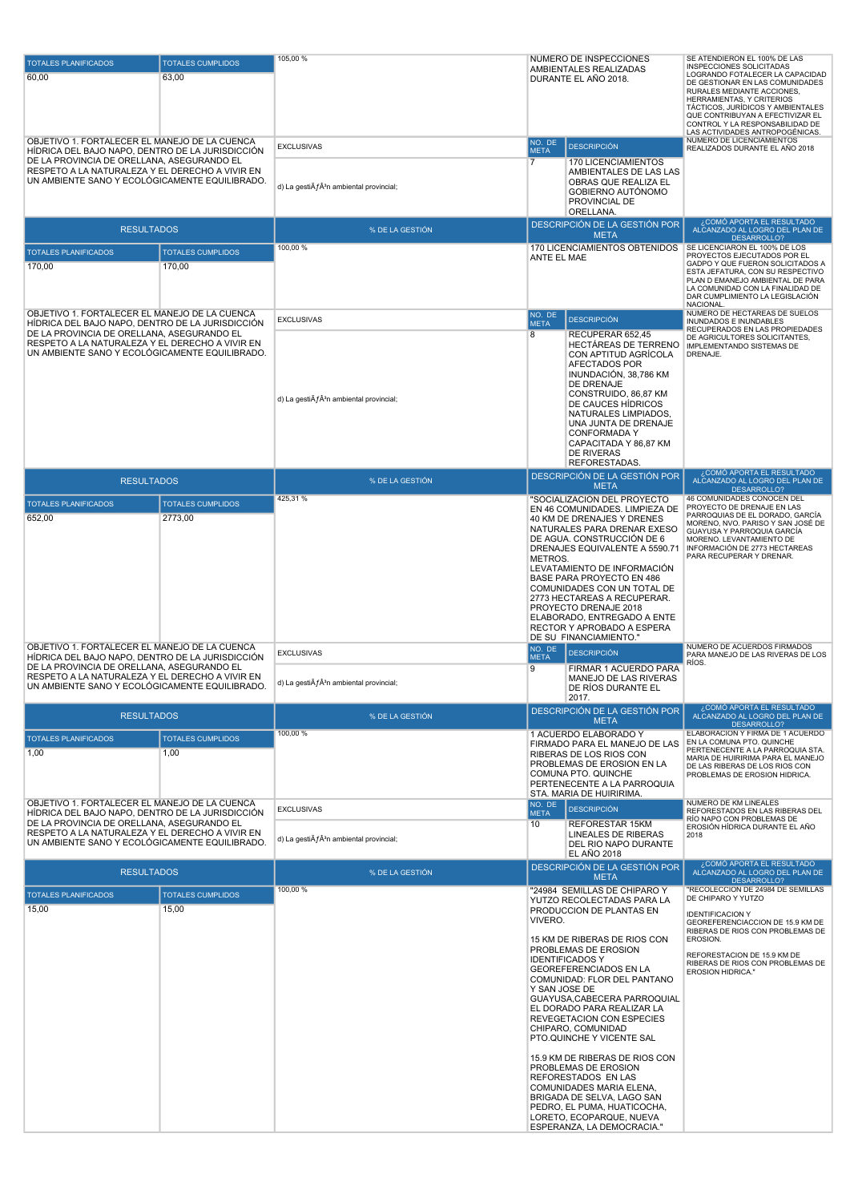| <b>TOTALES PLANIFICADOS</b>                                                                                                                     | <b>TOTALES CUMPLIDOS</b>           | 105,00 %                                                    | NÚMERO DE INSPECCIONES                                                                                                                                                                                                                                                                                                                                                                                                                                                                                                                                                                                          | SE ATENDIERON EL 100% DE LAS<br>INSPECCIONES SOLICITADAS                                                                                                                                                                                                                     |
|-------------------------------------------------------------------------------------------------------------------------------------------------|------------------------------------|-------------------------------------------------------------|-----------------------------------------------------------------------------------------------------------------------------------------------------------------------------------------------------------------------------------------------------------------------------------------------------------------------------------------------------------------------------------------------------------------------------------------------------------------------------------------------------------------------------------------------------------------------------------------------------------------|------------------------------------------------------------------------------------------------------------------------------------------------------------------------------------------------------------------------------------------------------------------------------|
| 60,00                                                                                                                                           | 63,00                              |                                                             | AMBIENTALES REALIZADAS<br>DURANTE EL AÑO 2018.                                                                                                                                                                                                                                                                                                                                                                                                                                                                                                                                                                  | LOGRANDO FOTALECER LA CAPACIDAD<br>DE GESTIONAR EN LAS COMUNIDADES<br>RURALES MEDIANTE ACCIONES,<br>HERRAMIENTAS, Y CRITERIOS<br>TÁCTICOS, JURÍDICOS Y AMBIENTALES<br>QUE CONTRIBUYAN A EFECTIVIZAR EL<br>CONTROL Y LA RESPONSABILIDAD DE<br>LAS ACTIVIDADES ANTROPOGÉNICAS. |
| OBJETIVO 1. FORTALECER EL MANEJO DE LA CUENCA<br>HIDRICA DEL BAJO NAPO, DENTRO DE LA JURISDICCIÓN                                               |                                    | <b>EXCLUSIVAS</b>                                           | NO. DE<br><b>DESCRIPCIÓN</b><br><b>META</b>                                                                                                                                                                                                                                                                                                                                                                                                                                                                                                                                                                     | NÚMERO DE LICENCIAMIENTOS<br>REALIZADOS DURANTE EL AÑO 2018                                                                                                                                                                                                                  |
| DE LA PROVINCIA DE ORELLANA, ASEGURANDO EL<br>RESPETO A LA NATURALEZA Y EL DERECHO A VIVIR EN<br>UN AMBIENTE SANO Y ECOLÓGICAMENTE EQUILIBRADO. |                                    | d) La gesti $\tilde{A}f\hat{A}^3$ n ambiental provincial;   | $\overline{7}$<br>170 LICENCIAMIENTOS<br>AMBIENTALES DE LAS LAS<br>OBRAS QUE REALIZA EL<br>GOBIERNO AUTÓNOMO<br>PROVINCIAL DE<br>ORELLANA.                                                                                                                                                                                                                                                                                                                                                                                                                                                                      |                                                                                                                                                                                                                                                                              |
| <b>RESULTADOS</b>                                                                                                                               |                                    | % DE LA GESTIÓN                                             | DESCRIPCIÓN DE LA GESTIÓN POR<br><b>META</b>                                                                                                                                                                                                                                                                                                                                                                                                                                                                                                                                                                    | ¿COMÓ APORTA EL RESULTADO<br>ALCANZADO AL LOGRO DEL PLAN DE                                                                                                                                                                                                                  |
|                                                                                                                                                 |                                    | 100,00 %                                                    | 170 LICENCIAMIENTOS OBTENIDOS                                                                                                                                                                                                                                                                                                                                                                                                                                                                                                                                                                                   | DESARROLLO?<br>SE LICENCIARON EL 100% DE LOS                                                                                                                                                                                                                                 |
| <b>TOTALES PLANIFICADOS</b><br>170,00                                                                                                           | <b>TOTALES CUMPLIDOS</b><br>170,00 |                                                             | ANTE EL MAE                                                                                                                                                                                                                                                                                                                                                                                                                                                                                                                                                                                                     | PROYECTOS EJECUTADOS POR EL<br>GADPO Y QUE FUERON SOLICITADOS A<br>ESTA JEFATURA, CON SU RESPECTIVO<br>PLAN D EMANEJO AMBIENTAL DE PARA<br>LA COMUNIDAD CON LA FINALIDAD DE<br>DAR CUMPLIMIENTO LA LEGISLACIÓN<br><b>NACIONAL</b>                                            |
| OBJETIVO 1. FORTALECER EL MANEJO DE LA CUENCA<br>HIDRICA DEL BAJO NAPO, DENTRO DE LA JURISDICCIÓN                                               |                                    | <b>EXCLUSIVAS</b>                                           | NO. DE<br><b>DESCRIPCIÓN</b><br><b>META</b>                                                                                                                                                                                                                                                                                                                                                                                                                                                                                                                                                                     | NUMERO DE HECTAREAS DE SUELOS<br>INUNDADOS E INUNDABLES                                                                                                                                                                                                                      |
| DE LA PROVINCIA DE ORELLANA, ASEGURANDO EL<br>RESPETO A LA NATURALEZA Y EL DERECHO A VIVIR EN<br>UN AMBIENTE SANO Y ECOLÓGICAMENTE EQUILIBRADO. |                                    | d) La gesti $\tilde{A}f\hat{A}^3$ n ambiental provincial;   | 8<br>RECUPERAR 652,45<br>HECTAREAS DE TERRENO<br>CON APTITUD AGRÍCOLA<br><b>AFECTADOS POR</b><br>INUNDACIÓN, 38,786 KM<br>DE DRENAJE<br>CONSTRUIDO, 86,87 KM<br>DE CAUCES HÍDRICOS<br>NATURALES LIMPIADOS.<br>UNA JUNTA DE DRENAJE<br>CONFORMADA Y<br>CAPACITADA Y 86,87 KM<br>DE RIVERAS<br>REFORESTADAS.                                                                                                                                                                                                                                                                                                      | RECUPERADOS EN LAS PROPIEDADES<br>DE AGRICULTORES SOLICITANTES,<br>IMPLEMENTANDO SISTEMAS DE<br>DRENAJE.                                                                                                                                                                     |
| <b>RESULTADOS</b>                                                                                                                               |                                    | % DE LA GESTIÓN                                             | DESCRIPCIÓN DE LA GESTIÓN POR                                                                                                                                                                                                                                                                                                                                                                                                                                                                                                                                                                                   | COMÓ APORTA EL RESULTADO،<br>ALCANZADO AL LOGRO DEL PLAN DE                                                                                                                                                                                                                  |
| <b>TOTALES PLANIFICADOS</b>                                                                                                                     | <b>TOTALES CUMPLIDOS</b>           | 425,31 %                                                    | <b>META</b><br>"SOCIALIZACIÓN DEL PROYECTO                                                                                                                                                                                                                                                                                                                                                                                                                                                                                                                                                                      | DESARROLLO?<br>46 COMUNIDADES CONOCEN DEL                                                                                                                                                                                                                                    |
| 652,00                                                                                                                                          | 2773,00                            |                                                             | EN 46 COMUNIDADES. LIMPIEZA DE<br>40 KM DE DRENAJES Y DRENES<br>NATURALES PARA DRENAR EXESO<br>DE AGUA. CONSTRUCCIÓN DE 6<br>DRENAJES EQUIVALENTE A 5590.71<br>METROS.<br>LEVATAMIENTO DE INFORMACIÓN<br>BASE PARA PROYECTO EN 486<br>COMUNIDADES CON UN TOTAL DE<br>2773 HECTAREAS A RECUPERAR.<br>PROYECTO DRENAJE 2018<br>ELABORADO, ENTREGADO A ENTE<br>RECTOR Y APROBADO A ESPERA<br>DE SU FINANCIAMIENTO."                                                                                                                                                                                                | PROYECTO DE DRENAJE EN LAS<br>PARROQUIAS DE EL DORADO, GARCÍA<br>MORENO, NVO. PARISO Y SAN JOSÉ DE<br>GUAYUSA Y PARROQUIA GARCÍA<br>MORENO. LEVANTAMIENTO DE<br>INFORMACIÓN DE 2773 HECTAREAS<br>PARA RECUPERAR Y DRENAR.                                                    |
| OBJETIVO 1. FORTALECER EL MANEJO DE LA CUENCA<br>HÍDRICA DEL BAJO NAPO. DENTRO DE LA JURISDICCIÓN                                               |                                    | <b>EXCLUSIVAS</b>                                           | NO. DE<br><b>DESCRIPCIÓN</b><br><b>META</b>                                                                                                                                                                                                                                                                                                                                                                                                                                                                                                                                                                     | NÚMERO DE ACUERDOS FIRMADOS<br>PARA MANEJO DE LAS RIVERAS DE LOS                                                                                                                                                                                                             |
| DE LA PROVINCIA DE ORELLANA, ASEGURANDO EL<br>RESPETO A LA NATURALEZA Y EL DERECHO A VIVIR EN<br>UN AMBIENTE SANO Y ECOLÓGICAMENTE EQUILIBRADO. |                                    | d) La gesti $\tilde{A}f\hat{A}^3$ n ambiental provincial;   | 9<br>FIRMAR 1 ACUERDO PARA<br>MANEJO DE LAS RIVERAS<br>DE RÍOS DURANTE EL<br>2017.                                                                                                                                                                                                                                                                                                                                                                                                                                                                                                                              | RÍOS.                                                                                                                                                                                                                                                                        |
| <b>RESULTADOS</b>                                                                                                                               |                                    | % DE LA GESTIÓN                                             | DESCRIPCIÓN DE LA GESTIÓN POR<br><b>META</b>                                                                                                                                                                                                                                                                                                                                                                                                                                                                                                                                                                    | ¿COMÓ APORTA EL RESULTADO<br>ALCANZADO AL LOGRO DEL PLAN DE                                                                                                                                                                                                                  |
| <b>TOTALES PLANIFICADOS</b>                                                                                                                     | <b>TOTALES CUMPLIDOS</b>           | 100,00 %                                                    | 1 ACUERDO ELABORADO Y                                                                                                                                                                                                                                                                                                                                                                                                                                                                                                                                                                                           | DESARROLLO?<br>ELABORACION Y FIRMA DE 1 ACUERDO                                                                                                                                                                                                                              |
| 1,00                                                                                                                                            | 1,00                               |                                                             | FIRMADO PARA EL MANEJO DE LAS<br>RIBERAS DE LOS RIOS CON<br>PROBLEMAS DE EROSION EN LA<br>COMUNA PTO. QUINCHE<br>PERTENECENTE A LA PARROQUIA<br>STA, MARIA DE HUIRIRIMA.                                                                                                                                                                                                                                                                                                                                                                                                                                        | EN LA COMUNA PTO. QUINCHE<br>PERTENECENTE A LA PARROQUIA STA.<br>MARIA DE HUIRIRIMA PARA EL MANEJO<br>DE LAS RIBERAS DE LOS RIOS CON<br>PROBLEMAS DE EROSION HIDRICA.                                                                                                        |
| OBJETIVO 1. FORTALECER EL MANEJO DE LA CUENCA<br>HÍDRICA DEL BAJO NAPO. DENTRO DE LA JURISDICCIÓN.                                              |                                    | <b>EXCLUSIVAS</b>                                           | NO. DE<br><b>DESCRIPCIÓN</b><br><b>META</b>                                                                                                                                                                                                                                                                                                                                                                                                                                                                                                                                                                     | NUMERO DE KM LINEALES<br>REFORESTADOS EN LAS RIBERAS DEL                                                                                                                                                                                                                     |
| DE LA PROVINCIA DE ORELLANA, ASEGURANDO EL<br>RESPETO A LA NATURALEZA Y EL DERECHO A VIVIR EN<br>UN AMBIENTE SANO Y ECOLÓGICAMENTE EQUILIBRADO. |                                    | d) La gesti $\tilde{A}f\hat{A}^{3}$ n ambiental provincial; | 10<br>REFORESTAR 15KM<br><b>LINEALES DE RIBERAS</b><br>DEL RIO NAPO DURANTE<br><b>EL AÑO 2018</b>                                                                                                                                                                                                                                                                                                                                                                                                                                                                                                               | RÍO NAPO CON PROBLEMAS DE<br>EROSIÓN HÍDRICA DURANTE EL AÑO<br>2018                                                                                                                                                                                                          |
| <b>RESULTADOS</b>                                                                                                                               |                                    | % DE LA GESTIÓN                                             | DESCRIPCIÓN DE LA GESTIÓN POR<br><b>META</b>                                                                                                                                                                                                                                                                                                                                                                                                                                                                                                                                                                    | ¿COMÓ APORTA EL RESULTADO<br>ALCANZADO AL LOGRO DEL PLAN DE<br>DESARROLLO?                                                                                                                                                                                                   |
| <b>TOTALES PLANIFICADOS</b>                                                                                                                     | <b>TOTALES CUMPLIDOS</b>           | 100,00 %                                                    | "24984 SEMILLAS DE CHIPARO Y                                                                                                                                                                                                                                                                                                                                                                                                                                                                                                                                                                                    | "RECOLECCION DE 24984 DE SEMILLAS<br>DE CHIPARO Y YUTZO                                                                                                                                                                                                                      |
| 15,00                                                                                                                                           | 15,00                              |                                                             | YUTZO RECOLECTADAS PARA LA<br>PRODUCCION DE PLANTAS EN<br>VIVERO.<br>15 KM DE RIBERAS DE RIOS CON<br>PROBLEMAS DE EROSION<br><b>IDENTIFICADOS Y</b><br>GEOREFERENCIADOS EN LA<br>COMUNIDAD: FLOR DEL PANTANO<br>Y SAN JOSE DE<br>GUAYUSA, CABECERA PARROQUIAL<br>EL DORADO PARA REALIZAR LA<br>REVEGETACION CON ESPECIES<br>CHIPARO, COMUNIDAD<br>PTO.QUINCHE Y VICENTE SAL<br>15.9 KM DE RIBERAS DE RIOS CON<br>PROBLEMAS DE EROSION<br>REFORESTADOS EN LAS<br>COMUNIDADES MARIA ELENA,<br>BRIGADA DE SELVA, LAGO SAN<br>PEDRO, EL PUMA, HUATICOCHA,<br>LORETO, ECOPARQUE, NUEVA<br>ESPERANZA, LA DEMOCRACIA." | <b>IDENTIFICACION Y</b><br>GEOREFERENCIACCION DE 15.9 KM DE<br>RIBERAS DE RIOS CON PROBLEMAS DE<br>EROSION.<br>REFORESTACION DE 15.9 KM DE<br>RIBERAS DE RIOS CON PROBLEMAS DE<br>EROSION HIDRICA."                                                                          |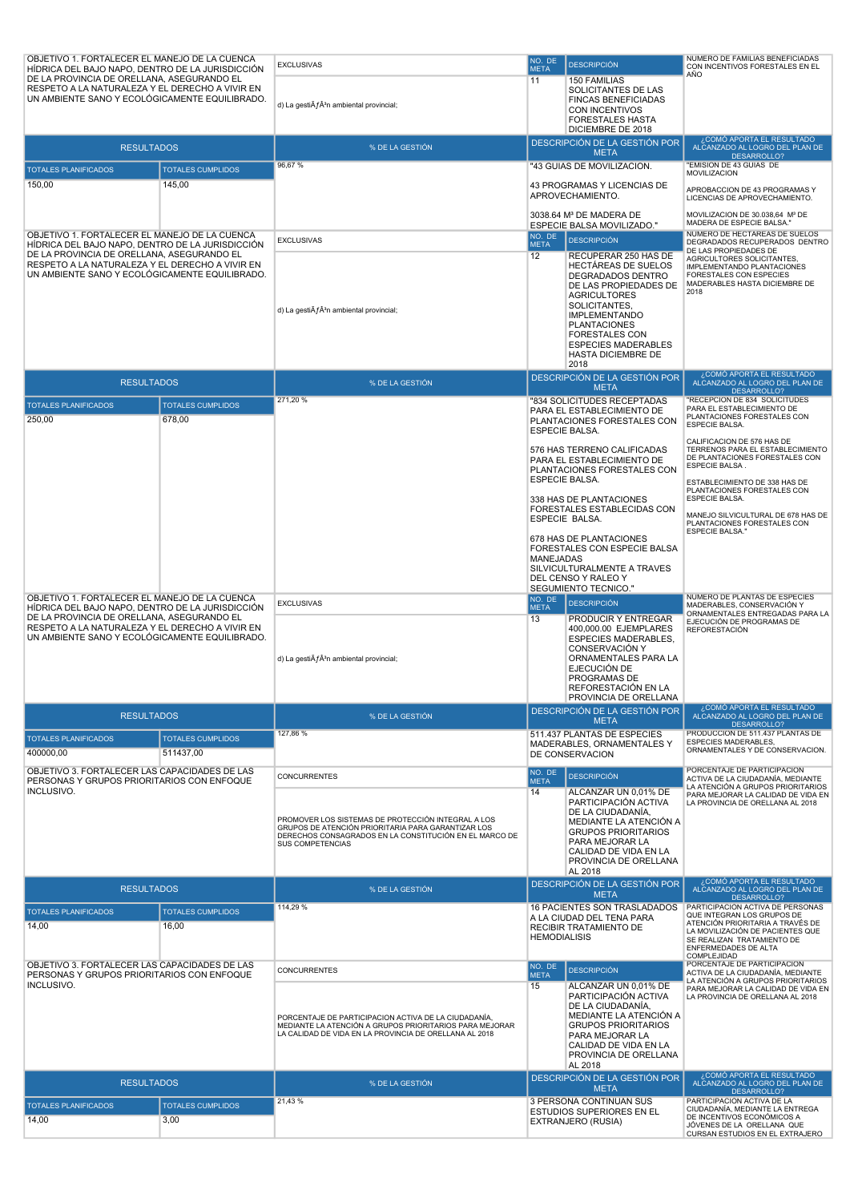| OBJETIVO 1. FORTALECER EL MANEJO DE LA CUENCA<br>HÍDRICA DEL BAJO NAPO, DENTRO DE LA JURISDICCIÓN<br>DE LA PROVINCIA DE ORELLANA, ASEGURANDO EL<br>RESPETO A LA NATURALEZA Y EL DERECHO A VIVIR EN<br>UN AMBIENTE SANO Y ECOLÓGICAMENTE EQUILIBRADO. |                                       | <b>EXCLUSIVAS</b><br>d) La gesti $\tilde{A}f\hat{A}^3$ n ambiental provincial;                                                                                                                                       | NO. DE<br><b>META</b><br>11                                                                                       | <b>DESCRIPCIÓN</b><br><b>150 FAMILIAS</b><br>SOLICITANTES DE LAS<br><b>FINCAS BENEFICIADAS</b><br>CON INCENTIVOS<br><b>FORESTALES HASTA</b><br>DICIEMBRE DE 2018                                                                       | NUMERO DE FAMILIAS BENEFICIADAS<br>CON INCENTIVOS FORESTALES EN EL<br>AÑO                                                                                                                                               |
|------------------------------------------------------------------------------------------------------------------------------------------------------------------------------------------------------------------------------------------------------|---------------------------------------|----------------------------------------------------------------------------------------------------------------------------------------------------------------------------------------------------------------------|-------------------------------------------------------------------------------------------------------------------|----------------------------------------------------------------------------------------------------------------------------------------------------------------------------------------------------------------------------------------|-------------------------------------------------------------------------------------------------------------------------------------------------------------------------------------------------------------------------|
| <b>RESULTADOS</b>                                                                                                                                                                                                                                    |                                       | % DE LA GESTIÓN                                                                                                                                                                                                      |                                                                                                                   | DESCRIPCIÓN DE LA GESTIÓN POR<br><b>META</b>                                                                                                                                                                                           | ¿COMÓ APORTA EL RESULTADO<br>ALCANZADO AL LOGRO DEL PLAN DE                                                                                                                                                             |
| <b>TOTALES PLANIFICADOS</b>                                                                                                                                                                                                                          | <b>TOTALES CUMPLIDOS</b>              | 96,67%                                                                                                                                                                                                               |                                                                                                                   | "43 GUIAS DE MOVILIZACION.                                                                                                                                                                                                             | DESARROLLO?<br>'EMISION DE 43 GUIAS DE<br><b>MOVILIZACION</b>                                                                                                                                                           |
| 150,00                                                                                                                                                                                                                                               | 145,00                                |                                                                                                                                                                                                                      |                                                                                                                   | 43 PROGRAMAS Y LICENCIAS DE<br>APROVECHAMIENTO.                                                                                                                                                                                        | APROBACCION DE 43 PROGRAMAS Y<br>LICENCIAS DE APROVECHAMIENTO.                                                                                                                                                          |
|                                                                                                                                                                                                                                                      |                                       |                                                                                                                                                                                                                      |                                                                                                                   | 3038.64 M <sup>3</sup> DE MADERA DE<br>ESPECIE BALSA MOVILIZADO."                                                                                                                                                                      | MOVILIZACION DE 30.038,64 M <sup>3</sup> DE<br>MADERA DE ESPECIE BALSA."                                                                                                                                                |
| OBJETIVO 1. FORTALECER EL MANEJO DE LA CUENCA<br>HÍDRICA DEL BAJO NAPO. DENTRO DE LA JURISDICCIÓN<br>DE LA PROVINCIA DE ORELLANA, ASEGURANDO EL<br>RESPETO A LA NATURALEZA Y EL DERECHO A VIVIR EN<br>UN AMBIENTE SANO Y ECOLÓGICAMENTE EQUILIBRADO. |                                       | <b>EXCLUSIVAS</b><br>d) La gesti $\tilde{A}f\hat{A}^3$ n ambiental provincial;                                                                                                                                       | NO. DE<br><b>META</b><br>12                                                                                       | <b>DESCRIPCIÓN</b><br>RECUPERAR 250 HAS DE<br><b>HECTAREAS DE SUELOS</b><br>DEGRADADOS DENTRO<br>DE LAS PROPIEDADES DE<br><b>AGRICULTORES</b><br>SOLICITANTES,<br><b>IMPLEMENTANDO</b><br><b>PLANTACIONES</b><br><b>FORESTALES CON</b> | NÚMERO DE HECTAREAS DE SUELOS<br>DEGRADADOS RECUPERADOS DENTRO<br>DE LAS PROPIEDADES DE<br>AGRICULTORES SOLICITANTES,<br>IMPLEMENTANDO PLANTACIONES<br>FORESTALES CON ESPECIES<br>MADERABLES HASTA DICIEMBRE DE<br>2018 |
|                                                                                                                                                                                                                                                      |                                       |                                                                                                                                                                                                                      |                                                                                                                   | <b>ESPECIES MADERABLES</b><br><b>HASTA DICIEMBRE DE</b><br>2018<br>DESCRIPCIÓN DE LA GESTIÓN POR                                                                                                                                       | ¿COMÓ APORTA EL RESULTADO                                                                                                                                                                                               |
| <b>RESULTADOS</b>                                                                                                                                                                                                                                    |                                       | % DE LA GESTIÓN                                                                                                                                                                                                      |                                                                                                                   | <b>META</b>                                                                                                                                                                                                                            | ALCANZADO AL LOGRO DEL PLAN DE<br>DESARROLLO?                                                                                                                                                                           |
| <b>TOTALES PLANIFICADOS</b><br>250,00                                                                                                                                                                                                                | <b>TOTALES CUMPLIDOS</b><br>678,00    | 271,20 %                                                                                                                                                                                                             |                                                                                                                   | "834 SOLICITUDES RECEPTADAS<br>PARA EL ESTABLECIMIENTO DE<br>PLANTACIONES FORESTALES CON<br><b>ESPECIE BALSA.</b>                                                                                                                      | 'RECEPCION DE 834 SOLICITUDES<br>PARA EL ESTABLECIMIENTO DE<br>PLANTACIONES FORESTALES CON<br>ESPECIE BALSA.                                                                                                            |
|                                                                                                                                                                                                                                                      |                                       |                                                                                                                                                                                                                      | 576 HAS TERRENO CALIFICADAS<br>PARA EL ESTABLECIMIENTO DE<br>PLANTACIONES FORESTALES CON<br><b>ESPECIE BALSA.</b> |                                                                                                                                                                                                                                        | CALIFICACION DE 576 HAS DE<br>TERRENOS PARA EL ESTABLECIMIENTO<br>DE PLANTACIONES FORESTALES CON<br>ESPECIE BALSA.<br>ESTABLECIMIENTO DE 338 HAS DE<br>PLANTACIONES FORESTALES CON                                      |
|                                                                                                                                                                                                                                                      |                                       |                                                                                                                                                                                                                      |                                                                                                                   | 338 HAS DE PLANTACIONES<br>FORESTALES ESTABLECIDAS CON<br>ESPECIE BALSA.                                                                                                                                                               | <b>ESPECIE BALSA.</b><br>MANEJO SILVICULTURAL DE 678 HAS DE<br>PLANTACIONES FORESTALES CON<br><b>ESPECIE BALSA."</b>                                                                                                    |
|                                                                                                                                                                                                                                                      |                                       |                                                                                                                                                                                                                      | <b>MANEJADAS</b>                                                                                                  | 678 HAS DE PLANTACIONES<br>FORESTALES CON ESPECIE BALSA<br>SILVICULTURALMENTE A TRAVES<br>DEL CENSO Y RALEO Y<br>SEGUMIENTO TECNICO."                                                                                                  |                                                                                                                                                                                                                         |
| OBJETIVO 1. FORTALECER EL MANEJO DE LA CUENCA<br>HÍDRICA DEL BAJO NAPO, DENTRO DE LA JURISDICCIÓN                                                                                                                                                    |                                       | <b>EXCLUSIVAS</b>                                                                                                                                                                                                    | NO. DE<br><b>META</b>                                                                                             | <b>DESCRIPCIÓN</b>                                                                                                                                                                                                                     | NÚMERO DE PLANTAS DE ESPECIES<br>MADERABLES, CONSERVACIÓN Y<br>ORNAMENTALES ENTREGADAS PARA LA                                                                                                                          |
| DE LA PROVINCIA DE ORELLANA, ASEGURANDO EL<br>RESPETO A LA NATURALEZA Y EL DERECHO A VIVIR EN<br>UN AMBIENTE SANO Y ECOLÓGICAMENTE EQUILIBRADO.                                                                                                      |                                       | d) La gesti $\tilde{A}f\hat{A}^3$ n ambiental provincial;                                                                                                                                                            | 13                                                                                                                | PRODUCIR Y ENTREGAR<br>400,000.00 EJEMPLARES<br><b>ESPECIES MADERABLES,</b><br><b>CONSERVACIÓN Y</b><br>ORNAMENTALES PARA LA<br>EJECUCIÓN DE<br>PROGRAMAS DE<br>REFORESTACIÓN EN LA<br>PROVINCIA DE ORELLANA                           | EJECUCIÓN DE PROGRAMAS DE<br><b>REFORESTACIÓN</b>                                                                                                                                                                       |
| <b>RESULTADOS</b>                                                                                                                                                                                                                                    |                                       | % DE LA GESTIÓN                                                                                                                                                                                                      |                                                                                                                   | DESCRIPCIÓN DE LA GESTIÓN POR<br><b>META</b>                                                                                                                                                                                           | ¿COMÓ APORTA EL RESULTADO<br>ALCANZADO AL LOGRO DEL PLAN DE<br>DESARROLLO?                                                                                                                                              |
| <b>TOTALES PLANIFICADOS</b><br>400000,00                                                                                                                                                                                                             | <b>TOTALES CUMPLIDOS</b><br>511437,00 | 127,86 %                                                                                                                                                                                                             |                                                                                                                   | 511.437 PLANTAS DE ESPECIES<br>MADERABLES, ORNAMENTALES Y<br>DE CONSERVACION                                                                                                                                                           | PRODUCCION DE 511.437 PLANTAS DE<br>ESPECIES MADERABLES,<br>ORNAMENTALES Y DE CONSERVACION.                                                                                                                             |
| OBJETIVO 3. FORTALECER LAS CAPACIDADES DE LAS<br>PERSONAS Y GRUPOS PRIORITARIOS CON ENFOQUE<br>INCLUSIVO.                                                                                                                                            |                                       | <b>CONCURRENTES</b><br>PROMOVER LOS SISTEMAS DE PROTECCIÓN INTEGRAL A LOS<br>GRUPOS DE ATENCIÓN PRIORITARIA PARA GARANTIZAR LOS<br>DERECHOS CONSAGRADOS EN LA CONSTITUCIÓN EN EL MARCO DE<br><b>SUS COMPETENCIAS</b> | NO. DE<br><b>META</b><br>14                                                                                       | <b>DESCRIPCIÓN</b><br>ALCANZAR UN 0,01% DE<br>PARTICIPACIÓN ACTIVA<br>DE LA CIUDADANÍA,<br>MEDIANTE LA ATENCIÓN A<br><b>GRUPOS PRIORITARIOS</b><br>PARA MEJORAR LA<br>CALIDAD DE VIDA EN LA<br>PROVINCIA DE ORELLANA<br>AL 2018        | PORCENTAJE DE PARTICIPACION<br>ACTIVA DE LA CIUDADANÍA, MEDIANTE<br>LA ATENCIÓN A GRUPOS PRIORITARIOS<br>PARA MEJORAR LA CALIDAD DE VIDA EN<br>LA PROVINCIA DE ORELLANA AL 2018                                         |
| <b>RESULTADOS</b>                                                                                                                                                                                                                                    |                                       | % DE LA GESTIÓN                                                                                                                                                                                                      |                                                                                                                   | DESCRIPCIÓN DE LA GESTIÓN POR<br><b>META</b>                                                                                                                                                                                           | ¿COMÓ APORTA EL RESULTADO<br>ALCANZADO AL LOGRO DEL PLAN DE<br>DESARROLLO?                                                                                                                                              |
| <b>TOTALES PLANIFICADOS</b><br>14,00                                                                                                                                                                                                                 | <b>TOTALES CUMPLIDOS</b><br>16,00     | 114,29 %                                                                                                                                                                                                             | <b>HEMODIALISIS</b>                                                                                               | 16 PACIENTES SON TRASLADADOS<br>A LA CIUDAD DEL TENA PARA<br>RECIBIR TRATAMIENTO DE                                                                                                                                                    | PARTICIPACIÓN ACTIVA DE PERSONAS<br>QUE INTEGRAN LOS GRUPOS DE<br>ATENCIÓN PRIORITARIA A TRAVÉS DE<br>LA MOVILIZACIÓN DE PACIENTES QUE<br>SE REALIZAN TRATAMIENTO DE<br>ENFERMEDADES DE ALTA<br>COMPLEJIDAD             |
| OBJETIVO 3. FORTALECER LAS CAPACIDADES DE LAS<br>PERSONAS Y GRUPOS PRIORITARIOS CON ENFOQUE                                                                                                                                                          |                                       | CONCURRENTES                                                                                                                                                                                                         | NO. DE<br><b>META</b>                                                                                             | <b>DESCRIPCIÓN</b>                                                                                                                                                                                                                     | PORCENTAJE DE PARTICIPACION<br>ACTIVA DE LA CIUDADANÍA, MEDIANTE<br>LA ATENCIÓN A GRUPOS PRIORITARIOS                                                                                                                   |
| INCLUSIVO.                                                                                                                                                                                                                                           |                                       | PORCENTAJE DE PARTICIPACION ACTIVA DE LA CIUDADANÍA,<br>MEDIANTE LA ATENCIÓN A GRUPOS PRIORITARIOS PARA MEJORAR<br>LA CALIDAD DE VIDA EN LA PROVINCIA DE ORELLANA AL 2018                                            | 15                                                                                                                | ALCANZAR UN 0,01% DE<br>PARTICIPACIÓN ACTIVA<br>DE LA CIUDADANÍA.<br>MEDIANTE LA ATENCIÓN A<br><b>GRUPOS PRIORITARIOS</b><br>PARA MEJORAR LA<br>CALIDAD DE VIDA EN LA<br>PROVINCIA DE ORELLANA<br>AL 2018                              | PARA MEJORAR LA CALIDAD DE VIDA EN<br>LA PROVINCIA DE ORELLANA AL 2018                                                                                                                                                  |
| <b>RESULTADOS</b>                                                                                                                                                                                                                                    |                                       | % DE LA GESTIÓN                                                                                                                                                                                                      |                                                                                                                   | DESCRIPCIÓN DE LA GESTIÓN POR<br><b>META</b>                                                                                                                                                                                           | ¿COMÓ APORTA EL RESULTADO<br>ALCANZADO AL LOGRO DEL PLAN DE<br>DESARROLLO?                                                                                                                                              |
| <b>TOTALES PLANIFICADOS</b>                                                                                                                                                                                                                          | <b>TOTALES CUMPLIDOS</b>              | 21,43%                                                                                                                                                                                                               |                                                                                                                   | 3 PERSONA CONTINUAN SUS<br><b>ESTUDIOS SUPERIORES EN EL</b>                                                                                                                                                                            | PARTICIPACIÓN ACTIVA DE LA<br>CIUDADANÍA, MEDIANTE LA ENTREGA                                                                                                                                                           |
| 14,00                                                                                                                                                                                                                                                | 3,00                                  |                                                                                                                                                                                                                      |                                                                                                                   | EXTRANJERO (RUSIA)                                                                                                                                                                                                                     | DE INCENTIVOS ECONÓMICOS A<br>JÓVENES DE LA ORELLANA QUE<br>CURSAN ESTUDIOS EN EL EXTRAJERO                                                                                                                             |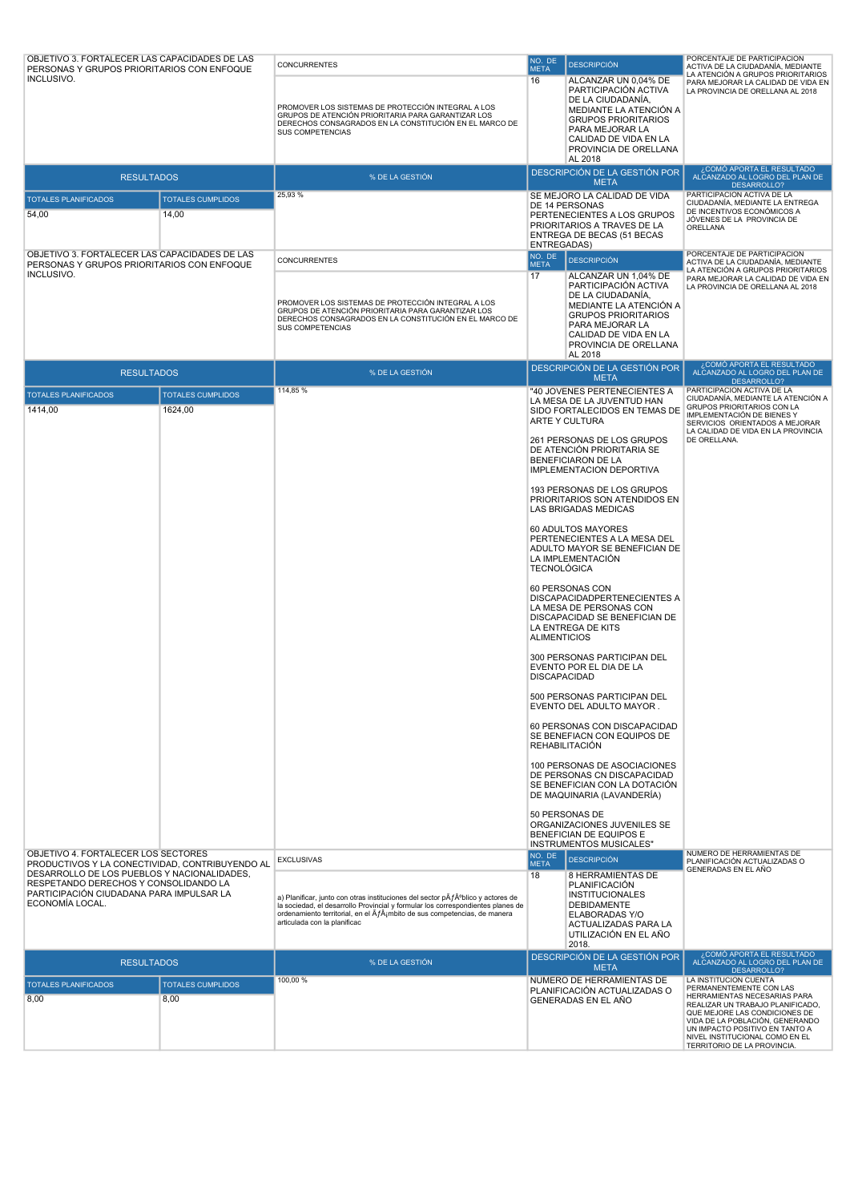| OBJETIVO 3. FORTALECER LAS CAPACIDADES DE LAS<br>PERSONAS Y GRUPOS PRIORITARIOS CON ENFOQUE<br>INCLUSIVO.<br><b>RESULTADOS</b><br><b>TOTALES PLANIFICADOS</b><br>54,00 | <b>TOTALES CUMPLIDOS</b><br>14,00   | <b>CONCURRENTES</b><br>PROMOVER LOS SISTEMAS DE PROTECCIÓN INTEGRAL A LOS<br>GRUPOS DE ATENCIÓN PRIORITARIA PARA GARANTIZAR LOS<br>DERECHOS CONSAGRADOS EN LA CONSTITUCIÓN EN EL MARCO DE<br>SUS COMPETENCIAS<br>% DE LA GESTIÓN<br>25,93 %                                  | NO. DE<br><b>META</b><br>16                                      | <b>DESCRIPCIÓN</b><br>ALCANZAR UN 0,04% DE<br>PARTICIPACIÓN ACTIVA<br>DE LA CIUDADANÍA,<br>MEDIANTE LA ATENCIÓN A<br><b>GRUPOS PRIORITARIOS</b><br>PARA MEJORAR LA<br>CALIDAD DE VIDA EN LA<br>PROVINCIA DE ORELLANA<br>AL 2018<br>DESCRIPCIÓN DE LA GESTIÓN POR<br><b>META</b><br>SE MEJORO LA CALIDAD DE VIDA<br>DE 14 PERSONAS<br>PERTENECIENTES A LOS GRUPOS<br>PRIORITARIOS A TRAVES DE LA                                                                                                                                                                                                                                                                                                                                                                                                                                                                                                                                                                                                                                     | PORCENTAJE DE PARTICIPACION<br>ACTIVA DE LA CIUDADANÍA, MEDIANTE<br>LA ATENCIÓN A GRUPOS PRIORITARIOS<br>PARA MEJORAR LA CALIDAD DE VIDA EN<br>LA PROVINCIA DE ORELLANA AL 2018<br>¿COMÓ APORTA EL RESULTADO<br>ALCANZADO AL LOGRO DEL PLAN DE<br>DESARROLLO?<br>PARTICIPACIÓN ACTIVA DE LA<br>CIUDADANÍA, MEDIANTE LA ENTREGA<br>DE INCENTIVOS ECONÓMICOS A<br>JÓVENES DE LA PROVINCIA DE<br>ORELLANA |
|------------------------------------------------------------------------------------------------------------------------------------------------------------------------|-------------------------------------|------------------------------------------------------------------------------------------------------------------------------------------------------------------------------------------------------------------------------------------------------------------------------|------------------------------------------------------------------|-------------------------------------------------------------------------------------------------------------------------------------------------------------------------------------------------------------------------------------------------------------------------------------------------------------------------------------------------------------------------------------------------------------------------------------------------------------------------------------------------------------------------------------------------------------------------------------------------------------------------------------------------------------------------------------------------------------------------------------------------------------------------------------------------------------------------------------------------------------------------------------------------------------------------------------------------------------------------------------------------------------------------------------|--------------------------------------------------------------------------------------------------------------------------------------------------------------------------------------------------------------------------------------------------------------------------------------------------------------------------------------------------------------------------------------------------------|
| OBJETIVO 3. FORTALECER LAS CAPACIDADES DE LAS<br>PERSONAS Y GRUPOS PRIORITARIOS CON ENFOQUE<br>INCLUSIVO.                                                              |                                     | CONCURRENTES<br>PROMOVER LOS SISTEMAS DE PROTECCIÓN INTEGRAL A LOS<br>GRUPOS DE ATENCIÓN PRIORITARIA PARA GARANTIZAR LOS<br>DERECHOS CONSAGRADOS EN LA CONSTITUCIÓN EN EL MARCO DE<br>SUS COMPETENCIAS                                                                       | <b>ENTREGADAS)</b><br>NO. DE<br><b>META</b><br>17                | ENTREGA DE BECAS (51 BECAS<br><b>DESCRIPCIÓN</b><br>ALCANZAR UN 1,04% DE<br>PARTICIPACIÓN ACTIVA<br>DE LA CIUDADANÍA,<br>MEDIANTE LA ATENCIÓN A<br><b>GRUPOS PRIORITARIOS</b><br>PARA MEJORAR LA<br>CALIDAD DE VIDA EN LA<br>PROVINCIA DE ORELLANA<br>AL 2018                                                                                                                                                                                                                                                                                                                                                                                                                                                                                                                                                                                                                                                                                                                                                                       | PORCENTAJE DE PARTICIPACION<br>ACTIVA DE LA CIUDADANÍA, MEDIANTE<br>LA ATENCIÓN A GRUPOS PRIORITARIOS<br>PARA MEJORAR LA CALIDAD DE VIDA EN<br>LA PROVINCIA DE ORELLANA AL 2018<br>¿COMÓ APORTA EL RESULTADO                                                                                                                                                                                           |
| <b>RESULTADOS</b>                                                                                                                                                      |                                     | % DE LA GESTIÓN                                                                                                                                                                                                                                                              |                                                                  | DESCRIPCIÓN DE LA GESTIÓN POR<br><b>META</b>                                                                                                                                                                                                                                                                                                                                                                                                                                                                                                                                                                                                                                                                                                                                                                                                                                                                                                                                                                                        | ALCANZADO AL LOGRO DEL PLAN DE<br>DESARROLLO?                                                                                                                                                                                                                                                                                                                                                          |
| <b>TOTALES PLANIFICADOS</b><br>1414.00                                                                                                                                 | <b>TOTALES CUMPLIDOS</b><br>1624,00 | 114,85 %                                                                                                                                                                                                                                                                     | <b>TECNOLÓGICA</b><br><b>ALIMENTICIOS</b><br><b>DISCAPACIDAD</b> | "40 JOVENES PERTENECIENTES A<br>LA MESA DE LA JUVENTUD HAN<br>SIDO FORTALECIDOS EN TEMAS DE<br>ARTE Y CULTURA<br>261 PERSONAS DE LOS GRUPOS<br>DE ATENCIÓN PRIORITARIA SE<br><b>BENEFICIARON DE LA</b><br>IMPLEMENTACION DEPORTIVA<br>193 PERSONAS DE LOS GRUPOS<br>PRIORITARIOS SON ATENDIDOS EN<br>LAS BRIGADAS MEDICAS<br>60 ADULTOS MAYORES<br>PERTENECIENTES A LA MESA DEL<br>ADULTO MAYOR SE BENEFICIAN DE<br>LA IMPLEMENTACIÓN<br>60 PERSONAS CON<br>DISCAPACIDADPERTENECIENTES A<br>LA MESA DE PERSONAS CON<br>DISCAPACIDAD SE BENEFICIAN DE<br>LA ENTREGA DE KITS<br>300 PERSONAS PARTICIPAN DEL<br>EVENTO POR EL DIA DE LA<br>500 PERSONAS PARTICIPAN DEL<br>EVENTO DEL ADULTO MAYOR.<br>60 PERSONAS CON DISCAPACIDAD<br>SE BENEFIACN CON EQUIPOS DE<br><b>REHABILITACIÓN</b><br>100 PERSONAS DE ASOCIACIONES<br>DE PERSONAS CN DISCAPACIDAD<br>SE BENEFICIAN CON LA DOTACIÓN<br>DE MAQUINARIA (LAVANDERÍA)<br>50 PERSONAS DE<br>ORGANIZACIONES JUVENILES SE<br>BENEFICIAN DE EQUIPOS E<br><b>INSTRUMENTOS MUSICALES"</b> | PARTICIPACION ACTIVA DE LA<br>CIUDADANÍA, MEDIANTE LA ATENCIÓN A<br>GRUPOS PRIORITARIOS CON LA<br>IMPLEMENTACIÓN DE BIENES Y<br>SERVICIOS ORIENTADOS A MEJORAR<br>LA CALIDAD DE VIDA EN LA PROVINCIA<br>DE ORELLANA.                                                                                                                                                                                   |
| OBJETIVO 4. FORTALECER LOS SECTORES<br>PRODUCTIVOS Y LA CONECTIVIDAD, CONTRIBUYENDO AL                                                                                 |                                     | <b>EXCLUSIVAS</b>                                                                                                                                                                                                                                                            | NO. DE<br><b>META</b>                                            | <b>DESCRIPCIÓN</b>                                                                                                                                                                                                                                                                                                                                                                                                                                                                                                                                                                                                                                                                                                                                                                                                                                                                                                                                                                                                                  | NÚMERO DE HERRAMIENTAS DE<br>PLANIFICACIÓN ACTUALIZADAS O                                                                                                                                                                                                                                                                                                                                              |
| DESARROLLO DE LOS PUEBLOS Y NACIONALIDADES,<br>RESPETANDO DERECHOS Y CONSOLIDANDO LA<br>PARTICIPACIÓN CIUDADANA PARA IMPULSAR LA<br>ECONOMÍA LOCAL.                    |                                     | a) Planificar, junto con otras instituciones del sector pÂfºblico y actores de<br>la sociedad, el desarrollo Provincial y formular los correspondientes planes de<br>ordenamiento territorial, en el Ãf¡mbito de sus competencias, de manera<br>articulada con la planificac | 18                                                               | 8 HERRAMIENTAS DE<br>PLANIFICACIÓN<br><b>INSTITUCIONALES</b><br><b>DEBIDAMENTE</b><br>ELABORADAS Y/O<br>ACTUALIZADAS PARA LA<br>UTILIZACIÓN EN EL AÑO<br>2018.                                                                                                                                                                                                                                                                                                                                                                                                                                                                                                                                                                                                                                                                                                                                                                                                                                                                      | GENERADAS EN EL AÑO                                                                                                                                                                                                                                                                                                                                                                                    |
| <b>RESULTADOS</b>                                                                                                                                                      |                                     | % DE LA GESTIÓN                                                                                                                                                                                                                                                              |                                                                  | DESCRIPCIÓN DE LA GESTIÓN POR<br><b>META</b>                                                                                                                                                                                                                                                                                                                                                                                                                                                                                                                                                                                                                                                                                                                                                                                                                                                                                                                                                                                        | ¿COMÓ APORTA EL RESULTADO<br>ALCANZADO AL LOGRO DEL PLAN DE<br>DESARROLLO?                                                                                                                                                                                                                                                                                                                             |
| <b>TOTALES PLANIFICADOS</b><br>8,00                                                                                                                                    | <b>TOTALES CUMPLIDOS</b><br>8,00    | 100,00 %                                                                                                                                                                                                                                                                     |                                                                  | NÚMERO DE HERRAMIENTAS DE<br>PLANIFICACIÓN ACTUALIZADAS O<br>GENERADAS EN EL AÑO                                                                                                                                                                                                                                                                                                                                                                                                                                                                                                                                                                                                                                                                                                                                                                                                                                                                                                                                                    | LA INSTITUCIÓN CUENTA<br>PERMANENTEMENTE CON LAS<br>HERRAMIENTAS NECESARIAS PARA<br>REALIZAR UN TRABAJO PLANIFICADO,<br>QUE MEJORE LAS CONDICIONES DE<br>VIDA DE LA POBLACIÓN, GENERANDO<br>UN IMPACTO POSITIVO EN TANTO A<br>NIVEL INSTITUCIONAL COMO EN EL<br>TERRITORIO DE LA PROVINCIA.                                                                                                            |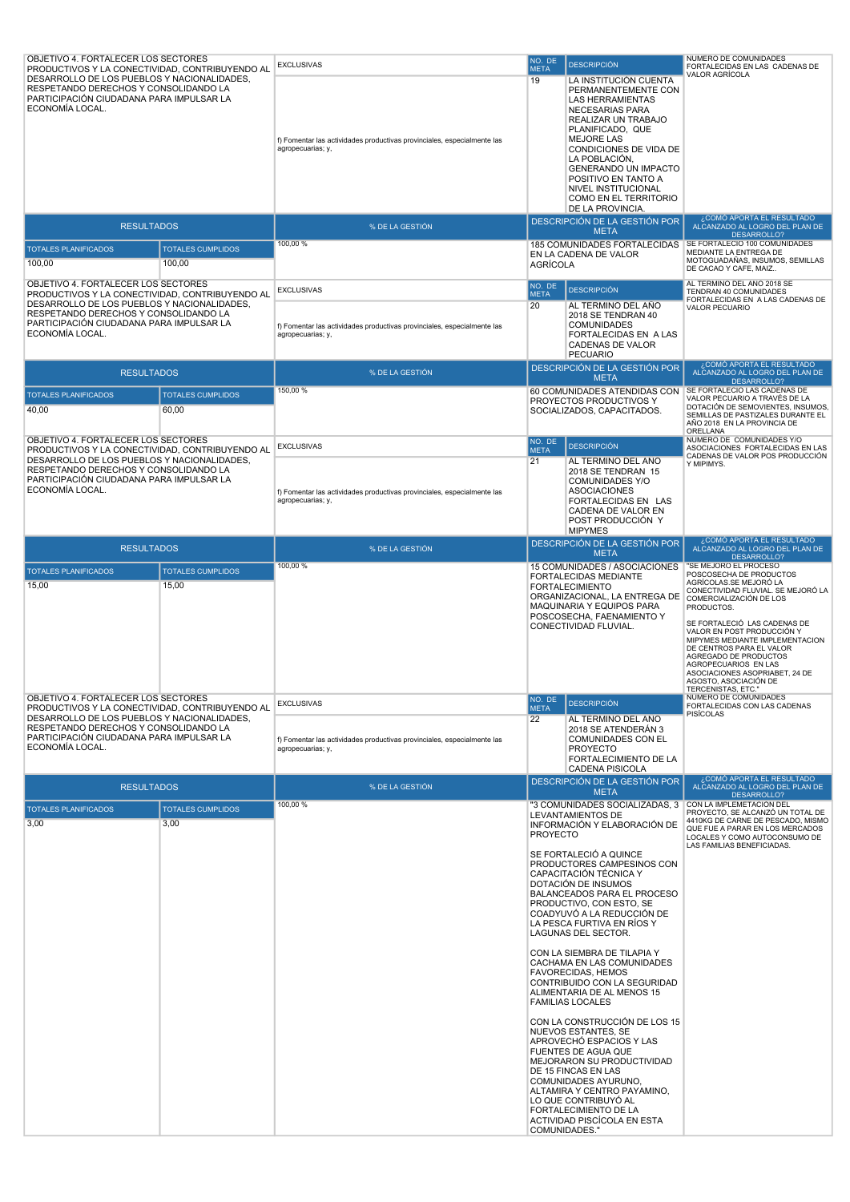| OBJETIVO 4. FORTALECER LOS SECTORES<br>PRODUCTIVOS Y LA CONECTIVIDAD, CONTRIBUYENDO AL                                                              |                                  | <b>EXCLUSIVAS</b>                                                                            | NO. DE<br><b>META</b> | <b>DESCRIPCIÓN</b>                                                                                                                                                                                                                                                                                                                                                                                                                                                                                                                                                                                                                                                                                                                                                                                                                          | NUMERO DE COMUNIDADES<br>FORTALECIDAS EN LAS CADENAS DE                                                                                                                                                                                                                                                                                                                                       |
|-----------------------------------------------------------------------------------------------------------------------------------------------------|----------------------------------|----------------------------------------------------------------------------------------------|-----------------------|---------------------------------------------------------------------------------------------------------------------------------------------------------------------------------------------------------------------------------------------------------------------------------------------------------------------------------------------------------------------------------------------------------------------------------------------------------------------------------------------------------------------------------------------------------------------------------------------------------------------------------------------------------------------------------------------------------------------------------------------------------------------------------------------------------------------------------------------|-----------------------------------------------------------------------------------------------------------------------------------------------------------------------------------------------------------------------------------------------------------------------------------------------------------------------------------------------------------------------------------------------|
| DESARROLLO DE LOS PUEBLOS Y NACIONALIDADES,<br>RESPETANDO DERECHOS Y CONSOLIDANDO LA<br>PARTICIPACIÓN CIUDADANA PARA IMPULSAR LA<br>ECONOMÍA LOCAL. |                                  | f) Fomentar las actividades productivas provinciales, especialmente las<br>agropecuarias; y, | 19                    | LA INSTITUCIÓN CUENTA<br>PERMANENTEMENTE CON<br><b>LAS HERRAMIENTAS</b><br>NECESARIAS PARA<br>REALIZAR UN TRABAJO<br>PLANIFICADO, QUE<br><b>MEJORE LAS</b><br>CONDICIONES DE VIDA DE<br>LA POBLACIÓN,<br><b>GENERANDO UN IMPACTO</b><br>POSITIVO EN TANTO A<br>NIVEL INSTITUCIONAL<br>COMO EN EL TERRITORIO<br>DE LA PROVINCIA.                                                                                                                                                                                                                                                                                                                                                                                                                                                                                                             | VALOR AGRÍCOLA                                                                                                                                                                                                                                                                                                                                                                                |
| <b>RESULTADOS</b>                                                                                                                                   |                                  | % DE LA GESTIÓN                                                                              |                       | DESCRIPCIÓN DE LA GESTIÓN POR<br><b>META</b>                                                                                                                                                                                                                                                                                                                                                                                                                                                                                                                                                                                                                                                                                                                                                                                                | ¿COMÓ APORTA EL RESULTADO<br>ALCANZADO AL LOGRO DEL PLAN DE                                                                                                                                                                                                                                                                                                                                   |
| <b>TOTALES PLANIFICADOS</b>                                                                                                                         | <b>TOTALES CUMPLIDOS</b>         | 100,00 %                                                                                     |                       | 185 COMUNIDADES FORTALECIDAS                                                                                                                                                                                                                                                                                                                                                                                                                                                                                                                                                                                                                                                                                                                                                                                                                | SE FORTALECIO 100 COMUNIDADES<br>MEDIANTE LA ENTREGA DE                                                                                                                                                                                                                                                                                                                                       |
| 100,00                                                                                                                                              | 100,00                           |                                                                                              | <b>AGRÍCOLA</b>       | EN LA CADENA DE VALOR                                                                                                                                                                                                                                                                                                                                                                                                                                                                                                                                                                                                                                                                                                                                                                                                                       | MOTOGUADAÑAS, INSUMOS, SEMILLAS<br>DE CACAO Y CAFE, MAIZ<br>AL TERMINO DEL AÑO 2018 SE                                                                                                                                                                                                                                                                                                        |
| OBJETIVO 4. FORTALECER LOS SECTORES<br>PRODUCTIVOS Y LA CONECTIVIDAD, CONTRIBUYENDO AL                                                              |                                  | <b>EXCLUSIVAS</b>                                                                            | NO. DE<br><b>META</b> | <b>DESCRIPCIÓN</b>                                                                                                                                                                                                                                                                                                                                                                                                                                                                                                                                                                                                                                                                                                                                                                                                                          | TENDRAN 40 COMUNIDADES<br>FORTALECIDAS EN A LAS CADENAS DE                                                                                                                                                                                                                                                                                                                                    |
| DESARROLLO DE LOS PUEBLOS Y NACIONALIDADES,<br>RESPETANDO DERECHOS Y CONSOLIDANDO LA<br>PARTICIPACIÓN CIUDADANA PARA IMPULSAR LA<br>ECONOMÍA LOCAL. |                                  | f) Fomentar las actividades productivas provinciales, especialmente las<br>agropecuarias; y, | 20                    | AL TERMINO DEL AÑO<br>2018 SE TENDRAN 40<br><b>COMUNIDADES</b><br><b>FORTALECIDAS EN A LAS</b><br>CADENAS DE VALOR<br><b>PECUARIO</b>                                                                                                                                                                                                                                                                                                                                                                                                                                                                                                                                                                                                                                                                                                       | <b>VALOR PECUARIO</b>                                                                                                                                                                                                                                                                                                                                                                         |
| <b>RESULTADOS</b>                                                                                                                                   |                                  | % DE LA GESTIÓN                                                                              |                       | DESCRIPCIÓN DE LA GESTIÓN POR<br><b>META</b>                                                                                                                                                                                                                                                                                                                                                                                                                                                                                                                                                                                                                                                                                                                                                                                                | $\mathcal{L}$ COMÓ APORTA EL RESULTADO<br>ALCANZADO AL LOGRO DEL PLAN DE                                                                                                                                                                                                                                                                                                                      |
| <b>TOTALES PLANIFICADOS</b>                                                                                                                         | <b>TOTALES CUMPLIDOS</b>         | 150,00 %                                                                                     |                       | 60 COMUNIDADES ATENDIDAS CON                                                                                                                                                                                                                                                                                                                                                                                                                                                                                                                                                                                                                                                                                                                                                                                                                | DESARROLLO?<br>SE FORTALECIO LAS CADENAS DE                                                                                                                                                                                                                                                                                                                                                   |
| 40,00                                                                                                                                               | 60,00                            |                                                                                              |                       | PROYECTOS PRODUCTIVOS Y<br>SOCIALIZADOS, CAPACITADOS.                                                                                                                                                                                                                                                                                                                                                                                                                                                                                                                                                                                                                                                                                                                                                                                       | VALOR PECUARIO A TRAVÉS DE LA<br>DOTACIÓN DE SEMOVIENTES, INSUMOS,<br>SEMILLAS DE PASTIZALES DURANTE EL<br>AÑO 2018 EN LA PROVINCIA DE<br>ORELLANA                                                                                                                                                                                                                                            |
| OBJETIVO 4. FORTALECER LOS SECTORES<br>PRODUCTIVOS Y LA CONECTIVIDAD, CONTRIBUYENDO AL                                                              |                                  | <b>EXCLUSIVAS</b>                                                                            | NO. DE<br><b>META</b> | <b>DESCRIPCIÓN</b>                                                                                                                                                                                                                                                                                                                                                                                                                                                                                                                                                                                                                                                                                                                                                                                                                          | NUMERO DE COMUNIDADES Y/O<br>ASOCIACIONES FORTALECIDAS EN LAS<br>CADENAS DE VALOR POS PRODUCCIÓN                                                                                                                                                                                                                                                                                              |
| DESARROLLO DE LOS PUEBLOS Y NACIONALIDADES,<br>RESPETANDO DERECHOS Y CONSOLIDANDO LA<br>PARTICIPACIÓN CIUDADANA PARA IMPULSAR LA<br>ECONOMÍA LOCAL. |                                  | f) Fomentar las actividades productivas provinciales, especialmente las<br>agropecuarias; y, | 21                    | AL TERMINO DEL AÑO<br>2018 SE TENDRAN 15<br><b>COMUNIDADES Y/O</b><br><b>ASOCIACIONES</b><br>FORTALECIDAS EN LAS<br>CADENA DE VALOR EN<br>POST PRODUCCIÓN Y<br><b>MIPYMES</b>                                                                                                                                                                                                                                                                                                                                                                                                                                                                                                                                                                                                                                                               | Y MIPIMYS.                                                                                                                                                                                                                                                                                                                                                                                    |
| <b>RESULTADOS</b>                                                                                                                                   |                                  | % DE LA GESTIÓN                                                                              |                       | DESCRIPCIÓN DE LA GESTIÓN POR<br><b>META</b>                                                                                                                                                                                                                                                                                                                                                                                                                                                                                                                                                                                                                                                                                                                                                                                                | ¿COMÓ APORTA EL RESULTADO<br>ALCANZADO AL LOGRO DEL PLAN DE<br>DESARROLLO?                                                                                                                                                                                                                                                                                                                    |
| <b>TOTALES PLANIFICADOS</b>                                                                                                                         | <b>TOTALES CUMPLIDOS</b>         | 100,00 %                                                                                     |                       | 15 COMUNIDADES / ASOCIACIONES<br>FORTALECIDAS MEDIANTE                                                                                                                                                                                                                                                                                                                                                                                                                                                                                                                                                                                                                                                                                                                                                                                      | "SE MEJORO EL PROCESO<br>POSCOSECHA DE PRODUCTOS                                                                                                                                                                                                                                                                                                                                              |
| 15,00                                                                                                                                               | 15,00                            |                                                                                              |                       | <b>FORTALECIMIENTO</b><br>ORGANIZACIONAL, LA ENTREGA DE<br>MAQUINARIA Y EQUIPOS PARA<br>POSCOSECHA, FAENAMIENTO Y<br>CONECTIVIDAD FLUVIAL.                                                                                                                                                                                                                                                                                                                                                                                                                                                                                                                                                                                                                                                                                                  | AGRÍCOLAS.SE MEJORÓ LA<br>CONECTIVIDAD FLUVIAL. SE MEJORÓ LA<br>COMERCIALIZACIÓN DE LOS<br>PRODUCTOS.<br>SE FORTALECIÓ LAS CADENAS DE<br>VALOR EN POST PRODUCCIÓN Y<br>MIPYMES MEDIANTE IMPLEMENTACION<br>DE CENTROS PARA EL VALOR<br>AGREGADO DE PRODUCTOS<br>AGROPECUARIOS EN LAS<br>ASOCIACIONES ASOPRIABET, 24 DE<br>AGOSTO, ASOCIACIÓN DE<br>TERCENISTAS, ETC.'<br>NUMERO DE COMUNIDADES |
| OBJETIVO 4. FORTALECER LOS SECTORES<br>PRODUCTIVOS Y LA CONECTIVIDAD, CONTRIBUYENDO AL                                                              |                                  | <b>EXCLUSIVAS</b>                                                                            | NO. DE<br><b>META</b> | <b>DESCRIPCIÓN</b>                                                                                                                                                                                                                                                                                                                                                                                                                                                                                                                                                                                                                                                                                                                                                                                                                          | FORTALECIDAS CON LAS CADENAS<br><b>PISÍCOLAS</b>                                                                                                                                                                                                                                                                                                                                              |
| DESARROLLO DE LOS PUEBLOS Y NACIONALIDADES,<br>RESPETANDO DERECHOS Y CONSOLIDANDO LA<br>PARTICIPACIÓN CIUDADANA PARA IMPULSAR LA<br>ECONOMÍA LOCAL. |                                  | f) Fomentar las actividades productivas provinciales, especialmente las<br>agropecuarias; y, | 22                    | AL TÉRMINO DEL AÑO<br>2018 SE ATENDERÁN 3<br>COMUNIDADES CON EL<br><b>PROYECTO</b><br>FORTALECIMIENTO DE LA<br><b>CADENA PISICOLA</b>                                                                                                                                                                                                                                                                                                                                                                                                                                                                                                                                                                                                                                                                                                       | ¿COMÓ APORTA EL RESULTADO                                                                                                                                                                                                                                                                                                                                                                     |
| <b>RESULTADOS</b>                                                                                                                                   |                                  | % DE LA GESTIÓN                                                                              |                       | DESCRIPCIÓN DE LA GESTIÓN POR<br><b>META</b>                                                                                                                                                                                                                                                                                                                                                                                                                                                                                                                                                                                                                                                                                                                                                                                                | ALCANZADO AL LOGRO DEL PLAN DE<br>DESARROLLO?                                                                                                                                                                                                                                                                                                                                                 |
| <b>TOTALES PLANIFICADOS</b><br>3.00                                                                                                                 | <b>TOTALES CUMPLIDOS</b><br>3,00 | 100,00 %                                                                                     | <b>PROYECTO</b>       | "3 COMUNIDADES SOCIALIZADAS, 3<br>LEVANTAMIENTOS DE<br>INFORMACIÓN Y ELABORACIÓN DE<br>SE FORTALECIÓ A QUINCE<br>PRODUCTORES CAMPESINOS CON<br>CAPACITACIÓN TÉCNICA Y<br>DOTACIÓN DE INSUMOS<br>BALANCEADOS PARA EL PROCESO<br>PRODUCTIVO, CON ESTO, SE<br>COADYUVO A LA REDUCCIÓN DE<br>LA PESCA FURTIVA EN RÍOS Y<br>LAGUNAS DEL SECTOR.<br>CON LA SIEMBRA DE TILAPIA Y<br>CACHAMA EN LAS COMUNIDADES<br><b>FAVORECIDAS, HEMOS</b><br>CONTRIBUIDO CON LA SEGURIDAD<br>ALIMENTARIA DE AL MENOS 15<br><b>FAMILIAS LOCALES</b><br>CON LA CONSTRUCCIÓN DE LOS 15<br>NUEVOS ESTANTES, SE<br>APROVECHO ESPACIOS Y LAS<br><b>FUENTES DE AGUA QUE</b><br>MEJORARON SU PRODUCTIVIDAD<br>DE 15 FINCAS EN LAS<br>COMUNIDADES AYURUNO,<br>ALTAMIRA Y CENTRO PAYAMINO,<br>LO QUE CONTRIBUYÓ AL<br>FORTALECIMIENTO DE LA<br>ACTIVIDAD PISCÍCOLA EN ESTA | CON LA IMPLEMETACION DEL<br>PROYECTO, SE ALCANZÓ UN TOTAL DE<br>4410KG DE CARNE DE PESCADO, MISMO<br>QUE FUE A PARAR EN LOS MERCADOS<br>LOCALES Y COMO AUTOCONSUMO DE<br>LAS FAMILIAS BENEFICIADAS.                                                                                                                                                                                           |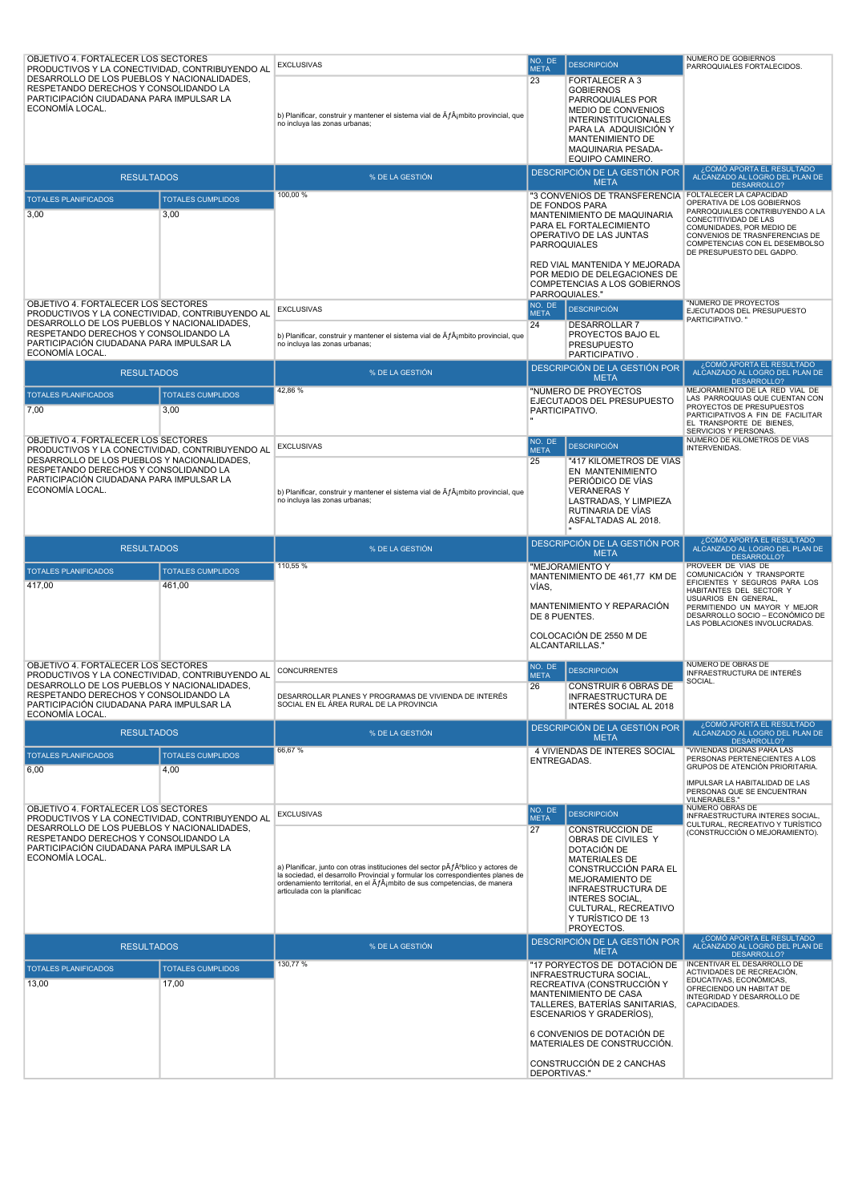| OBJETIVO 4. FORTALECER LOS SECTORES<br>PRODUCTIVOS Y LA CONECTIVIDAD, CONTRIBUYENDO AL<br>DESARROLLO DE LOS PUEBLOS Y NACIONALIDADES,                                                                                                         | <b>EXCLUSIVAS</b>                                                                                                                                                                                                                                                                                                           | NO. DE<br><b>META</b>       | <b>DESCRIPCIÓN</b>                                                                                                                                                                                                                                | NÚMERO DE GOBIERNOS<br>PARROQUIALES FORTALECIDOS.                                                                                                                                                                                                              |
|-----------------------------------------------------------------------------------------------------------------------------------------------------------------------------------------------------------------------------------------------|-----------------------------------------------------------------------------------------------------------------------------------------------------------------------------------------------------------------------------------------------------------------------------------------------------------------------------|-----------------------------|---------------------------------------------------------------------------------------------------------------------------------------------------------------------------------------------------------------------------------------------------|----------------------------------------------------------------------------------------------------------------------------------------------------------------------------------------------------------------------------------------------------------------|
| RESPETANDO DERECHOS Y CONSOLIDANDO LA<br>PARTICIPACIÓN CIUDADANA PARA IMPULSAR LA<br>ECONOMÍA LOCAL.                                                                                                                                          | b) Planificar, construir y mantener el sistema vial de $\tilde{A}$ f $\tilde{A}$ jmbito provincial, que<br>no incluya las zonas urbanas;                                                                                                                                                                                    | 23                          | FORTALECER A 3<br><b>GOBIERNOS</b><br>PARROQUIALES POR<br>MEDIO DE CONVENIOS<br><b>INTERINSTITUCIONALES</b><br>PARA LA ADQUISICIÓN Y<br><b>MANTENIMIENTO DE</b><br>MAQUINARIA PESADA-<br>EQUIPO CAMINERO.                                         |                                                                                                                                                                                                                                                                |
| <b>RESULTADOS</b>                                                                                                                                                                                                                             | % DE LA GESTIÓN                                                                                                                                                                                                                                                                                                             |                             | DESCRIPCIÓN DE LA GESTIÓN POR<br><b>META</b>                                                                                                                                                                                                      | ¿COMÓ APORTA EL RESULTADO<br>ALCANZADO AL LOGRO DEL PLAN DE                                                                                                                                                                                                    |
| <b>TOTALES PLANIFICADOS</b><br><b>TOTALES CUMPLIDOS</b><br>3,00<br>3,00                                                                                                                                                                       | 100,00 %                                                                                                                                                                                                                                                                                                                    | <b>PARROQUIALES</b>         | "3 CONVENIOS DE TRANSFERENCIA<br>DE FONDOS PARA<br>MANTENIMIENTO DE MAQUINARIA<br>PARA EL FORTALECIMIENTO<br>OPERATIVO DE LAS JUNTAS                                                                                                              | DESARROLLO?<br>FOLTALECER LA CAPACIDAD<br>OPERATIVA DE LOS GOBIERNOS<br>PARROQUIALES CONTRIBUYENDO A LA<br>CONECTITIVIDAD DE LAS<br>COMUNIDADES, POR MEDIO DE<br>CONVENIOS DE TRASNFERENCIAS DE<br>COMPETENCIAS CON EL DESEMBOLSO<br>DE PRESUPUESTO DEL GADPO. |
| OBJETIVO 4. FORTALECER LOS SECTORES                                                                                                                                                                                                           |                                                                                                                                                                                                                                                                                                                             | NO. DE                      | RED VIAL MANTENIDA Y MEJORADA<br>POR MEDIO DE DELEGACIONES DE<br><b>COMPETENCIAS A LOS GOBIERNOS</b><br>PARROQUIALES."                                                                                                                            | "NÚMERO DE PROYECTOS                                                                                                                                                                                                                                           |
| PRODUCTIVOS Y LA CONECTIVIDAD, CONTRIBUYENDO AL<br>DESARROLLO DE LOS PUEBLOS Y NACIONALIDADES,<br>RESPETANDO DERECHOS Y CONSOLIDANDO LA<br>PARTICIPACIÓN CIUDADANA PARA IMPULSAR LA<br>ECONOMÍA LOCAL.                                        | EXCLUSIVAS<br>b) Planificar, construir y mantener el sistema vial de ÂfÂjmbito provincial, que<br>no incluya las zonas urbanas;                                                                                                                                                                                             | <b>META</b><br>24           | <b>DESCRIPCIÓN</b><br><b>DESARROLLAR 7</b><br>PROYECTOS BAJO EL<br><b>PRESUPUESTO</b><br>PARTICIPATIVO.                                                                                                                                           | EJECUTADOS DEL PRESUPUESTO<br>PARTICIPATIVO."                                                                                                                                                                                                                  |
| <b>RESULTADOS</b>                                                                                                                                                                                                                             | % DE LA GESTIÓN                                                                                                                                                                                                                                                                                                             |                             | DESCRIPCIÓN DE LA GESTIÓN POR<br><b>META</b>                                                                                                                                                                                                      | ¿COMÓ APORTA EL RESULTADO<br>ALCANZADO AL LOGRO DEL PLAN DE                                                                                                                                                                                                    |
| <b>TOTALES PLANIFICADOS</b><br><b>TOTALES CUMPLIDOS</b><br>7,00<br>3,00                                                                                                                                                                       | 42,86%                                                                                                                                                                                                                                                                                                                      | PARTICIPATIVO.              | "NÚMERO DE PROYECTOS<br>EJECUTADOS DEL PRESUPUESTO                                                                                                                                                                                                | DESARROLLO?<br>MEJORAMIENTO DE LA RED VIAL DE<br>LAS PARROQUIAS QUE CUENTAN CON<br>PROYECTOS DE PRESUPUESTOS<br>PARTICIPATIVOS A FIN DE FACILITAR<br>EL TRANSPORTE DE BIENES,<br>SERVICIOS Y PERSONAS.                                                         |
| OBJETIVO 4. FORTALECER LOS SECTORES<br>PRODUCTIVOS Y LA CONECTIVIDAD, CONTRIBUYENDO AL                                                                                                                                                        | <b>EXCLUSIVAS</b>                                                                                                                                                                                                                                                                                                           | NO. DE<br><b>META</b>       | <b>DESCRIPCIÓN</b>                                                                                                                                                                                                                                | NÚMERO DE KILÓMETROS DE VIAS<br>INTERVENIDAS.                                                                                                                                                                                                                  |
| DESARROLLO DE LOS PUEBLOS Y NACIONALIDADES,<br>RESPETANDO DERECHOS Y CONSOLIDANDO LA<br>PARTICIPACIÓN CIUDADANA PARA IMPULSAR LA<br>ECONOMÍA LOCAL.                                                                                           | b) Planificar, construir y mantener el sistema vial de ÅfÂjmbito provincial, que<br>no incluya las zonas urbanas;                                                                                                                                                                                                           | 25                          | "417 KILOMETROS DE VÍAS<br>EN MANTENIMIENTO<br>PERIÓDICO DE VÍAS<br><b>VERANERASY</b><br>LASTRADAS, Y LIMPIEZA<br>RUTINARIA DE VÍAS<br>ASFALTADAS AL 2018.                                                                                        |                                                                                                                                                                                                                                                                |
| <b>RESULTADOS</b>                                                                                                                                                                                                                             | % DE LA GESTIÓN                                                                                                                                                                                                                                                                                                             |                             | DESCRIPCIÓN DE LA GESTIÓN POR<br><b>META</b>                                                                                                                                                                                                      | ¿COMÓ APORTA EL RESULTADO<br>ALCANZADO AL LOGRO DEL PLAN DE<br>DESARROLLO?                                                                                                                                                                                     |
| <b>TOTALES CUMPLIDOS</b><br><b>TOTALES PLANIFICADOS</b><br>417,00<br>461,00                                                                                                                                                                   | 110,55 %                                                                                                                                                                                                                                                                                                                    | VÍAS.<br>DE 8 PUENTES.      | "MEJORAMIENTO Y<br>MANTENIMIENTO DE 461,77 KM DE<br>MANTENIMIENTO Y REPARACIÓN<br>COLOCACIÓN DE 2550 M DE<br>ALCANTARILLAS."                                                                                                                      | PROVEER DE VIAS DE<br>COMUNICACIÓN Y TRANSPORTE<br>EFICIENTES Y SEGUROS PARA LOS<br>HABITANTES DEL SECTOR Y<br>USUARIOS EN GENERAL,<br>PERMITIENDO UN MAYOR Y MEJOR<br>DESARROLLO SOCIO – ECONÓMICO DE<br>LAS POBLACIONES INVOLUCRADAS.                        |
| OBJETIVO 4. FORTALECER LOS SECTORES                                                                                                                                                                                                           |                                                                                                                                                                                                                                                                                                                             | NO. DE                      | <b>DESCRIPCIÓN</b>                                                                                                                                                                                                                                | NUMERO DE OBRAS DE                                                                                                                                                                                                                                             |
| PRODUCTIVOS Y LA CONECTIVIDAD, CONTRIBUYENDO AL<br>DESARROLLO DE LOS PUEBLOS Y NACIONALIDADES,<br>RESPETANDO DERECHOS Y CONSOLIDANDO LA<br>PARTICIPACIÓN CIUDADANA PARA IMPULSAR LA                                                           | CONCURRENTES                                                                                                                                                                                                                                                                                                                | <b>META</b>                 |                                                                                                                                                                                                                                                   |                                                                                                                                                                                                                                                                |
|                                                                                                                                                                                                                                               | DESARROLLAR PLANES Y PROGRAMAS DE VIVIENDA DE INTERÉS<br>SOCIAL EN EL ÁREA RURAL DE LA PROVINCIA                                                                                                                                                                                                                            | 26                          | CONSTRUIR 6 OBRAS DE<br>INFRAESTRUCTURA DE<br>INTERÉS SOCIAL AL 2018                                                                                                                                                                              | INFRAESTRUCTURA DE INTERÉS<br>SOCIAL.                                                                                                                                                                                                                          |
| ECONOMÍA LOCAL.<br><b>RESULTADOS</b>                                                                                                                                                                                                          | % DE LA GESTIÓN                                                                                                                                                                                                                                                                                                             |                             | DESCRIPCIÓN DE LA GESTIÓN POR                                                                                                                                                                                                                     | ¿COMÓ APORTA EL RESULTADO<br>ALCANZADO AL LOGRO DEL PLAN DE                                                                                                                                                                                                    |
| <b>TOTALES PLANIFICADOS</b><br><b>TOTALES CUMPLIDOS</b><br>6,00<br>4,00                                                                                                                                                                       | 66,67%                                                                                                                                                                                                                                                                                                                      | ENTREGADAS.                 | <b>META</b><br>4 VIVIENDAS DE INTERÉS SOCIAL                                                                                                                                                                                                      | DESARROLLO?<br>"VIVIENDAS DIGNAS PARA LAS<br>PERSONAS PERTENECIENTES A LOS<br>GRUPOS DE ATENCIÓN PRIORITARIA.<br>IMPULSAR LA HABITALIDAD DE LAS<br>PERSONAS QUE SE ENCUENTRAN                                                                                  |
| OBJETIVO 4. FORTALECER LOS SECTORES<br>PRODUCTIVOS Y LA CONECTIVIDAD, CONTRIBUYENDO AL<br>DESARROLLO DE LOS PUEBLOS Y NACIONALIDADES,<br>RESPETANDO DERECHOS Y CONSOLIDANDO LA<br>PARTICIPACIÓN CIUDADANA PARA IMPULSAR LA<br>ECONOMÍA LOCAL. | <b>EXCLUSIVAS</b><br>a) Planificar, junto con otras instituciones del sector p $\tilde{A}f\hat{A}^{\circ}$ blico y actores de<br>la sociedad, el desarrollo Provincial y formular los correspondientes planes de<br>ordenamiento territorial, en el Áf¡mbito de sus competencias, de manera<br>articulada con la planificac | NO. DE<br><b>META</b><br>27 | <b>DESCRIPCIÓN</b><br>CONSTRUCCIÓN DE<br>OBRAS DE CIVILES Y<br>DOTACIÓN DE<br><b>MATERIALES DE</b><br>CONSTRUCCIÓN PARA EL<br>MEJORAMIENTO DE<br>INFRAESTRUCTURA DE<br>INTERES SOCIAL,<br>CULTURAL, RECREATIVO<br>Y TURÍSTICO DE 13<br>PROYECTOS. | VILNERABLES."<br>NÚMERO OBRAS DE<br>INFRAESTRUCTURA INTERES SOCIAL,<br>CULTURAL, RECREATIVO Y TURÍSTICO<br>(CONSTRUCCIÓN O MEJORAMIENTO).                                                                                                                      |
| <b>RESULTADOS</b>                                                                                                                                                                                                                             | % DE LA GESTIÓN                                                                                                                                                                                                                                                                                                             |                             | DESCRIPCIÓN DE LA GESTIÓN POR<br><b>META</b>                                                                                                                                                                                                      | ¿COMÓ APORTA EL RESULTADO<br>ALCANZADO AL LOGRO DEL PLAN DE                                                                                                                                                                                                    |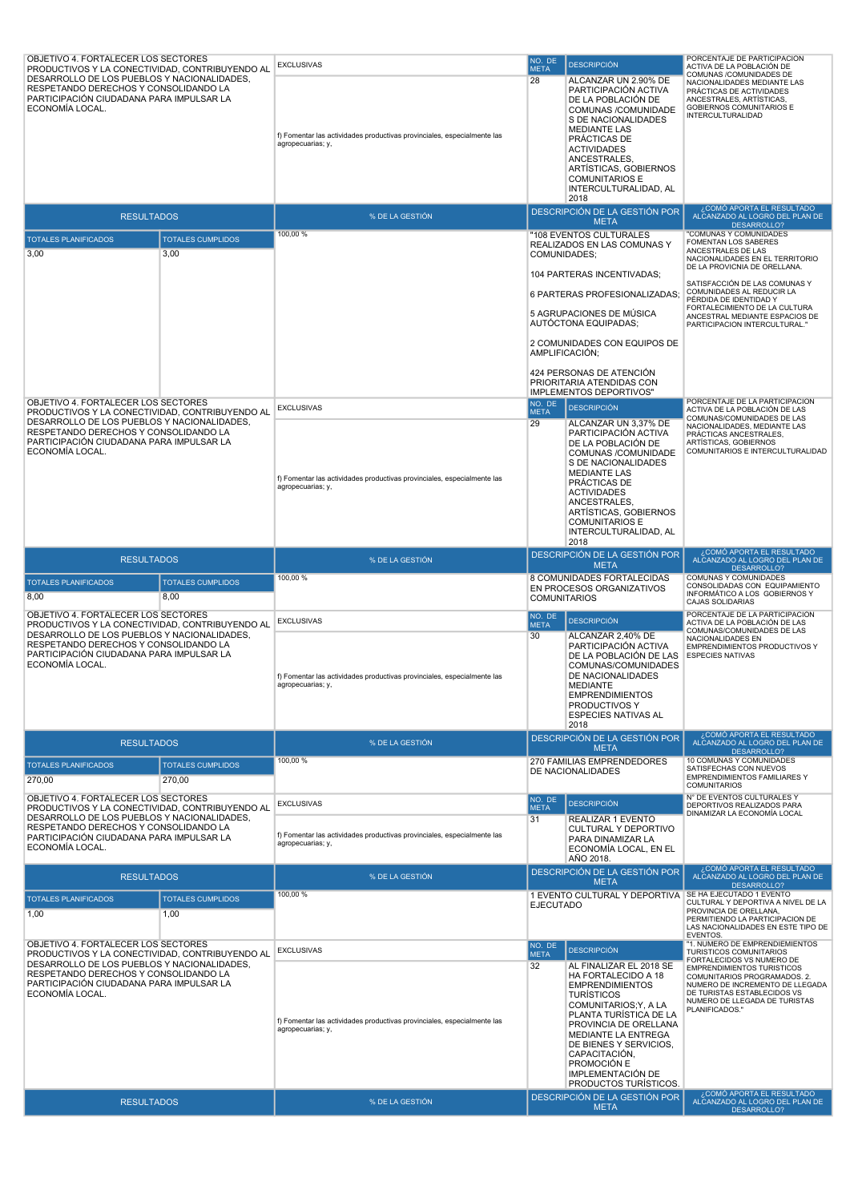| OBJETIVO 4. FORTALECER LOS SECTORES<br>PRODUCTIVOS Y LA CONECTIVIDAD, CONTRIBUYENDO AL                                                                                                                 |                                    | <b>EXCLUSIVAS</b>                                                                            | NO. DE<br><b>META</b> | <b>DESCRIPCIÓN</b>                                                                                                                                                                                                                                                                                       | PORCENTAJE DE PARTICIPACIÓN<br>ACTIVA DE LA POBLACIÓN DE                                                                                                                               |
|--------------------------------------------------------------------------------------------------------------------------------------------------------------------------------------------------------|------------------------------------|----------------------------------------------------------------------------------------------|-----------------------|----------------------------------------------------------------------------------------------------------------------------------------------------------------------------------------------------------------------------------------------------------------------------------------------------------|----------------------------------------------------------------------------------------------------------------------------------------------------------------------------------------|
| DESARROLLO DE LOS PUEBLOS Y NACIONALIDADES,<br>RESPETANDO DERECHOS Y CONSOLIDANDO LA<br>PARTICIPACIÓN CIUDADANA PARA IMPULSAR LA<br>ECONOMÍA LOCAL.                                                    |                                    | f) Fomentar las actividades productivas provinciales, especialmente las<br>agropecuarias; y, | 28                    | ALCANZAR UN 2.90% DE<br>PARTICIPACIÓN ACTIVA<br>DE LA POBLACIÓN DE<br>COMUNAS /COMUNIDADE<br>S DE NACIONALIDADES<br><b>MEDIANTE LAS</b><br>PRÁCTICAS DE<br><b>ACTIVIDADES</b><br>ANCESTRALES,<br>ARTÍSTICAS, GOBIERNOS<br><b>COMUNITARIOS E</b><br>INTERCULTURALIDAD, AL<br>2018                         | COMUNAS /COMUNIDADES DE<br>NACIONALIDADES MEDIANTE LAS<br>PRÁCTICAS DE ACTIVIDADES<br>ANCESTRALES, ARTÍSTICAS,<br>GOBIERNOS COMUNITARIOS E<br><b>INTERCULTURALIDAD</b>                 |
| <b>RESULTADOS</b>                                                                                                                                                                                      |                                    | % DE LA GESTIÓN                                                                              |                       | DESCRIPCIÓN DE LA GESTIÓN POR<br><b>META</b>                                                                                                                                                                                                                                                             | ¿COMÓ APORTA EL RESULTADO<br>ALCANZADO AL LOGRO DEL PLAN DE<br>DESARROLLO?                                                                                                             |
| <b>TOTALES PLANIFICADOS</b>                                                                                                                                                                            | <b>TOTALES CUMPLIDOS</b>           | 100,00 %                                                                                     |                       | "108 EVENTOS CULTURALES<br>REALIZADOS EN LAS COMUNAS Y                                                                                                                                                                                                                                                   | "COMUNAS Y COMUNIDADES<br>FOMENTAN LOS SABERES                                                                                                                                         |
| 3,00                                                                                                                                                                                                   | 3,00                               |                                                                                              | COMUNIDADES;          | 104 PARTERAS INCENTIVADAS;                                                                                                                                                                                                                                                                               | ANCESTRALES DE LAS<br>NACIONALIDADES EN EL TERRITORIO<br>DE LA PROVICNIA DE ORELLANA.                                                                                                  |
|                                                                                                                                                                                                        |                                    |                                                                                              |                       | 6 PARTERAS PROFESIONALIZADAS;                                                                                                                                                                                                                                                                            | SATISFACCIÓN DE LAS COMUNAS Y<br>COMUNIDADES AL REDUCIR LA<br>PÉRDIDA DE IDENTIDAD Y                                                                                                   |
|                                                                                                                                                                                                        |                                    |                                                                                              |                       | 5 AGRUPACIONES DE MÚSICA<br>AUTOCTONA EQUIPADAS;                                                                                                                                                                                                                                                         | FORTALECIMIENTO DE LA CULTURA<br>ANCESTRAL MEDIANTE ESPACIOS DE<br>PARTICIPACION INTERCULTURAL."                                                                                       |
|                                                                                                                                                                                                        |                                    |                                                                                              |                       | 2 COMUNIDADES CON EQUIPOS DE<br>AMPLIFICACIÓN;                                                                                                                                                                                                                                                           |                                                                                                                                                                                        |
| OBJETIVO 4. FORTALECER LOS SECTORES                                                                                                                                                                    |                                    |                                                                                              | NO. DE                | 424 PERSONAS DE ATENCIÓN<br>PRIORITARIA ATENDIDAS CON<br><b>IMPLEMENTOS DEPORTIVOS"</b>                                                                                                                                                                                                                  | PORCENTAJE DE LA PARTICIPACIÓN                                                                                                                                                         |
| PRODUCTIVOS Y LA CONECTIVIDAD. CONTRIBUYENDO AL<br>DESARROLLO DE LOS PUEBLOS Y NACIONALIDADES.                                                                                                         |                                    | <b>EXCLUSIVAS</b>                                                                            | <b>META</b><br>29     | <b>DESCRIPCIÓN</b><br>ALCANZAR UN 3,37% DE                                                                                                                                                                                                                                                               | ACTIVA DE LA POBLACIÓN DE LAS<br>COMUNAS/COMUNIDADES DE LAS                                                                                                                            |
| RESPETANDO DERECHOS Y CONSOLIDANDO LA<br>PARTICIPACIÓN CIUDADANA PARA IMPULSAR LA<br>ECONOMÍA LOCAL.                                                                                                   |                                    | f) Fomentar las actividades productivas provinciales, especialmente las<br>agropecuarias; y, |                       | PARTICIPACIÓN ACTIVA<br>DE LA POBLACIÓN DE<br>COMUNAS /COMUNIDADE<br>S DE NACIONALIDADES<br><b>MEDIANTE LAS</b><br>PRÁCTICAS DE<br><b>ACTIVIDADES</b><br>ANCESTRALES,<br>ARTISTICAS, GOBIERNOS<br><b>COMUNITARIOS E</b><br>INTERCULTURALIDAD, AL<br>2018                                                 | NACIONALIDADES, MEDIANTE LAS<br>PRÁCTICAS ANCESTRALES.<br>ARTÍSTICAS, GOBIERNOS<br>COMUNITARIOS E INTERCULTURALIDAD                                                                    |
| <b>RESULTADOS</b>                                                                                                                                                                                      |                                    | % DE LA GESTIÓN                                                                              |                       | DESCRIPCIÓN DE LA GESTIÓN POR<br><b>META</b>                                                                                                                                                                                                                                                             | ¿COMÓ APORTA EL RESULTADO<br>ALCANZADO AL LOGRO DEL PLAN DE                                                                                                                            |
| <b>TOTALES PLANIFICADOS</b><br>8,00                                                                                                                                                                    | <b>TOTALES CUMPLIDOS</b><br>8,00   | 100,00 %                                                                                     | <b>COMUNITARIOS</b>   | 8 COMUNIDADES FORTALECIDAS<br>EN PROCESOS ORGANIZATIVOS                                                                                                                                                                                                                                                  | COMUNAS Y COMUNIDADES<br>CONSOLIDADAS CON EQUIPAMIENTO<br>INFORMÁTICO A LOS GOBIERNOS Y<br>CAJAS SOLIDARIAS                                                                            |
| OBJETIVO 4. FORTALECER LOS SECTORES                                                                                                                                                                    |                                    | <b>EXCLUSIVAS</b>                                                                            | NO. DE<br><b>META</b> | <b>DESCRIPCIÓN</b>                                                                                                                                                                                                                                                                                       | PORCENTAJE DE LA PARTICIPACIÓN<br>ACTIVA DE LA POBLACIÓN DE LAS                                                                                                                        |
| PRODUCTIVOS Y LA CONECTIVIDAD, CONTRIBUYENDO AL<br>DESARROLLO DE LOS PUEBLOS Y NACIONALIDADES,<br>RESPETANDO DERECHOS Y CONSOLIDANDO LA<br>PARTICIPACIÓN CIUDADANA PARA IMPULSAR LA<br>ECONOMÍA LOCAL. |                                    | f) Fomentar las actividades productivas provinciales, especialmente las<br>agropecuarias; y, | 30                    | ALCANZAR 2,40% DE<br>PARTICIPACIÓN ACTIVA<br>DE LA POBLACIÓN DE LAS<br>COMUNAS/COMUNIDADES<br>DE NACIONALIDADES<br><b>MEDIANTE</b><br><b>EMPRENDIMIENTOS</b><br>PRODUCTIVOS Y<br>ESPECIES NATIVAS AL<br>2018                                                                                             | COMUNAS/COMUNIDADES DE LAS<br>NACIONALIDADES EN<br>EMPRENDIMIENTOS PRODUCTIVOS Y<br><b>ESPECIES NATIVAS</b>                                                                            |
| <b>RESULTADOS</b>                                                                                                                                                                                      |                                    | % DE LA GESTIÓN                                                                              |                       | DESCRIPCIÓN DE LA GESTIÓN POR<br><b>META</b>                                                                                                                                                                                                                                                             | ¿COMÓ APORTA EL RESULTADO<br>ALCANZADO AL LOGRO DEL PLAN DE<br>DESARROLLO?                                                                                                             |
| <b>TOTALES PLANIFICADOS</b><br>270,00                                                                                                                                                                  | <b>TOTALES CUMPLIDOS</b><br>270,00 | 100,00 %                                                                                     |                       | 270 FAMILIAS EMPRENDEDORES<br>DE NACIONALIDADES                                                                                                                                                                                                                                                          | 10 COMUNAS Y COMUNIDADES<br>SATISFECHAS CON NUEVOS<br><b>EMPRENDIMIENTOS FAMILIARES Y</b><br><b>COMUNITARIOS</b>                                                                       |
| OBJETIVO 4. FORTALECER LOS SECTORES<br>PRODUCTIVOS Y LA CONECTIVIDAD, CONTRIBUYENDO AL                                                                                                                 |                                    | <b>EXCLUSIVAS</b>                                                                            | NO. DE<br><b>META</b> | <b>DESCRIPCIÓN</b>                                                                                                                                                                                                                                                                                       | N° DE EVENTOS CULTURALES Y<br>DEPORTIVOS REALIZADOS PARA                                                                                                                               |
| DESARROLLO DE LOS PUEBLOS Y NACIONALIDADES,<br>RESPETANDO DERECHOS Y CONSOLIDANDO LA<br>PARTICIPACIÓN CIUDADANA PARA IMPULSAR LA<br>ECONOMÍA LOCAL.                                                    |                                    | f) Fomentar las actividades productivas provinciales, especialmente las<br>agropecuarias; y, | 31                    | REALIZAR 1 EVENTO<br>CULTURAL Y DEPORTIVO<br>PARA DINAMIZAR LA<br>ECONOMÍA LOCAL, EN EL<br>AÑO 2018.                                                                                                                                                                                                     | DINAMIZAR LA ECONOMÍA LOCAL                                                                                                                                                            |
| <b>RESULTADOS</b>                                                                                                                                                                                      |                                    | % DE LA GESTIÓN                                                                              |                       | DESCRIPCIÓN DE LA GESTIÓN POR<br><b>META</b>                                                                                                                                                                                                                                                             | ¿COMÓ APORTA EL RESULTADO<br>ALCANZADO AL LOGRO DEL PLAN DE                                                                                                                            |
| <b>TOTALES PLANIFICADOS</b><br>1,00                                                                                                                                                                    | <b>TOTALES CUMPLIDOS</b><br>1,00   | 100,00 %                                                                                     | <b>EJECUTADO</b>      | 1 EVENTO CULTURAL Y DEPORTIVA   SE HA EJECUTADO 1 EVENTO                                                                                                                                                                                                                                                 | CULTURAL Y DEPORTIVA A NIVEL DE LA<br>PROVINCIA DE ORELLANA,<br>PERMITIENDO LA PARTICIPACION DE<br>LAS NACIONALIDADES EN ESTE TIPO DE<br>EVENTOS.                                      |
| OBJETIVO 4. FORTALECER LOS SECTORES<br>PRODUCTIVOS Y LA CONECTIVIDAD, CONTRIBUYENDO AL                                                                                                                 |                                    | <b>EXCLUSIVAS</b>                                                                            | NO. DE<br><b>META</b> | <b>DESCRIPCIÓN</b>                                                                                                                                                                                                                                                                                       | "1. NUMERO DE EMPRENDIEMIENTOS<br>TURISTICOS COMUNITARIOS<br>FORTALECIDOS VS NUMERO DE                                                                                                 |
| DESARROLLO DE LOS PUEBLOS Y NACIONALIDADES,<br>RESPETANDO DERECHOS Y CONSOLIDANDO LA<br>PARTICIPACIÓN CIUDADANA PARA IMPULSAR LA<br>ECONOMÍA LOCAL.                                                    |                                    | f) Fomentar las actividades productivas provinciales, especialmente las<br>agropecuarias; y, | 32                    | AL FINALIZAR EL 2018 SE<br>HA FORTALECIDO A 18<br><b>EMPRENDIMIENTOS</b><br><b>TURÍSTICOS</b><br>COMUNITARIOS; Y, A LA<br>PLANTA TURÍSTICA DE LA<br>PROVINCIA DE ORELLANA<br>MEDIANTE LA ENTREGA<br>DE BIENES Y SERVICIOS,<br>CAPACITACIÓN,<br>PROMOCIÓN E<br>IMPLEMENTACIÓN DE<br>PRODUCTOS TURÍSTICOS. | <b>EMPRENDIMIENTOS TURISTICOS</b><br>COMUNITARIOS PROGRAMADOS. 2.<br>NUMERO DE INCREMENTO DE LLEGADA<br>DE TURISTAS ESTABLECIDOS VS<br>NUMERO DE LLEGADA DE TURISTAS<br>PLANIFICADOS." |
| <b>RESULTADOS</b>                                                                                                                                                                                      |                                    | % DE LA GESTIÓN                                                                              |                       | DESCRIPCIÓN DE LA GESTIÓN POR<br><b>META</b>                                                                                                                                                                                                                                                             | ¿COMÓ APORTA EL RESULTADO<br>ALCANZADO AL LOGRO DEL PLAN DE<br><b>DESARROLLO?</b>                                                                                                      |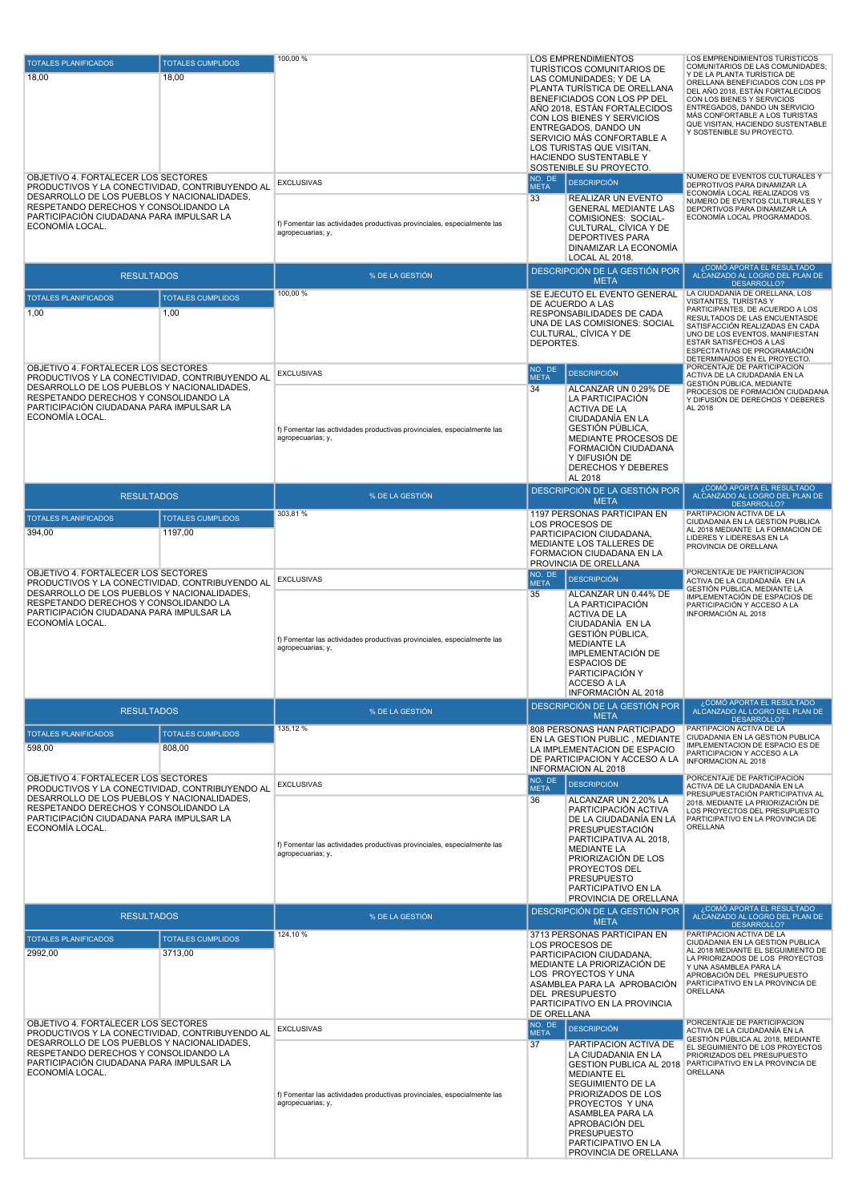| <b>TOTALES PLANIFICADOS</b><br>18,00                                                                                                                                                                                                          | <b>TOTALES CUMPLIDOS</b><br>18,00   | 100,00 %                                                                                                          | <b>LOS EMPRENDIMIENTOS</b><br>TURISTICOS COMUNITARIOS DE<br>LAS COMUNIDADES; Y DE LA<br>PLANTA TURÍSTICA DE ORELLANA<br>BENEFICIADOS CON LOS PP DEL<br>AÑO 2018, ESTÁN FORTALECIDOS<br>CON LOS BIENES Y SERVICIOS<br>ENTREGADOS, DANDO UN<br>SERVICIO MÁS CONFORTABLE A<br>LOS TURISTAS QUE VISITAN,<br>HACIENDO SUSTENTABLE Y | LOS EMPRENDIMIENTOS TURISTICOS<br>COMUNITARIOS DE LAS COMUNIDADES;<br>Y DE LA PLANTA TURÍSTICA DE<br>ORELLANA BENEFICIADOS CON LOS PP<br>DEL AÑO 2018, ESTÁN FORTALECIDOS<br>CON LOS BIENES Y SERVICIOS<br>ENTREGADOS, DANDO UN SERVICIO<br>MÁS CONFORTABLE A LOS TURISTAS<br>QUE VISITAN, HACIENDO SUSTENTABLE<br>Y SOSTENIBLE SU PROYECTO. |
|-----------------------------------------------------------------------------------------------------------------------------------------------------------------------------------------------------------------------------------------------|-------------------------------------|-------------------------------------------------------------------------------------------------------------------|--------------------------------------------------------------------------------------------------------------------------------------------------------------------------------------------------------------------------------------------------------------------------------------------------------------------------------|----------------------------------------------------------------------------------------------------------------------------------------------------------------------------------------------------------------------------------------------------------------------------------------------------------------------------------------------|
| OBJETIVO 4. FORTALECER LOS SECTORES<br>PRODUCTIVOS Y LA CONECTIVIDAD, CONTRIBUYENDO AL<br>DESARROLLO DE LOS PUEBLOS Y NACIONALIDADES,<br>RESPETANDO DERECHOS Y CONSOLIDANDO LA<br>PARTICIPACIÓN CIUDADANA PARA IMPULSAR LA<br>ECONOMÍA LOCAL. |                                     | <b>EXCLUSIVAS</b><br>f) Fomentar las actividades productivas provinciales, especialmente las<br>agropecuarias; y, | SOSTENIBLE SU PROYECTO.<br>NO. DE<br><b>DESCRIPCIÓN</b><br><b>META</b><br>33<br>REALIZAR UN EVENTO<br><b>GENERAL MEDIANTE LAS</b><br>COMISIONES: SOCIAL-<br>CULTURAL, CÍVICA Y DE<br><b>DEPORTIVES PARA</b><br>DINAMIZAR LA ECONOMÍA<br>LOCAL AL 2018.                                                                         | NUMERO DE EVENTOS CULTURALES Y<br>DEPROTIVOS PARA DINAMIZAR LA<br>ECONOMÍA LOCAL REALIZADOS VS<br>NUMERO DE EVENTOS CULTURALES Y<br>DEPORTIVOS PARA DINAMIZAR LA<br>ECONOMÍA LOCAL PROGRAMADOS.                                                                                                                                              |
| <b>RESULTADOS</b>                                                                                                                                                                                                                             |                                     | % DE LA GESTIÓN                                                                                                   | DESCRIPCIÓN DE LA GESTIÓN POR<br><b>META</b>                                                                                                                                                                                                                                                                                   | ¿COMÓ APORTA EL RESULTADO<br>ALCANZADO AL LOGRO DEL PLAN DE                                                                                                                                                                                                                                                                                  |
| <b>TOTALES PLANIFICADOS</b><br>1,00                                                                                                                                                                                                           | <b>TOTALES CUMPLIDOS</b><br>1,00    | 100,00 %                                                                                                          | SE EJECUTÓ EL EVENTO GENERAL<br>DE ACUERDO A LAS<br>RESPONSABILIDADES DE CADA<br>UNA DE LAS COMISIONES: SOCIAL<br>CULTURAL, CÍVICA Y DE<br>DEPORTES.                                                                                                                                                                           | DESARROLLO?<br>LA CIUDADANÍA DE ORELLANA, LOS<br>VISITANTES, TURÍSTAS Y<br>PARTICIPANTES, DE ACUERDO A LOS<br>RESULTADOS DE LAS ENCUENTASDE<br>SATISFACCIÓN REALIZADAS EN CADA<br>UNO DE LOS EVENTOS, MANIFIESTAN<br>ESTAR SATISFECHOS A LAS<br>ESPECTATIVAS DE PROGRAMACIÓN<br>DETERMINADOS EN EL PROYECTO.                                 |
| OBJETIVO 4. FORTALECER LOS SECTORES<br>PRODUCTIVOS Y LA CONECTIVIDAD, CONTRIBUYENDO AL<br>DESARROLLO DE LOS PUEBLOS Y NACIONALIDADES,<br>RESPETANDO DERECHOS Y CONSOLIDANDO LA<br>PARTICIPACIÓN CIUDADANA PARA IMPULSAR LA<br>ECONOMÍA LOCAL. |                                     | <b>EXCLUSIVAS</b><br>f) Fomentar las actividades productivas provinciales, especialmente las<br>agropecuarias; y, | NO. DE<br><b>DESCRIPCIÓN</b><br><b>META</b><br>34<br>ALCANZAR UN 0.29% DE<br>LA PARTICIPACIÓN<br><b>ACTIVA DE LA</b><br>CIUDADANÍA EN LA<br>GESTIÓN PÚBLICA,<br>MEDIANTE PROCESOS DE<br>FORMACIÓN CIUDADANA<br>Y DIFUSIÓN DE<br>DERECHOS Y DEBERES<br>AL 2018                                                                  | PORCENTAJE DE PARTICIPACION<br>ACTIVA DE LA CIUDADANÍA EN LA<br>GESTIÓN PÚBLICA, MEDIANTE<br>PROCESOS DE FORMACIÓN CIUDADANA<br>Y DIFUSIÓN DE DERECHOS Y DEBERES<br>AL 2018<br>¿COMÓ APORTA EL RESULTADO                                                                                                                                     |
| <b>RESULTADOS</b>                                                                                                                                                                                                                             |                                     | % DE LA GESTIÓN                                                                                                   | DESCRIPCIÓN DE LA GESTIÓN POR<br><b>META</b>                                                                                                                                                                                                                                                                                   | ALCANZADO AL LOGRO DEL PLAN DE<br><b>DESARROLLO?</b>                                                                                                                                                                                                                                                                                         |
| <b>TOTALES PLANIFICADOS</b><br>394,00                                                                                                                                                                                                         | <b>TOTALES CUMPLIDOS</b><br>1197,00 | 303,81%                                                                                                           | 1197 PERSONAS PARTICIPAN EN<br>LOS PROCESOS DE<br>PARTICIPACION CIUDADANA,<br>MEDIANTE LOS TALLERES DE<br>FORMACION CIUDADANA EN LA<br>PROVINCIA DE ORELLANA                                                                                                                                                                   | PARTIPACION ACTIVA DE LA<br>CIUDADANIA EN LA GESTION PUBLICA<br>AL 2018 MEDIANTE LA FORMACION DE<br>LIDERES Y LIDERESAS EN LA<br>PROVINCIA DE ORELLANA                                                                                                                                                                                       |
| OBJETIVO 4. FORTALECER LOS SECTORES<br>PRODUCTIVOS Y LA CONECTIVIDAD, CONTRIBUYENDO AL<br>DESARROLLO DE LOS PUEBLOS Y NACIONALIDADES,<br>RESPETANDO DERECHOS Y CONSOLIDANDO LA<br>PARTICIPACIÓN CIUDADANA PARA IMPULSAR LA<br>ECONOMÍA LOCAL. |                                     | <b>EXCLUSIVAS</b><br>f) Fomentar las actividades productivas provinciales, especialmente las<br>agropecuarias; y, | NO. DE<br><b>DESCRIPCIÓN</b><br><b>META</b><br>35<br>ALCANZAR UN 0.44% DE<br>LA PARTICIPACIÓN<br><b>ACTIVA DE LA</b><br>CIUDADANÍA EN LA<br>GESTIÓN PÚBLICA,<br><b>MEDIANTE LA</b><br>IMPLEMENTACIÓN DE<br><b>ESPACIOS DE</b><br>PARTICIPACIÓN Y<br>ACCESO A LA<br><b>INFORMACION AL 2018</b>                                  | PORCENTAJE DE PARTICIPACION<br>ACTIVA DE LA CIUDADANÍA EN LA<br>GESTIÓN PÚBLICA, MEDIANTE LA<br>IMPLEMENTACIÓN DE ESPACIOS DE<br>PARTICIPACIÓN Y ACCESO A LA<br>INFORMACIÓN AL 2018                                                                                                                                                          |
| <b>RESULTADOS</b>                                                                                                                                                                                                                             |                                     | % DE LA GESTIÓN                                                                                                   | DESCRIPCIÓN DE LA GESTIÓN POR<br><b>META</b>                                                                                                                                                                                                                                                                                   | ¿COMÓ APORTA EL RESULTADO<br>ALCANZADO AL LOGRO DEL PLAN DE<br>DESARROLLO?                                                                                                                                                                                                                                                                   |
| <b>TOTALES PLANIFICADOS</b><br>598,00                                                                                                                                                                                                         | <b>TOTALES CUMPLIDOS</b><br>808,00  | 135.12 %                                                                                                          | 808 PERSONAS HAN PARTICIPADO<br>EN LA GESTION PUBLIC. MEDIANTE<br>LA IMPLEMENTACION DE ESPACIO<br>DE PARTICIPACION Y ACCESO A LA<br><b>INFORMACION AL 2018</b>                                                                                                                                                                 | PARTIPACION ACTIVA DE LA<br>CIUDADANIA EN LA GESTION PUBLICA<br>IMPLEMENTACION DE ESPACIO ES DE<br>PARTICIPACION Y ACCESO A LA<br>INFORMACION AL 2018                                                                                                                                                                                        |
| OBJETIVO 4. FORTALECER LOS SECTORES<br>PRODUCTIVOS Y LA CONECTIVIDAD, CONTRIBUYENDO AL<br>DESARROLLO DE LOS PUEBLOS Y NACIONALIDADES,<br>RESPETANDO DERECHOS Y CONSOLIDANDO LA<br>PARTICIPACIÓN CIUDADANA PARA IMPULSAR LA<br>ECONOMÍA LOCAL. |                                     | <b>EXCLUSIVAS</b><br>f) Fomentar las actividades productivas provinciales, especialmente las<br>agropecuarias; y, | NO. DE<br><b>DESCRIPCIÓN</b><br><b>META</b><br>36<br>ALCANZAR UN 2,20% LA<br>PARTICIPACIÓN ACTIVA<br>DE LA CIUDADANÍA EN LA<br>PRESUPUESTACIÓN<br>PARTICIPATIVA AL 2018.<br><b>MEDIANTE LA</b><br>PRIORIZACIÓN DE LOS<br>PROYECTOS DEL<br><b>PRESUPUESTO</b><br>PARTICIPATIVO EN LA<br>PROVINCIA DE ORELLANA                   | PORCENTAJE DE PARTICIPACION<br>ACTIVA DE LA CIUDADANÍA EN LA<br>PRESUPUESTACIÓN PARTICIPATIVA AL<br>2018, MEDIANTE LA PRIORIZACIÓN DE<br>LOS PROYECTOS DEL PRESUPUESTO<br>PARTICIPATIVO EN LA PROVINCIA DE<br>ORELLANA                                                                                                                       |
| <b>RESULTADOS</b>                                                                                                                                                                                                                             |                                     | % DE LA GESTIÓN                                                                                                   | <b>DESCRIPCIÓN DE LA GESTIÓN POR</b><br><b>META</b>                                                                                                                                                                                                                                                                            | ¿COMÓ APORTA EL RESULTADO<br>ALCANZADO AL LOGRO DEL PLAN DE<br>DESARROLLO?                                                                                                                                                                                                                                                                   |
| <b>TOTALES PLANIFICADOS</b><br>2992,00                                                                                                                                                                                                        | <b>TOTALES CUMPLIDOS</b><br>3713,00 | 124,10%                                                                                                           | 3713 PERSONAS PARTICIPAN EN<br>LOS PROCESOS DE<br>PARTICIPACION CIUDADANA,<br>MEDIANTE LA PRIORIZACIÓN DE<br>LOS PROYECTOS Y UNA<br>ASAMBLEA PARA LA APROBACIÓN<br>DEL PRESUPUESTO<br>PARTICIPATIVO EN LA PROVINCIA<br>DE ORELLANA                                                                                             | PARTIPACION ACTIVA DE LA<br>CIUDADANIA EN LA GESTION PUBLICA<br>AL 2018 MEDIANTE EL SEGUIMIENTO DE<br>LA PRIORIZADOS DE LOS PROYECTOS<br>Y UNA ASAMBLEA PARA LA<br>APROBACIÓN DEL PRESUPUESTO<br>PARTICIPATIVO EN LA PROVINCIA DE<br>ORELLANA<br>PORCENTAJE DE PARTICIPACION                                                                 |
| OBJETIVO 4. FORTALECER LOS SECTORES<br>PRODUCTIVOS Y LA CONECTIVIDAD, CONTRIBUYENDO AL<br>DESARROLLO DE LOS PUEBLOS Y NACIONALIDADES,<br>RESPETANDO DERECHOS Y CONSOLIDANDO LA<br>PARTICIPACIÓN CIUDADANA PARA IMPULSAR LA<br>ECONOMÍA LOCAL. |                                     | <b>EXCLUSIVAS</b><br>f) Fomentar las actividades productivas provinciales, especialmente las<br>agropecuarias; y, | NO. DE<br><b>DESCRIPCIÓN</b><br><b>META</b><br>37<br>PARTIPACION ACTIVA DE<br>LA CIUDADANIA EN LA<br>GESTION PUBLICA AL 2018<br><b>MEDIANTE EL</b><br>SEGUIMIENTO DE LA<br>PRIORIZADOS DE LOS<br>PROYECTOS Y UNA<br>ASAMBLEA PARA LA<br>APROBACIÓN DEL<br><b>PRESUPUESTO</b><br>PARTICIPATIVO EN LA<br>PROVINCIA DE ORELLANA   | ACTIVA DE LA CIUDADANÍA EN LA<br>GESTIÓN PÚBLICA AL 2018, MEDIANTE<br>EL SEGUIMIENTO DE LOS PROYECTOS<br>PRIORIZADOS DEL PRESUPUESTO<br>PARTICIPATIVO EN LA PROVINCIA DE<br>ORELLANA                                                                                                                                                         |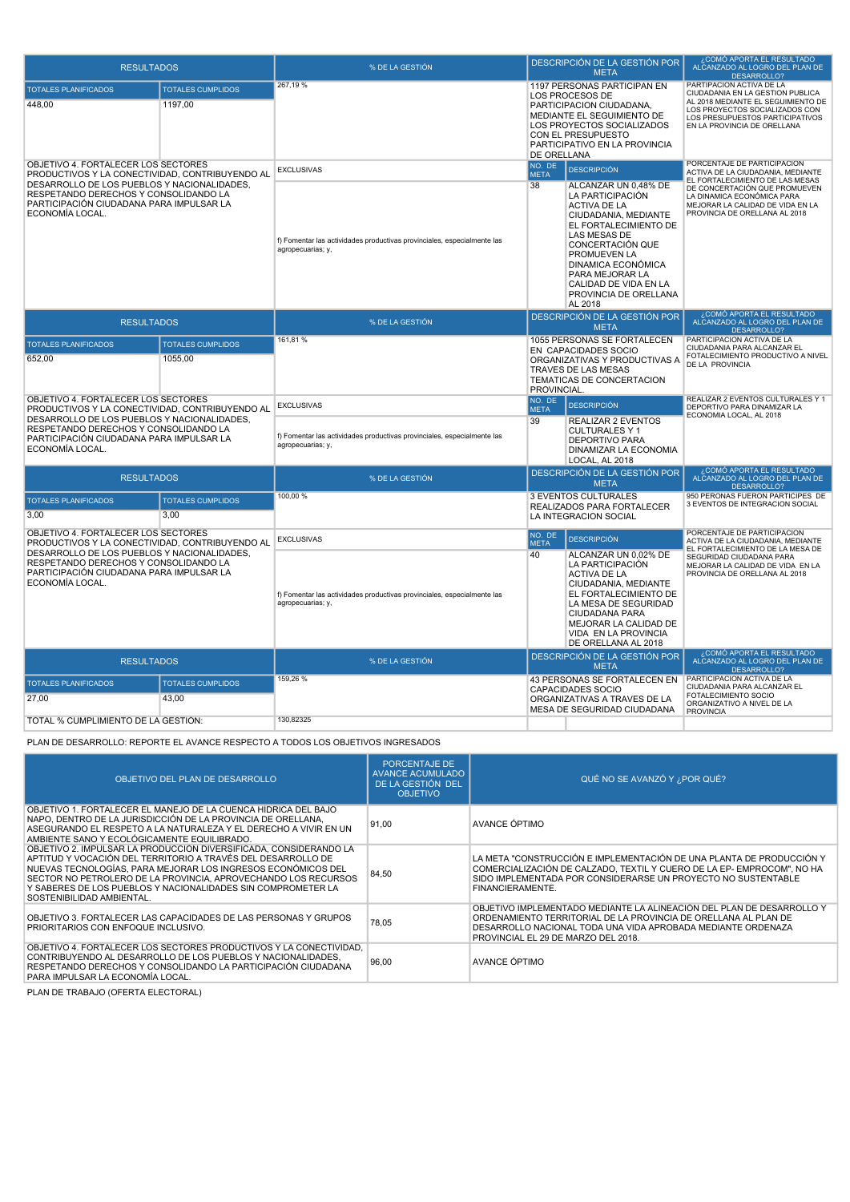| <b>RESULTADOS</b>                                                                                                                                                                                      |                                     | % DE LA GESTIÓN                                                                              |                                              | DESCRIPCIÓN DE LA GESTIÓN POR<br><b>META</b>                                                                                                                                                                                                                                      | COMO APORTA EL RESULT <u>ADO</u><br>ALCANZADO AL LOGRO DEL PLAN DE<br>DESARROLLO?                                                                                                                      |
|--------------------------------------------------------------------------------------------------------------------------------------------------------------------------------------------------------|-------------------------------------|----------------------------------------------------------------------------------------------|----------------------------------------------|-----------------------------------------------------------------------------------------------------------------------------------------------------------------------------------------------------------------------------------------------------------------------------------|--------------------------------------------------------------------------------------------------------------------------------------------------------------------------------------------------------|
| <b>TOTALES PLANIFICADOS</b><br>448.00                                                                                                                                                                  | <b>TOTALES CUMPLIDOS</b><br>1197.00 | 267,19%                                                                                      | DE ORELLANA                                  | 1197 PERSONAS PARTICIPAN EN<br>LOS PROCESOS DE<br>PARTICIPACION CIUDADANA,<br>MEDIANTE EL SEGUIMIENTO DE<br>LOS PROYECTOS SOCIALIZADOS<br>CON EL PRESUPUESTO<br>PARTICIPATIVO EN LA PROVINCIA                                                                                     | PARTIPACION ACTIVA DE LA<br>CIUDADANIA EN LA GESTION PUBLICA<br>AL 2018 MEDIANTE EL SEGUIMIENTO DE<br>LOS PROYECTOS SOCIALIZADOS CON<br>LOS PRESUPUESTOS PARTICIPATIVOS<br>EN LA PROVINCIA DE ORELLANA |
| OBJETIVO 4. FORTALECER LOS SECTORES                                                                                                                                                                    |                                     | <b>EXCLUSIVAS</b>                                                                            | NO. DE<br><b>META</b>                        | <b>DESCRIPCIÓN</b>                                                                                                                                                                                                                                                                | PORCENTAJE DE PARTICIPACION<br>ACTIVA DE LA CIUDADANIA, MEDIANTE                                                                                                                                       |
| PRODUCTIVOS Y LA CONECTIVIDAD, CONTRIBUYENDO AL<br>DESARROLLO DE LOS PUEBLOS Y NACIONALIDADES,<br>RESPETANDO DERECHOS Y CONSOLIDANDO LA<br>PARTICIPACIÓN CIUDADANA PARA IMPULSAR LA<br>ECONOMÍA LOCAL. |                                     | f) Fomentar las actividades productivas provinciales, especialmente las<br>agropecuarias; y, | 38                                           | ALCANZAR UN 0,48% DE<br>LA PARTICIPACIÓN<br><b>ACTIVA DE LA</b><br>CIUDADANIA, MEDIANTE<br>EL FORTALECIMIENTO DE<br>LAS MESAS DE<br>CONCERTACIÓN QUE<br>PROMUEVEN LA<br><b>DINAMICA ECONÓMICA</b><br>PARA MEJORAR LA<br>CALIDAD DE VIDA EN LA<br>PROVINCIA DE ORELLANA<br>AL 2018 | EL FORTALECIMIENTO DE LAS MESAS<br>DE CONCERTACIÓN QUE PROMUEVEN<br>LA DINAMICA ECONÓMICA PARA<br>MEJORAR LA CALIDAD DE VIDA EN LA<br>PROVINCIA DE ORELLANA AL 2018                                    |
| <b>RESULTADOS</b>                                                                                                                                                                                      |                                     | % DE LA GESTIÓN                                                                              |                                              | DESCRIPCIÓN DE LA GESTIÓN POR<br><b>META</b>                                                                                                                                                                                                                                      | ¿COMÓ APORTA EL RESULTADO<br>ALCANZADO AL LOGRO DEL PLAN DE<br><b>DESARROLLO?</b>                                                                                                                      |
| <b>TOTALES PLANIFICADOS</b>                                                                                                                                                                            | <b>TOTALES CUMPLIDOS</b>            | 161,81%                                                                                      |                                              | 1055 PERSONAS SE FORTALECEN<br>EN CAPACIDADES SOCIO                                                                                                                                                                                                                               | PARTICIPACION ACTIVA DE LA<br>CIUDADANIA PARA ALCANZAR EL                                                                                                                                              |
| 652,00<br>1055,00                                                                                                                                                                                      |                                     |                                                                                              | PROVINCIAL.                                  | ORGANIZATIVAS Y PRODUCTIVAS A<br>TRAVES DE LAS MESAS<br>TEMATICAS DE CONCERTACION                                                                                                                                                                                                 | FOTALECIMIENTO PRODUCTIVO A NIVEL<br>DE LA PROVINCIA                                                                                                                                                   |
| OBJETIVO 4. FORTALECER LOS SECTORES<br>PRODUCTIVOS Y LA CONECTIVIDAD. CONTRIBUYENDO AL                                                                                                                 |                                     | <b>EXCLUSIVAS</b>                                                                            | NO. DE<br><b>META</b>                        | <b>DESCRIPCIÓN</b>                                                                                                                                                                                                                                                                | REALIZAR 2 EVENTOS CULTURALES Y 1<br>DEPORTIVO PARA DINAMIZAR LA                                                                                                                                       |
| DESARROLLO DE LOS PUEBLOS Y NACIONALIDADES,<br>RESPETANDO DERECHOS Y CONSOLIDANDO LA<br>PARTICIPACIÓN CIUDADANA PARA IMPULSAR LA<br>ECONOMÍA LOCAL.                                                    |                                     | f) Fomentar las actividades productivas provinciales, especialmente las<br>agropecuarias; y, | 39                                           | <b>REALIZAR 2 EVENTOS</b><br><b>CULTURALES Y 1</b><br><b>DEPORTIVO PARA</b><br>DINAMIZAR LA ECONOMIA<br>LOCAL, AL 2018                                                                                                                                                            | ECONOMIA LOCAL, AL 2018                                                                                                                                                                                |
| <b>RESULTADOS</b>                                                                                                                                                                                      |                                     | % DE LA GESTIÓN                                                                              | DESCRIPCIÓN DE LA GESTIÓN POR<br><b>META</b> |                                                                                                                                                                                                                                                                                   | ¿COMÓ APORTA EL RESULTADO<br>ALCANZADO AL LOGRO DEL PLAN DE<br>DESARROLLO?                                                                                                                             |
| <b>TOTALES PLANIFICADOS</b>                                                                                                                                                                            | <b>TOTALES CUMPLIDOS</b>            | 100.00 %                                                                                     |                                              | 3 EVENTOS CULTURALES<br>REALIZADOS PARA FORTALECER                                                                                                                                                                                                                                | 950 PERONAS FUERON PARTICIPES DE<br>3 EVENTOS DE INTEGRACION SOCIAL                                                                                                                                    |
| 3.00                                                                                                                                                                                                   | 3.00                                |                                                                                              |                                              | LA INTEGRACION SOCIAL                                                                                                                                                                                                                                                             |                                                                                                                                                                                                        |
| OBJETIVO 4. FORTALECER LOS SECTORES<br>PRODUCTIVOS Y LA CONECTIVIDAD, CONTRIBUYENDO AL                                                                                                                 |                                     | <b>EXCLUSIVAS</b>                                                                            | NO. DE<br><b>META</b>                        | <b>DESCRIPCIÓN</b>                                                                                                                                                                                                                                                                | PORCENTAJE DE PARTICIPACION<br>ACTIVA DE LA CIUDADANIA, MEDIANTE                                                                                                                                       |
| DESARROLLO DE LOS PUEBLOS Y NACIONALIDADES,<br>RESPETANDO DERECHOS Y CONSOLIDANDO LA<br>PARTICIPACIÓN CIUDADANA PARA IMPULSAR LA<br>ECONOMÍA LOCAL.<br><b>RESULTADOS</b>                               |                                     | f) Fomentar las actividades productivas provinciales, especialmente las<br>agropecuarias; y, | 40                                           | ALCANZAR UN 0,02% DE<br>LA PARTICIPACIÓN<br><b>ACTIVA DE LA</b><br>CIUDADANIA, MEDIANTE<br>EL FORTALECIMIENTO DE<br>LA MESA DE SEGURIDAD<br>CIUDADANA PARA<br>MEJORAR LA CALIDAD DE<br>VIDA EN LA PROVINCIA<br>DE ORELLANA AL 2018                                                | EL FORTALECIMIENTO DE LA MESA DE<br>SEGURIDAD CIUDADANA PARA<br>MEJORAR LA CALIDAD DE VIDA EN LA<br>PROVINCIA DE ORELLANA AL 2018                                                                      |
|                                                                                                                                                                                                        |                                     | % DE LA GESTIÓN                                                                              |                                              | DESCRIPCIÓN DE LA GESTIÓN POR<br><b>META</b>                                                                                                                                                                                                                                      | ¿COMÓ APORTA EL RESULTADO<br>ALCANZADO AL LOGRO DEL PLAN DE<br>DESARROLLO?                                                                                                                             |
| <b>TOTALES PLANIFICADOS</b><br>27,00                                                                                                                                                                   | <b>TOTALES CUMPLIDOS</b><br>43,00   | 159,26 %                                                                                     |                                              | 43 PERSONAS SE FORTALECEN EN<br><b>CAPACIDADES SOCIO</b><br>ORGANIZATIVAS A TRAVES DE LA<br>MESA DE SEGURIDAD CIUDADANA                                                                                                                                                           | PARTICIPACION ACTIVA DE LA<br>CIUDADANIA PARA ALCANZAR EL<br>FOTALECIMIENTO SOCIO<br>ORGANIZATIVO A NIVEL DE LA                                                                                        |
| TOTAL % CUMPLIMIENTO DE LA GESTIÓN:                                                                                                                                                                    |                                     | 130,82325                                                                                    |                                              |                                                                                                                                                                                                                                                                                   | <b>PROVINCIA</b>                                                                                                                                                                                       |
|                                                                                                                                                                                                        |                                     |                                                                                              |                                              |                                                                                                                                                                                                                                                                                   |                                                                                                                                                                                                        |

PLAN DE DESARROLLO: REPORTE EL AVANCE RESPECTO A TODOS LOS OBJETIVOS INGRESADOS

| OBJETIVO DEL PLAN DE DESARROLLO                                                                                                                                                                                                                                                                                                                                  | <b>PORCENTAJE DE</b><br><b>AVANCE ACUMULADO</b><br>DE LA GESTIÓN DEL<br><b>OBJETIVO</b> | QUÉ NO SE AVANZÓ Y ¿POR QUÉ?                                                                                                                                                                                                                    |
|------------------------------------------------------------------------------------------------------------------------------------------------------------------------------------------------------------------------------------------------------------------------------------------------------------------------------------------------------------------|-----------------------------------------------------------------------------------------|-------------------------------------------------------------------------------------------------------------------------------------------------------------------------------------------------------------------------------------------------|
| OBJETIVO 1. FORTALECER EL MANEJO DE LA CUENCA HÍDRICA DEL BAJO<br>NAPO, DENTRO DE LA JURISDICCIÓN DE LA PROVINCIA DE ORELLANA,<br>ASEGURANDO EL RESPETO A LA NATURALEZA Y EL DERECHO A VIVIR EN UN<br>AMBIENTE SANO Y ECOLÓGICAMENTE EQUILIBRADO.                                                                                                                | 91.00                                                                                   | AVANCE ÓPTIMO                                                                                                                                                                                                                                   |
| OBJETIVO 2. IMPULSAR LA PRODUCCIÓN DIVERSIFICADA, CONSIDERANDO LA<br>APTITUD Y VOCACIÓN DEL TERRITORIO A TRAVÉS DEL DESARROLLO DE<br>NUEVAS TECNOLOGÍAS, PARA MEJORAR LOS INGRESOS ECONÓMICOS DEL<br>SECTOR NO PETROLERO DE LA PROVINCIA. APROVECHANDO LOS RECURSOS<br>Y SABERES DE LOS PUEBLOS Y NACIONALIDADES SIN COMPROMETER LA<br>SOSTENIBILIDAD AMBIENTAL. | 84,50                                                                                   | LA META "CONSTRUCCIÓN E IMPLEMENTACIÓN DE UNA PLANTA DE PRODUCCIÓN Y<br>COMERCIALIZACIÓN DE CALZADO. TEXTIL Y CUERO DE LA EP- EMPROCOM". NO HA<br>SIDO IMPLEMENTADA POR CONSIDERARSE UN PROYECTO NO SUSTENTABLE<br>FINANCIERAMENTE.             |
| OBJETIVO 3. FORTALECER LAS CAPACIDADES DE LAS PERSONAS Y GRUPOS<br>PRIORITARIOS CON ENFOQUE INCLUSIVO.                                                                                                                                                                                                                                                           | 78,05                                                                                   | OBJETIVO IMPLEMENTADO MEDIANTE LA ALINEACIÓN DEL PLAN DE DESARROLLO Y<br>ORDENAMIENTO TERRITORIAL DE LA PROVINCIA DE ORELLANA AL PLAN DE<br>DESARROLLO NACIONAL TODA UNA VIDA APROBADA MEDIANTE ORDENAZA<br>PROVINCIAL EL 29 DE MARZO DEL 2018. |
| OBJETIVO 4. FORTALECER LOS SECTORES PRODUCTIVOS Y LA CONECTIVIDAD.<br>CONTRIBUYENDO AL DESARROLLO DE LOS PUEBLOS Y NACIONALIDADES.<br>RESPETANDO DERECHOS Y CONSOLIDANDO LA PARTICIPACIÓN CIUDADANA<br>PARA IMPULSAR LA ECONOMÍA LOCAL.                                                                                                                          | 96,00                                                                                   | AVANCE ÓPTIMO                                                                                                                                                                                                                                   |

PLAN DE TRABAJO (OFERTA ELECTORAL)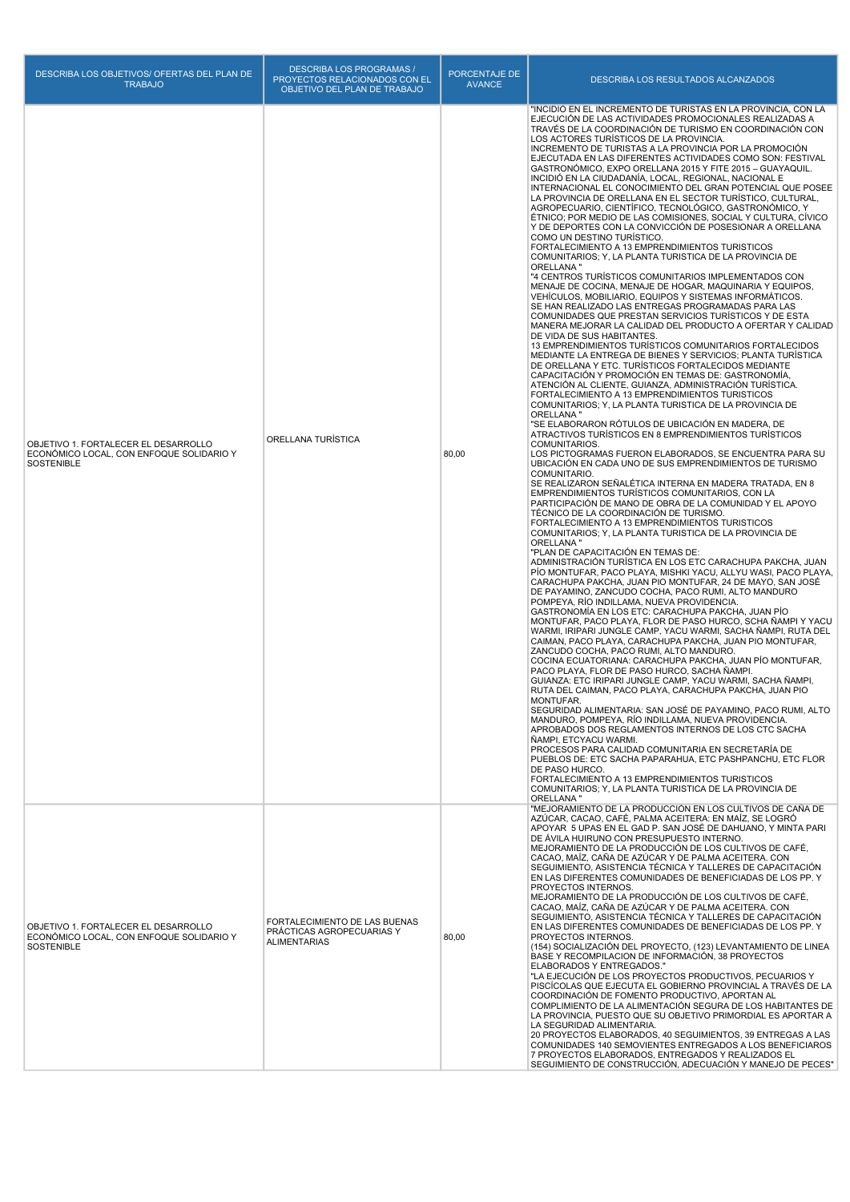| DESCRIBA LOS OBJETIVOS/ OFERTAS DEL PLAN DE<br><b>TRABAJO</b>                                         | <b>DESCRIBA LOS PROGRAMAS /</b><br>PROYECTOS RELACIONADOS CON EL<br>OBJETIVO DEL PLAN DE TRABAJO | PORCENTAJE DE<br><b>AVANCE</b> | DESCRIBA LOS RESULTADOS ALCANZADOS                                                                                                                                                                                                                                                                                                                                                                                                                                                                                                                                                                                                                                                                                                                                                                                                                                                                                                                                                                                                                                                                                                                                                                                                                                                                                                                                                                                                                                                                                                                                                                                                                                                                                                                                                                                                                                                                                                                                                                                                                                                                                                                                                                                                                                                                                                                                                                                                                                                                                                                                                                                                                                                                                                                                                                                                                                                                                                                                                                                                                                                                                                                                                                                                                                                                                                                                                                                                                                                                                                                                                                                                                                                                                                                                    |
|-------------------------------------------------------------------------------------------------------|--------------------------------------------------------------------------------------------------|--------------------------------|-----------------------------------------------------------------------------------------------------------------------------------------------------------------------------------------------------------------------------------------------------------------------------------------------------------------------------------------------------------------------------------------------------------------------------------------------------------------------------------------------------------------------------------------------------------------------------------------------------------------------------------------------------------------------------------------------------------------------------------------------------------------------------------------------------------------------------------------------------------------------------------------------------------------------------------------------------------------------------------------------------------------------------------------------------------------------------------------------------------------------------------------------------------------------------------------------------------------------------------------------------------------------------------------------------------------------------------------------------------------------------------------------------------------------------------------------------------------------------------------------------------------------------------------------------------------------------------------------------------------------------------------------------------------------------------------------------------------------------------------------------------------------------------------------------------------------------------------------------------------------------------------------------------------------------------------------------------------------------------------------------------------------------------------------------------------------------------------------------------------------------------------------------------------------------------------------------------------------------------------------------------------------------------------------------------------------------------------------------------------------------------------------------------------------------------------------------------------------------------------------------------------------------------------------------------------------------------------------------------------------------------------------------------------------------------------------------------------------------------------------------------------------------------------------------------------------------------------------------------------------------------------------------------------------------------------------------------------------------------------------------------------------------------------------------------------------------------------------------------------------------------------------------------------------------------------------------------------------------------------------------------------------------------------------------------------------------------------------------------------------------------------------------------------------------------------------------------------------------------------------------------------------------------------------------------------------------------------------------------------------------------------------------------------------------------------------------------------------------------------------------------------------|
| OBJETIVO 1. FORTALECER EL DESARROLLO<br>ECONÓMICO LOCAL, CON ENFOQUE SOLIDARIO Y<br>SOSTENIBLE        | ORELLANA TURÍSTICA                                                                               | 80,00                          | "INCIDIÓ EN EL INCREMENTO DE TURISTAS EN LA PROVINCIA, CON LA<br>EJECUCIÓN DE LAS ACTIVIDADES PROMOCIONALES REALIZADAS A<br>TRAVÉS DE LA COORDINACIÓN DE TURISMO EN COORDINACIÓN CON<br>LOS ACTORES TURÍSTICOS DE LA PROVINCIA.<br>INCREMENTO DE TURISTAS A LA PROVINCIA POR LA PROMOCIÓN<br>EJECUTADA EN LAS DIFERENTES ACTIVIDADES COMO SON: FESTIVAL<br>GASTRONÓMICO, EXPO ORELLANA 2015 Y FITE 2015 - GUAYAQUIL.<br>INCIDIÓ EN LA CIUDADANÍA, LOCAL, REGIONAL, NACIONAL E<br>INTERNACIONAL EL CONOCIMIENTO DEL GRAN POTENCIAL QUE POSEE<br>LA PROVINCIA DE ORELLANA EN EL SECTOR TURÍSTICO, CULTURAL,<br>AGROPECUARIO, CIENTÍFICO, TECNOLÓGICO, GASTRONÓMICO, Y<br>ÉTNICO; POR MEDIO DE LAS COMISIONES, SOCIAL Y CULTURA, CÍVICO<br>Y DE DEPORTES CON LA CONVICCIÓN DE POSESIONAR A ORELLANA<br>COMO UN DESTINO TURISTICO.<br>FORTALECIMIENTO A 13 EMPRENDIMIENTOS TURISTICOS<br>COMUNITARIOS; Y, LA PLANTA TURISTICA DE LA PROVINCIA DE<br>ORELLANA"<br>"4 CENTROS TURÍSTICOS COMUNITARIOS IMPLEMENTADOS CON<br>MENAJE DE COCINA, MENAJE DE HOGAR, MAQUINARIA Y EQUIPOS,<br>VEHICULOS, MOBILIARIO, EQUIPOS Y SISTEMAS INFORMATICOS.<br>SE HAN REALIZADO LAS ENTREGAS PROGRAMADAS PARA LAS<br>COMUNIDADES QUE PRESTAN SERVICIOS TURÍSTICOS Y DE ESTA<br>MANERA MEJORAR LA CALIDAD DEL PRODUCTO A OFERTAR Y CALIDAD<br>DE VIDA DE SUS HABITANTES.<br>13 EMPRENDIMIENTOS TURÍSTICOS COMUNITARIOS FORTALECIDOS<br>MEDIANTE LA ENTREGA DE BIENES Y SERVICIOS; PLANTA TURÍSTICA<br>DE ORELLANA Y ETC. TURÍSTICOS FORTALECIDOS MEDIANTE<br>CAPACITACIÓN Y PROMOCIÓN EN TEMAS DE: GASTRONOMÍA,<br>ATENCIÓN AL CLIENTE, GUIANZA, ADMINISTRACIÓN TURÍSTICA.<br>FORTALECIMIENTO A 13 EMPRENDIMIENTOS TURISTICOS<br>COMUNITARIOS; Y, LA PLANTA TURISTICA DE LA PROVINCIA DE<br>ORELLANA"<br>"SE ELABORARON RÓTULOS DE UBICACIÓN EN MADERA, DE<br>ATRACTIVOS TURÍSTICOS EN 8 EMPRENDIMIENTOS TURÍSTICOS<br>COMUNITARIOS.<br>LOS PICTOGRAMAS FUERON ELABORADOS, SE ENCUENTRA PARA SU<br>UBICACIÓN EN CADA UNO DE SUS EMPRENDIMIENTOS DE TURISMO<br>COMUNITARIO.<br>SE REALIZARON SEÑALÉTICA INTERNA EN MADERA TRATADA, EN 8<br>EMPRENDIMIENTOS TURÍSTICOS COMUNITARIOS, CON LA<br>PARTICIPACIÓN DE MANO DE OBRA DE LA COMUNIDAD Y EL APOYO<br>TÉCNICO DE LA COORDINACIÓN DE TURISMO.<br>FORTALECIMIENTO A 13 EMPRENDIMIENTOS TURISTICOS<br>COMUNITARIOS; Y, LA PLANTA TURISTICA DE LA PROVINCIA DE<br>ORELLANA "<br>"PLAN DE CAPACITACIÓN EN TEMAS DE:<br>ADMINISTRACIÓN TURÍSTICA EN LOS ETC CARACHUPA PAKCHA, JUAN<br>PIO MONTUFAR, PACO PLAYA, MISHKI YACU, ALLYU WASI, PACO PLAYA,<br>CARACHUPA PAKCHA, JUAN PIO MONTUFAR, 24 DE MAYO, SAN JOSÉ<br>DE PAYAMINO, ZANCUDO COCHA, PACO RUMI, ALTO MANDURO<br>POMPEYA, RÍO INDILLAMA, NUEVA PROVIDENCIA.<br>GASTRONOMÍA EN LOS ETC: CARACHUPA PAKCHA, JUAN PÍO<br>MONTUFAR, PACO PLAYA, FLOR DE PASO HURCO, SCHA ÑAMPI Y YACU<br>WARMI, IRIPARI JUNGLE CAMP, YACU WARMI, SACHA ÑAMPI, RUTA DEL<br>CAIMAN, PACO PLAYA, CARACHUPA PAKCHA, JUAN PIO MONTUFAR,<br>ZANCUDO COCHA, PACO RUMI, ALTO MANDURO.<br>COCINA ECUATORIANA: CARACHUPA PAKCHA, JUAN PÍO MONTUFAR,<br>PACO PLAYA, FLOR DE PASO HURCO, SACHA ÑAMPI.<br>GUIANZA: ETC IRIPARI JUNGLE CAMP, YACU WARMI, SACHA NAMPI,<br>RUTA DEL CAIMAN, PACO PLAYA, CARACHUPA PAKCHA, JUAN PIO<br>MONTUFAR.<br>SEGURIDAD ALIMENTARIA: SAN JOSÉ DE PAYAMINO, PACO RUMI, ALTO<br>MANDURO, POMPEYA, RÍO INDILLAMA, NUEVA PROVIDENCIA.<br>APROBADOS DOS REGLAMENTOS INTERNOS DE LOS CTC SACHA<br>ÑAMPI. ETCYACU WARMI.<br>PROCESOS PARA CALIDAD COMUNITARIA EN SECRETARÍA DE<br>PUEBLOS DE: ETC SACHA PAPARAHUA, ETC PASHPANCHU, ETC FLOR<br>DE PASO HURCO.<br>FORTALECIMIENTO A 13 EMPRENDIMIENTOS TURISTICOS<br>COMUNITARIOS; Y, LA PLANTA TURISTICA DE LA PROVINCIA DE<br>ORELLANA" |
| OBJETIVO 1. FORTALECER EL DESARROLLO<br>ECONÓMICO LOCAL, CON ENFOQUE SOLIDARIO Y<br><b>SOSTENIBLE</b> | FORTALECIMIENTO DE LAS BUENAS<br>PRACTICAS AGROPECUARIAS Y<br><b>ALIMENTARIAS</b>                | 80,00                          | "MEJORAMIENTO DE LA PRODUCCIÓN EN LOS CULTIVOS DE CAÑA DE<br>AZÚCAR, CACAO, CAFÉ, PALMA ACEITERA: EN MAÍZ, SE LOGRÓ<br>APOYAR 5 UPAS EN EL GAD P. SAN JOSÉ DE DAHUANO, Y MINTA PARI<br>DE ÁVILA HUIRUNO CON PRESUPUESTO INTERNO.<br>MEJORAMIENTO DE LA PRODUCCIÓN DE LOS CULTIVOS DE CAFÉ,<br>CACAO, MAÍZ, CAÑA DE AZÚCAR Y DE PALMA ACEITERA. CON<br>SEGUIMIENTO, ASISTENCIA TÉCNICA Y TALLERES DE CAPACITACIÓN<br>EN LAS DIFERENTES COMUNIDADES DE BENEFICIADAS DE LOS PP. Y<br>PROYECTOS INTERNOS.<br>MEJORAMIENTO DE LA PRODUCCIÓN DE LOS CULTIVOS DE CAFÉ,<br>CACAO, MAÍZ, CAÑA DE AZÚCAR Y DE PALMA ACEITERA. CON<br>SEGUIMIENTO, ASISTENCIA TÉCNICA Y TALLERES DE CAPACITACIÓN<br>EN LAS DIFERENTES COMUNIDADES DE BENEFICIADAS DE LOS PP. Y<br>PROYECTOS INTERNOS.<br>(154) SOCIALIZACIÓN DEL PROYECTO, (123) LEVANTAMIENTO DE LINEA<br>BASE Y RECOMPILACION DE INFORMACIÓN, 38 PROYECTOS<br>ELABORADOS Y ENTREGADOS."<br>"LA EJECUCIÓN DE LOS PROYECTOS PRODUCTIVOS, PECUARIOS Y<br>PISCÍCOLAS QUE EJECUTA EL GOBIERNO PROVINCIAL A TRAVÉS DE LA<br>COORDINACIÓN DE FOMENTO PRODUCTIVO, APORTAN AL<br>COMPLIMIENTO DE LA ALIMENTACIÓN SEGURA DE LOS HABITANTES DE<br>LA PROVINCIA, PUESTO QUE SU OBJETIVO PRIMORDIAL ES APORTAR A<br>LA SEGURIDAD ALIMENTARIA.<br>20 PROYECTOS ELABORADOS, 40 SEGUIMIENTOS, 39 ENTREGAS A LAS<br>COMUNIDADES 140 SEMOVIENTES ENTREGADOS A LOS BENEFICIAROS<br>7 PROYECTOS ELABORADOS, ENTREGADOS Y REALIZADOS EL<br>SEGUIMIENTO DE CONSTRUCCIÓN, ADECUACIÓN Y MANEJO DE PECES"                                                                                                                                                                                                                                                                                                                                                                                                                                                                                                                                                                                                                                                                                                                                                                                                                                                                                                                                                                                                                                                                                                                                                                                                                                                                                                                                                                                                                                                                                                                                                                                                                                                                                                                                                                                                                                                                                                                                                                                                                                                                                                                                                                                                                                               |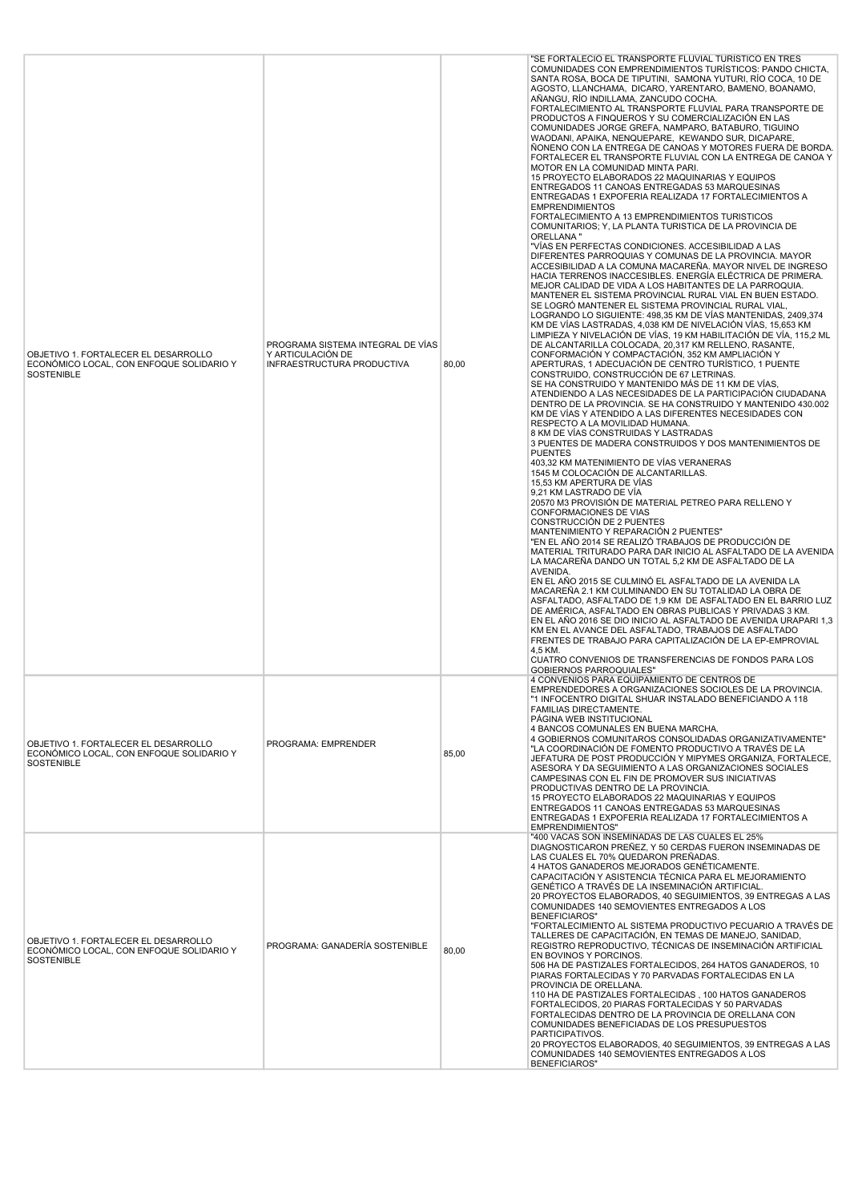| OBJETIVO 1. FORTALECER EL DESARROLLO<br>ECONÓMICO LOCAL, CON ENFOQUE SOLIDARIO Y<br>SOSTENIBLE        | PROGRAMA SISTEMA INTEGRAL DE VÍAS<br>Y ARTICULACIÓN DE<br>INFRAESTRUCTURA PRODUCTIVA | 80,00 | "SE FORTALECIÓ EL TRANSPORTE FLUVIAL TURISTICO EN TRES<br>COMUNIDADES CON EMPRENDIMIENTOS TURÍSTICOS: PANDO CHICTA,<br>SANTA ROSA, BOCA DE TIPUTINI, SAMONA YUTURI, RÍO COCA, 10 DE<br>AGOSTO, LLANCHAMA, DICARO, YARENTARO, BAMENO, BOANAMO,<br>AÑANGU, RÌO INDILLAMA, ZANCUDO COCHA.<br>FORTALECIMIENTO AL TRANSPORTE FLUVIAL PARA TRANSPORTE DE<br>PRODUCTOS A FINQUEROS Y SU COMERCIALIZACIÓN EN LAS<br>COMUNIDADES JORGE GREFA, NAMPARO, BATABURO, TIGUINO<br>WAODANI, APAIKA, NENQUEPARE, KEWANDO SUR, DICAPARE,<br>ÑONENO CON LA ENTREGA DE CANOAS Y MOTORES FUERA DE BORDA.<br>FORTALECER EL TRANSPORTE FLUVIAL CON LA ENTREGA DE CANOA Y<br>MOTOR EN LA COMUNIDAD MINTA PARI.<br>15 PROYECTO ELABORADOS 22 MAQUINARIAS Y EQUIPOS<br>ENTREGADOS 11 CANOAS ENTREGADAS 53 MARQUESINAS<br>ENTREGADAS 1 EXPOFERIA REALIZADA 17 FORTALECIMIENTOS A<br><b>EMPRENDIMIENTOS</b><br>FORTALECIMIENTO A 13 EMPRENDIMIENTOS TURISTICOS<br>COMUNITARIOS; Y, LA PLANTA TURISTICA DE LA PROVINCIA DE<br>ORELLANA"<br>"VÍAS EN PERFECTAS CONDICIONES. ACCESIBILIDAD A LAS<br>DIFERENTES PARROQUIAS Y COMUNAS DE LA PROVINCIA. MAYOR<br>ACCESIBILIDAD A LA COMUNA MACAREÑA. MAYOR NIVEL DE INGRESO<br>HACIA TERRENOS INACCESIBLES. ENERGÍA ELÉCTRICA DE PRIMERA.<br>MEJOR CALIDAD DE VIDA A LOS HABITANTES DE LA PARROQUIA.<br>MANTENER EL SISTEMA PROVINCIAL RURAL VIAL EN BUEN ESTADO.<br>SE LOGRÓ MANTENER EL SISTEMA PROVINCIAL RURAL VIAL,<br>LOGRANDO LO SIGUIENTE: 498,35 KM DE VÍAS MANTENIDAS, 2409,374<br>KM DE VÍAS LASTRADAS, 4,038 KM DE NIVELACIÓN VÍAS, 15,653 KM<br>LIMPIEZA Y NIVELACIÓN DE VÍAS, 19 KM HABILITACIÓN DE VÍA, 115,2 ML<br>DE ALCANTARILLA COLOCADA, 20,317 KM RELLENO, RASANTE,<br>CONFORMACIÓN Y COMPACTACIÓN, 352 KM AMPLIACIÓN Y<br>APERTURAS, 1 ADECUACIÓN DE CENTRO TURÍSTICO, 1 PUENTE<br>CONSTRUIDO, CONSTRUCCIÓN DE 67 LETRINAS.<br>SE HA CONSTRUIDO Y MANTENIDO MÁS DE 11 KM DE VÍAS.<br>ATENDIENDO A LAS NECESIDADES DE LA PARTICIPACIÓN CIUDADANA<br>DENTRO DE LA PROVINCIA. SE HA CONSTRUIDO Y MANTENIDO 430.002<br>KM DE VÍAS Y ATENDIDO A LAS DIFERENTES NECESIDADES CON<br>RESPECTO A LA MOVILIDAD HUMANA.<br>8 KM DE VÍAS CONSTRUIDAS Y LASTRADAS<br>3 PUENTES DE MADERA CONSTRUIDOS Y DOS MANTENIMIENTOS DE<br><b>PUENTES</b><br>403,32 KM MATENIMIENTO DE VÍAS VERANERAS<br>1545 M COLOCACIÓN DE ALCANTARILLAS.<br>15,53 KM APERTURA DE VÍAS<br>9,21 KM LASTRADO DE VÍA<br>20570 M3 PROVISIÓN DE MATERIAL PETREO PARA RELLENO Y<br>CONFORMACIONES DE VIAS<br>CONSTRUCCIÓN DE 2 PUENTES<br>MANTENIMIENTO Y REPARACIÓN 2 PUENTES"<br>"EN EL AÑO 2014 SE REALIZÓ TRABAJOS DE PRODUCCIÓN DE<br>MATERIAL TRITURADO PARA DAR INICIO AL ASFALTADO DE LA AVENIDA<br>LA MACAREÑA DANDO UN TOTAL 5,2 KM DE ASFALTADO DE LA<br>AVENIDA.<br>EN EL AÑO 2015 SE CULMINÓ EL ASFALTADO DE LA AVENIDA LA<br>MACAREÑA 2.1 KM CULMINANDO EN SU TOTALIDAD LA OBRA DE<br>ASFALTADO, ASFALTADO DE 1,9 KM DE ASFALTADO EN EL BARRIO LUZ<br>DE AMÉRICA, ASFALTADO EN OBRAS PUBLICAS Y PRIVADAS 3 KM.<br>EN EL AÑO 2016 SE DIO INICIO AL ASFALTADO DE AVENIDA URAPARI 1,3<br>KM EN EL AVANCE DEL ASFALTADO. TRABAJOS DE ASFALTADO<br>FRENTES DE TRABAJO PARA CAPITALIZACIÓN DE LA EP-EMPROVIAL<br>4.5 KM.<br>CUATRO CONVENIOS DE TRANSFERENCIAS DE FONDOS PARA LOS |
|-------------------------------------------------------------------------------------------------------|--------------------------------------------------------------------------------------|-------|------------------------------------------------------------------------------------------------------------------------------------------------------------------------------------------------------------------------------------------------------------------------------------------------------------------------------------------------------------------------------------------------------------------------------------------------------------------------------------------------------------------------------------------------------------------------------------------------------------------------------------------------------------------------------------------------------------------------------------------------------------------------------------------------------------------------------------------------------------------------------------------------------------------------------------------------------------------------------------------------------------------------------------------------------------------------------------------------------------------------------------------------------------------------------------------------------------------------------------------------------------------------------------------------------------------------------------------------------------------------------------------------------------------------------------------------------------------------------------------------------------------------------------------------------------------------------------------------------------------------------------------------------------------------------------------------------------------------------------------------------------------------------------------------------------------------------------------------------------------------------------------------------------------------------------------------------------------------------------------------------------------------------------------------------------------------------------------------------------------------------------------------------------------------------------------------------------------------------------------------------------------------------------------------------------------------------------------------------------------------------------------------------------------------------------------------------------------------------------------------------------------------------------------------------------------------------------------------------------------------------------------------------------------------------------------------------------------------------------------------------------------------------------------------------------------------------------------------------------------------------------------------------------------------------------------------------------------------------------------------------------------------------------------------------------------------------------------------------------------------------------------------------------------------------------------------------------------------------------------------------------------------------------|
| OBJETIVO 1. FORTALECER EL DESARROLLO<br>ECONÓMICO LOCAL, CON ENFOQUE SOLIDARIO Y<br><b>SOSTENIBLE</b> | PROGRAMA: EMPRENDER                                                                  | 85,00 | <b>GOBIERNOS PARROQUIALES"</b><br>4 CONVENIOS PARA EQUIPAMIENTO DE CENTROS DE<br>EMPRENDEDORES A ORGANIZACIONES SOCIOLES DE LA PROVINCIA.<br>"1 INFOCENTRO DIGITAL SHUAR INSTALADO BENEFICIANDO A 118<br>FAMILIAS DIRECTAMENTE.<br>PÁGINA WEB INSTITUCIONAL<br>4 BANCOS COMUNALES EN BUENA MARCHA.<br>4 GOBIERNOS COMUNITAROS CONSOLIDADAS ORGANIZATIVAMENTE"<br>"LA COORDINACIÓN DE FOMENTO PRODUCTIVO A TRAVÉS DE LA<br>JEFATURA DE POST PRODUCCIÓN Y MIPYMES ORGANIZA, FORTALECE,<br>ASESORA Y DA SEGUIMIENTO A LAS ORGANIZACIONES SOCIALES<br>CAMPESINAS CON EL FIN DE PROMOVER SUS INICIATIVAS<br>PRODUCTIVAS DENTRO DE LA PROVINCIA.<br>15 PROYECTO ELABORADOS 22 MAQUINARIAS Y EQUIPOS<br>ENTREGADOS 11 CANOAS ENTREGADAS 53 MARQUESINAS<br>ENTREGADAS 1 EXPOFERIA REALIZADA 17 FORTALECIMIENTOS A<br>EMPRENDIMIENTOS"                                                                                                                                                                                                                                                                                                                                                                                                                                                                                                                                                                                                                                                                                                                                                                                                                                                                                                                                                                                                                                                                                                                                                                                                                                                                                                                                                                                                                                                                                                                                                                                                                                                                                                                                                                                                                                                                                                                                                                                                                                                                                                                                                                                                                                                                                                                                                                                                                                                      |
| OBJETIVO 1. FORTALECER EL DESARROLLO<br>ECONÓMICO LOCAL, CON ENFOQUE SOLIDARIO Y<br><b>SOSTENIBLE</b> | PROGRAMA: GANADERÍA SOSTENIBLE                                                       | 80,00 | "400 VACAS SON INSEMINADAS DE LAS CUALES EL 25%<br>DIAGNOSTICARON PREÑEZ, Y 50 CERDAS FUERON INSEMINADAS DE<br>LAS CUALES EL 70% QUEDARON PREÑADAS.<br>4 HATOS GANADEROS MEJORADOS GENÉTICAMENTE.<br>CAPACITACIÓN Y ASISTENCIA TÉCNICA PARA EL MEJORAMIENTO<br>GENÉTICO A TRAVÉS DE LA INSEMINACIÓN ARTIFICIAL.<br>20 PROYECTOS ELABORADOS, 40 SEGUIMIENTOS, 39 ENTREGAS A LAS<br>COMUNIDADES 140 SEMOVIENTES ENTREGADOS A LOS<br><b>BENEFICIAROS"</b><br>"FORTALECIMIENTO AL SISTEMA PRODUCTIVO PECUARIO A TRAVÉS DE<br>TALLERES DE CAPACITACIÓN, EN TEMAS DE MANEJO, SANIDAD,<br>REGISTRO REPRODUCTIVO, TÉCNICAS DE INSEMINACIÓN ARTIFICIAL<br>EN BOVINOS Y PORCINOS.<br>506 HA DE PASTIZALES FORTALECIDOS, 264 HATOS GANADEROS, 10<br>PIARAS FORTALECIDAS Y 70 PARVADAS FORTALECIDAS EN LA<br>PROVINCIA DE ORELLANA.<br>110 HA DE PASTIZALES FORTALECIDAS, 100 HATOS GANADEROS<br>FORTALECIDOS, 20 PIARAS FORTALECIDAS Y 50 PARVADAS<br>FORTALECIDAS DENTRO DE LA PROVINCIA DE ORELLANA CON<br>COMUNIDADES BENEFICIADAS DE LOS PRESUPUESTOS<br>PARTICIPATIVOS.<br>20 PROYECTOS ELABORADOS, 40 SEGUIMIENTOS, 39 ENTREGAS A LAS<br>COMUNIDADES 140 SEMOVIENTES ENTREGADOS A LOS<br><b>BENEFICIAROS"</b>                                                                                                                                                                                                                                                                                                                                                                                                                                                                                                                                                                                                                                                                                                                                                                                                                                                                                                                                                                                                                                                                                                                                                                                                                                                                                                                                                                                                                                                                                                                                                                                                                                                                                                                                                                                                                                                                                                                                                                                                                                                                           |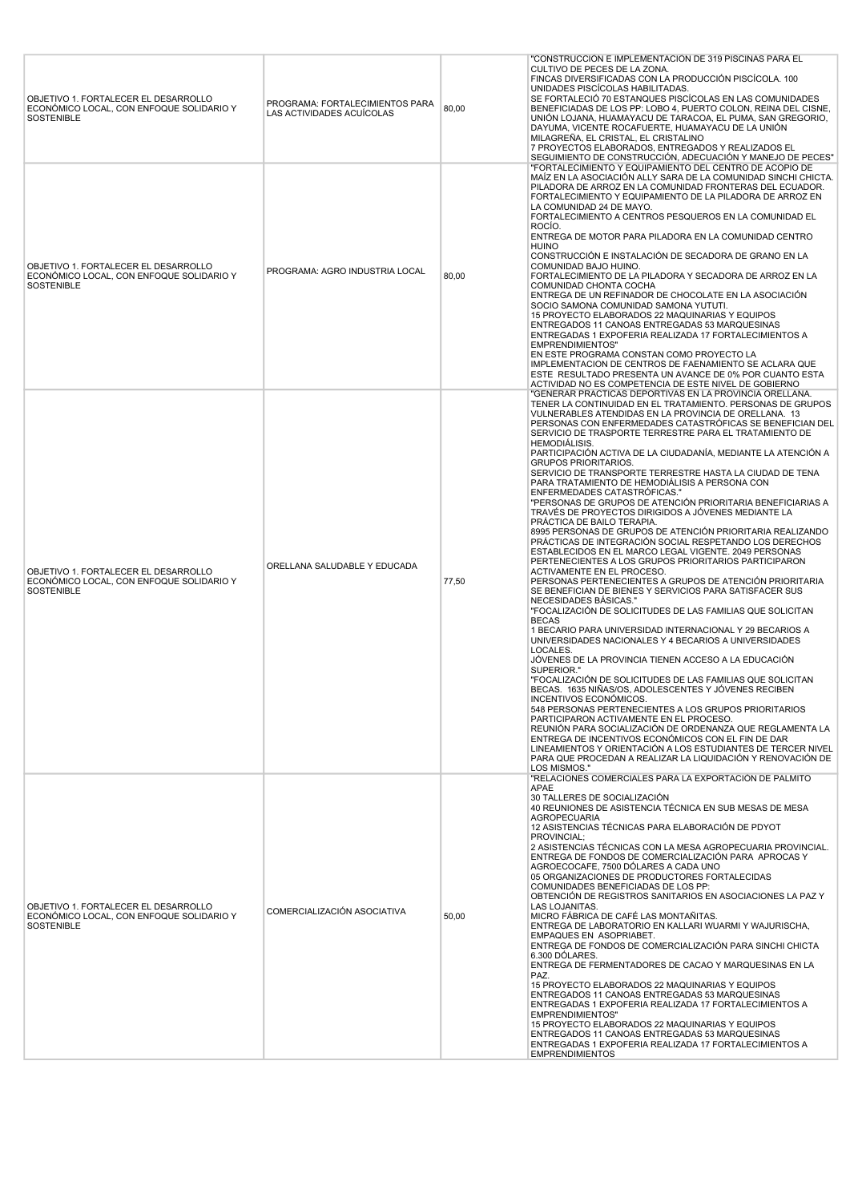| OBJETIVO 1. FORTALECER EL DESARROLLO<br>ECONÓMICO LOCAL, CON ENFOQUE SOLIDARIO Y<br>SOSTENIBLE        | PROGRAMA: FORTALECIMIENTOS PARA<br>LAS ACTIVIDADES ACUÍCOLAS | 80,00 | "CONSTRUCCIÓN E IMPLEMENTACIÓN DE 319 PISCINAS PARA EL<br>CULTIVO DE PECES DE LA ZONA.<br>FINCAS DIVERSIFICADAS CON LA PRODUCCIÓN PISCÍCOLA. 100<br>UNIDADES PISCÍCOLAS HABILITADAS.<br>SE FORTALECIÓ 70 ESTANQUES PISCÍCOLAS EN LAS COMUNIDADES<br>BENEFICIADAS DE LOS PP: LOBO 4, PUERTO COLON, REINA DEL CISNE,<br>UNIÓN LOJANA, HUAMAYACU DE TARACOA, EL PUMA, SAN GREGORIO,<br>DAYUMA, VICENTE ROCAFUERTE, HUAMAYACU DE LA UNIÓN<br>MILAGREÑA, EL CRISTAL, EL CRISTALINO<br>7 PROYECTOS ELABORADOS, ENTREGADOS Y REALIZADOS EL<br>SEGUIMIENTO DE CONSTRUCCIÓN, ADECUACIÓN Y MANEJO DE PECES"                                                                                                                                                                                                                                                                                                                                                                                                                                                                                                                                                                                                                                                                                                                                                                                                                                                                                                                                                                                                                                                                                                                                                                                                                                                                                                                                                            |
|-------------------------------------------------------------------------------------------------------|--------------------------------------------------------------|-------|--------------------------------------------------------------------------------------------------------------------------------------------------------------------------------------------------------------------------------------------------------------------------------------------------------------------------------------------------------------------------------------------------------------------------------------------------------------------------------------------------------------------------------------------------------------------------------------------------------------------------------------------------------------------------------------------------------------------------------------------------------------------------------------------------------------------------------------------------------------------------------------------------------------------------------------------------------------------------------------------------------------------------------------------------------------------------------------------------------------------------------------------------------------------------------------------------------------------------------------------------------------------------------------------------------------------------------------------------------------------------------------------------------------------------------------------------------------------------------------------------------------------------------------------------------------------------------------------------------------------------------------------------------------------------------------------------------------------------------------------------------------------------------------------------------------------------------------------------------------------------------------------------------------------------------------------------------------|
| OBJETIVO 1. FORTALECER EL DESARROLLO<br>ECONÓMICO LOCAL, CON ENFOQUE SOLIDARIO Y<br>SOSTENIBLE        | PROGRAMA: AGRO INDUSTRIA LOCAL                               | 80,00 | "FORTALECIMIENTO Y EQUIPAMIENTO DEL CENTRO DE ACOPIO DE<br>MAÍZ EN LA ASOCIACIÓN ALLY SARA DE LA COMUNIDAD SINCHI CHICTA.<br>PILADORA DE ARROZ EN LA COMUNIDAD FRONTERAS DEL ECUADOR.<br>FORTALECIMIENTO Y EQUIPAMIENTO DE LA PILADORA DE ARROZ EN<br>LA COMUNIDAD 24 DE MAYO.<br>FORTALECIMIENTO A CENTROS PESQUEROS EN LA COMUNIDAD EL<br>ROCIO.<br>ENTREGA DE MOTOR PARA PILADORA EN LA COMUNIDAD CENTRO<br>HUINO<br>CONSTRUCCIÓN E INSTALACIÓN DE SECADORA DE GRANO EN LA<br>COMUNIDAD BAJO HUINO.<br>FORTALECIMIENTO DE LA PILADORA Y SECADORA DE ARROZ EN LA<br>COMUNIDAD CHONTA COCHA<br>ENTREGA DE UN REFINADOR DE CHOCOLATE EN LA ASOCIACIÓN<br>SOCIO SAMONA COMUNIDAD SAMONA YUTUTI.<br>15 PROYECTO ELABORADOS 22 MAQUINARIAS Y EQUIPOS<br>ENTREGADOS 11 CANOAS ENTREGADAS 53 MARQUESINAS<br>ENTREGADAS 1 EXPOFERIA REALIZADA 17 FORTALECIMIENTOS A<br><b>EMPRENDIMIENTOS"</b><br>EN ESTE PROGRAMA CONSTAN COMO PROYECTO LA<br>IMPLEMENTACION DE CENTROS DE FAENAMIENTO SE ACLARA QUE<br>ESTE RESULTADO PRESENTA UN AVANCE DE 0% POR CUANTO ESTA<br>ACTIVIDAD NO ES COMPETENCIA DE ESTE NIVEL DE GOBIERNO                                                                                                                                                                                                                                                                                                                                                                                                                                                                                                                                                                                                                                                                                                                                                                                                                                          |
| OBJETIVO 1. FORTALECER EL DESARROLLO<br>ECONÓMICO LOCAL, CON ENFOQUE SOLIDARIO Y<br>SOSTENIBLE        | ORELLANA SALUDABLE Y EDUCADA                                 | 77,50 | "GENERAR PRACTICAS DEPORTIVAS EN LA PROVINCIA ORELLANA.<br>TENER LA CONTINUIDAD EN EL TRATAMIENTO. PERSONAS DE GRUPOS<br>VULNERABLES ATENDIDAS EN LA PROVINCIA DE ORELLANA. 13<br>PERSONAS CON ENFERMEDADES CATASTRÓFICAS SE BENEFICIAN DEL<br>SERVICIO DE TRASPORTE TERRESTRE PARA EL TRATAMIENTO DE<br>HEMODIALISIS.<br>PARTICIPACIÓN ACTIVA DE LA CIUDADANÍA, MEDIANTE LA ATENCIÓN A<br><b>GRUPOS PRIORITARIOS.</b><br>SERVICIO DE TRANSPORTE TERRESTRE HASTA LA CIUDAD DE TENA<br>PARA TRATAMIENTO DE HEMODIÁLISIS A PERSONA CON<br>ENFERMEDADES CATASTRÓFICAS."<br>"PERSONAS DE GRUPOS DE ATENCIÓN PRIORITARIA BENEFICIARIAS A<br>TRAVÉS DE PROYECTOS DIRIGIDOS A JÓVENES MEDIANTE LA<br>PRÁCTICA DE BAILO TERAPIA.<br>8995 PERSONAS DE GRUPOS DE ATENCIÓN PRIORITARIA REALIZANDO<br>PRÁCTICAS DE INTEGRACIÓN SOCIAL RESPETANDO LOS DERECHOS<br>ESTABLECIDOS EN EL MARCO LEGAL VIGENTE. 2049 PERSONAS<br>PERTENECIENTES A LOS GRUPOS PRIORITARIOS PARTICIPARON<br>ACTIVAMENTE EN EL PROCESO.<br>PERSONAS PERTENECIENTES A GRUPOS DE ATENCIÓN PRIORITARIA<br>SE BENEFICIAN DE BIENES Y SERVICIOS PARA SATISFACER SUS<br>NECESIDADES BÁSICAS."<br>"FOCALIZACIÓN DE SOLICITUDES DE LAS FAMILIAS QUE SOLICITAN<br><b>BECAS</b><br>1 BECARIO PARA UNIVERSIDAD INTERNACIONAL Y 29 BECARIOS A<br>UNIVERSIDADES NACIONALES Y 4 BECARIOS A UNIVERSIDADES<br>LOCALES.<br>JÓVENES DE LA PROVINCIA TIENEN ACCESO A LA EDUCACIÓN<br>SUPERIOR."<br>"FOCALIZACIÓN DE SOLICITUDES DE LAS FAMILIAS QUE SOLICITAN<br>BECAS. 1635 NIÑAS/OS, ADOLESCENTES Y JÓVENES RECIBEN<br>INCENTIVOS ECONÓMICOS.<br>548 PERSONAS PERTENECIENTES A LOS GRUPOS PRIORITARIOS<br>PARTICIPARON ACTIVAMENTE EN EL PROCESO.<br>REUNIÓN PARA SOCIALIZACIÓN DE ORDENANZA QUE REGLAMENTA LA<br>ENTREGA DE INCENTIVOS ECONÓMICOS CON EL FIN DE DAR<br>LINEAMIENTOS Y ORIENTACIÓN A LOS ESTUDIANTES DE TERCER NIVEL<br>PARA QUE PROCEDAN A REALIZAR LA LIQUIDACIÓN Y RENOVACIÓN DE<br>LOS MISMOS." |
| OBJETIVO 1. FORTALECER EL DESARROLLO<br>ECONÓMICO LOCAL, CON ENFOQUE SOLIDARIO Y<br><b>SOSTENIBLE</b> | COMERCIALIZACIÓN ASOCIATIVA                                  | 50,00 | "RELACIONES COMERCIALES PARA LA EXPORTACIÓN DE PALMITO<br>APAE<br>30 TALLERES DE SOCIALIZACIÓN<br>40 REUNIONES DE ASISTENCIA TÉCNICA EN SUB MESAS DE MESA<br><b>AGROPECUARIA</b><br>12 ASISTENCIAS TÉCNICAS PARA ELABORACIÓN DE PDYOT<br>PROVINCIAL;<br>2 ASISTENCIAS TÉCNICAS CON LA MESA AGROPECUARIA PROVINCIAL.<br>ENTREGA DE FONDOS DE COMERCIALIZACIÓN PARA APROCAS Y<br>AGROECOCAFE. 7500 DÓLARES A CADA UNO<br>05 ORGANIZACIONES DE PRODUCTORES FORTALECIDAS<br>COMUNIDADES BENEFICIADAS DE LOS PP:<br>OBTENCIÓN DE REGISTROS SANITARIOS EN ASOCIACIONES LA PAZ Y<br>LAS LOJANITAS.<br>MICRO FÁBRICA DE CAFÉ LAS MONTAÑITAS.<br>ENTREGA DE LABORATORIO EN KALLARI WUARMI Y WAJURISCHA,<br>EMPAQUES EN ASOPRIABET.<br>ENTREGA DE FONDOS DE COMERCIALIZACIÓN PARA SINCHI CHICTA<br>6.300 DOLARES.<br>ENTREGA DE FERMENTADORES DE CACAO Y MARQUESINAS EN LA<br>PAZ.<br>15 PROYECTO ELABORADOS 22 MAQUINARIAS Y EQUIPOS<br>ENTREGADOS 11 CANOAS ENTREGADAS 53 MARQUESINAS<br>ENTREGADAS 1 EXPOFERIA REALIZADA 17 FORTALECIMIENTOS A<br><b>EMPRENDIMIENTOS"</b><br>15 PROYECTO ELABORADOS 22 MAQUINARIAS Y EQUIPOS<br>ENTREGADOS 11 CANOAS ENTREGADAS 53 MARQUESINAS<br>ENTREGADAS 1 EXPOFERIA REALIZADA 17 FORTALECIMIENTOS A<br><b>EMPRENDIMIENTOS</b>                                                                                                                                                                                                                                                                                                                                                                                                                                                                                                                                                                                                                                                                                                  |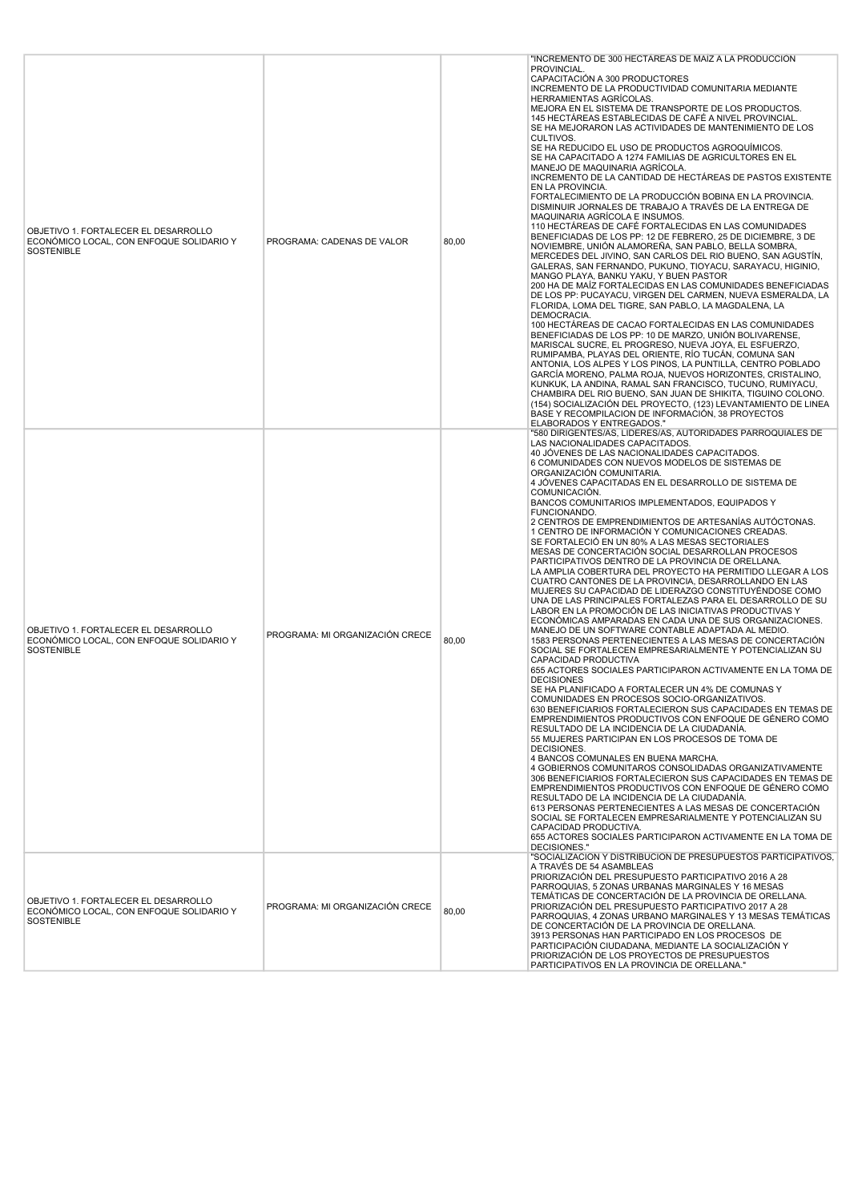| OBJETIVO 1. FORTALECER EL DESARROLLO<br>ECONÓMICO LOCAL, CON ENFOQUE SOLIDARIO Y<br>SOSTENIBLE        | PROGRAMA: CADENAS DE VALOR      | 80,00 | "INCREMENTO DE 300 HECTAREAS DE MAIZ A LA PRODUCCIÓN<br>PROVINCIAL.<br>CAPACITACIÓN A 300 PRODUCTORES<br>INCREMENTO DE LA PRODUCTIVIDAD COMUNITARIA MEDIANTE<br>HERRAMIENTAS AGRÍCOLAS.<br>MEJORA EN EL SISTEMA DE TRANSPORTE DE LOS PRODUCTOS.<br>145 HECTÁREAS ESTABLECIDAS DE CAFÉ A NIVEL PROVINCIAL.<br>SE HA MEJORARON LAS ACTIVIDADES DE MANTENIMIENTO DE LOS<br>CULTIVOS.<br>SE HA REDUCIDO EL USO DE PRODUCTOS AGROQUÍMICOS.<br>SE HA CAPACITADO A 1274 FAMILIAS DE AGRICULTORES EN EL<br>MANEJO DE MAQUINARIA AGRÍCOLA.<br>INCREMENTO DE LA CANTIDAD DE HECTÁREAS DE PASTOS EXISTENTE<br>EN LA PROVINCIA.<br>FORTALECIMIENTO DE LA PRODUCCIÓN BOBINA EN LA PROVINCIA.<br>DISMINUIR JORNALES DE TRABAJO A TRAVÉS DE LA ENTREGA DE<br>MAQUINARIA AGRÍCOLA E INSUMOS.<br>110 HECTAREAS DE CAFÉ FORTALECIDAS EN LAS COMUNIDADES<br>BENEFICIADAS DE LOS PP: 12 DE FEBRERO, 25 DE DICIEMBRE, 3 DE<br>NOVIEMBRE, UNIÓN ALAMOREÑA, SAN PABLO, BELLA SOMBRA,<br>MERCEDES DEL JIVINO, SAN CARLOS DEL RIO BUENO, SAN AGUSTÍN,<br>GALERAS, SAN FERNANDO, PUKUNO, TIOYACU, SARAYACU, HIGINIO,<br>MANGO PLAYA, BANKU YAKU, Y BUEN PASTOR<br>200 HA DE MAÍZ FORTALECIDAS EN LAS COMUNIDADES BENEFICIADAS<br>DE LOS PP: PUCAYACU, VIRGEN DEL CARMEN, NUEVA ESMERALDA, LA<br>FLORIDA, LOMA DEL TIGRE, SAN PABLO, LA MAGDALENA, LA<br>DEMOCRACIA.<br>100 HECTAREAS DE CACAO FORTALECIDAS EN LAS COMUNIDADES<br>BENEFICIADAS DE LOS PP: 10 DE MARZO, UNIÓN BOLIVARENSE,<br>MARISCAL SUCRE, EL PROGRESO, NUEVA JOYA, EL ESFUERZO,<br>RUMIPAMBA. PLAYAS DEL ORIENTE. RÍO TUCÁN. COMUNA SAN<br>ANTONIA, LOS ALPES Y LOS PINOS, LA PUNTILLA, CENTRO POBLADO<br>GARCÍA MORENO, PALMA ROJA, NUEVOS HORIZONTES, CRISTALINO,<br>KUNKUK, LA ANDINA, RAMAL SAN FRANCISCO, TUCUNO, RUMIYACU,<br>CHAMBIRA DEL RIO BUENO, SAN JUAN DE SHIKITA, TIGUINO COLONO.<br>(154) SOCIALIZACIÓN DEL PROYECTO, (123) LEVANTAMIENTO DE LINEA<br>BASE Y RECOMPILACION DE INFORMACIÓN, 38 PROYECTOS<br>ELABORADOS Y ENTREGADOS."                                                                                                                                                                                   |
|-------------------------------------------------------------------------------------------------------|---------------------------------|-------|--------------------------------------------------------------------------------------------------------------------------------------------------------------------------------------------------------------------------------------------------------------------------------------------------------------------------------------------------------------------------------------------------------------------------------------------------------------------------------------------------------------------------------------------------------------------------------------------------------------------------------------------------------------------------------------------------------------------------------------------------------------------------------------------------------------------------------------------------------------------------------------------------------------------------------------------------------------------------------------------------------------------------------------------------------------------------------------------------------------------------------------------------------------------------------------------------------------------------------------------------------------------------------------------------------------------------------------------------------------------------------------------------------------------------------------------------------------------------------------------------------------------------------------------------------------------------------------------------------------------------------------------------------------------------------------------------------------------------------------------------------------------------------------------------------------------------------------------------------------------------------------------------------------------------------------------------------------------------------------------------------------------------------------------------------------------------------------------------------------------------------------------------------------------------------|
| OBJETIVO 1. FORTALECER EL DESARROLLO<br>ECONÓMICO LOCAL, CON ENFOQUE SOLIDARIO Y<br>SOSTENIBLE        | PROGRAMA: MI ORGANIZACIÓN CRECE | 80,00 | "580 DIRIGENTES/AS, LIDERES/AS, AUTORIDADES PARROQUIALES DE<br>LAS NACIONALIDADES CAPACITADOS.<br>40 JÓVENES DE LAS NACIONALIDADES CAPACITADOS.<br>6 COMUNIDADES CON NUEVOS MODELOS DE SISTEMAS DE<br>ORGANIZACIÓN COMUNITARIA.<br>4 JÓVENES CAPACITADAS EN EL DESARROLLO DE SISTEMA DE<br>COMUNICACIÓN.<br>BANCOS COMUNITARIOS IMPLEMENTADOS, EQUIPADOS Y<br>FUNCIONANDO.<br>2 CENTROS DE EMPRENDIMIENTOS DE ARTESANÍAS AUTÓCTONAS.<br>1 CENTRO DE INFORMACIÓN Y COMUNICACIONES CREADAS.<br>SE FORTALECIÓ EN UN 80% A LAS MESAS SECTORIALES<br>MESAS DE CONCERTACIÓN SOCIAL DESARROLLAN PROCESOS<br>PARTICIPATIVOS DENTRO DE LA PROVINCIA DE ORELLANA.<br>LA AMPLIA COBERTURA DEL PROYECTO HA PERMITIDO LLEGAR A LOS<br>CUATRO CANTONES DE LA PROVINCIA, DESARROLLANDO EN LAS<br>MUJERES SU CAPACIDAD DE LIDERAZGO CONSTITUYÉNDOSE COMO<br>UNA DE LAS PRINCIPALES FORTALEZAS PARA EL DESARROLLO DE SU<br>LABOR EN LA PROMOCIÓN DE LAS INICIATIVAS PRODUCTIVAS Y<br>ECONÓMICAS AMPARADAS EN CADA UNA DE SUS ORGANIZACIONES.<br>MANEJO DE UN SOFTWARE CONTABLE ADAPTADA AL MEDIO.<br>1583 PERSONAS PERTENECIENTES A LAS MESAS DE CONCERTACIÓN<br>SOCIAL SE FORTALECEN EMPRESARIALMENTE Y POTENCIALIZAN SU<br>CAPACIDAD PRODUCTIVA<br>655 ACTORES SOCIALES PARTICIPARON ACTIVAMENTE EN LA TOMA DE<br><b>DECISIONES</b><br>SE HA PLANIFICADO A FORTALECER UN 4% DE COMUNAS Y<br>COMUNIDADES EN PROCESOS SOCIO-ORGANIZATIVOS.<br>630 BENEFICIARIOS FORTALECIERON SUS CAPACIDADES EN TEMAS DE<br>EMPRENDIMIENTOS PRODUCTIVOS CON ENFOQUE DE GÉNERO COMO<br>RESULTADO DE LA INCIDENCIA DE LA CIUDADANÍA.<br>55 MUJERES PARTICIPAN EN LOS PROCESOS DE TOMA DE<br>DECISIONES.<br>4 BANCOS COMUNALES EN BUENA MARCHA.<br>4 GOBIERNOS COMUNITAROS CONSOLIDADAS ORGANIZATIVAMENTE<br>306 BENEFICIARIOS FORTALECIERON SUS CAPACIDADES EN TEMAS DE<br>EMPRENDIMIENTOS PRODUCTIVOS CON ENFOQUE DE GÉNERO COMO<br>RESULTADO DE LA INCIDENCIA DE LA CIUDADANÍA.<br>613 PERSONAS PERTENECIENTES A LAS MESAS DE CONCERTACIÓN<br>SOCIAL SE FORTALECEN EMPRESARIALMENTE Y POTENCIALIZAN SU<br>CAPACIDAD PRODUCTIVA.<br>655 ACTORES SOCIALES PARTICIPARON ACTIVAMENTE EN LA TOMA DE<br>DECISIONES." |
| OBJETIVO 1. FORTALECER EL DESARROLLO<br>ECONÓMICO LOCAL, CON ENFOQUE SOLIDARIO Y<br><b>SOSTENIBLE</b> | PROGRAMA: MI ORGANIZACIÓN CRECE | 80,00 | "SOCIALIZACIÓN Y DISTRIBUCIÓN DE PRESUPUESTOS PARTICIPATIVOS.<br>A TRAVÉS DE 54 ASAMBLEAS<br>PRIORIZACIÓN DEL PRESUPUESTO PARTICIPATIVO 2016 A 28<br>PARROQUIAS, 5 ZONAS URBANAS MARGINALES Y 16 MESAS<br>TEMÁTICAS DE CONCERTACIÓN DE LA PROVINCIA DE ORELLANA.<br>PRIORIZACIÓN DEL PRESUPUESTO PARTICIPATIVO 2017 A 28<br>PARROQUIAS, 4 ZONAS URBANO MARGINALES Y 13 MESAS TEMÁTICAS<br>DE CONCERTACIÓN DE LA PROVINCIA DE ORELLANA.<br>3913 PERSONAS HAN PARTICIPADO EN LOS PROCESOS DE<br>PARTICIPACIÓN CIUDADANA, MEDIANTE LA SOCIALIZACIÓN Y<br>PRIORIZACIÓN DE LOS PROYECTOS DE PRESUPUESTOS<br>PARTICIPATIVOS EN LA PROVINCIA DE ORELLANA."                                                                                                                                                                                                                                                                                                                                                                                                                                                                                                                                                                                                                                                                                                                                                                                                                                                                                                                                                                                                                                                                                                                                                                                                                                                                                                                                                                                                                                                                                                                            |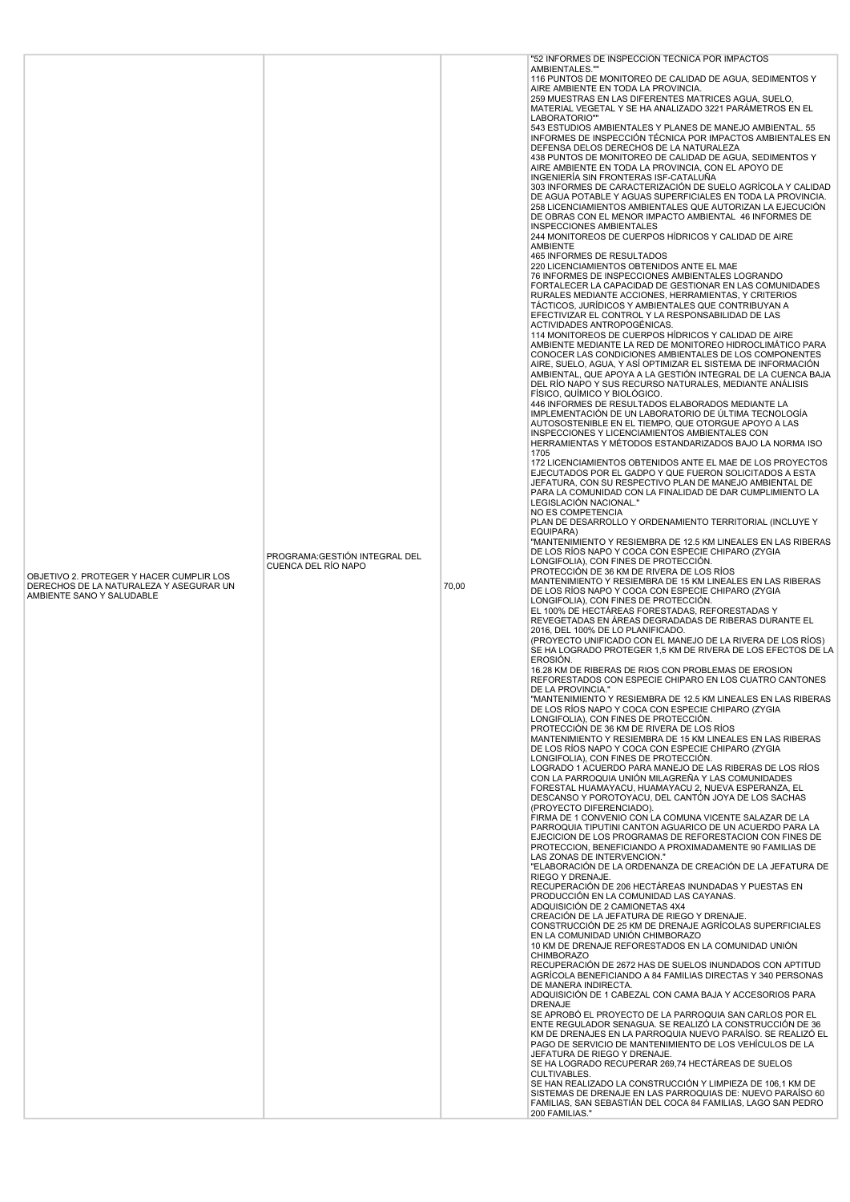| OBJETIVO 2. PROTEGER Y HACER CUMPLIR LOS<br>DERECHOS DE LA NATURALEZA Y ASEGURAR UN<br>AMBIENTE SANO Y SALUDABLE | PROGRAMA: GESTIÓN INTEGRAL DEL<br>CUENCA DEL RÍO NAPO | 70,00 | "52 INFORMES DE INSPECCIÓN TÉCNICA POR IMPACTOS<br>AMBIENTALES."<br>116 PUNTOS DE MONITOREO DE CALIDAD DE AGUA, SEDIMENTOS Y<br>AIRE AMBIENTE EN TODA LA PROVINCIA.<br>259 MUESTRAS EN LAS DIFERENTES MATRICES AGUA, SUELO,<br>MATERIAL VEGETAL Y SE HA ANALIZADO 3221 PARÁMETROS EN EL<br>LABORATORIO""<br>543 ESTUDIOS AMBIENTALES Y PLANES DE MANEJO AMBIENTAL. 55<br>INFORMES DE INSPECCIÓN TÉCNICA POR IMPACTOS AMBIENTALES EN<br>DEFENSA DELOS DERECHOS DE LA NATURALEZA<br>438 PUNTOS DE MONITOREO DE CALIDAD DE AGUA, SEDIMENTOS Y<br>AIRE AMBIENTE EN TODA LA PROVINCIA, CON EL APOYO DE<br>INGENIERÍA SIN FRONTERAS ISF-CATALUÑA<br>303 INFORMES DE CARACTERIZACIÓN DE SUELO AGRÍCOLA Y CALIDAD<br>DE AGUA POTABLE Y AGUAS SUPERFICIALES EN TODA LA PROVINCIA.<br>258 LICENCIAMIENTOS AMBIENTALES QUE AUTORIZAN LA EJECUCIÓN<br>DE OBRAS CON EL MENOR IMPACTO AMBIENTAL 46 INFORMES DE<br><b>INSPECCIONES AMBIENTALES</b><br>244 MONITOREOS DE CUERPOS HÍDRICOS Y CALIDAD DE AIRE<br>AMBIENTE<br>465 INFORMES DE RESULTADOS<br>220 LICENCIAMIENTOS OBTENIDOS ANTE EL MAE<br>76 INFORMES DE INSPECCIONES AMBIENTALES LOGRANDO<br>FORTALECER LA CAPACIDAD DE GESTIONAR EN LAS COMUNIDADES<br>RURALES MEDIANTE ACCIONES, HERRAMIENTAS, Y CRITERIOS<br>TÁCTICOS, JURÍDICOS Y AMBIENTALES QUE CONTRIBUYAN A<br>EFECTIVIZAR EL CONTROL Y LA RESPONSABILIDAD DE LAS<br>ACTIVIDADES ANTROPOGÉNICAS.<br>114 MONITOREOS DE CUERPOS HÍDRICOS Y CALIDAD DE AIRE<br>AMBIENTE MEDIANTE LA RED DE MONITOREO HIDROCLIMÁTICO PARA<br>CONOCER LAS CONDICIONES AMBIENTALES DE LOS COMPONENTES<br>AIRE, SUELO, AGUA, Y ASÍ OPTIMIZAR EL SISTEMA DE INFORMACIÓN<br>AMBIENTAL, QUE APOYA A LA GESTIÓN INTEGRAL DE LA CUENCA BAJA<br>DEL RÍO NAPO Y SUS RECURSO NATURALES, MEDIANTE ANÁLISIS<br>FÍSICO, QUÍMICO Y BIOLÓGICO.<br>446 INFORMES DE RESULTADOS ELABORADOS MEDIANTE LA<br>IMPLEMENTACIÓN DE UN LABORATORIO DE ÚLTIMA TECNOLOGÍA<br>AUTOSOSTENIBLE EN EL TIEMPO, QUE OTORGUE APOYO A LAS<br>INSPECCIONES Y LICENCIAMIENTOS AMBIENTALES CON<br>HERRAMIENTAS Y MÉTODOS ESTANDARIZADOS BAJO LA NORMA ISO<br>1705<br>172 LICENCIAMIENTOS OBTENIDOS ANTE EL MAE DE LOS PROYECTOS<br>EJECUTADOS POR EL GADPO Y QUE FUERON SOLICITADOS A ESTA<br>JEFATURA, CON SU RESPECTIVO PLAN DE MANEJO AMBIENTAL DE<br>PARA LA COMUNIDAD CON LA FINALIDAD DE DAR CUMPLIMIENTO LA<br>LEGISLACIÓN NACIONAL."<br>NO ES COMPETENCIA<br>PLAN DE DESARROLLO Y ORDENAMIENTO TERRITORIAL (INCLUYE Y<br>EQUIPARA)<br>"MANTENIMIENTO Y RESIEMBRA DE 12.5 KM LINEALES EN LAS RIBERAS<br>DE LOS RÍOS NAPO Y COCA CON ESPECIE CHIPARO (ZYGIA<br>LONGIFOLIA), CON FINES DE PROTECCIÓN.<br>PROTECCIÓN DE 36 KM DE RIVERA DE LOS RÍOS<br>MANTENIMIENTO Y RESIEMBRA DE 15 KM LINEALES EN LAS RIBERAS<br>DE LOS RÍOS NAPO Y COCA CON ESPECIE CHIPARO (ZYGIA<br>LONGIFOLIA), CON FINES DE PROTECCIÓN.<br>EL 100% DE HECTAREAS FORESTADAS, REFORESTADAS Y<br>REVEGETADAS EN ÁREAS DEGRADADAS DE RIBERAS DURANTE EL<br>2016, DEL 100% DE LO PLANIFICADO.<br>(PROYECTO UNIFICADO CON EL MANEJO DE LA RIVERA DE LOS RÍOS)<br>SE HA LOGRADO PROTEGER 1,5 KM DE RIVERA DE LOS EFECTOS DE LA<br>EROSIÓN.<br>16.28 KM DE RIBERAS DE RIOS CON PROBLEMAS DE EROSION<br>REFORESTADOS CON ESPECIE CHIPARO EN LOS CUATRO CANTONES<br>DE LA PROVINCIA.<br>"MANTENIMIENTO Y RESIEMBRA DE 12.5 KM LINEALES EN LAS RIBERAS<br>DE LOS RÍOS NAPO Y COCA CON ESPECIE CHIPARO (ZYGIA<br>LONGIFOLIA). CON FINES DE PROTECCIÓN.<br>PROTECCIÓN DE 36 KM DE RIVERA DE LOS RÍOS<br>MANTENIMIENTO Y RESIEMBRA DE 15 KM LINEALES EN LAS RIBERAS<br>DE LOS RÍOS NAPO Y COCA CON ESPECIE CHIPARO (ZYGIA<br>LONGIFOLIA), CON FINES DE PROTECCIÓN.<br>LOGRADO 1 ACUERDO PARA MANEJO DE LAS RIBERAS DE LOS RÍOS<br>CON LA PARROQUIA UNIÓN MILAGREÑA Y LAS COMUNIDADES<br>FORESTAL HUAMAYACU, HUAMAYACU 2, NUEVA ESPERANZA, EL<br>DESCANSO Y POROTOYACU, DEL CANTÓN JOYA DE LOS SACHAS<br>(PROYECTO DIFERENCIADO).<br>FIRMA DE 1 CONVENIO CON LA COMUNA VICENTE SALAZAR DE LA<br>PARROQUIA TIPUTINI CANTON AGUARICO DE UN ACUERDO PARA LA<br>EJECICION DE LOS PROGRAMAS DE REFORESTACION CON FINES DE<br>PROTECCION. BENEFICIANDO A PROXIMADAMENTE 90 FAMILIAS DE<br>LAS ZONAS DE INTERVENCION."<br>"ELABORACIÓN DE LA ORDENANZA DE CREACIÓN DE LA JEFATURA DE<br>RIEGO Y DRENAJE.<br>RECUPERACIÓN DE 206 HECTÁREAS INUNDADAS Y PUESTAS EN<br>PRODUCCIÓN EN LA COMUNIDAD LAS CAYANAS.<br>ADQUISICIÓN DE 2 CAMIONETAS 4X4<br>CREACIÓN DE LA JEFATURA DE RIEGO Y DRENAJE.<br>CONSTRUCCIÓN DE 25 KM DE DRENAJE AGRÍCOLAS SUPERFICIALES<br>EN LA COMUNIDAD UNIÓN CHIMBORAZO<br>10 KM DE DRENAJE REFORESTADOS EN LA COMUNIDAD UNIÓN<br><b>CHIMBORAZO</b><br>RECUPERACIÓN DE 2672 HAS DE SUELOS INUNDADOS CON APTITUD<br>AGRÍCOLA BENEFICIANDO A 84 FAMILIAS DIRECTAS Y 340 PERSONAS<br>DE MANERA INDIRECTA.<br>ADQUISICIÓN DE 1 CABEZAL CON CAMA BAJA Y ACCESORIOS PARA<br><b>DRENAJE</b><br>SE APROBÓ EL PROYECTO DE LA PARROQUIA SAN CARLOS POR EL<br>ENTE REGULADOR SENAGUA. SE REALIZÓ LA CONSTRUCCIÓN DE 36<br>KM DE DRENAJES EN LA PARROQUIA NUEVO PARAÍSO. SE REALIZÓ EL<br>PAGO DE SERVICIO DE MANTENIMIENTO DE LOS VEHÍCULOS DE LA<br>JEFATURA DE RIEGO Y DRENAJE.<br>SE HA LOGRADO RECUPERAR 269,74 HECTAREAS DE SUELOS<br>CULTIVABLES.<br>SE HAN REALIZADO LA CONSTRUCCIÓN Y LIMPIEZA DE 106,1 KM DE<br>SISTEMAS DE DRENAJE EN LAS PARROQUIAS DE: NUEVO PARAÍSO 60<br>FAMILIAS, SAN SEBASTIÁN DEL COCA 84 FAMILIAS, LAGO SAN PEDRO<br>200 FAMILIAS." |
|------------------------------------------------------------------------------------------------------------------|-------------------------------------------------------|-------|----------------------------------------------------------------------------------------------------------------------------------------------------------------------------------------------------------------------------------------------------------------------------------------------------------------------------------------------------------------------------------------------------------------------------------------------------------------------------------------------------------------------------------------------------------------------------------------------------------------------------------------------------------------------------------------------------------------------------------------------------------------------------------------------------------------------------------------------------------------------------------------------------------------------------------------------------------------------------------------------------------------------------------------------------------------------------------------------------------------------------------------------------------------------------------------------------------------------------------------------------------------------------------------------------------------------------------------------------------------------------------------------------------------------------------------------------------------------------------------------------------------------------------------------------------------------------------------------------------------------------------------------------------------------------------------------------------------------------------------------------------------------------------------------------------------------------------------------------------------------------------------------------------------------------------------------------------------------------------------------------------------------------------------------------------------------------------------------------------------------------------------------------------------------------------------------------------------------------------------------------------------------------------------------------------------------------------------------------------------------------------------------------------------------------------------------------------------------------------------------------------------------------------------------------------------------------------------------------------------------------------------------------------------------------------------------------------------------------------------------------------------------------------------------------------------------------------------------------------------------------------------------------------------------------------------------------------------------------------------------------------------------------------------------------------------------------------------------------------------------------------------------------------------------------------------------------------------------------------------------------------------------------------------------------------------------------------------------------------------------------------------------------------------------------------------------------------------------------------------------------------------------------------------------------------------------------------------------------------------------------------------------------------------------------------------------------------------------------------------------------------------------------------------------------------------------------------------------------------------------------------------------------------------------------------------------------------------------------------------------------------------------------------------------------------------------------------------------------------------------------------------------------------------------------------------------------------------------------------------------------------------------------------------------------------------------------------------------------------------------------------------------------------------------------------------------------------------------------------------------------------------------------------------------------------------------------------------------------------------------------------------------------------------------------------------------------------------------------------------------------------------------------------------------------------------------------------------------------------------------------------------------------------------------------------------------------------------------------------------------------------------------------------------------------------------------------------------------------------------------------------------------------------------------------------------------------------------------------------------------------------------------------------------------------------------------------------------------------------------------------------------------------------------------------------------------------------------------------------|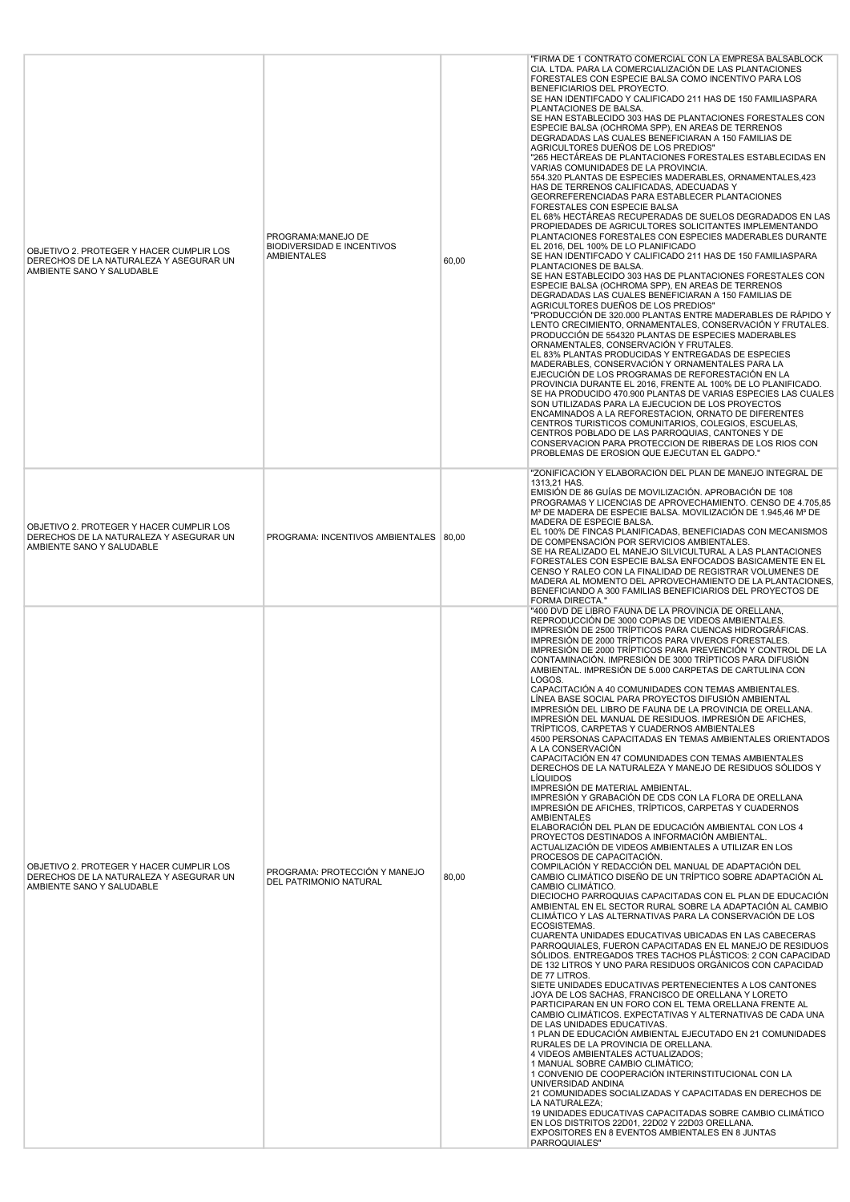| OBJETIVO 2. PROTEGER Y HACER CUMPLIR LOS<br>DERECHOS DE LA NATURALEZA Y ASEGURAR UN<br>AMBIENTE SANO Y SALUDABLE | PROGRAMA:MANEJO DE<br><b>BIODIVERSIDAD E INCENTIVOS</b><br><b>AMBIENTALES</b> | 60,00 | "FIRMA DE 1 CONTRATO COMERCIAL CON LA EMPRESA BALSABLOCK<br>CIA. LTDA. PARA LA COMERCIALIZACIÓN DE LAS PLANTACIONES<br>FORESTALES CON ESPECIE BALSA COMO INCENTIVO PARA LOS<br>BENEFICIARIOS DEL PROYECTO.<br>SE HAN IDENTIFCADO Y CALIFICADO 211 HAS DE 150 FAMILIASPARA<br>PLANTACIONES DE BALSA.<br>SE HAN ESTABLECIDO 303 HAS DE PLANTACIONES FORESTALES CON<br>ESPECIE BALSA (OCHROMA SPP), EN AREAS DE TERRENOS<br>DEGRADADAS LAS CUALES BENEFICIARAN A 150 FAMILIAS DE<br>AGRICULTORES DUEÑOS DE LOS PREDIOS"<br>"265 HECTÁREAS DE PLANTACIONES FORESTALES ESTABLECIDAS EN<br>VARIAS COMUNIDADES DE LA PROVINCIA.<br>554.320 PLANTAS DE ESPECIES MADERABLES, ORNAMENTALES, 423<br>HAS DE TERRENOS CALIFICADAS, ADECUADAS Y<br>GEORREFERENCIADAS PARA ESTABLECER PLANTACIONES<br>FORESTALES CON ESPECIE BALSA<br>EL 68% HECTAREAS RECUPERADAS DE SUELOS DEGRADADOS EN LAS<br>PROPIEDADES DE AGRICULTORES SOLICITANTES IMPLEMENTANDO<br>PLANTACIONES FORESTALES CON ESPECIES MADERABLES DURANTE<br>EL 2016, DEL 100% DE LO PLANIFICADO<br>SE HAN IDENTIFCADO Y CALIFICADO 211 HAS DE 150 FAMILIASPARA<br>PLANTACIONES DE BALSA.<br>SE HAN ESTABLECIDO 303 HAS DE PLANTACIONES FORESTALES CON<br>ESPECIE BALSA (OCHROMA SPP), EN AREAS DE TERRENOS<br>DEGRADADAS LAS CUALES BENEFICIARAN A 150 FAMILIAS DE<br>AGRICULTORES DUEÑOS DE LOS PREDIOS"<br>"PRODUCCIÓN DE 320.000 PLANTAS ENTRE MADERABLES DE RÁPIDO Y<br>LENTO CRECIMIENTO, ORNAMENTALES, CONSERVACIÓN Y FRUTALES.<br>PRODUCCIÓN DE 554320 PLANTAS DE ESPECIES MADERABLES<br>ORNAMENTALES, CONSERVACIÓN Y FRUTALES.<br>EL 83% PLANTAS PRODUCIDAS Y ENTREGADAS DE ESPECIES<br>MADERABLES, CONSERVACIÓN Y ORNAMENTALES PARA LA<br>EJECUCIÓN DE LOS PROGRAMAS DE REFORESTACIÓN EN LA<br>PROVINCIA DURANTE EL 2016, FRENTE AL 100% DE LO PLANIFICADO.<br>SE HA PRODUCIDO 470.900 PLANTAS DE VARIAS ESPECIES LAS CUALES<br>SON UTILIZADAS PARA LA EJECUCION DE LOS PROYECTOS<br>ENCAMINADOS A LA REFORESTACION, ORNATO DE DIFERENTES<br>CENTROS TURISTICOS COMUNITARIOS, COLEGIOS, ESCUELAS,<br>CENTROS POBLADO DE LAS PARROQUIAS, CANTONES Y DE<br>CONSERVACION PARA PROTECCION DE RIBERAS DE LOS RIOS CON<br>PROBLEMAS DE EROSION QUE EJECUTAN EL GADPO."                                                                                                                                                                                                                                                                                                                                                                                                                                                                                                                         |
|------------------------------------------------------------------------------------------------------------------|-------------------------------------------------------------------------------|-------|-----------------------------------------------------------------------------------------------------------------------------------------------------------------------------------------------------------------------------------------------------------------------------------------------------------------------------------------------------------------------------------------------------------------------------------------------------------------------------------------------------------------------------------------------------------------------------------------------------------------------------------------------------------------------------------------------------------------------------------------------------------------------------------------------------------------------------------------------------------------------------------------------------------------------------------------------------------------------------------------------------------------------------------------------------------------------------------------------------------------------------------------------------------------------------------------------------------------------------------------------------------------------------------------------------------------------------------------------------------------------------------------------------------------------------------------------------------------------------------------------------------------------------------------------------------------------------------------------------------------------------------------------------------------------------------------------------------------------------------------------------------------------------------------------------------------------------------------------------------------------------------------------------------------------------------------------------------------------------------------------------------------------------------------------------------------------------------------------------------------------------------------------------------------------------------------------------------------------------------------------------------------------------------------------------------------------------------------------------------------------------------------------------------------------------------------------------------------------------------------------------------------------------------------------------------------------------------------------------------------------------------------------------------------------------------------------------------------------------------------------|
| OBJETIVO 2. PROTEGER Y HACER CUMPLIR LOS<br>DERECHOS DE LA NATURALEZA Y ASEGURAR UN<br>AMBIENTE SANO Y SALUDABLE | PROGRAMA: INCENTIVOS AMBIENTALES 80,00                                        |       | "ZONIFICACIÓN Y ELABORACIÓN DEL PLAN DE MANEJO INTEGRAL DE<br>1313,21 HAS.<br>EMISIÓN DE 86 GUÍAS DE MOVILIZACIÓN. APROBACIÓN DE 108<br>PROGRAMAS Y LICENCIAS DE APROVECHAMIENTO. CENSO DE 4.705,85<br>M <sup>3</sup> DE MADERA DE ESPECIE BALSA. MOVILIZACIÓN DE 1.945,46 M <sup>3</sup> DE<br>MADERA DE ESPECIE BALSA.<br>EL 100% DE FINCAS PLANIFICADAS, BENEFICIADAS CON MECANISMOS<br>DE COMPENSACIÓN POR SERVICIOS AMBIENTALES.<br>SE HA REALIZADO EL MANEJO SILVICULTURAL A LAS PLANTACIONES<br>FORESTALES CON ESPECIE BALSA ENFOCADOS BASICAMENTE EN EL<br>CENSO Y RALEO CON LA FINALIDAD DE REGISTRAR VOLUMENES DE<br>MADERA AL MOMENTO DEL APROVECHAMIENTO DE LA PLANTACIONES.<br>BENEFICIANDO A 300 FAMILIAS BENEFICIARIOS DEL PROYECTOS DE<br><b>FORMA DIRECTA."</b>                                                                                                                                                                                                                                                                                                                                                                                                                                                                                                                                                                                                                                                                                                                                                                                                                                                                                                                                                                                                                                                                                                                                                                                                                                                                                                                                                                                                                                                                                                                                                                                                                                                                                                                                                                                                                                                                                                                                                              |
| OBJETIVO 2. PROTEGER Y HACER CUMPLIR LOS<br>DERECHOS DE LA NATURALEZA Y ASEGURAR UN<br>AMBIENTE SANO Y SALUDABLE | PROGRAMA: PROTECCIÓN Y MANEJO<br>DEL PATRIMONIO NATURAL                       | 80,00 | "400 DVD DE LIBRO FAUNA DE LA PROVINCIA DE ORELLANA,<br>REPRODUCCIÓN DE 3000 COPIAS DE VIDEOS AMBIENTALES.<br>IMPRESIÓN DE 2500 TRÍPTICOS PARA CUENCAS HIDROGRÁFICAS.<br>IMPRESIÓN DE 2000 TRÍPTICOS PARA VIVEROS FORESTALES.<br>IMPRESIÓN DE 2000 TRÍPTICOS PARA PREVENCIÓN Y CONTROL DE LA<br>CONTAMINACIÓN. IMPRESIÓN DE 3000 TRÍPTICOS PARA DIFUSIÓN<br>AMBIENTAL. IMPRESIÓN DE 5.000 CARPETAS DE CARTULINA CON<br>LOGOS.<br>CAPACITACIÓN A 40 COMUNIDADES CON TEMAS AMBIENTALES.<br>LÍNEA BASE SOCIAL PARA PROYECTOS DIFUSIÓN AMBIENTAL<br>IMPRESIÓN DEL LIBRO DE FAUNA DE LA PROVINCIA DE ORELLANA.<br>IMPRESIÓN DEL MANUAL DE RESIDUOS. IMPRESIÓN DE AFICHES,<br>TRÍPTICOS, CARPETAS Y CUADERNOS AMBIENTALES<br>4500 PERSONAS CAPACITADAS EN TEMAS AMBIENTALES ORIENTADOS<br>A LA CONSERVACIÓN<br>CAPACITACIÓN EN 47 COMUNIDADES CON TEMAS AMBIENTALES<br>DERECHOS DE LA NATURALEZA Y MANEJO DE RESIDUOS SÓLIDOS Y<br><b>LÍQUIDOS</b><br>IMPRESIÓN DE MATERIAL AMBIENTAL.<br>IMPRESIÓN Y GRABACIÓN DE CDS CON LA FLORA DE ORELLANA<br>IMPRESIÓN DE AFICHES, TRÍPTICOS, CARPETAS Y CUADERNOS<br>AMBIENTALES<br>ELABORACIÓN DEL PLAN DE EDUCACIÓN AMBIENTAL CON LOS 4<br>PROYECTOS DESTINADOS A INFORMACIÓN AMBIENTAL.<br>ACTUALIZACIÓN DE VIDEOS AMBIENTALES A UTILIZAR EN LOS<br>PROCESOS DE CAPACITACIÓN.<br>COMPILACIÓN Y REDACCIÓN DEL MANUAL DE ADAPTACIÓN DEL<br>CAMBIO CLIMÁTICO DISEÑO DE UN TRÍPTICO SOBRE ADAPTACIÓN AL<br>CAMBIO CLIMÁTICO.<br>DIECIOCHO PARROQUIAS CAPACITADAS CON EL PLAN DE EDUCACIÓN<br>AMBIENTAL EN EL SECTOR RURAL SOBRE LA ADAPTACIÓN AL CAMBIO<br>CLIMÁTICO Y LAS ALTERNATIVAS PARA LA CONSERVACIÓN DE LOS<br>ECOSISTEMAS.<br>CUARENTA UNIDADES EDUCATIVAS UBICADAS EN LAS CABECERAS<br>PARROQUIALES, FUERON CAPACITADAS EN EL MANEJO DE RESIDUOS<br>SÓLIDOS. ENTREGADOS TRES TACHOS PLÁSTICOS: 2 CON CAPACIDAD<br>DE 132 LITROS Y UNO PARA RESIDUOS ORGÁNICOS CON CAPACIDAD<br>DE 77 LITROS.<br>SIETE UNIDADES EDUCATIVAS PERTENECIENTES A LOS CANTONES<br>JOYA DE LOS SACHAS, FRANCISCO DE ORELLANA Y LORETO<br>PARTICIPARAN EN UN FORO CON EL TEMA ORELLANA FRENTE AL<br>CAMBIO CLIMÁTICOS. EXPECTATIVAS Y ALTERNATIVAS DE CADA UNA<br>DE LAS UNIDADES EDUCATIVAS.<br>1 PLAN DE EDUCACIÓN AMBIENTAL EJECUTADO EN 21 COMUNIDADES<br>RURALES DE LA PROVINCIA DE ORELLANA.<br>4 VIDEOS AMBIENTALES ACTUALIZADOS;<br>1 MANUAL SOBRE CAMBIO CLIMÁTICO;<br>1 CONVENIO DE COOPERACIÓN INTERINSTITUCIONAL CON LA<br>UNIVERSIDAD ANDINA<br>21 COMUNIDADES SOCIALIZADAS Y CAPACITADAS EN DERECHOS DE<br>LA NATURALEZA;<br>19 UNIDADES EDUCATIVAS CAPACITADAS SOBRE CAMBIO CLIMÁTICO<br>EN LOS DISTRITOS 22D01, 22D02 Y 22D03 ORELLANA.<br>EXPOSITORES EN 8 EVENTOS AMBIENTALES EN 8 JUNTAS<br>PARROQUIALES" |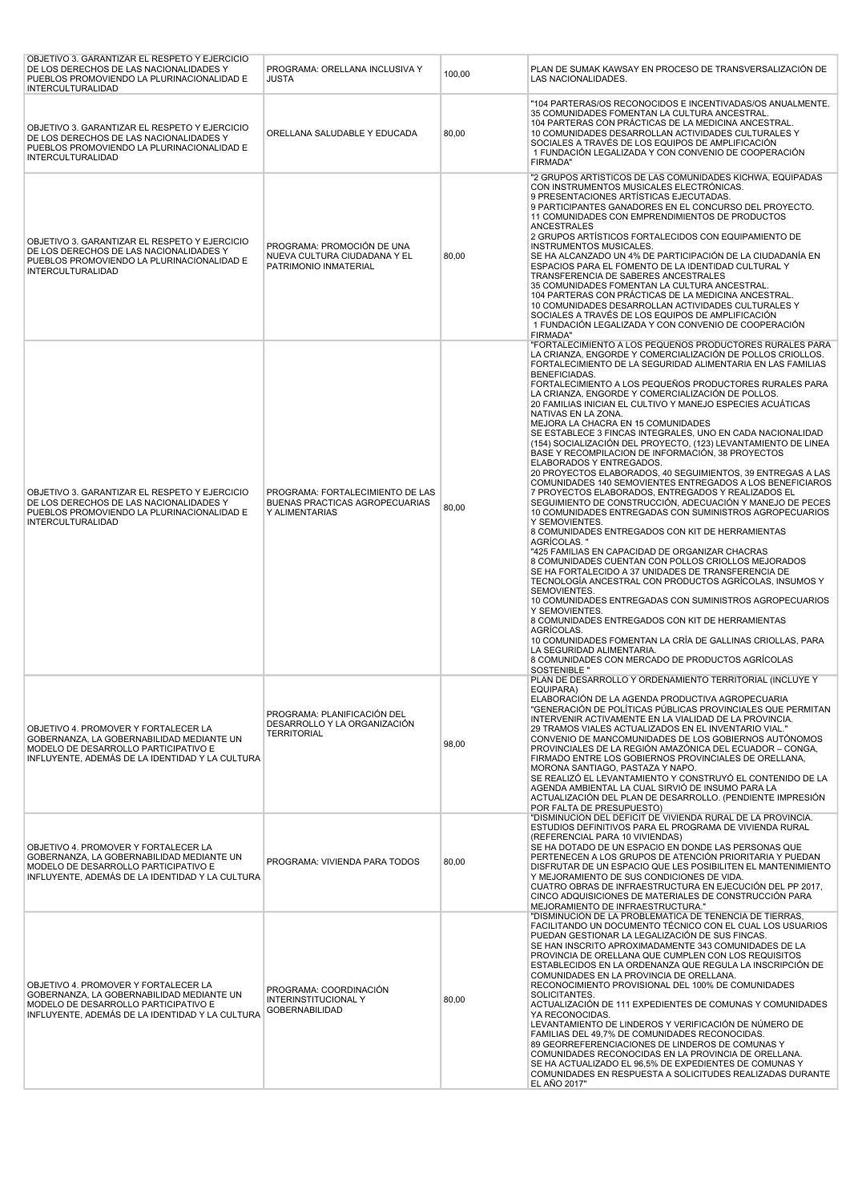| OBJETIVO 3. GARANTIZAR EL RESPETO Y EJERCICIO<br>DE LOS DERECHOS DE LAS NACIONALIDADES Y<br>PUEBLOS PROMOVIENDO LA PLURINACIONALIDAD E<br><b>INTERCULTURALIDAD</b>           | PROGRAMA: ORELLANA INCLUSIVA Y<br>JUSTA                                              | 100,00 | PLAN DE SUMAK KAWSAY EN PROCESO DE TRANSVERSALIZACIÓN DE<br>LAS NACIONALIDADES.                                                                                                                                                                                                                                                                                                                                                                                                                                                                                                                                                                                                                                                                                                                                                                                                                                                                                                                                                                                                                                                                                                                                                                                                                                                                                                                                                                                                                                                                                                                                                           |
|------------------------------------------------------------------------------------------------------------------------------------------------------------------------------|--------------------------------------------------------------------------------------|--------|-------------------------------------------------------------------------------------------------------------------------------------------------------------------------------------------------------------------------------------------------------------------------------------------------------------------------------------------------------------------------------------------------------------------------------------------------------------------------------------------------------------------------------------------------------------------------------------------------------------------------------------------------------------------------------------------------------------------------------------------------------------------------------------------------------------------------------------------------------------------------------------------------------------------------------------------------------------------------------------------------------------------------------------------------------------------------------------------------------------------------------------------------------------------------------------------------------------------------------------------------------------------------------------------------------------------------------------------------------------------------------------------------------------------------------------------------------------------------------------------------------------------------------------------------------------------------------------------------------------------------------------------|
| OBJETIVO 3. GARANTIZAR EL RESPETO Y EJERCICIO<br>DE LOS DERECHOS DE LAS NACIONALIDADES Y<br>PUEBLOS PROMOVIENDO LA PLURINACIONALIDAD E<br><b>INTERCULTURALIDAD</b>           | ORELLANA SALUDABLE Y EDUCADA                                                         | 80,00  | "104 PARTERAS/OS RECONOCIDOS E INCENTIVADAS/OS ANUALMENTE.<br>35 COMUNIDADES FOMENTAN LA CULTURA ANCESTRAL.<br>104 PARTERAS CON PRÁCTICAS DE LA MEDICINA ANCESTRAL.<br>10 COMUNIDADES DESARROLLAN ACTIVIDADES CULTURALES Y<br>SOCIALES A TRAVÉS DE LOS EQUIPOS DE AMPLIFICACIÓN<br>1 FUNDACIÓN LEGALIZADA Y CON CONVENIO DE COOPERACIÓN<br><b>FIRMADA"</b>                                                                                                                                                                                                                                                                                                                                                                                                                                                                                                                                                                                                                                                                                                                                                                                                                                                                                                                                                                                                                                                                                                                                                                                                                                                                                |
| OBJETIVO 3. GARANTIZAR EL RESPETO Y EJERCICIO<br>DE LOS DERECHOS DE LAS NACIONALIDADES Y<br>PUEBLOS PROMOVIENDO LA PLURINACIONALIDAD E<br><b>INTERCULTURALIDAD</b>           | PROGRAMA: PROMOCIÓN DE UNA<br>NUEVA CULTURA CIUDADANA Y EL<br>PATRIMONIO INMATERIAL  | 80,00  | "2 GRUPOS ARTISTICOS DE LAS COMUNIDADES KICHWA, EQUIPADAS<br>CON INSTRUMENTOS MUSICALES ELECTRÓNICAS.<br>9 PRESENTACIONES ARTÍSTICAS EJECUTADAS.<br>9 PARTICIPANTES GANADORES EN EL CONCURSO DEL PROYECTO.<br>11 COMUNIDADES CON EMPRENDIMIENTOS DE PRODUCTOS<br>ANCESTRALES<br>2 GRUPOS ARTÍSTICOS FORTALECIDOS CON EQUIPAMIENTO DE<br><b>INSTRUMENTOS MUSICALES.</b><br>SE HA ALCANZADO UN 4% DE PARTICIPACIÓN DE LA CIUDADANÍA EN<br>ESPACIOS PARA EL FOMENTO DE LA IDENTIDAD CULTURAL Y<br>TRANSFERENCIA DE SABERES ANCESTRALES<br>35 COMUNIDADES FOMENTAN LA CULTURA ANCESTRAL.<br>104 PARTERAS CON PRÁCTICAS DE LA MEDICINA ANCESTRAL.<br>10 COMUNIDADES DESARROLLAN ACTIVIDADES CULTURALES Y<br>SOCIALES A TRAVÉS DE LOS EQUIPOS DE AMPLIFICACIÓN<br>1 FUNDACIÓN LEGALIZADA Y CON CONVENIO DE COOPERACIÓN<br><b>FIRMADA"</b>                                                                                                                                                                                                                                                                                                                                                                                                                                                                                                                                                                                                                                                                                                                                                                                                       |
| OBJETIVO 3. GARANTIZAR EL RESPETO Y EJERCICIO<br>DE LOS DERECHOS DE LAS NACIONALIDADES Y<br>PUEBLOS PROMOVIENDO LA PLURINACIONALIDAD E<br><b>INTERCULTURALIDAD</b>           | PROGRAMA: FORTALECIMIENTO DE LAS<br>BUENAS PRACTICAS AGROPECUARIAS<br>Y ALIMENTARIAS | 80,00  | "FORTALECIMIENTO A LOS PEQUEÑOS PRODUCTORES RURALES PARA<br>LA CRIANZA. ENGORDE Y COMERCIALIZACIÓN DE POLLOS CRIOLLOS.<br>FORTALECIMIENTO DE LA SEGURIDAD ALIMENTARIA EN LAS FAMILIAS<br><b>BENEFICIADAS.</b><br>FORTALECIMIENTO A LOS PEQUEÑOS PRODUCTORES RURALES PARA<br>LA CRIANZA, ENGORDE Y COMERCIALIZACIÓN DE POLLOS.<br>20 FAMILIAS INICIAN EL CULTIVO Y MANEJO ESPECIES ACUÁTICAS<br>NATIVAS EN LA ZONA.<br>MEJORA LA CHACRA EN 15 COMUNIDADES<br>SE ESTABLECE 3 FINCAS INTEGRALES, UNO EN CADA NACIONALIDAD<br>(154) SOCIALIZACIÓN DEL PROYECTO, (123) LEVANTAMIENTO DE LINEA<br>BASE Y RECOMPILACION DE INFORMACIÓN, 38 PROYECTOS<br>ELABORADOS Y ENTREGADOS.<br>20 PROYECTOS ELABORADOS, 40 SEGUIMIENTOS, 39 ENTREGAS A LAS<br>COMUNIDADES 140 SEMOVIENTES ENTREGADOS A LOS BENEFICIAROS<br>7 PROYECTOS ELABORADOS, ENTREGADOS Y REALIZADOS EL<br>SEGUIMIENTO DE CONSTRUCCIÓN, ADECUACIÓN Y MANEJO DE PECES<br>10 COMUNIDADES ENTREGADAS CON SUMINISTROS AGROPECUARIOS<br>Y SEMOVIENTES.<br>8 COMUNIDADES ENTREGADOS CON KIT DE HERRAMIENTAS<br>AGRÍCOLAS."<br>"425 FAMILIAS EN CAPACIDAD DE ORGANIZAR CHACRAS<br>8 COMUNIDADES CUENTAN CON POLLOS CRIOLLOS MEJORADOS<br>SE HA FORTALECIDO A 37 UNIDADES DE TRANSFERENCIA DE<br>TECNOLOGÍA ANCESTRAL CON PRODUCTOS AGRÍCOLAS, INSUMOS Y<br>SEMOVIENTES.<br>10 COMUNIDADES ENTREGADAS CON SUMINISTROS AGROPECUARIOS<br>Y SEMOVIENTES.<br>8 COMUNIDADES ENTREGADOS CON KIT DE HERRAMIENTAS<br>AGRÍCOLAS.<br>10 COMUNIDADES FOMENTAN LA CRÍA DE GALLINAS CRIOLLAS, PARA<br>LA SEGURIDAD ALIMENTARIA.<br>8 COMUNIDADES CON MERCADO DE PRODUCTOS AGRICOLAS<br><b>SOSTENIBLE "</b> |
| OBJETIVO 4. PROMOVER Y FORTALECER LA<br>GOBERNANZA, LA GOBERNABILIDAD MEDIANTE UN<br>MODELO DE DESARROLLO PARTICIPATIVO E<br>INFLUYENTE, ADEMÁS DE LA IDENTIDAD Y LA CULTURA | PROGRAMA: PLANIFICACIÓN DEL<br>DESARROLLO Y LA ORGANIZACIÓN<br><b>TERRITORIAL</b>    | 98,00  | PLAN DE DESARROLLO Y ORDENAMIENTO TERRITORIAL (INCLUYE Y<br>EQUIPARA)<br>ELABORACIÓN DE LA AGENDA PRODUCTIVA AGROPECUARIA<br>"GENERACIÓN DE POLÍTICAS PÚBLICAS PROVINCIALES QUE PERMITAN<br>INTERVENIR ACTIVAMENTE EN LA VIALIDAD DE LA PROVINCIA.<br>29 TRAMOS VIALES ACTUALIZADOS EN EL INVENTARIO VIAL."<br>CONVENIO DE MANCOMUNIDADES DE LOS GOBIERNOS AUTÓNOMOS<br>PROVINCIALES DE LA REGIÓN AMAZÓNICA DEL ECUADOR - CONGA.<br>FIRMADO ENTRE LOS GOBIERNOS PROVINCIALES DE ORELLANA,<br>MORONA SANTIAGO, PASTAZA Y NAPO.<br>SE REALIZÓ EL LEVANTAMIENTO Y CONSTRUYÓ EL CONTENIDO DE LA<br>AGENDA AMBIENTAL LA CUAL SIRVIÓ DE INSUMO PARA LA<br>ACTUALIZACIÓN DEL PLAN DE DESARROLLO. (PENDIENTE IMPRESIÓN<br>POR FALTA DE PRESUPUESTO)                                                                                                                                                                                                                                                                                                                                                                                                                                                                                                                                                                                                                                                                                                                                                                                                                                                                                               |
| OBJETIVO 4. PROMOVER Y FORTALECER LA<br>GOBERNANZA, LA GOBERNABILIDAD MEDIANTE UN<br>MODELO DE DESARROLLO PARTICIPATIVO E<br>INFLUYENTE, ADEMÁS DE LA IDENTIDAD Y LA CULTURA | PROGRAMA: VIVIENDA PARA TODOS                                                        | 80,00  | "DISMINUCIÓN DEL DÉFICIT DE VIVIENDA RURAL DE LA PROVINCIA.<br>ESTUDIOS DEFINITIVOS PARA EL PROGRAMA DE VIVIENDA RURAL<br>(REFERENCIAL PARA 10 VIVIENDAS)<br>SE HA DOTADO DE UN ESPACIO EN DONDE LAS PERSONAS QUE<br>PERTENECEN A LOS GRUPOS DE ATENCIÓN PRIORITARIA Y PUEDAN<br>DISFRUTAR DE UN ESPACIO QUE LES POSIBILITEN EL MANTENIMIENTO<br>Y MEJORAMIENTO DE SUS CONDICIONES DE VIDA.<br>CUATRO OBRAS DE INFRAESTRUCTURA EN EJECUCIÓN DEL PP 2017,<br>CINCO ADQUISICIONES DE MATERIALES DE CONSTRUCCIÓN PARA<br>MEJORAMIENTO DE INFRAESTRUCTURA."                                                                                                                                                                                                                                                                                                                                                                                                                                                                                                                                                                                                                                                                                                                                                                                                                                                                                                                                                                                                                                                                                   |
| OBJETIVO 4. PROMOVER Y FORTALECER LA<br>GOBERNANZA, LA GOBERNABILIDAD MEDIANTE UN<br>MODELO DE DESARROLLO PARTICIPATIVO E<br>INFLUYENTE, ADEMÁS DE LA IDENTIDAD Y LA CULTURA | PROGRAMA: COORDINACIÓN<br>INTERINSTITUCIONAL Y<br><b>GOBERNABILIDAD</b>              | 80,00  | "DISMINUCIÓN DE LA PROBLEMÁTICA DE TENENCIA DE TIERRAS,<br>FACILITANDO UN DOCUMENTO TÉCNICO CON EL CUAL LOS USUARIOS<br>PUEDAN GESTIONAR LA LEGALIZACIÓN DE SUS FINCAS.<br>SE HAN INSCRITO APROXIMADAMENTE 343 COMUNIDADES DE LA<br>PROVINCIA DE ORELLANA QUE CUMPLEN CON LOS REQUISITOS<br>ESTABLECIDOS EN LA ORDENANZA QUE REGULA LA INSCRIPCIÓN DE<br>COMUNIDADES EN LA PROVINCIA DE ORELLANA.<br>RECONOCIMIENTO PROVISIONAL DEL 100% DE COMUNIDADES<br>SOLICITANTES.<br>ACTUALIZACIÓN DE 111 EXPEDIENTES DE COMUNAS Y COMUNIDADES<br>YA RECONOCIDAS.<br>LEVANTAMIENTO DE LINDEROS Y VERIFICACIÓN DE NÚMERO DE<br>FAMILIAS DEL 49,7% DE COMUNIDADES RECONOCIDAS.<br>89 GEORREFERENCIACIONES DE LINDEROS DE COMUNAS Y<br>COMUNIDADES RECONOCIDAS EN LA PROVINCIA DE ORELLANA.<br>SE HA ACTUALIZADO EL 96,5% DE EXPEDIENTES DE COMUNAS Y<br>COMUNIDADES EN RESPUESTA A SOLICITUDES REALIZADAS DURANTE<br>EL AÑO 2017"                                                                                                                                                                                                                                                                                                                                                                                                                                                                                                                                                                                                                                                                                                                    |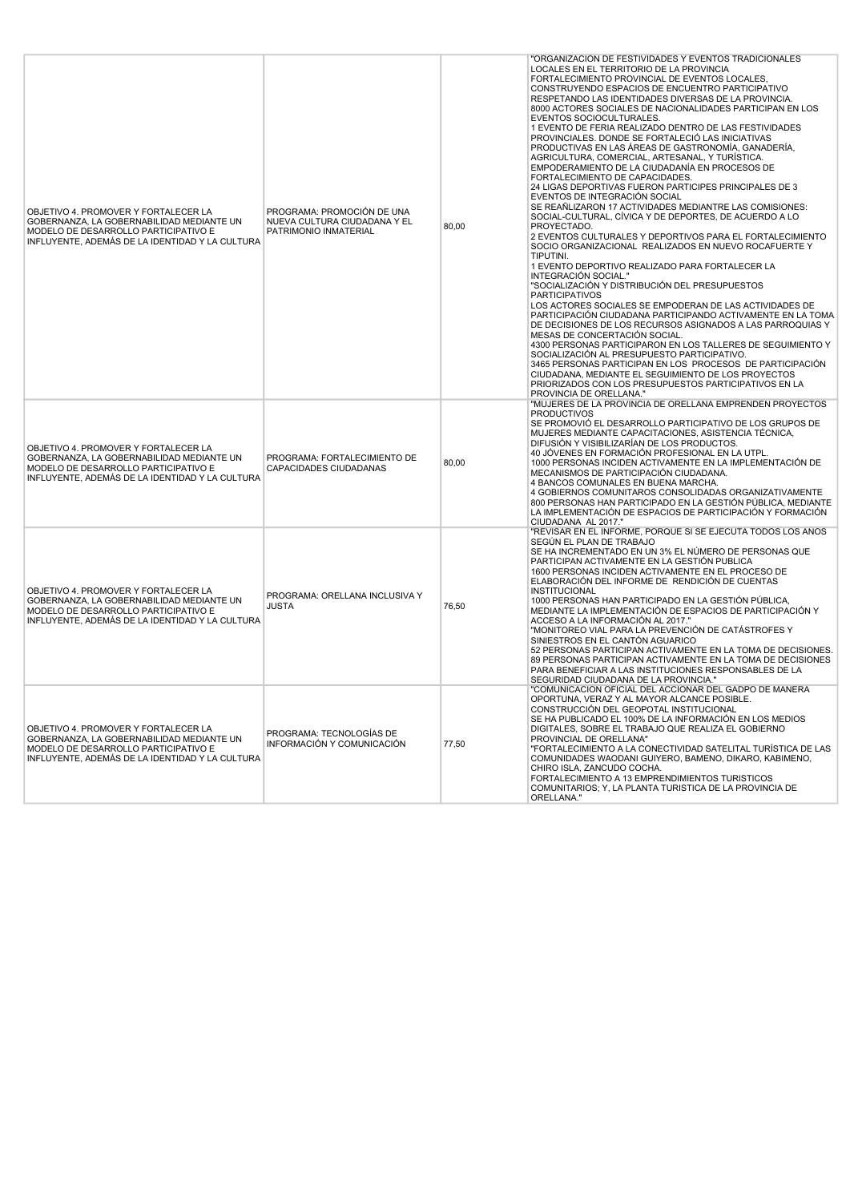| OBJETIVO 4. PROMOVER Y FORTALECER LA<br>GOBERNANZA, LA GOBERNABILIDAD MEDIANTE UN<br>MODELO DE DESARROLLO PARTICIPATIVO E<br>INFLUYENTE, ADEMÁS DE LA IDENTIDAD Y LA CULTURA | PROGRAMA: PROMOCIÓN DE UNA<br>NUEVA CULTURA CIUDADANA Y EL<br>PATRIMONIO INMATERIAL | 80,00 | "ORGANIZACIÓN DE FESTIVIDADES Y EVENTOS TRADICIONALES<br>LOCALES EN EL TERRITORIO DE LA PROVINCIA<br>FORTALECIMIENTO PROVINCIAL DE EVENTOS LOCALES,<br>CONSTRUYENDO ESPACIOS DE ENCUENTRO PARTICIPATIVO<br>RESPETANDO LAS IDENTIDADES DIVERSAS DE LA PROVINCIA.<br>8000 ACTORES SOCIALES DE NACIONALIDADES PARTICIPAN EN LOS<br>EVENTOS SOCIOCULTURALES.<br>1 EVENTO DE FERIA REALIZADO DENTRO DE LAS FESTIVIDADES<br>PROVINCIALES. DONDE SE FORTALECIÓ LAS INICIATIVAS<br>PRODUCTIVAS EN LAS ÁREAS DE GASTRONOMÍA, GANADERÍA,<br>AGRICULTURA, COMERCIAL, ARTESANAL, Y TURÍSTICA.<br>EMPODERAMIENTO DE LA CIUDADANÍA EN PROCESOS DE<br>FORTALECIMIENTO DE CAPACIDADES.<br>24 LIGAS DEPORTIVAS FUERON PARTICIPES PRINCIPALES DE 3<br>EVENTOS DE INTEGRACIÓN SOCIAL<br>SE REAÑLIZARON 17 ACTIVIDADES MEDIANTRE LAS COMISIONES:<br>SOCIAL-CULTURAL, CÍVICA Y DE DEPORTES, DE ACUERDO A LO<br>PROYECTADO.<br>2 EVENTOS CULTURALES Y DEPORTIVOS PARA EL FORTALECIMIENTO<br>SOCIO ORGANIZACIONAL REALIZADOS EN NUEVO ROCAFUERTE Y<br>TIPUTINI.<br>1 EVENTO DEPORTIVO REALIZADO PARA FORTALECER LA<br>INTEGRACIÓN SOCIAL."<br>"SOCIALIZACIÓN Y DISTRIBUCIÓN DEL PRESUPUESTOS<br><b>PARTICIPATIVOS</b><br>LOS ACTORES SOCIALES SE EMPODERAN DE LAS ACTIVIDADES DE<br>PARTICIPACIÓN CIUDADANA PARTICIPANDO ACTIVAMENTE EN LA TOMA<br>DE DECISIONES DE LOS RECURSOS ASIGNADOS A LAS PARROQUIAS Y<br>MESAS DE CONCERTACIÓN SOCIAL.<br>4300 PERSONAS PARTICIPARON EN LOS TALLERES DE SEGUIMIENTO Y<br>SOCIALIZACIÓN AL PRESUPUESTO PARTICIPATIVO.<br>3465 PERSONAS PARTICIPAN EN LOS PROCESOS DE PARTICIPACIÓN<br>CIUDADANA, MEDIANTE EL SEGUIMIENTO DE LOS PROYECTOS<br>PRIORIZADOS CON LOS PRESUPUESTOS PARTICIPATIVOS EN LA<br>PROVINCIA DE ORELLANA." |
|------------------------------------------------------------------------------------------------------------------------------------------------------------------------------|-------------------------------------------------------------------------------------|-------|-----------------------------------------------------------------------------------------------------------------------------------------------------------------------------------------------------------------------------------------------------------------------------------------------------------------------------------------------------------------------------------------------------------------------------------------------------------------------------------------------------------------------------------------------------------------------------------------------------------------------------------------------------------------------------------------------------------------------------------------------------------------------------------------------------------------------------------------------------------------------------------------------------------------------------------------------------------------------------------------------------------------------------------------------------------------------------------------------------------------------------------------------------------------------------------------------------------------------------------------------------------------------------------------------------------------------------------------------------------------------------------------------------------------------------------------------------------------------------------------------------------------------------------------------------------------------------------------------------------------------------------------------------------------------------------------------------------------------------------------------|
| OBJETIVO 4. PROMOVER Y FORTALECER LA<br>GOBERNANZA, LA GOBERNABILIDAD MEDIANTE UN<br>MODELO DE DESARROLLO PARTICIPATIVO E<br>INFLUYENTE, ADEMÁS DE LA IDENTIDAD Y LA CULTURA | PROGRAMA: FORTALECIMIENTO DE<br>CAPACIDADES CIUDADANAS                              | 80,00 | "MUJERES DE LA PROVINCIA DE ORELLANA EMPRENDEN PROYECTOS<br><b>PRODUCTIVOS</b><br>SE PROMOVIÓ EL DESARROLLO PARTICIPATIVO DE LOS GRUPOS DE<br>MUJERES MEDIANTE CAPACITACIONES. ASISTENCIA TÉCNICA.<br>DIFUSIÓN Y VISIBILIZARÍAN DE LOS PRODUCTOS.<br>40 JÓVENES EN FORMACIÓN PROFESIONAL EN LA UTPL.<br>1000 PERSONAS INCIDEN ACTIVAMENTE EN LA IMPLEMENTACIÓN DE<br>MECANISMOS DE PARTICIPACIÓN CIUDADANA.<br>4 BANCOS COMUNALES EN BUENA MARCHA.<br>4 GOBIERNOS COMUNITAROS CONSOLIDADAS ORGANIZATIVAMENTE<br>800 PERSONAS HAN PARTICIPADO EN LA GESTIÓN PÚBLICA, MEDIANTE<br>LA IMPLEMENTACIÓN DE ESPACIOS DE PARTICIPACIÓN Y FORMACIÓN<br>CIUDADANA AL 2017."                                                                                                                                                                                                                                                                                                                                                                                                                                                                                                                                                                                                                                                                                                                                                                                                                                                                                                                                                                                                                                                                             |
| OBJETIVO 4. PROMOVER Y FORTALECER LA<br>GOBERNANZA, LA GOBERNABILIDAD MEDIANTE UN<br>MODELO DE DESARROLLO PARTICIPATIVO E<br>INFLUYENTE, ADEMÁS DE LA IDENTIDAD Y LA CULTURA | PROGRAMA: ORELLANA INCLUSIVA Y<br>JUSTA                                             | 76,50 | "REVISAR EN EL INFORME, PORQUE SI SE EJECUTA TODOS LOS AÑOS<br>SEGÚN EL PLAN DE TRABAJO<br>SE HA INCREMENTADO EN UN 3% EL NÚMERO DE PERSONAS QUE<br>PARTICIPAN ACTIVAMENTE EN LA GESTIÓN PUBLICA<br>1600 PERSONAS INCIDEN ACTIVAMENTE EN EL PROCESO DE<br>ELABORACIÓN DEL INFORME DE RENDICIÓN DE CUENTAS<br><b>INSTITUCIONAL</b><br>1000 PERSONAS HAN PARTICIPADO EN LA GESTIÓN PÚBLICA,<br>MEDIANTE LA IMPLEMENTACIÓN DE ESPACIOS DE PARTICIPACIÓN Y<br>ACCESO A LA INFORMACIÓN AL 2017."<br>"MONITOREO VIAL PARA LA PREVENCIÓN DE CATÁSTROFES Y<br>SINIESTROS EN EL CANTÓN AGUARICO<br>52 PERSONAS PARTICIPAN ACTIVAMENTE EN LA TOMA DE DECISIONES.<br>89 PERSONAS PARTICIPAN ACTIVAMENTE EN LA TOMA DE DECISIONES<br>PARA BENEFICIAR A LAS INSTITUCIONES RESPONSABLES DE LA<br>SEGURIDAD CIUDADANA DE LA PROVINCIA."                                                                                                                                                                                                                                                                                                                                                                                                                                                                                                                                                                                                                                                                                                                                                                                                                                                                                                                      |
| OBJETIVO 4. PROMOVER Y FORTALECER LA<br>GOBERNANZA. LA GOBERNABILIDAD MEDIANTE UN<br>MODELO DE DESARROLLO PARTICIPATIVO E<br>INFLUYENTE, ADEMÁS DE LA IDENTIDAD Y LA CULTURA | PROGRAMA: TECNOLOGÍAS DE<br>INFORMACIÓN Y COMUNICACIÓN                              | 77,50 | "COMUNICACIÓN OFICIAL DEL ACCIONAR DEL GADPO DE MANERA<br>OPORTUNA, VERAZ Y AL MAYOR ALCANCE POSIBLE.<br>CONSTRUCCIÓN DEL GEOPOTAL INSTITUCIONAL<br>SE HA PUBLICADO EL 100% DE LA INFORMACIÓN EN LOS MEDIOS<br>DIGITALES, SOBRE EL TRABAJO QUE REALIZA EL GOBIERNO<br>PROVINCIAL DE ORELLANA"<br>"FORTALECIMIENTO A LA CONECTIVIDAD SATELITAL TURÍSTICA DE LAS<br>COMUNIDADES WAODANI GUIYERO, BAMENO, DIKARO, KABIMENO,<br>CHIRO ISLA, ZANCUDO COCHA.<br>FORTALECIMIENTO A 13 EMPRENDIMIENTOS TURISTICOS<br>COMUNITARIOS: Y. LA PLANTA TURISTICA DE LA PROVINCIA DE<br>ORELLANA."                                                                                                                                                                                                                                                                                                                                                                                                                                                                                                                                                                                                                                                                                                                                                                                                                                                                                                                                                                                                                                                                                                                                                            |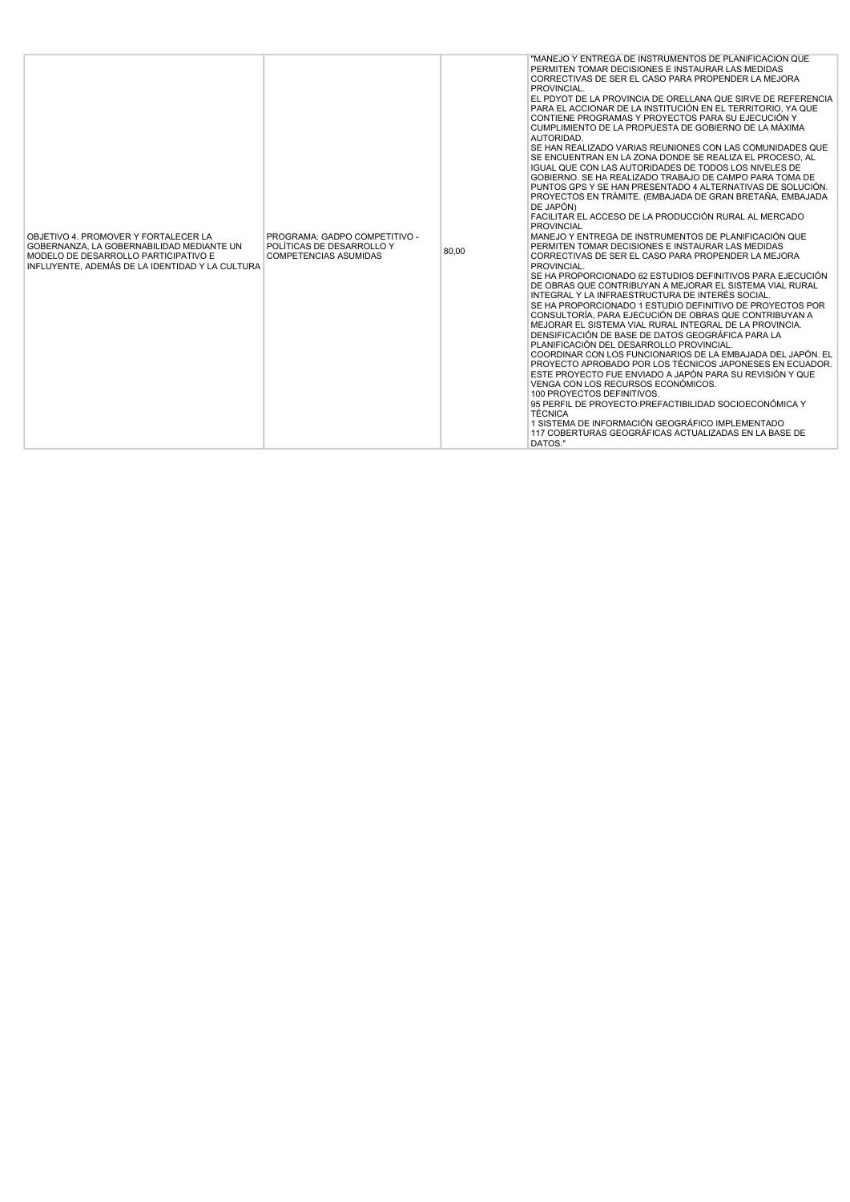| OBJETIVO 4. PROMOVER Y FORTALECER LA<br>GOBERNANZA. LA GOBERNABILIDAD MEDIANTE UN<br>MODELO DE DESARROLLO PARTICIPATIVO E<br>INFLUYENTE, ADEMÁS DE LA IDENTIDAD Y LA CULTURA | PROGRAMA: GADPO COMPETITIVO -<br>POLÍTICAS DE DESARROLLO Y<br><b>COMPETENCIAS ASUMIDAS</b> | 80,00 | "MANEJO Y ENTREGA DE INSTRUMENTOS DE PLANIFICACIÓN QUE<br>PERMITEN TOMAR DECISIONES E INSTAURAR LAS MEDIDAS<br>CORRECTIVAS DE SER EL CASO PARA PROPENDER LA MEJORA<br>PROVINCIAL.<br>EL PDYOT DE LA PROVINCIA DE ORELLANA QUE SIRVE DE REFERENCIA<br>PARA EL ACCIONAR DE LA INSTITUCIÓN EN EL TERRITORIO. YA QUE<br>CONTIENE PROGRAMAS Y PROYECTOS PARA SU EJECUCIÓN Y<br>CUMPLIMIENTO DE LA PROPUESTA DE GOBIERNO DE LA MÁXIMA<br>AUTORIDAD.<br>SE HAN REALIZADO VARIAS REUNIONES CON LAS COMUNIDADES QUE<br>SE ENCUENTRAN EN LA ZONA DONDE SE REALIZA EL PROCESO, AL<br>IGUAL QUE CON LAS AUTORIDADES DE TODOS LOS NIVELES DE<br>GOBIERNO. SE HA REALIZADO TRABAJO DE CAMPO PARA TOMA DE<br>PUNTOS GPS Y SE HAN PRESENTADO 4 ALTERNATIVAS DE SOLUCIÓN.<br>PROYECTOS EN TRÁMITE. (EMBAJADA DE GRAN BRETAÑA, EMBAJADA<br>DE JAPÓN)<br>FACILITAR EL ACCESO DE LA PRODUCCIÓN RURAL AL MERCADO<br><b>PROVINCIAL</b><br>MANEJO Y ENTREGA DE INSTRUMENTOS DE PLANIFICACIÓN QUE<br>PERMITEN TOMAR DECISIONES E INSTAURAR LAS MEDIDAS<br>CORRECTIVAS DE SER EL CASO PARA PROPENDER LA MEJORA<br>PROVINCIAL.<br>SE HA PROPORCIONADO 62 ESTUDIOS DEFINITIVOS PARA EJECUCIÓN<br>DE OBRAS QUE CONTRIBUYAN A MEJORAR EL SISTEMA VIAL RURAL<br>INTEGRAL Y LA INFRAESTRUCTURA DE INTERÉS SOCIAL.<br>SE HA PROPORCIONADO 1 ESTUDIO DEFINITIVO DE PROYECTOS POR<br>CONSULTORÍA. PARA EJECUCIÓN DE OBRAS QUE CONTRIBUYAN A<br>MEJORAR EL SISTEMA VIAL RURAL INTEGRAL DE LA PROVINCIA.<br>DENSIFICACIÓN DE BASE DE DATOS GEOGRÁFICA PARA LA<br>PLANIFICACIÓN DEL DESARROLLO PROVINCIAL.<br>COORDINAR CON LOS FUNCIONARIOS DE LA EMBAJADA DEL JAPÓN. EL<br>PROYECTO APROBADO POR LOS TÉCNICOS JAPONESES EN ECUADOR.<br>ESTE PROYECTO FUE ENVIADO A JAPÓN PARA SU REVISIÓN Y QUE<br>VENGA CON LOS RECURSOS ECONÓMICOS.<br>100 PROYECTOS DEFINITIVOS.<br>95 PERFIL DE PROYECTO: PREFACTIBILIDAD SOCIOECONÓMICA Y<br><b>TÉCNICA</b><br>1 SISTEMA DE INFORMACIÓN GEOGRÁFICO IMPLEMENTADO<br>117 COBERTURAS GEOGRÁFICAS ACTUALIZADAS EN LA BASE DE<br>DATOS." |
|------------------------------------------------------------------------------------------------------------------------------------------------------------------------------|--------------------------------------------------------------------------------------------|-------|---------------------------------------------------------------------------------------------------------------------------------------------------------------------------------------------------------------------------------------------------------------------------------------------------------------------------------------------------------------------------------------------------------------------------------------------------------------------------------------------------------------------------------------------------------------------------------------------------------------------------------------------------------------------------------------------------------------------------------------------------------------------------------------------------------------------------------------------------------------------------------------------------------------------------------------------------------------------------------------------------------------------------------------------------------------------------------------------------------------------------------------------------------------------------------------------------------------------------------------------------------------------------------------------------------------------------------------------------------------------------------------------------------------------------------------------------------------------------------------------------------------------------------------------------------------------------------------------------------------------------------------------------------------------------------------------------------------------------------------------------------------------------------------------------------------------------------------------------------------------------------------------------------------------------------------------------------------------------------------------------------------------------------------|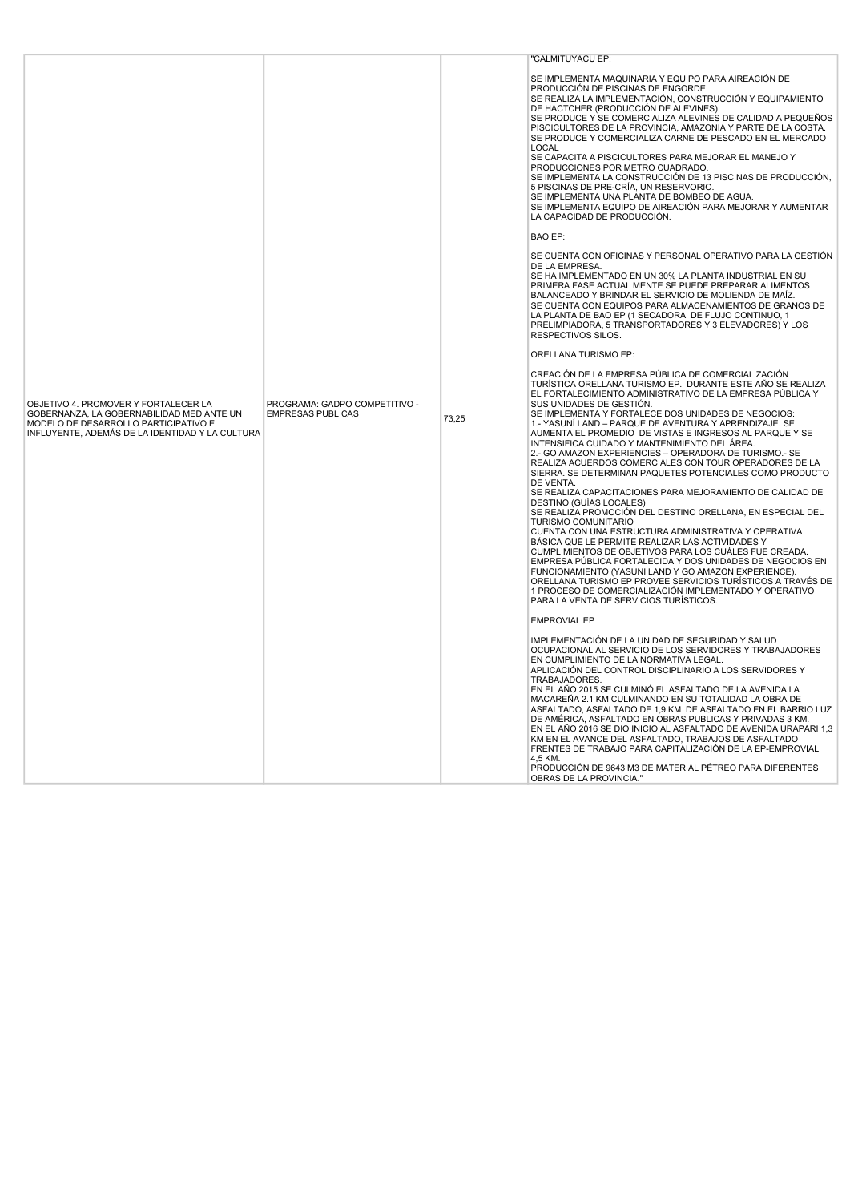|                                                                                                                                                                              |                                                           |       | "CALMITUYACU EP:                                                                                                                                                                                                                                                                                                                                                                                                                                                                                                                                                                                                                                                                                                                                                                                                                                                                                                                                                                                                                                                                                                                                                                                                                                                                      |
|------------------------------------------------------------------------------------------------------------------------------------------------------------------------------|-----------------------------------------------------------|-------|---------------------------------------------------------------------------------------------------------------------------------------------------------------------------------------------------------------------------------------------------------------------------------------------------------------------------------------------------------------------------------------------------------------------------------------------------------------------------------------------------------------------------------------------------------------------------------------------------------------------------------------------------------------------------------------------------------------------------------------------------------------------------------------------------------------------------------------------------------------------------------------------------------------------------------------------------------------------------------------------------------------------------------------------------------------------------------------------------------------------------------------------------------------------------------------------------------------------------------------------------------------------------------------|
|                                                                                                                                                                              |                                                           |       | SE IMPLEMENTA MAQUINARIA Y EQUIPO PARA AIREACIÓN DE<br>PRODUCCIÓN DE PISCINAS DE ENGORDE.<br>SE REALIZA LA IMPLEMENTACIÓN, CONSTRUCCIÓN Y EQUIPAMIENTO<br>DE HACTCHER (PRODUCCIÓN DE ALEVINES)<br>SE PRODUCE Y SE COMERCIALIZA ALEVINES DE CALIDAD A PEQUEÑOS<br>PISCICULTORES DE LA PROVINCIA, AMAZONIA Y PARTE DE LA COSTA.<br>SE PRODUCE Y COMERCIALIZA CARNE DE PESCADO EN EL MERCADO<br><b>LOCAL</b><br>SE CAPACITA A PISCICULTORES PARA MEJORAR EL MANEJO Y<br>PRODUCCIONES POR METRO CUADRADO.<br>SE IMPLEMENTA LA CONSTRUCCIÓN DE 13 PISCINAS DE PRODUCCIÓN,<br>5 PISCINAS DE PRE-CRÍA, UN RESERVORIO.<br>SE IMPLEMENTA UNA PLANTA DE BOMBEO DE AGUA.<br>SE IMPLEMENTA EQUIPO DE AIREACIÓN PARA MEJORAR Y AUMENTAR<br>LA CAPACIDAD DE PRODUCCIÓN.                                                                                                                                                                                                                                                                                                                                                                                                                                                                                                                             |
|                                                                                                                                                                              |                                                           |       | <b>BAO EP:</b>                                                                                                                                                                                                                                                                                                                                                                                                                                                                                                                                                                                                                                                                                                                                                                                                                                                                                                                                                                                                                                                                                                                                                                                                                                                                        |
|                                                                                                                                                                              |                                                           |       | SE CUENTA CON OFICINAS Y PERSONAL OPERATIVO PARA LA GESTIÓN<br>DE LA EMPRESA.<br>SE HA IMPLEMENTADO EN UN 30% LA PLANTA INDUSTRIAL EN SU<br>PRIMERA FASE ACTUAL MENTE SE PUEDE PREPARAR ALIMENTOS<br>BALANCEADO Y BRINDAR EL SERVICIO DE MOLIENDA DE MAÍZ.<br>SE CUENTA CON EQUIPOS PARA ALMACENAMIENTOS DE GRANOS DE<br>LA PLANTA DE BAO EP (1 SECADORA DE FLUJO CONTINUO, 1<br>PRELIMPIADORA, 5 TRANSPORTADORES Y 3 ELEVADORES) Y LOS<br>RESPECTIVOS SILOS.                                                                                                                                                                                                                                                                                                                                                                                                                                                                                                                                                                                                                                                                                                                                                                                                                         |
|                                                                                                                                                                              |                                                           |       | ORELLANA TURISMO EP:                                                                                                                                                                                                                                                                                                                                                                                                                                                                                                                                                                                                                                                                                                                                                                                                                                                                                                                                                                                                                                                                                                                                                                                                                                                                  |
| OBJETIVO 4. PROMOVER Y FORTALECER LA<br>GOBERNANZA, LA GOBERNABILIDAD MEDIANTE UN<br>MODELO DE DESARROLLO PARTICIPATIVO E<br>INFLUYENTE, ADEMÁS DE LA IDENTIDAD Y LA CULTURA | PROGRAMA: GADPO COMPETITIVO -<br><b>EMPRESAS PUBLICAS</b> | 73,25 | CREACIÓN DE LA EMPRESA PÚBLICA DE COMERCIALIZACIÓN<br>TURÍSTICA ORELLANA TURISMO EP. DURANTE ESTE AÑO SE REALIZA<br>EL FORTALECIMIENTO ADMINISTRATIVO DE LA EMPRESA PÚBLICA Y<br>SUS UNIDADES DE GESTIÓN.<br>SE IMPLEMENTA Y FORTALECE DOS UNIDADES DE NEGOCIOS:<br>1.- YASUNÍ LAND - PARQUE DE AVENTURA Y APRENDIZAJE. SE<br>AUMENTA EL PROMEDIO DE VISTAS E INGRESOS AL PARQUE Y SE<br>INTENSIFICA CUIDADO Y MANTENIMIENTO DEL ÁREA.<br>2.- GO AMAZON EXPERIENCIES - OPERADORA DE TURISMO.- SE<br>REALIZA ACUERDOS COMERCIALES CON TOUR OPERADORES DE LA<br>SIERRA. SE DETERMINAN PAQUETES POTENCIALES COMO PRODUCTO<br>DE VENTA.<br>SE REALIZA CAPACITACIONES PARA MEJORAMIENTO DE CALIDAD DE<br>DESTINO (GUÍAS LOCALES)<br>SE REALIZA PROMOCIÓN DEL DESTINO ORELLANA, EN ESPECIAL DEL<br><b>TURISMO COMUNITARIO</b><br>CUENTA CON UNA ESTRUCTURA ADMINISTRATIVA Y OPERATIVA<br>BÁSICA QUE LE PERMITE REALIZAR LAS ACTIVIDADES Y<br>CUMPLIMIENTOS DE OBJETIVOS PARA LOS CUÁLES FUE CREADA.<br>EMPRESA PÚBLICA FORTALECIDA Y DOS UNIDADES DE NEGOCIOS EN<br>FUNCIONAMIENTO (YASUNI LAND Y GO AMAZON EXPERIENCE).<br>ORELLANA TURISMO EP PROVEE SERVICIOS TURÍSTICOS A TRAVÉS DE<br>1 PROCESO DE COMERCIALIZACIÓN IMPLEMENTADO Y OPERATIVO<br>PARA LA VENTA DE SERVICIOS TURÍSTICOS. |
|                                                                                                                                                                              |                                                           |       | <b>EMPROVIAL EP</b><br>IMPLEMENTACIÓN DE LA UNIDAD DE SEGURIDAD Y SALUD<br>OCUPACIONAL AL SERVICIO DE LOS SERVIDORES Y TRABAJADORES                                                                                                                                                                                                                                                                                                                                                                                                                                                                                                                                                                                                                                                                                                                                                                                                                                                                                                                                                                                                                                                                                                                                                   |
|                                                                                                                                                                              |                                                           |       | EN CUMPLIMIENTO DE LA NORMATIVA LEGAL.<br>APLICACIÓN DEL CONTROL DISCIPLINARIO A LOS SERVIDORES Y<br>TRABAJADORES.<br>EN EL AÑO 2015 SE CULMINÓ EL ASFALTADO DE LA AVENIDA LA<br>MACAREÑA 2.1 KM CULMINANDO EN SU TOTALIDAD LA OBRA DE<br>ASFALTADO, ASFALTADO DE 1,9 KM DE ASFALTADO EN EL BARRIO LUZ<br>DE AMÉRICA, ASFALTADO EN OBRAS PUBLICAS Y PRIVADAS 3 KM.<br>EN EL AÑO 2016 SE DIO INICIO AL ASFALTADO DE AVENIDA URAPARI 1,3<br>KM EN EL AVANCE DEL ASFALTADO, TRABAJOS DE ASFALTADO<br>FRENTES DE TRABAJO PARA CAPITALIZACIÓN DE LA EP-EMPROVIAL<br>4.5 KM.<br>PRODUCCIÓN DE 9643 M3 DE MATERIAL PÉTREO PARA DIFERENTES<br>OBRAS DE LA PROVINCIA."                                                                                                                                                                                                                                                                                                                                                                                                                                                                                                                                                                                                                         |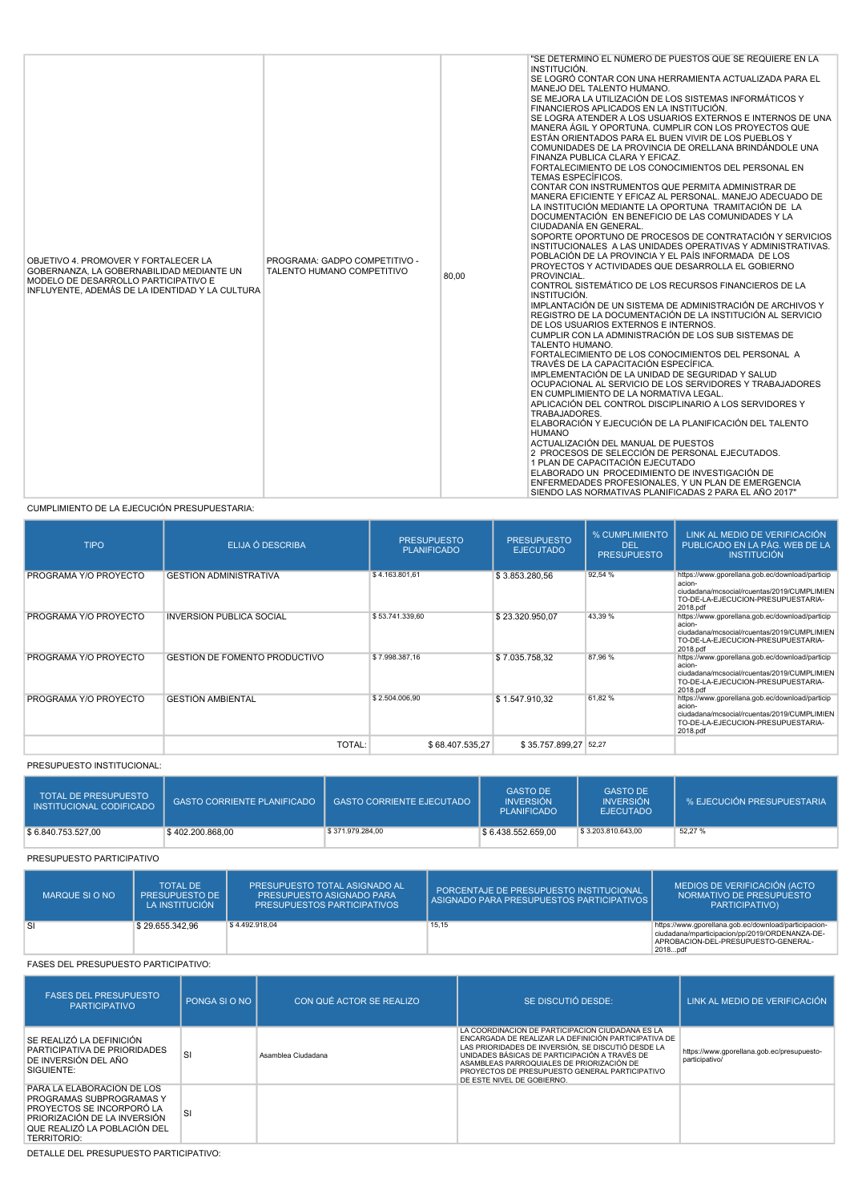| OBJETIVO 4. PROMOVER Y FORTALECER LA<br>GOBERNANZA. LA GOBERNABILIDAD MEDIANTE UN<br>MODELO DE DESARROLLO PARTICIPATIVO E<br>INFLUYENTE, ADEMÁS DE LA IDENTIDAD Y LA CULTURA | PROGRAMA: GADPO COMPETITIVO -<br>TALENTO HUMANO COMPETITIVO | 80,00 | "SE DETERMINÓ EL NÚMERO DE PUESTOS QUE SE REQUIERE EN LA<br>INSTITUCIÓN.<br>SE LOGRÓ CONTAR CON UNA HERRAMIENTA ACTUALIZADA PARA EL<br>MANEJO DEL TALENTO HUMANO.<br>SE MEJORA LA UTILIZACIÓN DE LOS SISTEMAS INFORMÁTICOS Y<br>FINANCIEROS APLICADOS EN LA INSTITUCIÓN.<br>SE LOGRA ATENDER A LOS USUARIOS EXTERNOS E INTERNOS DE UNA<br>MANERA ÁGIL Y OPORTUNA. CUMPLIR CON LOS PROYECTOS QUE<br>ESTÁN ORIENTADOS PARA EL BUEN VIVIR DE LOS PUEBLOS Y<br>COMUNIDADES DE LA PROVINCIA DE ORELLANA BRINDÁNDOLE UNA<br>FINANZA PUBLICA CLARA Y EFICAZ.<br>FORTALECIMIENTO DE LOS CONOCIMIENTOS DEL PERSONAL EN<br><b>TEMAS ESPECÍFICOS.</b><br>CONTAR CON INSTRUMENTOS QUE PERMITA ADMINISTRAR DE<br>MANERA EFICIENTE Y EFICAZ AL PERSONAL, MANEJO ADECUADO DE<br>LA INSTITUCIÓN MEDIANTE LA OPORTUNA TRAMITACIÓN DE LA<br>DOCUMENTACIÓN EN BENEFICIO DE LAS COMUNIDADES Y LA<br>CIUDADANÍA EN GENERAL.<br>SOPORTE OPORTUNO DE PROCESOS DE CONTRATACIÓN Y SERVICIOS<br>INSTITUCIONALES A LAS UNIDADES OPERATIVAS Y ADMINISTRATIVAS.<br>POBLACIÓN DE LA PROVINCIA Y EL PAÍS INFORMADA DE LOS<br>PROYECTOS Y ACTIVIDADES QUE DESARROLLA EL GOBIERNO<br>PROVINCIAL.<br>CONTROL SISTEMÁTICO DE LOS RECURSOS FINANCIEROS DE LA<br>INSTITUCIÓN.<br>IMPLANTACIÓN DE UN SISTEMA DE ADMINISTRACIÓN DE ARCHIVOS Y<br>REGISTRO DE LA DOCUMENTACIÓN DE LA INSTITUCIÓN AL SERVICIO<br>DE LOS USUARIOS EXTERNOS E INTERNOS.<br>CUMPLIR CON LA ADMINISTRACIÓN DE LOS SUB SISTEMAS DE<br>TALENTO HUMANO.<br>FORTALECIMIENTO DE LOS CONOCIMIENTOS DEL PERSONAL A<br>TRAVÉS DE LA CAPACITACIÓN ESPECÍFICA.<br>IMPLEMENTACIÓN DE LA UNIDAD DE SEGURIDAD Y SALUD<br>OCUPACIONAL AL SERVICIO DE LOS SERVIDORES Y TRABAJADORES<br>EN CUMPLIMIENTO DE LA NORMATIVA LEGAL.<br>APLICACIÓN DEL CONTROL DISCIPLINARIO A LOS SERVIDORES Y |
|------------------------------------------------------------------------------------------------------------------------------------------------------------------------------|-------------------------------------------------------------|-------|--------------------------------------------------------------------------------------------------------------------------------------------------------------------------------------------------------------------------------------------------------------------------------------------------------------------------------------------------------------------------------------------------------------------------------------------------------------------------------------------------------------------------------------------------------------------------------------------------------------------------------------------------------------------------------------------------------------------------------------------------------------------------------------------------------------------------------------------------------------------------------------------------------------------------------------------------------------------------------------------------------------------------------------------------------------------------------------------------------------------------------------------------------------------------------------------------------------------------------------------------------------------------------------------------------------------------------------------------------------------------------------------------------------------------------------------------------------------------------------------------------------------------------------------------------------------------------------------------------------------------------------------------------------------------------------------------------------------------------------------------------------------------------------------------------------|
|                                                                                                                                                                              |                                                             |       | TRABAJADORES.<br>ELABORACIÓN Y EJECUCIÓN DE LA PLANIFICACIÓN DEL TALENTO<br><b>HUMANO</b><br>ACTUALIZACIÓN DEL MANUAL DE PUESTOS<br>2 PROCESOS DE SELECCIÓN DE PERSONAL EJECUTADOS.<br>1 PLAN DE CAPACITACIÓN EJECUTADO<br>ELABORADO UN PROCEDIMIENTO DE INVESTIGACIÓN DE<br>ENFERMEDADES PROFESIONALES, Y UN PLAN DE EMERGENCIA<br>SIENDO LAS NORMATIVAS PLANIFICADAS 2 PARA EL AÑO 2017"                                                                                                                                                                                                                                                                                                                                                                                                                                                                                                                                                                                                                                                                                                                                                                                                                                                                                                                                                                                                                                                                                                                                                                                                                                                                                                                                                                                                                   |

CUMPLIMIENTO DE LA EJECUCIÓN PRESUPUESTARIA:

| <b>TIPO</b>           | ELIJA Ó DESCRIBA                | <b>PRESUPUESTO</b><br><b>PLANIFICADO</b> | <b>PRESUPUESTO</b><br><b>EJECUTADO</b> | % CUMPLIMIENTO<br><b>DEL</b><br><b>PRESUPUESTO</b> | LINK AL MEDIO DE VERIFICACIÓN<br>PUBLICADO EN LA PÁG. WEB DE LA<br><b>INSTITUCIÓN</b>                                                                      |
|-----------------------|---------------------------------|------------------------------------------|----------------------------------------|----------------------------------------------------|------------------------------------------------------------------------------------------------------------------------------------------------------------|
| PROGRAMA Y/O PROYECTO | <b>GESTION ADMINISTRATIVA</b>   | \$4.163.801,61                           | \$3.853.280,56                         | 92,54 %                                            | https://www.gporellana.gob.ec/download/particip<br>acion-<br>ciudadana/mcsocial/rcuentas/2019/CUMPLIMIEN<br>TO-DE-LA-EJECUCION-PRESUPUESTARIA-<br>2018.pdf |
| PROGRAMA Y/O PROYECTO | <b>INVERSION PUBLICA SOCIAL</b> | \$53.741.339,60                          | \$23.320.950,07                        | 43,39 %                                            | https://www.gporellana.gob.ec/download/particip<br>acion-<br>ciudadana/mcsocial/rcuentas/2019/CUMPLIMIEN<br>TO-DE-LA-EJECUCION-PRESUPUESTARIA-<br>2018.pdf |
| PROGRAMA Y/O PROYECTO | GESTIÓN DE FOMENTO PRODUCTIVO   | \$7.998.387,16                           | \$7.035.758.32                         | 87,96 %                                            | https://www.gporellana.gob.ec/download/particip<br>acion-<br>ciudadana/mcsocial/rcuentas/2019/CUMPLIMIEN<br>TO-DE-LA-EJECUCION-PRESUPUESTARIA-<br>2018.pdf |
| PROGRAMA Y/O PROYECTO | <b>GESTIÓN AMBIENTAL</b>        | \$2.504.006,90                           | \$1.547.910.32                         | 61,82%                                             | https://www.gporellana.gob.ec/download/particip<br>acion-<br>ciudadana/mcsocial/rcuentas/2019/CUMPLIMIEN<br>TO-DE-LA-EJECUCION-PRESUPUESTARIA-<br>2018.pdf |
|                       | TOTAL:                          | \$68,407,535,27                          | \$35.757.899.27 52.27                  |                                                    |                                                                                                                                                            |

PRESUPUESTO INSTITUCIONAL:

| <b>TOTAL DE PRESUPUESTO</b><br>INSTITUCIONAL CODIFICADO | GASTO CORRIENTE PLANIFICADO | <b>GASTO CORRIENTE EJECUTADO</b> | <b>GASTO DE</b><br><b>INVERSIÓN</b><br><b>PLANIFICADO</b> | <b>GASTO DE</b><br><b>INVERSIÓN</b><br><b>EJECUTADO</b> | % EJECUCIÓN PRESUPUESTARIA |
|---------------------------------------------------------|-----------------------------|----------------------------------|-----------------------------------------------------------|---------------------------------------------------------|----------------------------|
| \$6.840.753.527.00                                      | \$402,200,868.00            | \$371.979.284,00                 | \$6.438.552.659.00                                        | \$3,203,810,643,00                                      | 52,27 %                    |

## PRESUPUESTO PARTICIPATIVO

| MARQUE SI O NO | <b>TOTAL DE</b><br><b>PRESUPUESTO DE</b><br>LA INSTITUCIÓN | PRESUPUESTO TOTAL ASIGNADO AL<br>PRESUPUESTO ASIGNADO PARA<br><b>PRESUPUESTOS PARTICIPATIVOS</b> | PORCENTAJE DE PRESUPUESTO INSTITUCIONAL<br>ASIGNADO PARA PRESUPUESTOS PARTICIPATIVOS | MEDIOS DE VERIFICACIÓN (ACTO<br>NORMATIVO DE PRESUPUESTO<br>PARTICIPATIVO)                                                                                |
|----------------|------------------------------------------------------------|--------------------------------------------------------------------------------------------------|--------------------------------------------------------------------------------------|-----------------------------------------------------------------------------------------------------------------------------------------------------------|
| <b>SI</b>      | \$29.655.342.96                                            | \$4.492.918.04                                                                                   | 15,15                                                                                | https://www.gporellana.gob.ec/download/participacion-<br>ciudadana/mparticipacion/pp/2019/ORDENANZA-DE-<br>APROBACION-DEL-PRESUPUESTO-GENERAL-<br>2018pdf |

FASES DEL PRESUPUESTO PARTICIPATIVO:

| <b>FASES DEL PRESUPUESTO</b><br><b>PARTICIPATIVO</b>                                                                                                               | PONGA SLO NO | CON QUÉ ACTOR SE REALIZO | SE DISCUTIÓ DESDE:                                                                                                                                                                                                                                                                                                                           | LINK AL MEDIO DE VERIFICACIÓN                                |
|--------------------------------------------------------------------------------------------------------------------------------------------------------------------|--------------|--------------------------|----------------------------------------------------------------------------------------------------------------------------------------------------------------------------------------------------------------------------------------------------------------------------------------------------------------------------------------------|--------------------------------------------------------------|
| SE REALIZÓ LA DEFINICIÓN<br>PARTICIPATIVA DE PRIORIDADES<br>DE INVERSIÓN DEL AÑO<br>SIGUIENTE:                                                                     | SI           | Asamblea Ciudadana       | LA COORDINACIÓN DE PARTICIPACIÓN CIUDADANA ES LA<br>ENCARGADA DE REALIZAR LA DEFINICIÓN PARTICIPATIVA DE<br>LAS PRIORIDADES DE INVERSIÓN. SE DISCUTIÓ DESDE LA<br>UNIDADES BÁSICAS DE PARTICIPACIÓN A TRAVÉS DE<br>ASAMBLEAS PARROQUIALES DE PRIORIZACIÓN DE<br>PROYECTOS DE PRESUPUESTO GENERAL PARTICIPATIVO<br>DE ESTE NIVEL DE GOBIERNO. | https://www.gporellana.gob.ec/presupuesto-<br>participativo/ |
| PARA LA ELABORACIÓN DE LOS<br>PROGRAMAS SUBPROGRAMAS Y<br>PROYECTOS SE INCORPORÓ LA<br>PRIORIZACIÓN DE LA INVERSIÓN<br>QUE REALIZÓ LA POBLACIÓN DEL<br>TERRITORIO: | SI           |                          |                                                                                                                                                                                                                                                                                                                                              |                                                              |

DETALLE DEL PRESUPUESTO PARTICIPATIVO: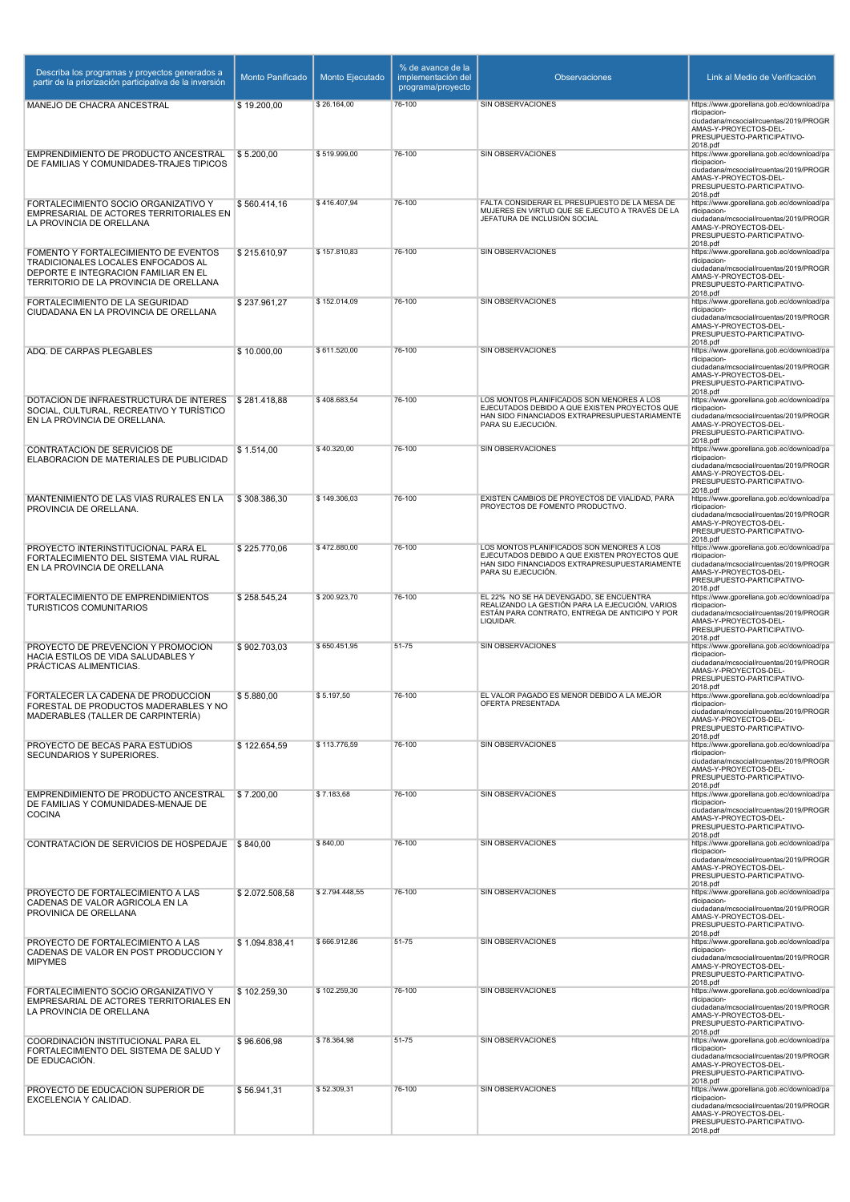| Describa los programas y proyectos generados a<br>partir de la priorización participativa de la inversión                                                    | <b>Monto Panificado</b> | Monto Ejecutado | % de avance de la<br>implementación del<br>programa/proyecto | Observaciones                                                                                                                                             | Link al Medio de Verificación                                                                                                                                          |
|--------------------------------------------------------------------------------------------------------------------------------------------------------------|-------------------------|-----------------|--------------------------------------------------------------|-----------------------------------------------------------------------------------------------------------------------------------------------------------|------------------------------------------------------------------------------------------------------------------------------------------------------------------------|
| MANEJO DE CHACRA ANCESTRAL                                                                                                                                   | \$19.200,00             | \$26.164,00     | 76-100                                                       | SIN OBSERVACIONES                                                                                                                                         | https://www.gporellana.gob.ec/download/pa                                                                                                                              |
|                                                                                                                                                              |                         |                 |                                                              |                                                                                                                                                           | rticipacion-<br>ciudadana/mcsocial/rcuentas/2019/PROGR<br>AMAS-Y-PROYECTOS-DEL-<br>PRESUPUESTO-PARTICIPATIVO-                                                          |
| EMPRENDIMIENTO DE PRODUCTO ANCESTRAL                                                                                                                         | \$5.200.00              | \$519.999,00    | 76-100                                                       | SIN OBSERVACIONES                                                                                                                                         | 2018.pdf<br>https://www.gporellana.gob.ec/download/pa                                                                                                                  |
| DE FAMILIAS Y COMUNIDADES-TRAJES TIPICOS                                                                                                                     |                         |                 |                                                              |                                                                                                                                                           | rticipacion-<br>ciudadana/mcsocial/rcuentas/2019/PROGR<br>AMAS-Y-PROYECTOS-DEL-<br>PRESUPUESTO-PARTICIPATIVO-<br>2018.pdf                                              |
| FORTALECIMIENTO SOCIO ORGANIZATIVO Y                                                                                                                         | \$560.414,16            | \$416.407,94    | 76-100                                                       | FALTA CONSIDERAR EL PRESUPUESTO DE LA MESA DE<br>MUJERES EN VIRTUD QUE SE EJECUTO A TRAVÉS DE LA                                                          | https://www.gporellana.gob.ec/download/pa<br>rticipacion-                                                                                                              |
| EMPRESARIAL DE ACTORES TERRITORIALES EN<br>LA PROVINCIA DE ORELLANA                                                                                          |                         |                 |                                                              | JEFATURA DE INCLUSIÓN SOCIAL                                                                                                                              | ciudadana/mcsocial/rcuentas/2019/PROGR<br>AMAS-Y-PROYECTOS-DEL-<br>PRESUPUESTO-PARTICIPATIVO-<br>2018.pdf                                                              |
| FOMENTO Y FORTALECIMIENTO DE EVENTOS<br>TRADICIONALES LOCALES ENFOCADOS AL<br>DEPORTE E INTEGRACION FAMILIAR EN EL<br>TERRITORIO DE LA PROVINCIA DE ORELLANA | \$215.610,97            | \$157.810.83    | 76-100                                                       | SIN OBSERVACIONES                                                                                                                                         | https://www.gporellana.gob.ec/download/pa<br>rticipacion-<br>ciudadana/mcsocial/rcuentas/2019/PROGR<br>AMAS-Y-PROYECTOS-DEL-<br>PRESUPUESTO-PARTICIPATIVO-<br>2018.pdf |
| FORTALECIMIENTO DE LA SEGURIDAD<br>CIUDADANA EN LA PROVINCIA DE ORELLANA                                                                                     | \$237.961,27            | \$152.014,09    | 76-100                                                       | SIN OBSERVACIONES                                                                                                                                         | https://www.gporellana.gob.ec/download/pa<br>rticipacion-<br>ciudadana/mcsocial/rcuentas/2019/PROGR<br>AMAS-Y-PROYECTOS-DEL-<br>PRESUPUESTO-PARTICIPATIVO-             |
| ADQ. DE CARPAS PLEGABLES                                                                                                                                     | \$10.000,00             | \$611.520.00    | 76-100                                                       | <b>SIN OBSERVACIONES</b>                                                                                                                                  | 2018.pdf<br>https://www.gporellana.gob.ec/download/pa                                                                                                                  |
|                                                                                                                                                              |                         |                 |                                                              |                                                                                                                                                           | rticipacion-<br>ciudadana/mcsocial/rcuentas/2019/PROGR<br>AMAS-Y-PROYECTOS-DEL-<br>PRESUPUESTO-PARTICIPATIVO-<br>2018.pdf                                              |
| DOTACIÓN DE INFRAESTRUCTURA DE INTERÉS                                                                                                                       | \$281.418,88            | \$408.683,54    | 76-100                                                       | LOS MONTOS PLANIFICADOS SON MENORES A LOS<br>EJECUTADOS DEBIDO A QUE EXISTEN PROYECTOS QUE                                                                | https://www.gporellana.gob.ec/download/pa<br>rticipacion-                                                                                                              |
| SOCIAL, CULTURAL, RECREATIVO Y TURÍSTICO<br>EN LA PROVINCIA DE ORELLANA.                                                                                     |                         |                 |                                                              | HAN SIDO FINANCIADOS EXTRAPRESUPUESTARIAMENTE<br>PARA SU EJECUCIÓN.                                                                                       | ciudadana/mcsocial/rcuentas/2019/PROGR<br>AMAS-Y-PROYECTOS-DEL-<br>PRESUPUESTO-PARTICIPATIVO-<br>2018.pdf                                                              |
| CONTRATACIÓN DE SERVICIOS DE<br>ELABORACION DE MATERIALES DE PUBLICIDAD                                                                                      | \$1.514.00              | \$40.320.00     | 76-100                                                       | <b>SIN OBSERVACIONES</b>                                                                                                                                  | https://www.gporellana.gob.ec/download/pa<br>rticipacion-                                                                                                              |
|                                                                                                                                                              |                         |                 |                                                              |                                                                                                                                                           | ciudadana/mcsocial/rcuentas/2019/PROGR<br>AMAS-Y-PROYECTOS-DEL-<br>PRESUPUESTO-PARTICIPATIVO-<br>2018.pdf                                                              |
| MANTENIMIENTO DE LAS VÍAS RURALES EN LA<br>PROVINCIA DE ORELLANA.                                                                                            | \$308.386,30            | \$149.306,03    | 76-100                                                       | EXISTEN CAMBIOS DE PROYECTOS DE VIALIDAD, PARA<br>PROYECTOS DE FOMENTO PRODUCTIVO.                                                                        | https://www.gporellana.gob.ec/download/pa<br>rticipacion-                                                                                                              |
|                                                                                                                                                              |                         |                 |                                                              |                                                                                                                                                           | ciudadana/mcsocial/rcuentas/2019/PROGR<br>AMAS-Y-PROYECTOS-DEL-<br>PRESUPUESTO-PARTICIPATIVO-<br>2018.pdf                                                              |
| PROYECTO INTERINSTITUCIONAL PARA EL<br>FORTALECIMIENTO DEL SISTEMA VIAL RURAL                                                                                | \$225.770,06            | \$472.880,00    | 76-100                                                       | LOS MONTOS PLANIFICADOS SON MENORES A LOS<br>EJECUTADOS DEBIDO A QUE EXISTEN PROYECTOS QUE                                                                | https://www.gporellana.gob.ec/download/pa<br>rticipacion-                                                                                                              |
| EN LA PROVINCIA DE ORELLANA                                                                                                                                  |                         |                 |                                                              | HAN SIDO FINANCIADOS EXTRAPRESUPUESTARIAMENTE<br>PARA SU EJECUCIÓN.                                                                                       | ciudadana/mcsocial/rcuentas/2019/PROGR<br>AMAS-Y-PROYECTOS-DEL-<br>PRESUPUESTO-PARTICIPATIVO-<br>2018.pdf                                                              |
| FORTALECIMIENTO DE EMPRENDIMIENTOS<br><b>TURISTICOS COMUNITARIOS</b>                                                                                         | \$258.545,24            | \$200.923,70    | 76-100                                                       | EL 22% NO SE HA DEVENGADO, SE ENCUENTRA<br>REALIZANDO LA GESTIÓN PARA LA EJECUCIÓN, VARIOS<br>ESTÁN PARA CONTRATO, ENTREGA DE ANTICIPO Y POR<br>LIQUIDAR. | https://www.gporellana.gob.ec/download/pa<br>rticipacion-<br>ciudadana/mcsocial/rcuentas/2019/PROGR<br>AMAS-Y-PROYECTOS-DEL-<br>PRESUPUESTO-PARTICIPATIVO-             |
| PROYECTO DE PREVENCIÓN Y PROMOCIÓN                                                                                                                           | \$902.703.03            | \$650.451,95    | 51-75                                                        | SIN OBSERVACIONES                                                                                                                                         | 2018.pdf<br>https://www.gporellana.gob.ec/download/pa                                                                                                                  |
| HACIA ESTILOS DE VIDA SALUDABLES Y<br>PRÁCTICAS ALIMENTICIAS.                                                                                                |                         |                 |                                                              |                                                                                                                                                           | rticipacion-<br>ciudadana/mcsocial/rcuentas/2019/PROGR<br>AMAS-Y-PROYECTOS-DEL-<br>PRESUPUESTO-PARTICIPATIVO-                                                          |
| FORTALECER LA CADENA DE PRODUCCIÓN                                                                                                                           | \$5.880,00              | \$5.197,50      | 76-100                                                       | EL VALOR PAGADO ES MENOR DEBIDO A LA MEJOR                                                                                                                | 2018.pdf<br>https://www.gporellana.gob.ec/download/pa                                                                                                                  |
| FORESTAL DE PRODUCTOS MADERABLES Y NO<br>MADERABLES (TALLER DE CARPINTERÍA)                                                                                  |                         |                 |                                                              | OFERTA PRESENTADA                                                                                                                                         | rticipacion-<br>ciudadana/mcsocial/rcuentas/2019/PROGR<br>AMAS-Y-PROYECTOS-DEL-<br>PRESUPUESTO-PARTICIPATIVO-<br>2018.pdf                                              |
| PROYECTO DE BECAS PARA ESTUDIOS<br>SECUNDARIOS Y SUPERIORES.                                                                                                 | \$122.654,59            | \$113.776,59    | 76-100                                                       | SIN OBSERVACIONES                                                                                                                                         | https://www.gporellana.gob.ec/download/pa<br>rticipacion-<br>ciudadana/mcsocial/rcuentas/2019/PROGR<br>AMAS-Y-PROYECTOS-DEL-                                           |
|                                                                                                                                                              |                         |                 |                                                              |                                                                                                                                                           | PRESUPUESTO-PARTICIPATIVO-<br>2018.pdf                                                                                                                                 |
| EMPRENDIMIENTO DE PRODUCTO ANCESTRAL<br>DE FAMILIAS Y COMUNIDADES-MENAJE DE<br><b>COCINA</b>                                                                 | \$7.200,00              | \$7.183,68      | 76-100                                                       | SIN OBSERVACIONES                                                                                                                                         | https://www.gporellana.gob.ec/download/pa<br>rticipacion-<br>ciudadana/mcsocial/rcuentas/2019/PROGR<br>AMAS-Y-PROYECTOS-DEL-<br>PRESUPUESTO-PARTICIPATIVO-             |
| CONTRATACIÓN DE SERVICIOS DE HOSPEDAJE \$840,00                                                                                                              |                         | \$840,00        | 76-100                                                       | SIN OBSERVACIONES                                                                                                                                         | 2018.pdf<br>https://www.gporellana.gob.ec/download/pa                                                                                                                  |
|                                                                                                                                                              |                         |                 |                                                              |                                                                                                                                                           | rticipacion-<br>ciudadana/mcsocial/rcuentas/2019/PROGR<br>AMAS-Y-PROYECTOS-DEL-<br>PRESUPUESTO-PARTICIPATIVO-<br>2018.pdf                                              |
| PROYECTO DE FORTALECIMIENTO A LAS                                                                                                                            | \$2.072.508,58          | \$2.794.448,55  | 76-100                                                       | SIN OBSERVACIONES                                                                                                                                         | https://www.gporellana.gob.ec/download/pa<br>rticipacion-                                                                                                              |
| CADENAS DE VALOR AGRICOLA EN LA<br>PROVINICA DE ORELLANA                                                                                                     |                         |                 |                                                              |                                                                                                                                                           | ciudadana/mcsocial/rcuentas/2019/PROGR<br>AMAS-Y-PROYECTOS-DEL-<br>PRESUPUESTO-PARTICIPATIVO-<br>2018.pdf                                                              |
| PROYECTO DE FORTALECIMIENTO A LAS<br>CADENAS DE VALOR EN POST PRODUCCION Y                                                                                   | \$1.094.838,41          | \$666.912,86    | 51-75                                                        | SIN OBSERVACIONES                                                                                                                                         | https://www.gporellana.gob.ec/download/pa<br>rticipacion-                                                                                                              |
| <b>MIPYMES</b>                                                                                                                                               |                         |                 |                                                              |                                                                                                                                                           | ciudadana/mcsocial/rcuentas/2019/PROGR<br>AMAS-Y-PROYECTOS-DEL-<br>PRESUPUESTO-PARTICIPATIVO-<br>2018.pdf                                                              |
| FORTALECIMIENTO SOCIO ORGANIZATIVO Y<br>EMPRESARIAL DE ACTORES TERRITORIALES EN                                                                              | \$102.259,30            | \$102.259,30    | 76-100                                                       | SIN OBSERVACIONES                                                                                                                                         | https://www.gporellana.gob.ec/download/pa<br>rticipacion-                                                                                                              |
| LA PROVINCIA DE ORELLANA                                                                                                                                     |                         |                 |                                                              |                                                                                                                                                           | ciudadana/mcsocial/rcuentas/2019/PROGR<br>AMAS-Y-PROYECTOS-DEL-<br>PRESUPUESTO-PARTICIPATIVO-<br>2018.pdf                                                              |
| COORDINACIÓN INSTITUCIONAL PARA EL<br>FORTALECIMIENTO DEL SISTEMA DE SALUD Y                                                                                 | \$96.606,98             | \$78.364,98     | $51 - 75$                                                    | SIN OBSERVACIONES                                                                                                                                         | https://www.gporellana.gob.ec/download/pa<br>rticipacion-                                                                                                              |
| DE EDUCACIÓN.                                                                                                                                                |                         |                 |                                                              |                                                                                                                                                           | ciudadana/mcsocial/rcuentas/2019/PROGR<br>AMAS-Y-PROYECTOS-DEL-<br>PRESUPUESTO-PARTICIPATIVO-<br>2018.pdf                                                              |
| PROYECTO DE EDUCACIÓN SUPERIOR DE<br>EXCELENCIA Y CALIDAD.                                                                                                   | \$56.941,31             | \$52.309,31     | 76-100                                                       | SIN OBSERVACIONES                                                                                                                                         | https://www.gporellana.gob.ec/download/pa<br>rticipacion-                                                                                                              |
|                                                                                                                                                              |                         |                 |                                                              |                                                                                                                                                           | ciudadana/mcsocial/rcuentas/2019/PROGR<br>AMAS-Y-PROYECTOS-DEL-<br>PRESUPUESTO-PARTICIPATIVO-<br>2018.pdf                                                              |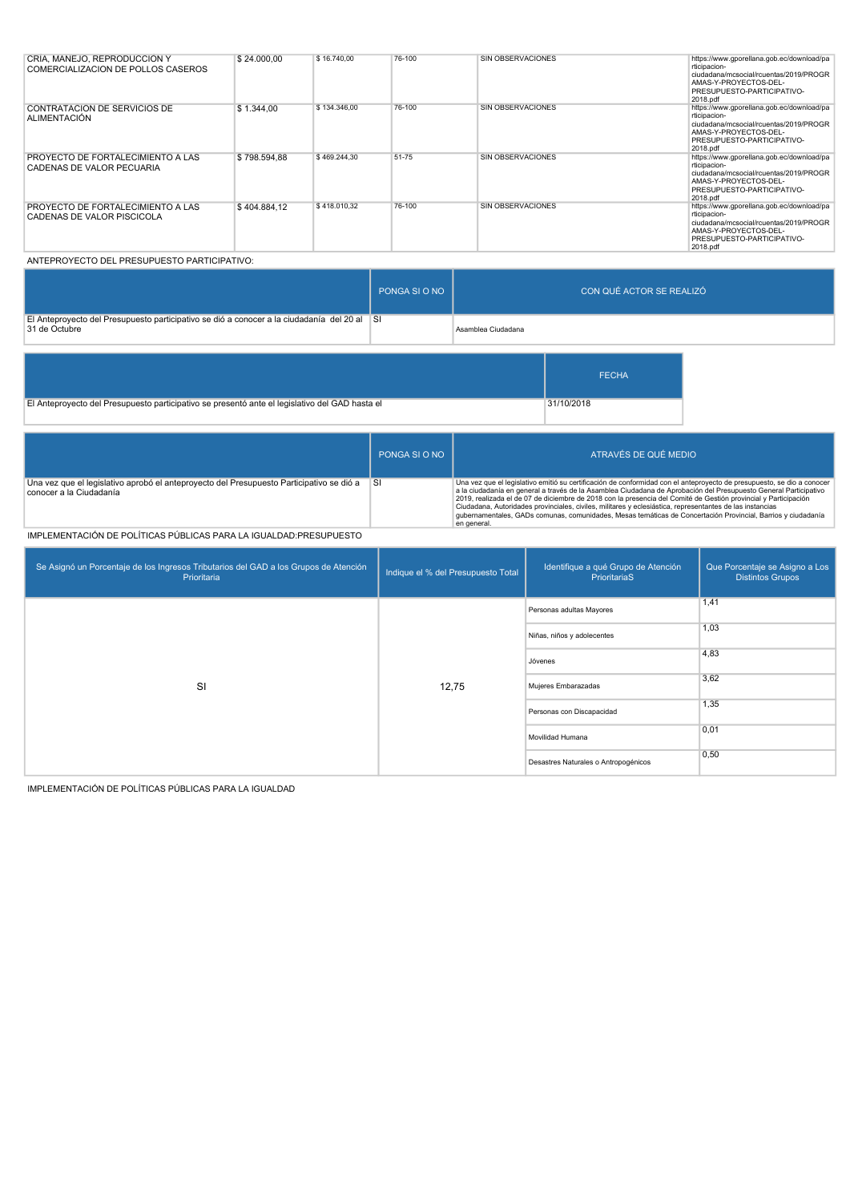| CRÍA, MANEJO, REPRODUCCIÓN Y<br>COMERCIALIZACION DE POLLOS CASEROS     | \$24,000.00  | \$16,740.00  | 76-100 | SIN OBSERVACIONES        | https://www.gporellana.gob.ec/download/pa<br>rticipacion-<br>ciudadana/mcsocial/rcuentas/2019/PROGR<br>AMAS-Y-PROYECTOS-DEL-<br>PRESUPUESTO-PARTICIPATIVO-<br>2018.pdf |
|------------------------------------------------------------------------|--------------|--------------|--------|--------------------------|------------------------------------------------------------------------------------------------------------------------------------------------------------------------|
| CONTRATACION DE SERVICIOS DE<br><b>ALIMENTACIÓN</b>                    | \$1.344.00   | \$134,346.00 | 76-100 | SIN OBSERVACIONES        | https://www.gporellana.gob.ec/download/pa<br>rticipacion-<br>ciudadana/mcsocial/rcuentas/2019/PROGR<br>AMAS-Y-PROYECTOS-DEL-<br>PRESUPUESTO-PARTICIPATIVO-<br>2018.pdf |
| <b>PROYECTO DE FORTALECIMIENTO A LAS</b><br>CADENAS DE VALOR PECUARIA  | \$798,594.88 | \$469.244,30 | 51-75  | <b>SIN OBSERVACIONES</b> | https://www.gporellana.gob.ec/download/pa<br>rticipacion-<br>ciudadana/mcsocial/rcuentas/2019/PROGR<br>AMAS-Y-PROYECTOS-DEL-<br>PRESUPUESTO-PARTICIPATIVO-<br>2018.pdf |
| <b>PROYECTO DE FORTALECIMIENTO A LAS</b><br>CADENAS DE VALOR PISCICOLA | \$404.884.12 | \$418,010.32 | 76-100 | SIN OBSERVACIONES        | https://www.gporellana.gob.ec/download/pa<br>rticipacion-<br>ciudadana/mcsocial/rcuentas/2019/PROGR<br>AMAS-Y-PROYECTOS-DEL-<br>PRESUPUESTO-PARTICIPATIVO-<br>2018.pdf |

#### ANTEPROYECTO DEL PRESUPUESTO PARTICIPATIVO:

|                                                                                                              | PONGA SI O NO | CON QUÉ ACTOR SE REALIZÓ |
|--------------------------------------------------------------------------------------------------------------|---------------|--------------------------|
| El Anteproyecto del Presupuesto participativo se dió a conocer a la ciudadanía del 20 al SI<br>31 de Octubre |               | Asamblea Ciudadana       |

|                                                                                                | <b>FECHA</b> |  |
|------------------------------------------------------------------------------------------------|--------------|--|
| El Anteproyecto del Presupuesto participativo se presentó ante el legislativo del GAD hasta el | 31/10/2018   |  |

|                                                                                                                     | PONGA SLO NO | ATRAVÉS DE QUÉ MEDIO                                                                                                                                                                                                                                                                                                                                                                                                                                                                                                                                                                                     |
|---------------------------------------------------------------------------------------------------------------------|--------------|----------------------------------------------------------------------------------------------------------------------------------------------------------------------------------------------------------------------------------------------------------------------------------------------------------------------------------------------------------------------------------------------------------------------------------------------------------------------------------------------------------------------------------------------------------------------------------------------------------|
| Una vez que el legislativo aprobó el anteproyecto del Presupuesto Participativo se dió a<br>conocer a la Ciudadanía | ∣SI          | Una vez que el legislativo emitió su certificación de conformidad con el anteproyecto de presupuesto, se dio a conocer<br>a la ciudadanía en general a través de la Asamblea Ciudadana de Aprobación del Presupuesto General Participativo<br>2019, realizada el de 07 de diciembre de 2018 con la presencia del Comité de Gestión provincial y Participación<br>Ciudadana, Autoridades provinciales, civiles, militares y eclesiástica, representantes de las instancias<br>qubernamentales, GADs comunas, comunidades, Mesas temáticas de Concertación Provincial, Barrios y ciudadanía<br>en general. |

#### IMPLEMENTACIÓN DE POLÍTICAS PÚBLICAS PARA LA IGUALDAD:PRESUPUESTO

| Se Asignó un Porcentaje de los Ingresos Tributarios del GAD a los Grupos de Atención<br>Prioritaria | Indique el % del Presupuesto Total | Identifique a qué Grupo de Atención<br>PrioritariaS | Que Porcentaje se Asigno a Los<br><b>Distintos Grupos</b> |
|-----------------------------------------------------------------------------------------------------|------------------------------------|-----------------------------------------------------|-----------------------------------------------------------|
|                                                                                                     |                                    | Personas adultas Mayores                            | 1,41                                                      |
|                                                                                                     |                                    | Niñas, niños y adolecentes                          | 1,03                                                      |
|                                                                                                     | 12,75                              | Jóvenes                                             | 4,83                                                      |
| SI                                                                                                  |                                    | Mujeres Embarazadas                                 | 3,62                                                      |
|                                                                                                     |                                    | Personas con Discapacidad                           | 1,35                                                      |
|                                                                                                     |                                    | Movilidad Humana                                    | 0,01                                                      |
|                                                                                                     |                                    | Desastres Naturales o Antropogénicos                | 0,50                                                      |

IMPLEMENTACIÓN DE POLÍTICAS PÚBLICAS PARA LA IGUALDAD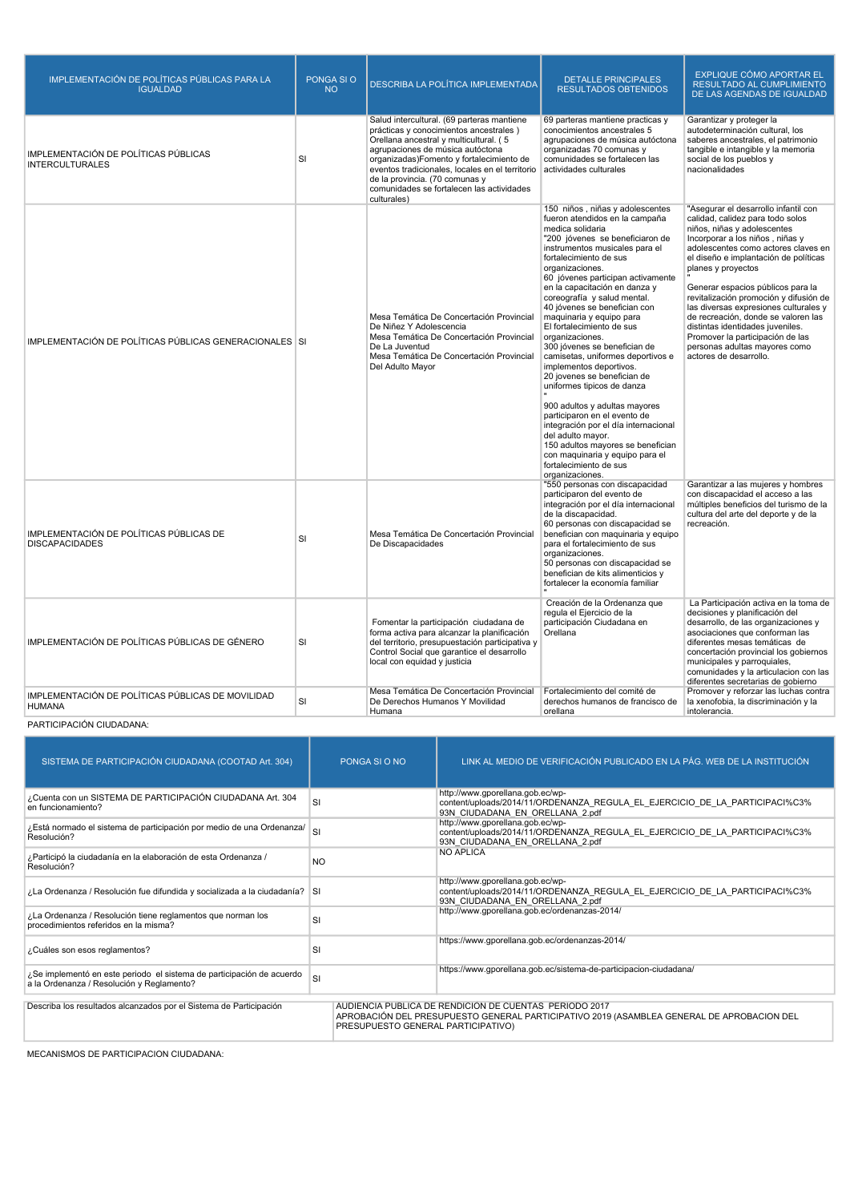| IMPLEMENTACIÓN DE POLÍTICAS PÚBLICAS PARA LA<br><b>IGUALDAD</b>    | PONGA SI O<br><b>NO</b> | DESCRIBA LA POLÍTICA IMPLEMENTADA                                                                                                                                                                                                                                                                                                                                | <b>DETALLE PRINCIPALES</b><br><b>RESULTADOS OBTENIDOS</b>                                                                                                                                                                                                                                                                                                                                                                                                                                                                                                                                                                                                                                                                                                                                                                                | EXPLIQUE CÓMO APORTAR EL<br>RESULTADO AL CUMPLIMIENTO<br>DE LAS AGENDAS DE IGUALDAD                                                                                                                                                                                                                                                                                                                                                                                                                                                                |
|--------------------------------------------------------------------|-------------------------|------------------------------------------------------------------------------------------------------------------------------------------------------------------------------------------------------------------------------------------------------------------------------------------------------------------------------------------------------------------|------------------------------------------------------------------------------------------------------------------------------------------------------------------------------------------------------------------------------------------------------------------------------------------------------------------------------------------------------------------------------------------------------------------------------------------------------------------------------------------------------------------------------------------------------------------------------------------------------------------------------------------------------------------------------------------------------------------------------------------------------------------------------------------------------------------------------------------|----------------------------------------------------------------------------------------------------------------------------------------------------------------------------------------------------------------------------------------------------------------------------------------------------------------------------------------------------------------------------------------------------------------------------------------------------------------------------------------------------------------------------------------------------|
| IMPLEMENTACIÓN DE POLÍTICAS PÚBLICAS<br><b>INTERCULTURALES</b>     | <b>SI</b>               | Salud intercultural. (69 parteras mantiene<br>prácticas y conocimientos ancestrales)<br>Orellana ancestral y multicultural. (5<br>agrupaciones de música autóctona<br>organizadas) Fomento y fortalecimiento de<br>eventos tradicionales, locales en el territorio<br>de la provincia. (70 comunas y<br>comunidades se fortalecen las actividades<br>culturales) | 69 parteras mantiene practicas y<br>conocimientos ancestrales 5<br>agrupaciones de música autóctona<br>organizadas 70 comunas y<br>comunidades se fortalecen las<br>actividades culturales                                                                                                                                                                                                                                                                                                                                                                                                                                                                                                                                                                                                                                               | Garantizar y proteger la<br>autodeterminación cultural, los<br>saberes ancestrales, el patrimonio<br>tangible e intangible y la memoria<br>social de los pueblos y<br>nacionalidades                                                                                                                                                                                                                                                                                                                                                               |
| IMPLEMENTACIÓN DE POLÍTICAS PÚBLICAS GENERACIONALES SI             |                         | Mesa Temática De Concertación Provincial<br>De Niñez Y Adolescencia<br>Mesa Temática De Concertación Provincial<br>De La Juventud<br>Mesa Temática De Concertación Provincial<br>Del Adulto Mayor                                                                                                                                                                | 150 niños, niñas y adolescentes<br>fueron atendidos en la campaña<br>medica solidaria<br>"200 jóvenes se beneficiaron de<br>instrumentos musicales para el<br>fortalecimiento de sus<br>organizaciones.<br>60 jóvenes participan activamente<br>en la capacitación en danza y<br>coreografía y salud mental.<br>40 jóvenes se benefician con<br>maquinaria y equipo para<br>El fortalecimiento de sus<br>organizaciones.<br>300 jóvenes se benefician de<br>camisetas, uniformes deportivos e<br>implementos deportivos.<br>20 jovenes se benefician de<br>uniformes tipicos de danza<br>900 adultos y adultas mayores<br>participaron en el evento de<br>integración por el día internacional<br>del adulto mayor.<br>150 adultos mayores se benefician<br>con maquinaria y equipo para el<br>fortalecimiento de sus<br>organizaciones. | "Asegurar el desarrollo infantil con<br>calidad, calidez para todo solos<br>niños, niñas y adolescentes<br>Incorporar a los niños, niñas y<br>adolescentes como actores claves en<br>el diseño e implantación de políticas<br>planes y proyectos<br>Generar espacios públicos para la<br>revitalización promoción y difusión de<br>las diversas expresiones culturales y<br>de recreación, donde se valoren las<br>distintas identidades juveniles.<br>Promover la participación de las<br>personas adultas mayores como<br>actores de desarrollo. |
| IMPLEMENTACIÓN DE POLÍTICAS PÚBLICAS DE<br><b>DISCAPACIDADES</b>   | <b>SI</b>               | Mesa Temática De Concertación Provincial<br>De Discapacidades                                                                                                                                                                                                                                                                                                    | "550 personas con discapacidad<br>participaron del evento de<br>integración por el día internacional<br>de la discapacidad.<br>60 personas con discapacidad se<br>benefician con maquinaria y equipo<br>para el fortalecimiento de sus<br>organizaciones.<br>50 personas con discapacidad se<br>benefician de kits alimenticios y<br>fortalecer la economía familiar                                                                                                                                                                                                                                                                                                                                                                                                                                                                     | Garantizar a las mujeres y hombres<br>con discapacidad el acceso a las<br>múltiples beneficios del turismo de la<br>cultura del arte del deporte y de la<br>recreación.                                                                                                                                                                                                                                                                                                                                                                            |
| IMPLEMENTACIÓN DE POLÍTICAS PÚBLICAS DE GÉNERO                     | SI                      | Fomentar la participación ciudadana de<br>forma activa para alcanzar la planificación<br>del territorio, presupuestación participativa y<br>Control Social que garantice el desarrollo<br>local con equidad y justicia                                                                                                                                           | Creación de la Ordenanza que<br>regula el Ejercicio de la<br>participación Ciudadana en<br>Orellana                                                                                                                                                                                                                                                                                                                                                                                                                                                                                                                                                                                                                                                                                                                                      | La Participación activa en la toma de<br>decisiones y planificación del<br>desarrollo, de las organizaciones y<br>asociaciones que conforman las<br>diferentes mesas temáticas de<br>concertación provincial los gobiernos<br>municipales y parroquiales,<br>comunidades y la articulacion con las<br>diferentes secretarias de gobierno                                                                                                                                                                                                           |
| IMPLEMENTACIÓN DE POLÍTICAS PÚBLICAS DE MOVILIDAD<br><b>HUMANA</b> | <b>SI</b>               | Mesa Temática De Concertación Provincial<br>De Derechos Humanos Y Movilidad<br>Humana                                                                                                                                                                                                                                                                            | Fortalecimiento del comité de<br>derechos humanos de francisco de<br>orellana                                                                                                                                                                                                                                                                                                                                                                                                                                                                                                                                                                                                                                                                                                                                                            | Promover y reforzar las luchas contra<br>la xenofobia, la discriminación y la<br>intolerancia.                                                                                                                                                                                                                                                                                                                                                                                                                                                     |

### PARTICIPACIÓN CIUDADANA:

| SISTEMA DE PARTICIPACIÓN CIUDADANA (COOTAD Art. 304)                                                               | PONGA SLO NO                       | LINK AL MEDIO DE VERIFICACIÓN PUBLICADO EN LA PÁG. WEB DE LA INSTITUCIÓN                                                                            |  |  |
|--------------------------------------------------------------------------------------------------------------------|------------------------------------|-----------------------------------------------------------------------------------------------------------------------------------------------------|--|--|
| ¿Cuenta con un SISTEMA DE PARTICIPACIÓN CIUDADANA Art. 304<br>en funcionamiento?                                   | <b>SI</b>                          | http://www.gporellana.gob.ec/wp-<br>content/uploads/2014/11/ORDENANZA REGULA EL EJERCICIO DE LA PARTICIPACI%C3%<br>93N CIUDADANA EN ORELLANA 2.pdf  |  |  |
| ¿Está normado el sistema de participación por medio de una Ordenanza/<br>Resolución?                               | SI                                 | http://www.gporellana.gob.ec/wp-<br>content/uploads/2014/11/ORDENANZA REGULA EL EJERCICIO DE LA PARTICIPACI%C3%<br>93N CIUDADANA EN ORELLANA 2.pdf  |  |  |
| ¿Participó la ciudadanía en la elaboración de esta Ordenanza /<br>Resolución?                                      | <b>NO</b>                          | <b>NO APLICA</b>                                                                                                                                    |  |  |
| ¿La Ordenanza / Resolución fue difundida y socializada a la ciudadanía? SI                                         |                                    | http://www.gporellana.gob.ec/wp-<br>content/uploads/2014/11/ORDENANZA REGULA EL EJERCICIO DE LA PARTICIPACI%C3%<br>93N CIUDADANA EN ORELLANA 2.pdf  |  |  |
| ¿La Ordenanza / Resolución tiene reglamentos que norman los<br>procedimientos referidos en la misma?               | <b>SI</b>                          | http://www.gporellana.gob.ec/ordenanzas-2014/                                                                                                       |  |  |
| ¿Cuáles son esos reglamentos?                                                                                      | SI                                 | https://www.gporellana.gob.ec/ordenanzas-2014/                                                                                                      |  |  |
| ¿Se implementó en este periodo el sistema de participación de acuerdo<br>a la Ordenanza / Resolución y Reglamento? | <b>SI</b>                          | https://www.gporellana.gob.ec/sistema-de-participacion-ciudadana/                                                                                   |  |  |
| Describa los resultados alcanzados por el Sistema de Participación                                                 | PRESUPUESTO GENERAL PARTICIPATIVO) | AUDIENCIA PUBLICA DE RENDICIÓN DE CUENTAS PERIODO 2017<br>APROBACIÓN DEL PRESUPUESTO GENERAL PARTICIPATIVO 2019 (ASAMBLEA GENERAL DE APROBACION DEL |  |  |

MECANISMOS DE PARTICIPACION CIUDADANA: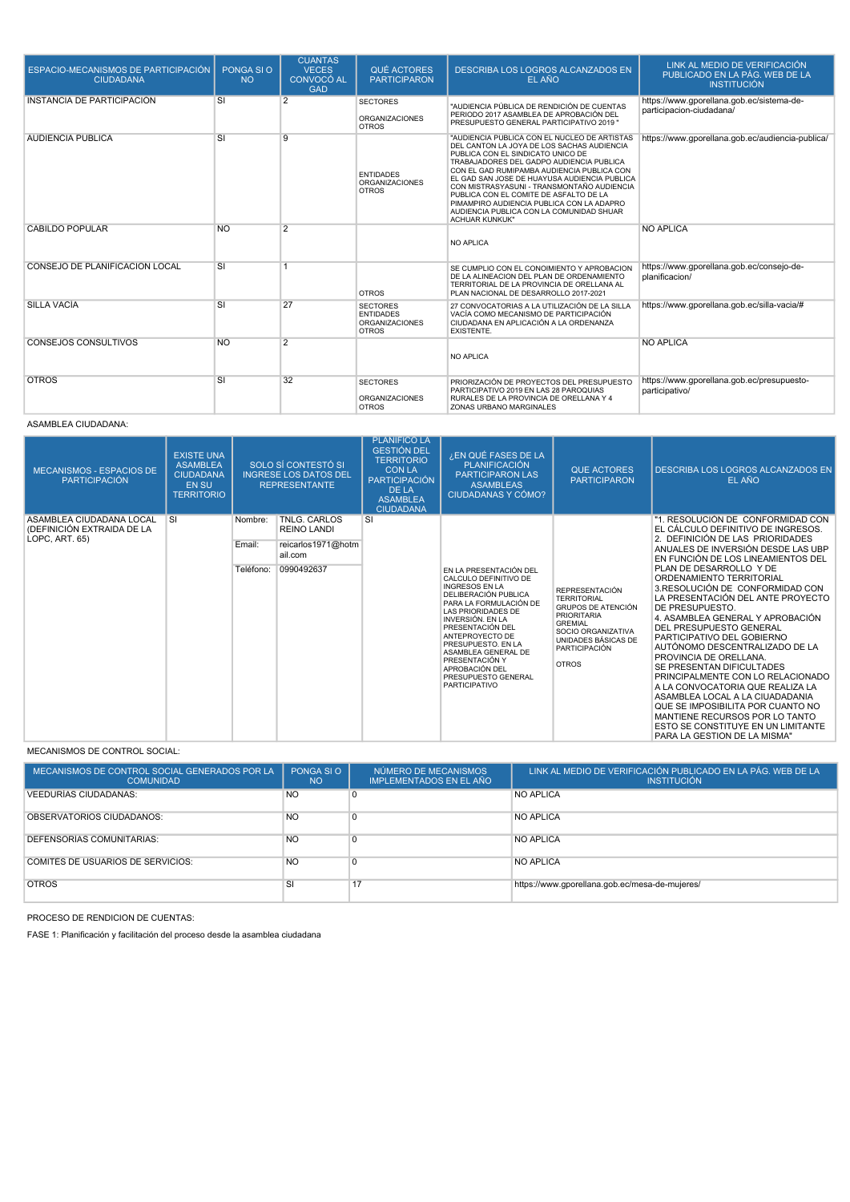| ESPACIO-MECANISMOS DE PARTICIPACIÓN<br><b>CIUDADANA</b> | PONGA SI O<br><b>NO</b> | <b>CUANTAS</b><br><b>VECES</b><br>CONVOCÓ AL<br><b>GAD</b> | <b>QUÉ ACTORES</b><br><b>PARTICIPARON</b>                                    | DESCRIBA LOS LOGROS ALCANZADOS EN<br>EL AÑO                                                                                                                                                                                                                                                                                                                                                                                                                                         | LINK AL MEDIO DE VERIFICACIÓN<br>PUBLICADO EN LA PÁG. WEB DE LA<br><b>INSTITUCIÓN</b> |
|---------------------------------------------------------|-------------------------|------------------------------------------------------------|------------------------------------------------------------------------------|-------------------------------------------------------------------------------------------------------------------------------------------------------------------------------------------------------------------------------------------------------------------------------------------------------------------------------------------------------------------------------------------------------------------------------------------------------------------------------------|---------------------------------------------------------------------------------------|
| INSTANCIA DE PARTICIPACIÓN                              | SI                      | 2                                                          | <b>SECTORES</b><br><b>ORGANIZACIONES</b><br><b>OTROS</b>                     | "AUDIENCIA PÚBLICA DE RENDICIÓN DE CUENTAS<br>PERIODO 2017 ASAMBLEA DE APROBACIÓN DEL<br>PRESUPUESTO GENERAL PARTICIPATIVO 2019 "                                                                                                                                                                                                                                                                                                                                                   | https://www.gporellana.gob.ec/sistema-de-<br>participacion-ciudadana/                 |
| AUDIENCIA PÚBLICA                                       | <b>SI</b>               | 9                                                          | <b>ENTIDADES</b><br><b>ORGANIZACIONES</b><br><b>OTROS</b>                    | "AUDIENCIA PUBLICA CON EL NUCLEO DE ARTISTAS<br>DEL CANTON LA JOYA DE LOS SACHAS AUDIENCIA<br>PUBLICA CON EL SINDICATO UNICO DE<br>TRABAJADORES DEL GADPO AUDIENCIA PUBLICA<br>CON EL GAD RUMIPAMBA AUDIENCIA PUBLICA CON<br>EL GAD SAN JOSE DE HUAYUSA AUDIENCIA PUBLICA<br>CON MISTRASYASUNI - TRANSMONTAÑO AUDIENCIA<br>PUBLICA CON EL COMITE DE ASFALTO DE LA<br>PIMAMPIRO AUDIENCIA PUBLICA CON LA ADAPRO<br>AUDIENCIA PUBLICA CON LA COMUNIDAD SHUAR<br><b>ACHUAR KUNKUK"</b> | https://www.gporellana.gob.ec/audiencia-publica/                                      |
| CABILDO POPULAR                                         | <b>NO</b>               | $\overline{2}$                                             |                                                                              | <b>NO APLICA</b>                                                                                                                                                                                                                                                                                                                                                                                                                                                                    | <b>NO APLICA</b>                                                                      |
| CONSEJO DE PLANIFICACIÓN LOCAL                          | SI                      | 1                                                          | <b>OTROS</b>                                                                 | SE CUMPLIO CON EL CONOIMIENTO Y APROBACION<br>DE LA ALINEACION DEL PLAN DE ORDENAMIENTO<br>TERRITORIAL DE LA PROVINCIA DE ORELLANA AL<br>PLAN NACIONAL DE DESARROLLO 2017-2021                                                                                                                                                                                                                                                                                                      | https://www.gporellana.gob.ec/consejo-de-<br>planificacion/                           |
| <b>SILLA VACIA</b>                                      | SI                      | 27                                                         | <b>SECTORES</b><br><b>FNTIDADES</b><br><b>ORGANIZACIONES</b><br><b>OTROS</b> | 27 CONVOCATORIAS A LA UTILIZACIÓN DE LA SILLA<br>VACÍA COMO MECANISMO DE PARTICIPACIÓN<br>CIUDADANA EN APLICACIÓN A LA ORDENANZA<br><b>EXISTENTE.</b>                                                                                                                                                                                                                                                                                                                               | https://www.gporellana.gob.ec/silla-vacia/#                                           |
| <b>CONSEJOS CONSULTIVOS</b>                             | <b>NO</b>               | $\overline{2}$                                             |                                                                              | <b>NO APLICA</b>                                                                                                                                                                                                                                                                                                                                                                                                                                                                    | <b>NO APLICA</b>                                                                      |
| <b>OTROS</b>                                            | SI                      | 32                                                         | <b>SECTORES</b><br><b>ORGANIZACIONES</b><br><b>OTROS</b>                     | PRIORIZACIÓN DE PROYECTOS DEL PRESUPUESTO<br>PARTICIPATIVO 2019 EN LAS 28 PAROQUIAS<br>RURALES DE LA PROVINCIA DE ORELLANA Y 4<br>ZONAS URBANO MARGINALES                                                                                                                                                                                                                                                                                                                           | https://www.gporellana.gob.ec/presupuesto-<br>participativo/                          |

#### ASAMBLEA CIUDADANA:

| <b>MECANISMOS - ESPACIOS DE</b><br><b>PARTICIPACIÓN</b>                  | <b>EXISTE UNA</b><br><b>ASAMBLEA</b><br><b>CIUDADANA</b><br><b>EN SU</b><br><b>TERRITORIO</b> |                                | SOLO SÍ CONTESTÓ SI<br><b>INGRESE LOS DATOS DEL</b><br><b>REPRESENTANTE</b>              | <b>PLANIFICO LA</b><br><b>GESTIÓN DEL</b><br><b>TERRITORIO</b><br><b>CON LA</b><br><b>PARTICIPACIÓN</b><br><b>DE LA</b><br><b>ASAMBLEA</b><br><b>CIUDADANA</b> | ¿EN QUÉ FASES DE LA<br><b>PLANIFICACIÓN</b><br><b>PARTICIPARON LAS</b><br><b>ASAMBLEAS</b><br><b>CIUDADANAS Y CÓMO?</b>                                                                                                                                                                                                                            | <b>QUE ACTORES</b><br><b>PARTICIPARON</b>                                                                                                                                                      | <b>DESCRIBA LOS LOGROS ALCANZADOS EN</b><br>EL AÑO                                                                                                                                                                                                                                                                                                                                                                                                                                                                                                                                                                                                                                                                                                                                       |
|--------------------------------------------------------------------------|-----------------------------------------------------------------------------------------------|--------------------------------|------------------------------------------------------------------------------------------|----------------------------------------------------------------------------------------------------------------------------------------------------------------|----------------------------------------------------------------------------------------------------------------------------------------------------------------------------------------------------------------------------------------------------------------------------------------------------------------------------------------------------|------------------------------------------------------------------------------------------------------------------------------------------------------------------------------------------------|------------------------------------------------------------------------------------------------------------------------------------------------------------------------------------------------------------------------------------------------------------------------------------------------------------------------------------------------------------------------------------------------------------------------------------------------------------------------------------------------------------------------------------------------------------------------------------------------------------------------------------------------------------------------------------------------------------------------------------------------------------------------------------------|
| ASAMBLEA CIUDADANA LOCAL<br>(DEFINICIÓN EXTRAIDA DE LA<br>LOPC, ART. 65) | SI                                                                                            | Nombre:<br>Email:<br>Teléfono: | <b>TNLG. CARLOS</b><br><b>REINO LANDI</b><br>reicarlos1971@hotm<br>ail.com<br>0990492637 | SI                                                                                                                                                             | EN LA PRESENTACIÓN DEL<br>CALCULO DEFINITIVO DE<br><b>INGRESOS EN LA</b><br>DELIBERACIÓN PUBLICA<br>PARA LA FORMULACIÓN DE<br>LAS PRIORIDADES DE<br><b>INVERSIÓN, EN LA</b><br>PRESENTACIÓN DEL<br>ANTEPROYECTO DE<br>PRESUPUESTO. EN LA<br>ASAMBLEA GENERAL DE<br>PRESENTACIÓN Y<br>APROBACIÓN DEL<br>PRESUPUESTO GENERAL<br><b>PARTICIPATIVO</b> | <b>REPRESENTACIÓN</b><br><b>TERRITORIAL</b><br><b>GRUPOS DE ATENCIÓN</b><br><b>PRIORITARIA</b><br><b>GREMIAL</b><br>SOCIO ORGANIZATIVA<br>UNIDADES BÁSICAS DE<br>PARTICIPACIÓN<br><b>OTROS</b> | "1. RESOLUCIÓN DE CONFORMIDAD CON<br>EL CÁLCULO DEFINITIVO DE INGRESOS.<br>2. DEFINICIÓN DE LAS PRIORIDADES<br>ANUALES DE INVERSIÓN DESDE LAS UBP<br>EN FUNCIÓN DE LOS LINEAMIENTOS DEL<br>PLAN DE DESARROLLO Y DE<br>ORDENAMIENTO TERRITORIAL<br>3.RESOLUCIÓN DE CONFORMIDAD CON<br>LA PRESENTACIÓN DEL ANTE PROYECTO<br>DE PRESUPUESTO.<br>4. ASAMBLEA GENERAL Y APROBACIÓN<br>DEL PRESUPUESTO GENERAL<br>PARTICIPATIVO DEL GOBIERNO<br>AUTÓNOMO DESCENTRALIZADO DE LA<br>PROVINCIA DE ORELLANA.<br>SE PRESENTAN DIFICULTADES<br>PRINCIPALMENTE CON LO RELACIONADO<br>A LA CONVOCATORIA QUE REALIZA LA<br>ASAMBLEA LOCAL A LA CIUADADANIA<br>QUE SE IMPOSIBILITA POR CUANTO NO<br>MANTIENE RECURSOS POR LO TANTO<br>ESTO SE CONSTITUYE EN UN LIMITANTE<br>PARA LA GESTION DE LA MISMA" |

MECANISMOS DE CONTROL SOCIAL:

| MECANISMOS DE CONTROL SOCIAL GENERADOS POR LA<br><b>COMUNIDAD</b> | PONGA SI O<br><b>NO</b> | NÚMERO DE MECANISMOS<br>IMPLEMENTADOS EN EL AÑO | LINK AL MEDIO DE VERIFICACIÓN PUBLICADO EN LA PÁG. WEB DE LA<br><b>INSTITUCIÓN</b> |
|-------------------------------------------------------------------|-------------------------|-------------------------------------------------|------------------------------------------------------------------------------------|
| <b>VEEDURIAS CIUDADANAS:</b>                                      | <b>NO</b>               |                                                 | <b>NO APLICA</b>                                                                   |
| OBSERVATORIOS CIUDADANOS:                                         | <b>NO</b>               |                                                 | <b>NO APLICA</b>                                                                   |
| DEFENSORIAS COMUNITARIAS:                                         | <b>NO</b>               |                                                 | <b>NO APLICA</b>                                                                   |
| <b>COMITÉS DE USUARIOS DE SERVICIOS:</b>                          | <b>NO</b>               |                                                 | <b>NO APLICA</b>                                                                   |
| <b>OTROS</b>                                                      | SI                      | 17                                              | https://www.gporellana.gob.ec/mesa-de-mujeres/                                     |

PROCESO DE RENDICION DE CUENTAS:

FASE 1: Planificación y facilitación del proceso desde la asamblea ciudadana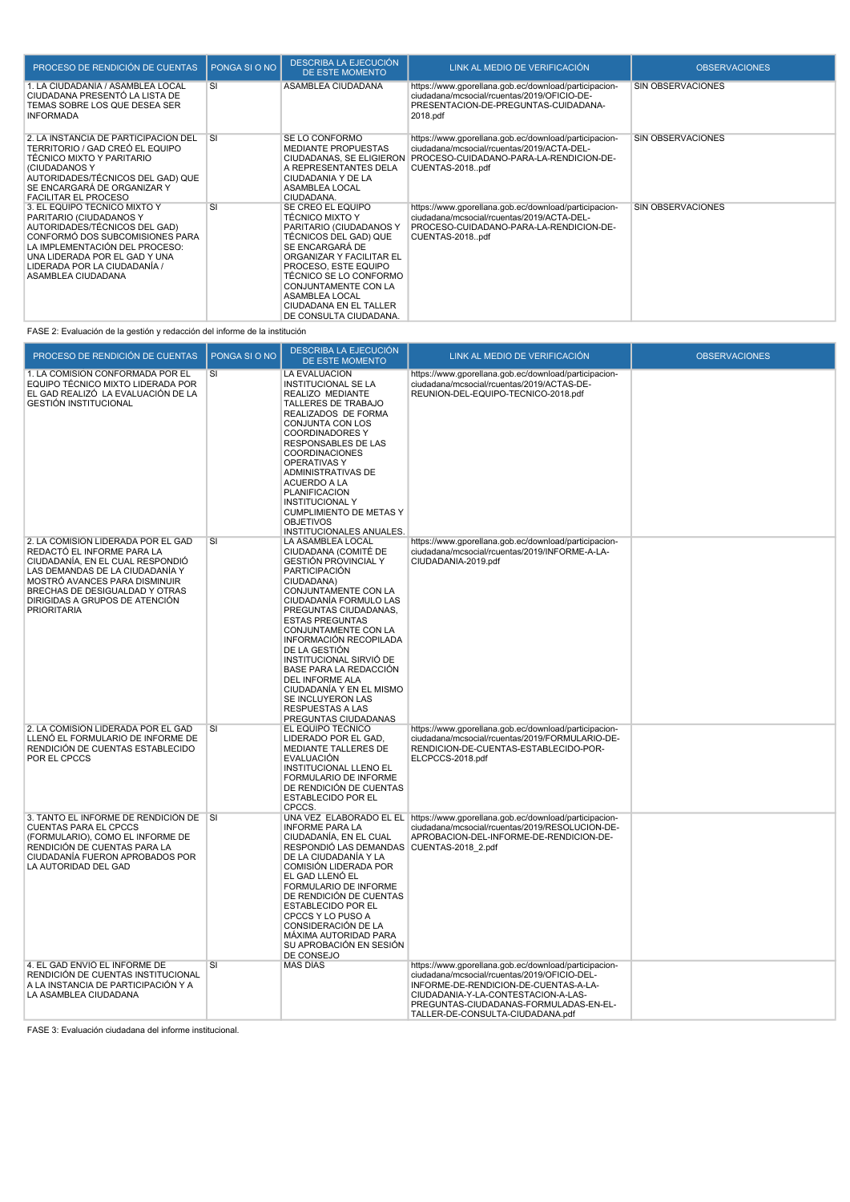| PROCESO DE RENDICIÓN DE CUENTAS                                                                                                                                                                                                                      | PONGA SI O NO | <b>DESCRIBA LA EJECUCIÓN</b><br><b>DE ESTE MOMENTO</b>                                                                                                                                                                                                                                         | LINK AL MEDIO DE VERIFICACIÓN                                                                                                                                     | <b>OBSERVACIONES</b> |
|------------------------------------------------------------------------------------------------------------------------------------------------------------------------------------------------------------------------------------------------------|---------------|------------------------------------------------------------------------------------------------------------------------------------------------------------------------------------------------------------------------------------------------------------------------------------------------|-------------------------------------------------------------------------------------------------------------------------------------------------------------------|----------------------|
| . LA CIUDADANÍA / ASAMBLEA LOCAL<br>CIUDADANA PRESENTÓ LA LISTA DE<br>TEMAS SOBRE LOS QUE DESEA SER<br><b>INFORMADA</b>                                                                                                                              | SI            | ASAMBLEA CIUDADANA                                                                                                                                                                                                                                                                             | https://www.gporellana.gob.ec/download/participacion-<br>ciudadana/mcsocial/rcuentas/2019/OFICIO-DE-<br>PRESENTACION-DE-PREGUNTAS-CUIDADANA-<br>2018.pdf          | SIN OBSERVACIONES    |
| 2. LA INSTANCIA DE PARTICIPACIÓN DEL<br>TERRITORIO / GAD CREÓ EL EQUIPO<br>TÉCNICO MIXTO Y PARITARIO<br>(CIUDADANOS Y<br>AUTORIDADES/TÉCNICOS DEL GAD) QUE<br>SE ENCARGARÁ DE ORGANIZAR Y<br><b>FACILITAR EL PROCESO</b>                             | <b>SI</b>     | SE LO CONFORMO<br><b>MEDIANTE PROPUESTAS</b><br>CIUDADANAS, SE ELIGIERON<br>A REPRESENTANTES DELA<br>CIUDADANIA Y DE LA<br>ASAMBLEA LOCAL<br>CIUDADANA.                                                                                                                                        | https://www.gporellana.gob.ec/download/participacion-<br>ciudadana/mcsocial/rcuentas/2019/ACTA-DEL-<br>PROCESO-CUIDADANO-PARA-LA-RENDICION-DE-<br>CUENTAS-2018pdf | SIN OBSERVACIONES    |
| 3. EL EQUIPO TÉCNICO MIXTO Y<br>PARITARIO (CIUDADANOS Y<br>AUTORIDADES/TÉCNICOS DEL GAD)<br>CONFORMÓ DOS SUBCOMISIONES PARA<br>LA IMPLEMENTACIÓN DEL PROCESO:<br>UNA LIDERADA POR EL GAD Y UNA<br>LIDERADA POR LA CIUDADANÍA /<br>ASAMBLEA CIUDADANA | <b>SI</b>     | SE CREÓ EL EQUIPO<br><b>TÉCNICO MIXTO Y</b><br>PARITARIO (CIUDADANOS Y<br>TÉCNICOS DEL GAD) QUE<br>SE ENCARGARÁ DE<br>ORGANIZAR Y FACILITAR EL<br>PROCESO. ESTE EQUIPO<br>TÉCNICO SE LO CONFORMO<br>CONJUNTAMENTE CON LA<br>ASAMBLEA LOCAL<br>CIUDADANA EN EL TALLER<br>DE CONSULTA CIUDADANA. | https://www.gporellana.gob.ec/download/participacion-<br>ciudadana/mcsocial/rcuentas/2019/ACTA-DEL-<br>PROCESO-CUIDADANO-PARA-LA-RENDICION-DE-<br>CUENTAS-2018pdf | SIN OBSERVACIONES    |

FASE 2: Evaluación de la gestión y redacción del informe de la institución

| PROCESO DE RENDICIÓN DE CUENTAS                                                                                                                                                                                                                                    | PONGA SI O NO | DESCRIBA LA EJECUCIÓN<br><b>DE ESTE MOMENTO</b>                                                                                                                                                                                                                                                                                                                                                                                                             | LINK AL MEDIO DE VERIFICACIÓN                                                                                                                                                                                                                                       | <b>OBSERVACIONES</b> |
|--------------------------------------------------------------------------------------------------------------------------------------------------------------------------------------------------------------------------------------------------------------------|---------------|-------------------------------------------------------------------------------------------------------------------------------------------------------------------------------------------------------------------------------------------------------------------------------------------------------------------------------------------------------------------------------------------------------------------------------------------------------------|---------------------------------------------------------------------------------------------------------------------------------------------------------------------------------------------------------------------------------------------------------------------|----------------------|
| 1. LA COMISIÓN CONFORMADA POR EL<br>EQUIPO TÉCNICO MIXTO LIDERADA POR<br>EL GAD REALIZÓ LA EVALUACIÓN DE LA<br><b>GESTIÓN INSTITUCIONAL</b>                                                                                                                        | SI            | LA EVALUACION<br><b>INSTITUCIONAL SE LA</b><br>REALIZO MEDIANTE<br>TALLERES DE TRABAJO<br>REALIZADOS DE FORMA<br>CONJUNTA CON LOS<br><b>COORDINADORES Y</b><br>RESPONSABLES DE LAS<br><b>COORDINACIONES</b><br><b>OPERATIVAS Y</b><br>ADMINISTRATIVAS DE<br><b>ACUERDO A LA</b><br><b>PLANIFICACION</b><br><b>INSTITUCIONAL Y</b><br><b>CUMPLIMIENTO DE METAS Y</b><br><b>OBJETIVOS</b><br>INSTITUCIONALES ANUALES.                                         | https://www.gporellana.gob.ec/download/participacion-<br>ciudadana/mcsocial/rcuentas/2019/ACTAS-DE-<br>REUNION-DEL-EQUIPO-TECNICO-2018.pdf                                                                                                                          |                      |
| 2. LA COMISIÓN LIDERADA POR EL GAD<br>REDACTÓ EL INFORME PARA LA<br>CIUDADANÍA, EN EL CUAL RESPONDIÓ<br>LAS DEMANDAS DE LA CIUDADANÍA Y<br>MOSTRÓ AVANCES PARA DISMINUIR<br>BRECHAS DE DESIGUALDAD Y OTRAS<br>DIRIGIDAS A GRUPOS DE ATENCIÓN<br><b>PRIORITARIA</b> | SI            | LA ASAMBLEA LOCAL<br>CIUDADANA (COMITÉ DE<br><b>GESTIÓN PROVINCIAL Y</b><br>PARTICIPACIÓN<br>CIUDADANA)<br>CONJUNTAMENTE CON LA<br>CIUDADANÍA FORMULO LAS<br>PREGUNTAS CIUDADANAS.<br><b>ESTAS PREGUNTAS</b><br>CONJUNTAMENTE CON LA<br>INFORMACIÓN RECOPILADA<br>DE LA GESTIÓN<br>INSTITUCIONAL SIRVIÓ DE<br>BASE PARA LA REDACCIÓN<br>DEL INFORME ALA<br>CIUDADANÍA Y EN EL MISMO<br>SE INCLUYERON LAS<br><b>RESPUESTAS A LAS</b><br>PREGUNTAS CIUDADANAS | https://www.gporellana.gob.ec/download/participacion-<br>ciudadana/mcsocial/rcuentas/2019/INFORME-A-LA-<br>CIUDADANIA-2019.pdf                                                                                                                                      |                      |
| 2. LA COMISIÓN LIDERADA POR EL GAD<br>LLENÓ EL FORMULARIO DE INFORME DE<br>RENDICIÓN DE CUENTAS ESTABLECIDO<br>POR EL CPCCS                                                                                                                                        | SI            | EL EQUIPO TÉCNICO<br>LIDERADO POR EL GAD,<br>MEDIANTE TALLERES DE<br><b>EVALUACIÓN</b><br>INSTITUCIONAL LLENO EL<br>FORMULARIO DE INFORME<br>DE RENDICIÓN DE CUENTAS<br><b>ESTABLECIDO POR EL</b><br>CPCCS.                                                                                                                                                                                                                                                 | https://www.gporellana.gob.ec/download/participacion-<br>ciudadana/mcsocial/rcuentas/2019/FORMULARIO-DE-<br>RENDICION-DE-CUENTAS-ESTABLECIDO-POR-<br>ELCPCCS-2018.pdf                                                                                               |                      |
| 3. TANTO EL INFORME DE RENDICIÓN DE SI<br><b>CUENTAS PARA EL CPCCS</b><br>(FORMULARIO), COMO EL INFORME DE<br>RENDICIÓN DE CUENTAS PARA LA<br>CIUDADANÍA FUERON APROBADOS POR<br>LA AUTORIDAD DEL GAD                                                              |               | <b>INFORME PARA LA</b><br>CIUDADANÍA, EN EL CUAL<br>RESPONDIÓ LAS DEMANDAS CUENTAS-2018 2.pdf<br>DE LA CIUDADANÍA Y LA<br>COMISIÓN LIDERADA POR<br>EL GAD LLENÓ EL<br>FORMULARIO DE INFORME<br>DE RENDICIÓN DE CUENTAS<br><b>ESTABLECIDO POR EL</b><br>CPCCS Y LO PUSO A<br>CONSIDERACIÓN DE LA<br>MÁXIMA AUTORIDAD PARA<br>SU APROBACIÓN EN SESIÓN<br>DE CONSEJO                                                                                           | UNA VEZ ELABORADO EL EL https://www.gporellana.gob.ec/download/participacion-<br>ciudadana/mcsocial/rcuentas/2019/RESOLUCION-DE-<br>APROBACION-DEL-INFORME-DE-RENDICION-DE-                                                                                         |                      |
| 4. EL GAD ENVIÓ EL INFORME DE<br>RENDICIÓN DE CUENTAS INSTITUCIONAL<br>A LA INSTANCIA DE PARTICIPACIÓN Y A<br>LA ASAMBLEA CIUDADANA                                                                                                                                | SI            | <b>MAS DÍAS</b>                                                                                                                                                                                                                                                                                                                                                                                                                                             | https://www.gporellana.gob.ec/download/participacion-<br>ciudadana/mcsocial/rcuentas/2019/OFICIO-DEL-<br>INFORME-DE-RENDICION-DE-CUENTAS-A-LA-<br>CIUDADANIA-Y-LA-CONTESTACION-A-LAS-<br>PREGUNTAS-CIUDADANAS-FORMULADAS-EN-EL-<br>TALLER-DE-CONSULTA-CIUDADANA.pdf |                      |

FASE 3: Evaluación ciudadana del informe institucional.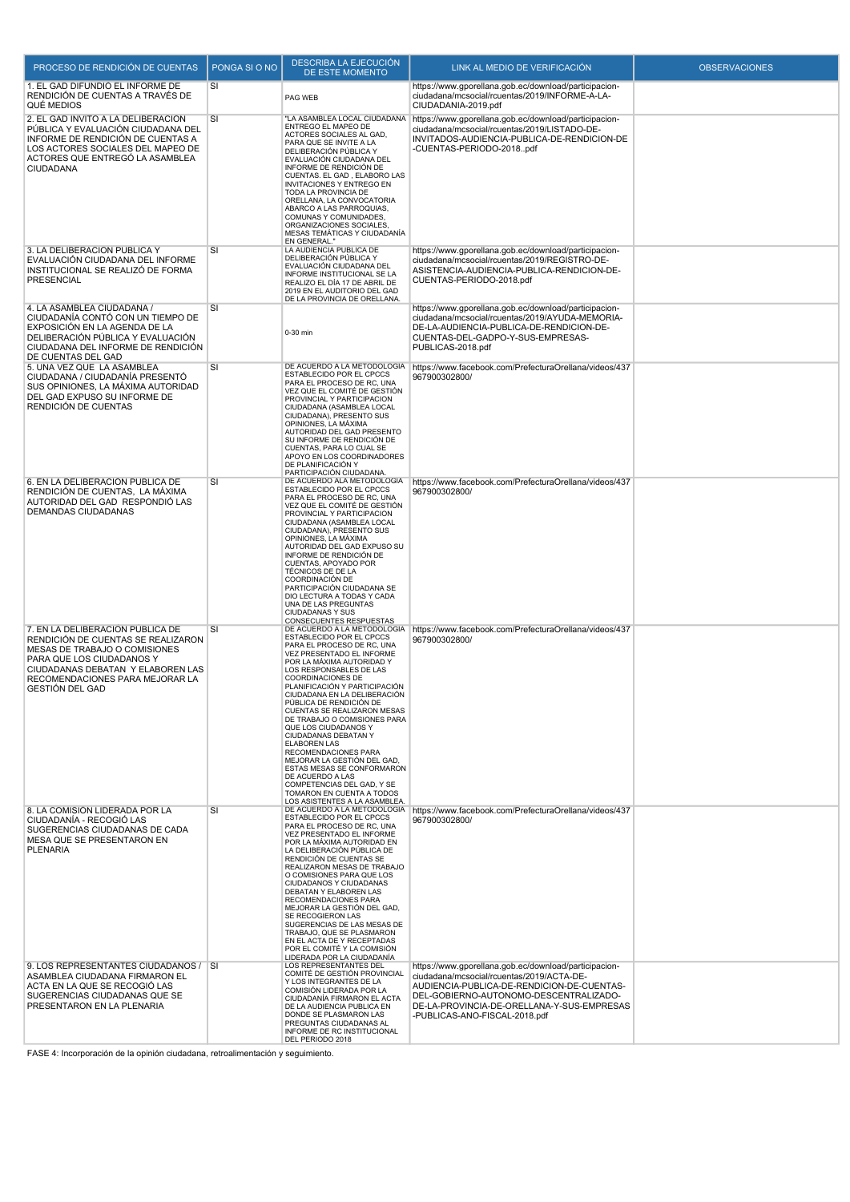| PROCESO DE RENDICIÓN DE CUENTAS                                                                                                                                                                                                        | PONGA SI O NO | <b>DESCRIBA LA EJECUCIÓN</b><br>DE ESTE MOMENTO                                                                                                                                                                                                                                                                                                                                                                                                                                                                                                                                                             | LINK AL MEDIO DE VERIFICACIÓN                                                                                                                                                                                                                                             | <b>OBSERVACIONES</b> |
|----------------------------------------------------------------------------------------------------------------------------------------------------------------------------------------------------------------------------------------|---------------|-------------------------------------------------------------------------------------------------------------------------------------------------------------------------------------------------------------------------------------------------------------------------------------------------------------------------------------------------------------------------------------------------------------------------------------------------------------------------------------------------------------------------------------------------------------------------------------------------------------|---------------------------------------------------------------------------------------------------------------------------------------------------------------------------------------------------------------------------------------------------------------------------|----------------------|
| 1. EL GAD DIFUNDIÓ EL INFORME DE<br>RENDICIÓN DE CUENTAS A TRAVÉS DE<br>QUÉ MEDIOS                                                                                                                                                     | SI            | PAG WEB                                                                                                                                                                                                                                                                                                                                                                                                                                                                                                                                                                                                     | https://www.gporellana.gob.ec/download/participacion-<br>ciudadana/mcsocial/rcuentas/2019/INFORME-A-LA-<br>CIUDADANIA-2019.pdf                                                                                                                                            |                      |
| 2. EL GAD INVITÓ A LA DELIBERACIÓN<br>PÚBLICA Y EVALUACIÓN CIUDADANA DEL<br>INFORME DE RENDICIÓN DE CUENTAS A<br>LOS ACTORES SOCIALES DEL MAPEO DE<br>ACTORES QUE ENTREGÓ LA ASAMBLEA<br>CIUDADANA                                     | SI            | "LA ASAMBLEA LOCAL CIUDADANA<br>ENTREGO EL MAPEO DE<br>ACTORES SOCIALES AL GAD.<br>PARA QUE SE INVITE A LA<br>DELIBERACIÓN PÚBLICA Y<br>EVALUACIÓN CIUDADANA DEL<br>INFORME DE RENDICIÓN DE<br>CUENTAS. EL GAD, ELABORO LAS<br><b>INVITACIONES Y ENTREGO EN</b><br>TODA LA PROVINCIA DE<br>ORELLANA, LA CONVOCATORIA<br>ABARCO A LAS PARROQUIAS,<br>COMUNAS Y COMUNIDADES,<br>ORGANIZACIONES SOCIALES,<br>MESAS TEMÁTICAS Y CIUDADANÍA<br>EN GENERAL."                                                                                                                                                      | https://www.gporellana.gob.ec/download/participacion-<br>ciudadana/mcsocial/rcuentas/2019/LISTADO-DE-<br>INVITADOS-AUDIENCIA-PUBLICA-DE-RENDICION-DE<br>-CUENTAS-PERIODO-2018pdf                                                                                          |                      |
| 3. LA DELIBERACIÓN PÚBLICA Y<br>EVALUACIÓN CIUDADANA DEL INFORME<br>INSTITUCIONAL SE REALIZÓ DE FORMA<br>PRESENCIAL                                                                                                                    | SI            | LA AUDIENCIA PUBLICA DE<br>DELIBERACIÓN PÚBLICA Y<br>EVALUACIÓN CIUDADANA DEL<br>INFORME INSTITUCIONAL SE LA<br>REALIZO EL DÍA 17 DE ABRIL DE<br>2019 EN EL AUDITORIO DEL GAD<br>DE LA PROVINCIA DE ORELLANA.                                                                                                                                                                                                                                                                                                                                                                                               | https://www.gporellana.gob.ec/download/participacion-<br>ciudadana/mcsocial/rcuentas/2019/REGISTRO-DE-<br>ASISTENCIA-AUDIENCIA-PUBLICA-RENDICION-DE-<br>CUENTAS-PERIODO-2018.pdf                                                                                          |                      |
| 4. LA ASAMBLEA CIUDADANA /<br>CIUDADANÍA CONTÓ CON UN TIEMPO DE<br>EXPOSICIÓN EN LA AGENDA DE LA<br>DELIBERACIÓN PÚBLICA Y EVALUACIÓN<br>CIUDADANA DEL INFORME DE RENDICIÓN<br>DE CUENTAS DEL GAD                                      | <b>SI</b>     | 0-30 min                                                                                                                                                                                                                                                                                                                                                                                                                                                                                                                                                                                                    | https://www.gporellana.gob.ec/download/participacion-<br>ciudadana/mcsocial/rcuentas/2019/AYUDA-MEMORIA-<br>DE-LA-AUDIENCIA-PUBLICA-DE-RENDICION-DE-<br>CUENTAS-DEL-GADPO-Y-SUS-EMPRESAS-<br>PUBLICAS-2018.pdf                                                            |                      |
| 5. UNA VEZ QUE LA ASAMBLEA<br>CIUDADANA / CIUDADANÍA PRESENTÓ<br>SUS OPINIONES, LA MÁXIMA AUTORIDAD<br>DEL GAD EXPUSO SU INFORME DE<br>RENDICIÓN DE CUENTAS                                                                            | SI            | DE ACUERDO A LA METODOLOGÍA<br>ESTABLECIDO POR EL CPCCS<br>PARA EL PROCESO DE RC, UNA<br>VEZ QUE EL COMITÉ DE GESTIÓN<br>PROVINCIAL Y PARTICIPACION<br>CIUDADANA (ASAMBLEA LOCAL<br>CIUDADANA), PRESENTO SUS<br>OPINIONES, LA MÁXIMA<br>AUTORIDAD DEL GAD PRESENTO<br>SU INFORME DE RENDICIÓN DE<br>CUENTAS, PARA LO CUAL SE<br>APOYO EN LOS COORDINADORES<br>DE PLANIFICACIÓN Y<br>PARTICIPACIÓN CIUDADANA.                                                                                                                                                                                                | https://www.facebook.com/PrefecturaOrellana/videos/437<br>967900302800/                                                                                                                                                                                                   |                      |
| 6. EN LA DELIBERACIÓN PÚBLICA DE<br>RENDICIÓN DE CUENTAS, LA MÁXIMA<br>AUTORIDAD DEL GAD RESPONDIÓ LAS<br>DEMANDAS CIUDADANAS                                                                                                          | <b>SI</b>     | DE ACUERDO ALA METODOLOGIA<br>ESTABLECIDO POR EL CPCCS<br>PARA EL PROCESO DE RC, UNA<br>VEZ QUE EL COMITÉ DE GESTIÓN<br>PROVINCIAL Y PARTICIPACION<br>CIUDADANA (ASAMBLEA LOCAL<br>CIUDADANA), PRESENTO SUS<br>OPINIONES, LA MÁXIMA<br>AUTORIDAD DEL GAD EXPUSO SU<br>INFORME DE RENDICIÓN DE<br>CUENTAS, APOYADO POR<br>TÉCNICOS DE DE LA<br>COORDINACIÓN DE<br>PARTICIPACIÓN CIUDADANA SE<br>DIO LECTURA A TODAS Y CADA<br>UNA DE LAS PREGUNTAS<br><b>CIUDADANAS Y SUS</b><br>CONSECUENTES RESPUESTAS                                                                                                     | https://www.facebook.com/PrefecturaOrellana/videos/437<br>967900302800/                                                                                                                                                                                                   |                      |
| 7. EN LA DELIBERACIÓN PÚBLICA DE<br>RENDICIÓN DE CUENTAS SE REALIZARON<br>MESAS DE TRABAJO O COMISIONES<br>PARA QUE LOS CIUDADANOS Y<br>CIUDADANAS DEBATAN Y ELABOREN LAS<br>RECOMENDACIONES PARA MEJORAR LA<br><b>GESTION DEL GAD</b> | SI            | ESTABLECIDO POR EL CPCCS<br>PARA EL PROCESO DE RC, UNA<br>VEZ PRESENTADO EL INFORME<br>POR LA MÁXIMA AUTORIDAD Y<br>LOS RESPONSABLES DE LAS<br><b>COORDINACIONES DE</b><br>PLANIFICACIÓN Y PARTICIPACIÓN<br>CIUDADANA EN LA DELIBERAO<br>PÚBLICA DE RENDICIÓN DE<br>CUENTAS SE REALIZARON MESAS<br>DE TRABAJO O COMISIONES PARA<br>QUE LOS CIUDADANOS Y<br>CIUDADANAS DEBATAN Y<br><b>ELABOREN LAS</b><br>RECOMENDACIONES PARA<br>MEJORAR LA GESTIÓN DEL GAD,<br>ESTAS MESAS SE CONFORMARON<br>DE ACUERDO A LAS<br>COMPETENCIAS DEL GAD, Y SE<br>TOMARON EN CUENTA A TODOS<br>LOS ASISTENTES A LA ASAMBLEA. | DE ACUERDO A LA METODOLOGIA   https://www.facebook.com/PrefecturaOrellana/videos/437<br>967900302800/                                                                                                                                                                     |                      |
| 8. LA COMISIÓN LIDERADA POR LA<br>CIUDADANÍA - RECOGIÓ LAS<br>SUGERENCIAS CIUDADANAS DE CADA<br>MESA QUE SE PRESENTARON EN<br><b>PLENARIA</b>                                                                                          | SI            | ESTABLECIDO POR EL CPCCS<br>PARA EL PROCESO DE RC. UNA<br>VEZ PRESENTADO EL INFORME<br>POR LA MÁXIMA AUTORIDAD EN<br>LA DELIBERACIÓN PÚBLICA DE<br>RENDICIÓN DE CUENTAS SE<br>REALIZARON MESAS DE TRABAJO<br>O COMISIONES PARA QUE LOS<br>CIUDADANOS Y CIUDADANAS<br>DEBATAN Y ELABOREN LAS<br>RECOMENDACIONES PARA<br>MEJORAR LA GESTIÓN DEL GAD,<br>SE RECOGIERON LAS<br>SUGERENCIAS DE LAS MESAS DE<br>TRABAJO, QUE SE PLASMARON<br>EN EL ACTA DE Y RECEPTADAS<br>POR EL COMITÉ Y LA COMISIÓN<br>LIDERADA POR LA CIUDADANÍA                                                                              | DE ACUERDO A LA METODOLOGIA https://www.facebook.com/PrefecturaOrellana/videos/437<br>967900302800/                                                                                                                                                                       |                      |
| 9. LOS REPRESENTANTES CIUDADANOS / SI<br>ASAMBLEA CIUDADANA FIRMARON EL<br>ACTA EN LA QUE SE RECOGIÓ LAS<br>SUGERENCIAS CIUDADANAS QUE SE<br>PRESENTARON EN LA PLENARIA                                                                |               | LOS REPRESENTANTES DEL<br>COMITÉ DE GESTIÓN PROVINCIAL<br>Y LOS INTEGRANTES DE LA<br>COMISIÓN LIDERADA POR LA<br>CIUDADANÍA FIRMARON EL ACTA<br>DE LA AUDIENCIA PUBLICA EN<br>DONDE SE PLASMARON LAS<br>PREGUNTAS CIUDADANAS AL<br>INFORME DE RC INSTITUCIONAL<br>DEL PERIODO 2018                                                                                                                                                                                                                                                                                                                          | https://www.gporellana.gob.ec/download/participacion-<br>ciudadana/mcsocial/rcuentas/2019/ACTA-DE-<br>AUDIENCIA-PUBLICA-DE-RENDICION-DE-CUENTAS-<br>DEL-GOBIERNO-AUTONOMO-DESCENTRALIZADO-<br>DE-LA-PROVINCIA-DE-ORELLANA-Y-SUS-EMPRESAS<br>-PUBLICAS-ANO-FISCAL-2018.pdf |                      |

FASE 4: Incorporación de la opinión ciudadana, retroalimentación y seguimiento.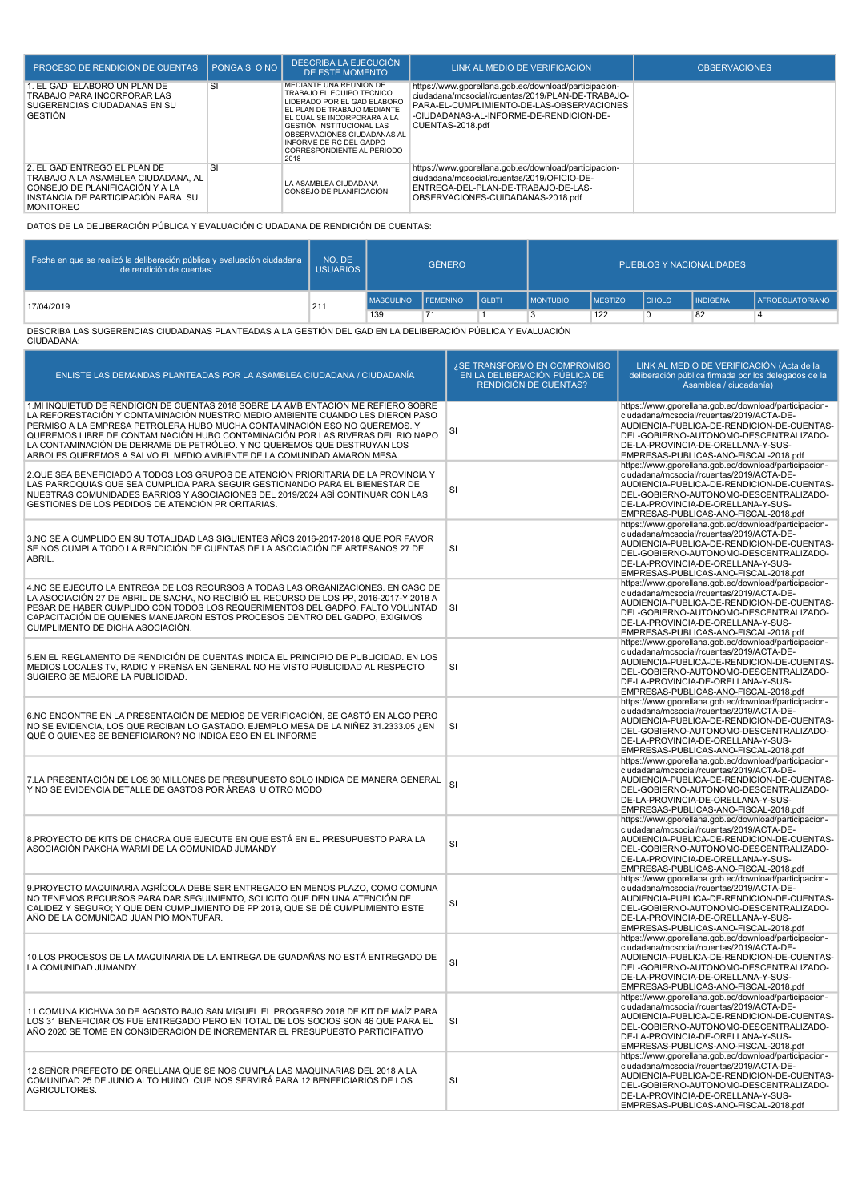| PROCESO DE RENDICIÓN DE CUENTAS                                                                                                                                  | PONGA SI O NO | <b>DESCRIBA LA EJECUCIÓN</b><br>DE ESTE MOMENTO                                                                                                                                                                                                                                       | LINK AL MEDIO DE VERIFICACIÓN                                                                                                                                                                                          | OBSERVACIONES |
|------------------------------------------------------------------------------------------------------------------------------------------------------------------|---------------|---------------------------------------------------------------------------------------------------------------------------------------------------------------------------------------------------------------------------------------------------------------------------------------|------------------------------------------------------------------------------------------------------------------------------------------------------------------------------------------------------------------------|---------------|
| 1. EL GAD ELABORÓ UN PLAN DE<br>TRABAJO PARA INCORPORAR LAS<br>SUGERENCIAS CIUDADANAS EN SU<br><b>GESTIÓN</b>                                                    | <b>SI</b>     | MEDIANTE UNA REUNION DE<br>TRABAJO EL EQUIPO TECNICO<br>LIDERADO POR EL GAD ELABORO<br>EL PLAN DE TRABAJO MEDIANTE<br>EL CUAL SE INCORPORARA A LA<br><b>GESTIÓN INSTITUCIONAL LAS</b><br>OBSERVACIONES CIUDADANAS AL<br>INFORME DE RC DEL GADPO<br>CORRESPONDIENTE AL PERIODO<br>2018 | https://www.gporellana.gob.ec/download/participacion-<br>ciudadana/mcsocial/rcuentas/2019/PLAN-DE-TRABAJO-<br>PARA-EL-CUMPLIMIENTO-DE-LAS-OBSERVACIONES<br>-CIUDADANAS-AL-INFORME-DE-RENDICION-DE-<br>CUENTAS-2018.pdf |               |
| 2. EL GAD ENTREGÓ EL PLAN DE<br>TRABAJO A LA ASAMBLEA CIUDADANA. AL<br>CONSEJO DE PLANIFICACIÓN Y A LA<br>INSTANCIA DE PARTICIPACIÓN PARA SU<br><b>MONITOREO</b> | <b>SI</b>     | LA ASAMBLEA CIUDADANA<br>CONSEJO DE PLANIFICACIÓN                                                                                                                                                                                                                                     | https://www.gporellana.gob.ec/download/participacion-<br>ciudadana/mcsocial/rcuentas/2019/OFICIO-DE-<br>ENTREGA-DEL-PLAN-DE-TRABAJO-DE-LAS-<br>OBSERVACIONES-CUIDADANAS-2018.pdf                                       |               |

DATOS DE LA DELIBERACIÓN PÚBLICA Y EVALUACIÓN CIUDADANA DE RENDICIÓN DE CUENTAS:

| Fecha en que se realizó la deliberación pública y evaluación ciudadana<br>de rendición de cuentas: | NO. DE<br>USUARIOS | <b>GÉNERO</b>      |    |              | PUEBLOS Y NACIONALIDADES |                 |              |                 |                        |
|----------------------------------------------------------------------------------------------------|--------------------|--------------------|----|--------------|--------------------------|-----------------|--------------|-----------------|------------------------|
| 17/04/2019                                                                                         | 211                | MASCULINO FEMENINO |    | <b>GLBTI</b> | <b>IMONTUBIO</b>         | <b>IMESTIZO</b> | <b>CHOLO</b> | <b>INDIGENA</b> | <b>AFROECUATORIANO</b> |
|                                                                                                    |                    | 139                | 71 |              |                          | 122             |              | 82              |                        |

DESCRIBA LAS SUGERENCIAS CIUDADANAS PLANTEADAS A LA GESTIÓN DEL GAD EN LA DELIBERACIÓN PÚBLICA Y EVALUACIÓN CIUDADANA:

| ENLISTE LAS DEMANDAS PLANTEADAS POR LA ASAMBLEA CIUDADANA / CIUDADANÍA                                                                                                                                                                                                                                                                                                                                                                                                                       | ¿SE TRANSFORMÓ EN COMPROMISO<br>EN LA DELIBERACIÓN PÚBLICA DE<br>RENDICIÓN DE CUENTAS? | LINK AL MEDIO DE VERIFICACIÓN (Acta de la<br>deliberación pública firmada por los delegados de la<br>Asamblea / ciudadanía)                                                                                                                                               |
|----------------------------------------------------------------------------------------------------------------------------------------------------------------------------------------------------------------------------------------------------------------------------------------------------------------------------------------------------------------------------------------------------------------------------------------------------------------------------------------------|----------------------------------------------------------------------------------------|---------------------------------------------------------------------------------------------------------------------------------------------------------------------------------------------------------------------------------------------------------------------------|
| 1.MI INQUIETUD DE RENDICIÓN DE CUENTAS 2018 SOBRE LA AMBIENTACIÓN ME REFIERO SOBRE<br>LA REFORESTACIÓN Y CONTAMINACIÓN NUESTRO MEDIO AMBIENTE CUANDO LES DIERON PASO<br>PERMISO A LA EMPRESA PETROLERA HUBO MUCHA CONTAMINACIÓN ESO NO QUEREMOS. Y<br>QUEREMOS LIBRE DE CONTAMINACIÓN HUBO CONTAMINACIÓN POR LAS RIVERAS DEL RIO NAPO<br>LA CONTAMINACIÓN DE DERRAME DE PETRÓLEO. Y NO QUEREMOS QUE DESTRUYAN LOS<br>ARBOLES QUEREMOS A SALVO EL MEDIO AMBIENTE DE LA COMUNIDAD AMARON MESA. | SI                                                                                     | https://www.gporellana.gob.ec/download/participacion-<br>ciudadana/mcsocial/rcuentas/2019/ACTA-DE-<br>AUDIENCIA-PUBLICA-DE-RENDICION-DE-CUENTAS-<br>DEL-GOBIERNO-AUTONOMO-DESCENTRALIZADO-<br>DE-LA-PROVINCIA-DE-ORELLANA-Y-SUS-<br>EMPRESAS-PUBLICAS-ANO-FISCAL-2018.pdf |
| 2.QUE SEA BENEFICIADO A TODOS LOS GRUPOS DE ATENCIÓN PRIORITARIA DE LA PROVINCIA Y<br>LAS PARROQUIAS QUE SEA CUMPLIDA PARA SEGUIR GESTIONANDO PARA EL BIENESTAR DE<br>NUESTRAS COMUNIDADES BARRIOS Y ASOCIACIONES DEL 2019/2024 ASÍ CONTINUAR CON LAS<br>GESTIONES DE LOS PEDIDOS DE ATENCIÓN PRIORITARIAS.                                                                                                                                                                                  | SI                                                                                     | https://www.gporellana.gob.ec/download/participacion-<br>ciudadana/mcsocial/rcuentas/2019/ACTA-DE-<br>AUDIENCIA-PUBLICA-DE-RENDICION-DE-CUENTAS-<br>DEL-GOBIERNO-AUTONOMO-DESCENTRALIZADO-<br>DE-LA-PROVINCIA-DE-ORELLANA-Y-SUS-<br>EMPRESAS-PUBLICAS-ANO-FISCAL-2018.pdf |
| 3.NO SÉ A CUMPLIDO EN SU TOTALIDAD LAS SIGUIENTES AÑOS 2016-2017-2018 QUE POR FAVOR<br>SE NOS CUMPLA TODO LA RENDICIÓN DE CUENTAS DE LA ASOCIACIÓN DE ARTESANOS 27 DE<br>ABRIL.                                                                                                                                                                                                                                                                                                              | SI                                                                                     | https://www.gporellana.gob.ec/download/participacion-<br>ciudadana/mcsocial/rcuentas/2019/ACTA-DE-<br>AUDIENCIA-PUBLICA-DE-RENDICION-DE-CUENTAS-<br>DEL-GOBIERNO-AUTONOMO-DESCENTRALIZADO-<br>DE-LA-PROVINCIA-DE-ORELLANA-Y-SUS-<br>EMPRESAS-PUBLICAS-ANO-FISCAL-2018.pdf |
| 4.NO SE EJECUTO LA ENTREGA DE LOS RECURSOS A TODAS LAS ORGANIZACIONES. EN CASO DE<br>LA ASOCIACIÓN 27 DE ABRIL DE SACHA, NO RECIBIÓ EL RECURSO DE LOS PP, 2016-2017-Y 2018 A<br>PESAR DE HABER CUMPLIDO CON TODOS LOS REQUERIMIENTOS DEL GADPO. FALTO VOLUNTAD<br>CAPACITACIÓN DE QUIENES MANEJARON ESTOS PROCESOS DENTRO DEL GADPO, EXIGIMOS<br>CUMPLIMENTO DE DICHA ASOCIACIÓN.                                                                                                            | <b>SI</b>                                                                              | https://www.gporellana.gob.ec/download/participacion-<br>ciudadana/mcsocial/rcuentas/2019/ACTA-DE-<br>AUDIENCIA-PUBLICA-DE-RENDICION-DE-CUENTAS-<br>DEL-GOBIERNO-AUTONOMO-DESCENTRALIZADO-<br>DE-LA-PROVINCIA-DE-ORELLANA-Y-SUS-<br>EMPRESAS-PUBLICAS-ANO-FISCAL-2018.pdf |
| 5.EN EL REGLAMENTO DE RENDICIÓN DE CUENTAS INDICA EL PRINCIPIO DE PUBLICIDAD. EN LOS<br>MEDIOS LOCALES TV, RADIO Y PRENSA EN GENERAL NO HE VISTO PUBLICIDAD AL RESPECTO<br>SUGIERO SE MEJORE LA PUBLICIDAD.                                                                                                                                                                                                                                                                                  | SI                                                                                     | https://www.gporellana.gob.ec/download/participacion-<br>ciudadana/mcsocial/rcuentas/2019/ACTA-DE-<br>AUDIENCIA-PUBLICA-DE-RENDICION-DE-CUENTAS-<br>DEL-GOBIERNO-AUTONOMO-DESCENTRALIZADO-<br>DE-LA-PROVINCIA-DE-ORELLANA-Y-SUS-<br>EMPRESAS-PUBLICAS-ANO-FISCAL-2018.pdf |
| 6.NO ENCONTRÉ EN LA PRESENTACIÓN DE MEDIOS DE VERIFICACIÓN, SE GASTÓ EN ALGO PERO<br>NO SE EVIDENCIA, LOS QUE RECIBAN LO GASTADO. EJEMPLO MESA DE LA NIÑEZ 31.2333.05 ¿EN<br>QUÉ O QUIENES SE BENEFICIARON? NO INDICA ESO EN EL INFORME                                                                                                                                                                                                                                                      | SI                                                                                     | https://www.gporellana.gob.ec/download/participacion-<br>ciudadana/mcsocial/rcuentas/2019/ACTA-DE-<br>AUDIENCIA-PUBLICA-DE-RENDICION-DE-CUENTAS-<br>DEL-GOBIERNO-AUTONOMO-DESCENTRALIZADO-<br>DE-LA-PROVINCIA-DE-ORELLANA-Y-SUS-<br>EMPRESAS-PUBLICAS-ANO-FISCAL-2018.pdf |
| 7.LA PRESENTACIÓN DE LOS 30 MILLONES DE PRESUPUESTO SOLO INDICA DE MANERA GENERAL<br>Y NO SE EVIDENCIA DETALLE DE GASTOS POR ÁREAS U OTRO MODO                                                                                                                                                                                                                                                                                                                                               | <b>SI</b>                                                                              | https://www.gporellana.gob.ec/download/participacion-<br>ciudadana/mcsocial/rcuentas/2019/ACTA-DE-<br>AUDIENCIA-PUBLICA-DE-RENDICION-DE-CUENTAS-<br>DEL-GOBIERNO-AUTONOMO-DESCENTRALIZADO-<br>DE-LA-PROVINCIA-DE-ORELLANA-Y-SUS-<br>EMPRESAS-PUBLICAS-ANO-FISCAL-2018.pdf |
| 8. PROYECTO DE KITS DE CHACRA QUE EJECUTE EN QUE ESTÁ EN EL PRESUPUESTO PARA LA<br>ASOCIACIÓN PAKCHA WARMI DE LA COMUNIDAD JUMANDY                                                                                                                                                                                                                                                                                                                                                           | SI                                                                                     | https://www.gporellana.gob.ec/download/participacion-<br>ciudadana/mcsocial/rcuentas/2019/ACTA-DE-<br>AUDIENCIA-PUBLICA-DE-RENDICION-DE-CUENTAS-<br>DEL-GOBIERNO-AUTONOMO-DESCENTRALIZADO-<br>DE-LA-PROVINCIA-DE-ORELLANA-Y-SUS-<br>EMPRESAS-PUBLICAS-ANO-FISCAL-2018.pdf |
| 9.PROYECTO MAQUINARIA AGRÍCOLA DEBE SER ENTREGADO EN MENOS PLAZO, COMO COMUNA<br>NO TENEMOS RECURSOS PARA DAR SEGUIMIENTO, SOLICITO QUE DEN UNA ATENCIÓN DE<br>CALIDEZ Y SEGURO; Y QUE DEN CUMPLIMIENTO DE PP 2019, QUE SE DÉ CUMPLIMIENTO ESTE<br>AÑO DE LA COMUNIDAD JUAN PIO MONTUFAR.                                                                                                                                                                                                    | SI                                                                                     | https://www.gporellana.gob.ec/download/participacion-<br>ciudadana/mcsocial/rcuentas/2019/ACTA-DE-<br>AUDIENCIA-PUBLICA-DE-RENDICION-DE-CUENTAS-<br>DEL-GOBIERNO-AUTONOMO-DESCENTRALIZADO-<br>DE-LA-PROVINCIA-DE-ORELLANA-Y-SUS-<br>EMPRESAS-PUBLICAS-ANO-FISCAL-2018.pdf |
| 10.LOS PROCESOS DE LA MAQUINARIA DE LA ENTREGA DE GUADAÑAS NO ESTÁ ENTREGADO DE<br>LA COMUNIDAD JUMANDY.                                                                                                                                                                                                                                                                                                                                                                                     | SI                                                                                     | https://www.gporellana.gob.ec/download/participacion-<br>ciudadana/mcsocial/rcuentas/2019/ACTA-DE-<br>AUDIENCIA-PUBLICA-DE-RENDICION-DE-CUENTAS-<br>DEL-GOBIERNO-AUTONOMO-DESCENTRALIZADO-<br>DE-LA-PROVINCIA-DE-ORELLANA-Y-SUS-<br>EMPRESAS-PUBLICAS-ANO-FISCAL-2018.pdf |
| 11. COMUNA KICHWA 30 DE AGOSTO BAJO SAN MIGUEL EL PROGRESO 2018 DE KIT DE MAÍZ PARA<br>LOS 31 BENEFICIARIOS FUE ENTREGADO PERO EN TOTAL DE LOS SOCIOS SON 46 QUE PARA EL<br>AÑO 2020 SE TOME EN CONSIDERACIÓN DE INCREMENTAR EL PRESUPUESTO PARTICIPATIVO                                                                                                                                                                                                                                    | SI                                                                                     | https://www.gporellana.gob.ec/download/participacion-<br>ciudadana/mcsocial/rcuentas/2019/ACTA-DE-<br>AUDIENCIA-PUBLICA-DE-RENDICION-DE-CUENTAS-<br>DEL-GOBIERNO-AUTONOMO-DESCENTRALIZADO-<br>DE-LA-PROVINCIA-DE-ORELLANA-Y-SUS-<br>EMPRESAS-PUBLICAS-ANO-FISCAL-2018.pdf |
| 12. SEÑOR PREFECTO DE ORELLANA QUE SE NOS CUMPLA LAS MAQUINARIAS DEL 2018 A LA<br>COMUNIDAD 25 DE JUNIO ALTO HUINO QUE NOS SERVIRÁ PARA 12 BENEFICIARIOS DE LOS<br>AGRICULTORES.                                                                                                                                                                                                                                                                                                             | SI                                                                                     | https://www.gporellana.gob.ec/download/participacion-<br>ciudadana/mcsocial/rcuentas/2019/ACTA-DE-<br>AUDIENCIA-PUBLICA-DE-RENDICION-DE-CUENTAS-<br>DEL-GOBIERNO-AUTONOMO-DESCENTRALIZADO-<br>DE-LA-PROVINCIA-DE-ORELLANA-Y-SUS-<br>EMPRESAS-PUBLICAS-ANO-FISCAL-2018.pdf |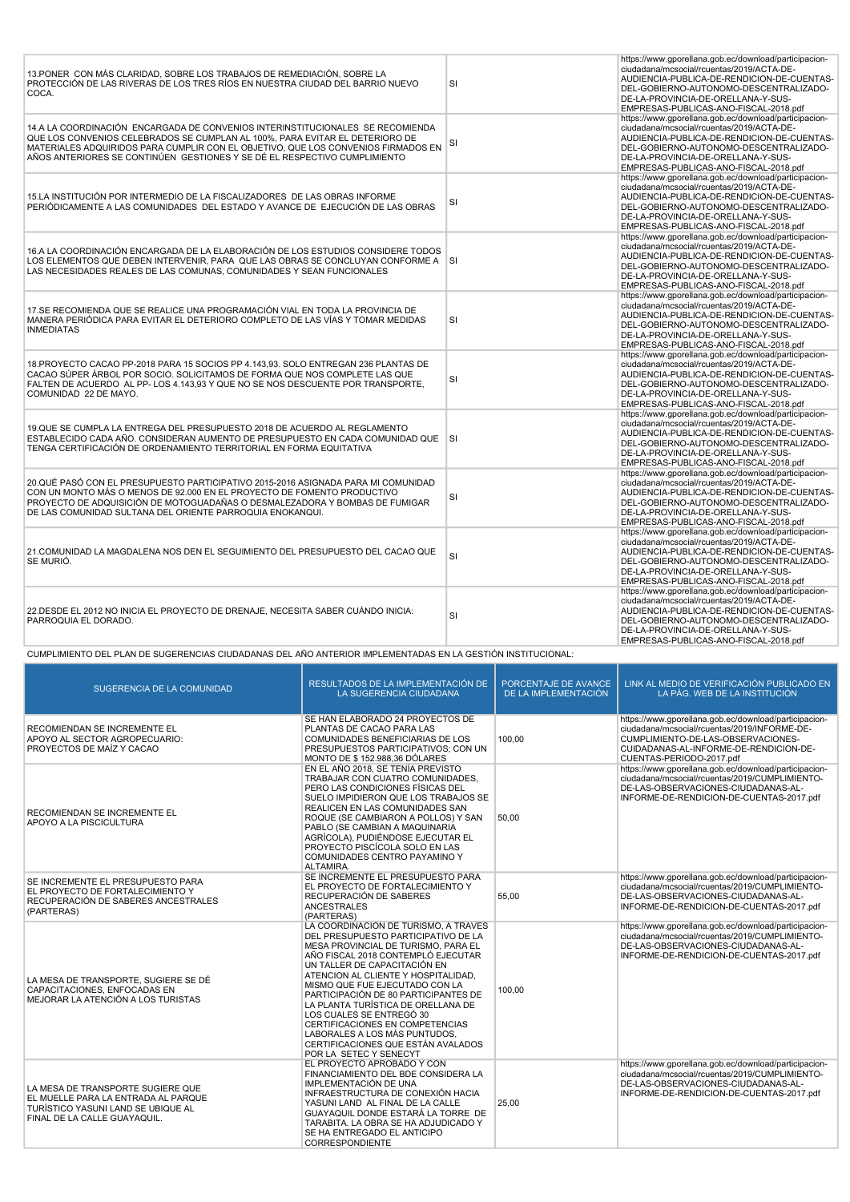| 13. PONER CON MÁS CLARIDAD, SOBRE LOS TRABAJOS DE REMEDIACIÓN, SOBRE LA<br>PROTECCIÓN DE LAS RIVERAS DE LOS TRES RÍOS EN NUESTRA CIUDAD DEL BARRIO NUEVO<br>COCA.                                                                                                                                                                | <b>SI</b> | https://www.gporellana.gob.ec/download/participacion-<br>ciudadana/mcsocial/rcuentas/2019/ACTA-DE-<br>AUDIENCIA-PUBLICA-DE-RENDICION-DE-CUENTAS-<br>DEL-GOBIERNO-AUTONOMO-DESCENTRALIZADO-<br>DE-LA-PROVINCIA-DE-ORELLANA-Y-SUS-<br>EMPRESAS-PUBLICAS-ANO-FISCAL-2018.pdf |
|----------------------------------------------------------------------------------------------------------------------------------------------------------------------------------------------------------------------------------------------------------------------------------------------------------------------------------|-----------|---------------------------------------------------------------------------------------------------------------------------------------------------------------------------------------------------------------------------------------------------------------------------|
| 14.A LA COORDINACIÓN ENCARGADA DE CONVENIOS INTERINSTITUCIONALES SE RECOMIENDA<br>QUE LOS CONVENIOS CELEBRADOS SE CUMPLAN AL 100%, PARA EVITAR EL DETERIORO DE<br>MATERIALES ADQUIRIDOS PARA CUMPLIR CON EL OBJETIVO, QUE LOS CONVENIOS FIRMADOS EN<br>AÑOS ANTERIORES SE CONTINÚEN GESTIONES Y SE DÉ EL RESPECTIVO CUMPLIMIENTO | SI        | https://www.gporellana.gob.ec/download/participacion-<br>ciudadana/mcsocial/rcuentas/2019/ACTA-DE-<br>AUDIENCIA-PUBLICA-DE-RENDICION-DE-CUENTAS-<br>DEL-GOBIERNO-AUTONOMO-DESCENTRALIZADO-<br>DE-LA-PROVINCIA-DE-ORELLANA-Y-SUS-<br>EMPRESAS-PUBLICAS-ANO-FISCAL-2018.pdf |
| 15.LA INSTITUCIÓN POR INTERMEDIO DE LA FISCALIZADORES DE LAS OBRAS INFORME<br>PERIÓDICAMENTE A LAS COMUNIDADES DEL ESTADO Y AVANCE DE EJECUCIÓN DE LAS OBRAS                                                                                                                                                                     | <b>SI</b> | https://www.gporellana.gob.ec/download/participacion-<br>ciudadana/mcsocial/rcuentas/2019/ACTA-DE-<br>AUDIENCIA-PUBLICA-DE-RENDICION-DE-CUENTAS-<br>DEL-GOBIERNO-AUTONOMO-DESCENTRALIZADO-<br>DE-LA-PROVINCIA-DE-ORELLANA-Y-SUS-<br>EMPRESAS-PUBLICAS-ANO-FISCAL-2018.pdf |
| 16.A LA COORDINACIÓN ENCARGADA DE LA ELABORACIÓN DE LOS ESTUDIOS CONSIDERE TODOS<br>LOS ELEMENTOS QUE DEBEN INTERVENIR, PARA QUE LAS OBRAS SE CONCLUYAN CONFORME A SI<br>LAS NECESIDADES REALES DE LAS COMUNAS, COMUNIDADES Y SEAN FUNCIONALES                                                                                   |           | https://www.gporellana.gob.ec/download/participacion-<br>ciudadana/mcsocial/rcuentas/2019/ACTA-DE-<br>AUDIENCIA-PUBLICA-DE-RENDICION-DE-CUENTAS-<br>DEL-GOBIERNO-AUTONOMO-DESCENTRALIZADO-<br>DE-LA-PROVINCIA-DE-ORELLANA-Y-SUS-<br>EMPRESAS-PUBLICAS-ANO-FISCAL-2018.pdf |
| 17.SE RECOMIENDA QUE SE REALICE UNA PROGRAMACIÓN VIAL EN TODA LA PROVINCIA DE<br>MANERA PERIÓDICA PARA EVITAR EL DETERIORO COMPLETO DE LAS VÍAS Y TOMAR MEDIDAS<br><b>INMEDIATAS</b>                                                                                                                                             | <b>SI</b> | https://www.gporellana.gob.ec/download/participacion-<br>ciudadana/mcsocial/rcuentas/2019/ACTA-DE-<br>AUDIENCIA-PUBLICA-DE-RENDICION-DE-CUENTAS-<br>DEL-GOBIERNO-AUTONOMO-DESCENTRALIZADO-<br>DE-LA-PROVINCIA-DE-ORELLANA-Y-SUS-<br>EMPRESAS-PUBLICAS-ANO-FISCAL-2018.pdf |
| 18. PROYECTO CACAO PP-2018 PARA 15 SOCIOS PP 4.143,93. SOLO ENTREGAN 236 PLANTAS DE<br>CACAO SÚPER ÁRBOL POR SOCIO. SOLICITAMOS DE FORMA QUE NOS COMPLETE LAS QUE<br>FALTEN DE ACUERDO AL PP-LOS 4.143.93 Y QUE NO SE NOS DESCUENTE POR TRANSPORTE.<br>COMUNIDAD 22 DE MAYO.                                                     | SI        | https://www.gporellana.gob.ec/download/participacion-<br>ciudadana/mcsocial/rcuentas/2019/ACTA-DE-<br>AUDIENCIA-PUBLICA-DE-RENDICION-DE-CUENTAS-<br>DEL-GOBIERNO-AUTONOMO-DESCENTRALIZADO-<br>DE-LA-PROVINCIA-DE-ORELLANA-Y-SUS-<br>EMPRESAS-PUBLICAS-ANO-FISCAL-2018.pdf |
| 19.QUE SE CUMPLA LA ENTREGA DEL PRESUPUESTO 2018 DE ACUERDO AL REGLAMENTO<br>ESTABLECIDO CADA AÑO. CONSIDERAN AUMENTO DE PRESUPUESTO EN CADA COMUNIDAD QUE SI<br>TENGA CERTIFICACIÓN DE ORDENAMIENTO TERRITORIAL EN FORMA EQUITATIVA                                                                                             |           | https://www.gporellana.gob.ec/download/participacion-<br>ciudadana/mcsocial/rcuentas/2019/ACTA-DE-<br>AUDIENCIA-PUBLICA-DE-RENDICION-DE-CUENTAS-<br>DEL-GOBIERNO-AUTONOMO-DESCENTRALIZADO-<br>DE-LA-PROVINCIA-DE-ORELLANA-Y-SUS-<br>EMPRESAS-PUBLICAS-ANO-FISCAL-2018.pdf |
| 20.QUÉ PASÓ CON EL PRESUPUESTO PARTICIPATIVO 2015-2016 ASIGNADA PARA MI COMUNIDAD<br>CON UN MONTO MÁS O MENOS DE 92.000 EN EL PROYECTO DE FOMENTO PRODUCTIVO<br>PROYECTO DE ADQUISICIÓN DE MOTOGUADAÑAS O DESMALEZADORA Y BOMBAS DE FUMIGAR<br>DE LAS COMUNIDAD SULTANA DEL ORIENTE PARROQUIA ENOKANQUI.                         | <b>SI</b> | https://www.gporellana.gob.ec/download/participacion-<br>ciudadana/mcsocial/rcuentas/2019/ACTA-DE-<br>AUDIENCIA-PUBLICA-DE-RENDICION-DE-CUENTAS-<br>DEL-GOBIERNO-AUTONOMO-DESCENTRALIZADO-<br>DE-LA-PROVINCIA-DE-ORELLANA-Y-SUS-<br>EMPRESAS-PUBLICAS-ANO-FISCAL-2018.pdf |
| 21. COMUNIDAD LA MAGDALENA NOS DEN EL SEGUIMIENTO DEL PRESUPUESTO DEL CACAO QUE<br>SE MURIÓ.                                                                                                                                                                                                                                     | <b>SI</b> | https://www.gporellana.gob.ec/download/participacion-<br>ciudadana/mcsocial/rcuentas/2019/ACTA-DE-<br>AUDIENCIA-PUBLICA-DE-RENDICION-DE-CUENTAS-<br>DEL-GOBIERNO-AUTONOMO-DESCENTRALIZADO-<br>DE-LA-PROVINCIA-DE-ORELLANA-Y-SUS-<br>EMPRESAS-PUBLICAS-ANO-FISCAL-2018.pdf |
| 22. DESDE EL 2012 NO INICIA EL PROYECTO DE DRENAJE, NECESITA SABER CUÁNDO INICIA:<br>PARROQUIA EL DORADO.                                                                                                                                                                                                                        | SI        | https://www.gporellana.gob.ec/download/participacion-<br>ciudadana/mcsocial/rcuentas/2019/ACTA-DE-<br>AUDIENCIA-PUBLICA-DE-RENDICION-DE-CUENTAS-<br>DEL-GOBIERNO-AUTONOMO-DESCENTRALIZADO-<br>DE-LA-PROVINCIA-DE-ORELLANA-Y-SUS-<br>EMPRESAS-PUBLICAS-ANO-FISCAL-2018.pdf |

CUMPLIMIENTO DEL PLAN DE SUGERENCIAS CIUDADANAS DEL AÑO ANTERIOR IMPLEMENTADAS EN LA GESTIÓN INSTITUCIONAL:T

| SUGERENCIA DE LA COMUNIDAD                                                                                                                     | RESULTADOS DE LA IMPLEMENTACIÓN DE<br>LA SUGERENCIA CIUDADANA                                                                                                                                                                                                                                                                                                                                                                                                                                                   | PORCENTAJE DE AVANCE<br>DE LA IMPLEMENTACIÓN | LINK AL MEDIO DE VERIFICACIÓN PUBLICADO EN<br>LA PÁG. WEB DE LA INSTITUCIÓN                                                                                                                                       |
|------------------------------------------------------------------------------------------------------------------------------------------------|-----------------------------------------------------------------------------------------------------------------------------------------------------------------------------------------------------------------------------------------------------------------------------------------------------------------------------------------------------------------------------------------------------------------------------------------------------------------------------------------------------------------|----------------------------------------------|-------------------------------------------------------------------------------------------------------------------------------------------------------------------------------------------------------------------|
| RECOMIENDAN SE INCREMENTE EL<br>APOYO AL SECTOR AGROPECUARIO:<br>PROYECTOS DE MAÍZ Y CACAO                                                     | SE HAN ELABORADO 24 PROYECTOS DE<br>PLANTAS DE CACAO PARA LAS<br>COMUNIDADES BENEFICIARIAS DE LOS<br>PRESUPUESTOS PARTICIPATIVOS; CON UN<br><b>MONTO DE \$152,988,36 DÓLARES</b>                                                                                                                                                                                                                                                                                                                                | 100.00                                       | https://www.gporellana.gob.ec/download/participacion-<br>ciudadana/mcsocial/rcuentas/2019/INFORME-DE-<br>CUMPLIMIENTO-DE-LAS-OBSERVACIONES-<br>CUIDADANAS-AL-INFORME-DE-RENDICION-DE-<br>CUENTAS-PERIODO-2017.pdf |
| RECOMIENDAN SE INCREMENTE EL<br>APOYO A LA PISCICULTURA                                                                                        | EN EL AÑO 2018. SE TENÍA PREVISTO<br>TRABAJAR CON CUATRO COMUNIDADES.<br>PERO LAS CONDICIONES FÍSICAS DEL<br>SUELO IMPIDIERON QUE LOS TRABAJOS SE<br>REALICEN EN LAS COMUNIDADES SAN<br>ROQUE (SE CAMBIARON A POLLOS) Y SAN<br>PABLO (SE CAMBIAN A MAQUINARIA<br>AGRÍCOLA), PUDIÉNDOSE EJECUTAR EL<br>PROYECTO PISCÍCOLA SOLO EN LAS<br>COMUNIDADES CENTRO PAYAMINO Y<br>ALTAMIRA.                                                                                                                              | 50,00                                        | https://www.gporellana.gob.ec/download/participacion-<br>ciudadana/mcsocial/rcuentas/2019/CUMPLIMIENTO-<br>DE-LAS-OBSERVACIONES-CIUDADANAS-AL-<br>INFORME-DE-RENDICION-DE-CUENTAS-2017.pdf                        |
| SE INCREMENTE EL PRESUPUESTO PARA<br>EL PROYECTO DE FORTALECIMIENTO Y<br>RECUPERACIÓN DE SABERES ANCESTRALES<br>(PARTERAS)                     | SE INCREMENTE EL PRESUPUESTO PARA<br>EL PROYECTO DE FORTALECIMIENTO Y<br>RECUPERACIÓN DE SABERES<br><b>ANCESTRALES</b><br>(PARTERAS)                                                                                                                                                                                                                                                                                                                                                                            | 55.00                                        | https://www.gporellana.gob.ec/download/participacion-<br>ciudadana/mcsocial/rcuentas/2019/CUMPLIMIENTO-<br>DE-LAS-OBSERVACIONES-CIUDADANAS-AL-<br>INFORME-DE-RENDICION-DE-CUENTAS-2017.pdf                        |
| LA MESA DE TRANSPORTE, SUGIERE SE DÉ<br>CAPACITACIONES, ENFOCADAS EN<br>MEJORAR LA ATENCIÓN A LOS TURISTAS                                     | LA COORDINACION DE TURISMO. A TRAVÉS<br>DEL PRESUPUESTO PARTICIPATIVO DE LA<br>MESA PROVINCIAL DE TURISMO, PARA EL<br>AÑO FISCAL 2018 CONTEMPLÓ EJECUTAR<br>UN TALLER DE CAPACITACIÓN EN<br>ATENCION AL CLIENTE Y HOSPITALIDAD.<br>MISMO QUE FUE EJECUTADO CON LA<br>PARTICIPACIÓN DE 80 PARTICIPANTES DE<br>LA PLANTA TURÍSTICA DE ORELLANA DE<br>LOS CUALES SE ENTREGÓ 30<br>CERTIFICACIONES EN COMPETENCIAS<br>LABORALES A LOS MÁS PUNTUDOS.<br>CERTIFICACIONES QUE ESTÁN AVALADOS<br>POR LA SETEC Y SENECYT | 100,00                                       | https://www.gporellana.gob.ec/download/participacion-<br>ciudadana/mcsocial/rcuentas/2019/CUMPLIMIENTO-<br>DE-LAS-OBSERVACIONES-CIUDADANAS-AL-<br>INFORME-DE-RENDICION-DE-CUENTAS-2017.pdf                        |
| LA MESA DE TRANSPORTE SUGIERE QUE<br>EL MUELLE PARA LA ENTRADA AL PARQUE<br>TURÍSTICO YASUNI LAND SE UBIQUE AL<br>FINAL DE LA CALLE GUAYAQUIL. | EL PROYECTO APROBADO Y CON<br>FINANCIAMIENTO DEL BDE CONSIDERA LA<br>IMPLEMENTACIÓN DE UNA<br>INFRAESTRUCTURA DE CONEXIÓN HACIA<br>YASUNI LAND AL FINAL DE LA CALLE<br>GUAYAQUIL DONDE ESTARÁ LA TORRE DE<br>TARABITA. LA OBRA SE HA ADJUDICADO Y<br>SE HA ENTREGADO EL ANTICIPO<br><b>CORRESPONDIENTE</b>                                                                                                                                                                                                      | 25,00                                        | https://www.gporellana.gob.ec/download/participacion-<br>ciudadana/mcsocial/rcuentas/2019/CUMPLIMIENTO-<br>DE-LAS-OBSERVACIONES-CIUDADANAS-AL-<br>INFORME-DE-RENDICION-DE-CUENTAS-2017.pdf                        |

┱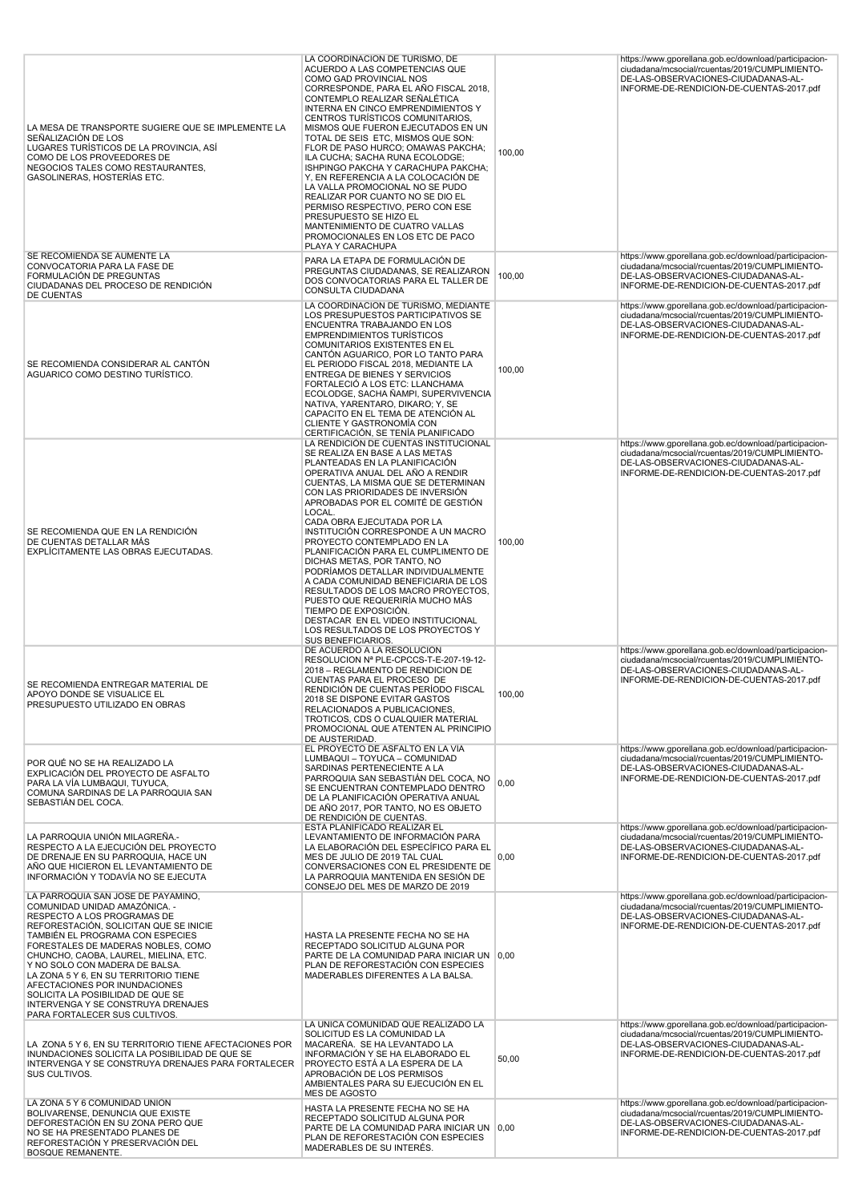| LA MESA DE TRANSPORTE SUGIERE QUE SE IMPLEMENTE LA<br>SEÑALIZACIÓN DE LOS<br>LUGARES TURÍSTICOS DE LA PROVINCIA, ASÍ<br>COMO DE LOS PROVEEDORES DE<br>NEGOCIOS TALES COMO RESTAURANTES,<br>GASOLINERAS, HOSTERÍAS ETC.                                                                                                                                                                                                                                                                  | LA COORDINACION DE TURISMO, DE<br>ACUERDO A LAS COMPETENCIAS QUE<br>COMO GAD PROVINCIAL NOS<br>CORRESPONDE, PARA EL AÑO FISCAL 2018,<br>CONTEMPLO REALIZAR SEÑALÉTICA<br>INTERNA EN CINCO EMPRENDIMIENTOS Y<br>CENTROS TURÍSTICOS COMUNITARIOS,<br>MISMOS QUE FUERON EJECUTADOS EN UN<br>TOTAL DE SEIS ETC, MISMOS QUE SON:<br>FLOR DE PASO HURCO; OMAWAS PAKCHA;<br>ILA CUCHA; SACHA RUNA ECOLODGE;<br>ISHPINGO PAKCHA Y CARACHUPA PAKCHA;<br>Y, EN REFERENCIA A LA COLOCACIÓN DE<br>LA VALLA PROMOCIONAL NO SE PUDO<br>REALIZAR POR CUANTO NO SE DIO EL<br>PERMISO RESPECTIVO, PERO CON ESE<br>PRESUPUESTO SE HIZO EL<br>MANTENIMIENTO DE CUATRO VALLAS<br>PROMOCIONALES EN LOS ETC DE PACO<br>PLAYA Y CARACHUPA                       | 100,00 | https://www.gporellana.gob.ec/download/participacion-<br>ciudadana/mcsocial/rcuentas/2019/CUMPLIMIENTO-<br>DE-LAS-OBSERVACIONES-CIUDADANAS-AL-<br>INFORME-DE-RENDICION-DE-CUENTAS-2017.pdf |
|-----------------------------------------------------------------------------------------------------------------------------------------------------------------------------------------------------------------------------------------------------------------------------------------------------------------------------------------------------------------------------------------------------------------------------------------------------------------------------------------|------------------------------------------------------------------------------------------------------------------------------------------------------------------------------------------------------------------------------------------------------------------------------------------------------------------------------------------------------------------------------------------------------------------------------------------------------------------------------------------------------------------------------------------------------------------------------------------------------------------------------------------------------------------------------------------------------------------------------------------|--------|--------------------------------------------------------------------------------------------------------------------------------------------------------------------------------------------|
| SE RECOMIENDA SE AUMENTE LA<br>CONVOCATORIA PARA LA FASE DE<br>FORMULACIÓN DE PREGUNTAS<br>CIUDADANAS DEL PROCESO DE RENDICIÓN<br><b>DE CUENTAS</b>                                                                                                                                                                                                                                                                                                                                     | PARA LA ETAPA DE FORMULACIÓN DE<br>PREGUNTAS CIUDADANAS, SE REALIZARON<br>DOS CONVOCATORIAS PARA EL TALLER DE<br>CONSULTA CIUDADANA                                                                                                                                                                                                                                                                                                                                                                                                                                                                                                                                                                                                      | 100,00 | https://www.gporellana.gob.ec/download/participacion-<br>ciudadana/mcsocial/rcuentas/2019/CUMPLIMIENTO-<br>DE-LAS-OBSERVACIONES-CIUDADANAS-AL-<br>INFORME-DE-RENDICION-DE-CUENTAS-2017.pdf |
| SE RECOMIENDA CONSIDERAR AL CANTÓN<br>AGUARICO COMO DESTINO TURÍSTICO.                                                                                                                                                                                                                                                                                                                                                                                                                  | LA COORDINACION DE TURISMO, MEDIANTE<br>LOS PRESUPUESTOS PARTICIPATIVOS SE<br>ENCUENTRA TRABAJANDO EN LOS<br><b>EMPRENDIMIENTOS TURISTICOS</b><br>COMUNITARIOS EXISTENTES EN EL<br>CANTÓN AGUARICO, POR LO TANTO PARA<br>EL PERIODO FISCAL 2018, MEDIANTE LA<br>ENTREGA DE BIENES Y SERVICIOS<br>FORTALECIÓ A LOS ETC: LLANCHAMA<br>ECOLODGE, SACHA ÑAMPI, SUPERVIVENCIA<br>NATIVA, YARENTARO, DIKARO; Y, SE<br>CAPACITO EN EL TEMA DE ATENCIÓN AL<br>CLIENTE Y GASTRONOMÍA CON<br>CERTIFICACIÓN, SE TENÍA PLANIFICADO                                                                                                                                                                                                                   | 100,00 | https://www.gporellana.gob.ec/download/participacion-<br>ciudadana/mcsocial/rcuentas/2019/CUMPLIMIENTO-<br>DE-LAS-OBSERVACIONES-CIUDADANAS-AL-<br>INFORME-DE-RENDICION-DE-CUENTAS-2017.pdf |
| SE RECOMIENDA QUE EN LA RENDICIÓN<br>DE CUENTAS DETALLAR MÁS<br>EXPLÍCITAMENTE LAS OBRAS EJECUTADAS.                                                                                                                                                                                                                                                                                                                                                                                    | LA RENDICIÓN DE CUENTAS INSTITUCIONAL<br>SE REALIZA EN BASE A LAS METAS<br>PLANTEADAS EN LA PLANIFICACIÓN<br>OPERATIVA ANUAL DEL AÑO A RENDIR<br>CUENTAS, LA MISMA QUE SE DETERMINAN<br>CON LAS PRIORIDADES DE INVERSIÓN<br>APROBADAS POR EL COMITÉ DE GESTIÓN<br>LOCAL.<br>CADA OBRA EJECUTADA POR LA<br>INSTITUCIÓN CORRESPONDE A UN MACRO<br>PROYECTO CONTEMPLADO EN LA<br>PLANIFICACIÓN PARA EL CUMPLIMENTO DE<br>DICHAS METAS, POR TANTO, NO<br>PODRÍAMOS DETALLAR INDIVIDUALMENTE<br>A CADA COMUNIDAD BENEFICIARIA DE LOS<br>RESULTADOS DE LOS MACRO PROYECTOS,<br>PUESTO QUE REQUERIRÍA MUCHO MÁS<br>TIEMPO DE EXPOSICIÓN.<br>DESTACAR EN EL VIDEO INSTITUCIONAL<br>LOS RESULTADOS DE LOS PROYECTOS Y<br><b>SUS BENEFICIARIOS</b> | 100,00 | https://www.gporellana.gob.ec/download/participacion-<br>ciudadana/mcsocial/rcuentas/2019/CUMPLIMIENTO-<br>DE-LAS-OBSERVACIONES-CIUDADANAS-AL-<br>INFORME-DE-RENDICION-DE-CUENTAS-2017.pdf |
| SE RECOMIENDA ENTREGAR MATERIAL DE<br>APOYO DONDE SE VISUALICE EL<br>PRESUPUESTO UTILIZADO EN OBRAS                                                                                                                                                                                                                                                                                                                                                                                     | DE ACUERDO A LA RESOLUCION<br>RESOLUCION Nº PLE-CPCCS-T-E-207-19-12-<br>2018 - REGLAMENTO DE RENDICION DE<br>CUENTAS PARA EL PROCESO DE<br>RENDICIÓN DE CUENTAS PERÍODO FISCAL<br>2018 SE DISPONE EVITAR GASTOS<br>RELACIONADOS A PUBLICACIONES,<br>TROTICOS, CDS O CUALQUIER MATERIAL<br>PROMOCIONAL QUE ATENTEN AL PRINCIPIO<br>DE AUSTERIDAD.                                                                                                                                                                                                                                                                                                                                                                                         | 100,00 | https://www.gporellana.gob.ec/download/participacion-<br>ciudadana/mcsocial/rcuentas/2019/CUMPLIMIENTO-<br>DE-LAS-OBSERVACIONES-CIUDADANAS-AL-<br>INFORME-DE-RENDICION-DE-CUENTAS-2017.pdf |
| POR QUÉ NO SE HA REALIZADO LA<br>EXPLICACIÓN DEL PROYECTO DE ASFALTO<br>PARA LA VÍA LUMBAQUI, TUYUCA,<br>COMUNA SARDINAS DE LA PARROQUIA SAN<br>SEBASTIÁN DEL COCA.                                                                                                                                                                                                                                                                                                                     | EL PROYECTO DE ASFALTO EN LA VÍA<br>LUMBAQUI - TOYUCA - COMUNIDAD<br>SARDINAS PERTENECIENTE A LA<br>PARROQUIA SAN SEBASTIÁN DEL COCA, NO<br>SE ENCUENTRAN CONTEMPLADO DENTRO<br>DE LA PLANIFICACIÓN OPERATIVA ANUAL<br>DE AÑO 2017, POR TANTO, NO ES OBJETO<br>DE RENDICIÓN DE CUENTAS.                                                                                                                                                                                                                                                                                                                                                                                                                                                  | 0,00   | https://www.gporellana.gob.ec/download/participacion-<br>ciudadana/mcsocial/rcuentas/2019/CUMPLIMIENTO-<br>DE-LAS-OBSERVACIONES-CIUDADANAS-AL-<br>INFORME-DE-RENDICION-DE-CUENTAS-2017.pdf |
| LA PARROQUIA UNIÓN MILAGREÑA.-<br>RESPECTO A LA EJECUCIÓN DEL PROYECTO<br>DE DRENAJE EN SU PARROQUIA, HACE UN<br>AÑO QUE HICIERON EL LEVANTAMIENTO DE<br>INFORMACIÓN Y TODAVÍA NO SE EJECUTA                                                                                                                                                                                                                                                                                            | ESTA PLANIFICADO REALIZAR EL<br>LEVANTAMIENTO DE INFORMACIÓN PARA<br>LA ELABORACIÓN DEL ESPECÍFICO PARA EL<br>MES DE JULIO DE 2019 TAL CUAL<br>CONVERSACIONES CON EL PRESIDENTE DE<br>LA PARROQUIA MANTENIDA EN SESIÓN DE<br>CONSEJO DEL MES DE MARZO DE 2019                                                                                                                                                                                                                                                                                                                                                                                                                                                                            | 0,00   | https://www.gporellana.gob.ec/download/participacion-<br>ciudadana/mcsocial/rcuentas/2019/CUMPLIMIENTO-<br>DE-LAS-OBSERVACIONES-CIUDADANAS-AL-<br>INFORME-DE-RENDICION-DE-CUENTAS-2017.pdf |
| LA PARROQUIA SAN JOSÉ DE PAYAMINO,<br>COMUNIDAD UNIDAD AMAZÓNICA. -<br>RESPECTO A LOS PROGRAMAS DE<br>REFORESTACIÓN, SOLICITAN QUE SE INICIE<br>TAMBIÉN EL PROGRAMA CON ESPECIES<br>FORESTALES DE MADERAS NOBLES, COMO<br>CHUNCHO, CAOBA, LAUREL, MIELINA, ETC.<br>Y NO SOLO CON MADERA DE BALSA.<br>LA ZONA 5 Y 6, EN SU TERRITORIO TIENE<br>AFECTACIONES POR INUNDACIONES<br>SOLICITA LA POSIBILIDAD DE QUE SE<br>INTERVENGA Y SE CONSTRUYA DRENAJES<br>PARA FORTALECER SUS CULTIVOS. | HASTA LA PRESENTE FECHA NO SE HA<br>RECEPTADO SOLICITUD ALGUNA POR<br>PARTE DE LA COMUNIDAD PARA INICIAR UN 0,00<br>PLAN DE REFORESTACIÓN CON ESPECIES<br>MADERABLES DIFERENTES A LA BALSA.                                                                                                                                                                                                                                                                                                                                                                                                                                                                                                                                              |        | https://www.gporellana.gob.ec/download/participacion-<br>ciudadana/mcsocial/rcuentas/2019/CUMPLIMIENTO-<br>DE-LAS-OBSERVACIONES-CIUDADANAS-AL-<br>INFORME-DE-RENDICION-DE-CUENTAS-2017.pdf |
| LA ZONA 5 Y 6, EN SU TERRITORIO TIENE AFECTACIONES POR<br>INUNDACIONES SOLICITA LA POSIBILIDAD DE QUE SE<br>INTERVENGA Y SE CONSTRUYA DRENAJES PARA FORTALECER<br>SUS CULTIVOS.                                                                                                                                                                                                                                                                                                         | LA ÚNICA COMUNIDAD QUE REALIZADO LA<br>SOLICITUD ES LA COMUNIDAD LA<br>MACAREÑA. SE HA LEVANTADO LA<br>INFORMACIÓN Y SE HA ELABORADO EL<br>PROYECTO ESTÁ A LA ESPERA DE LA<br>APROBACIÓN DE LOS PERMISOS<br>AMBIENTALES PARA SU EJECUCIÓN EN EL<br>MES DE AGOSTO                                                                                                                                                                                                                                                                                                                                                                                                                                                                         | 50,00  | https://www.gporellana.gob.ec/download/participacion-<br>ciudadana/mcsocial/rcuentas/2019/CUMPLIMIENTO-<br>DE-LAS-OBSERVACIONES-CIUDADANAS-AL-<br>INFORME-DE-RENDICION-DE-CUENTAS-2017.pdf |
| LA ZONA 5 Y 6 COMUNIDAD UNIÓN<br>BOLIVARENSE, DENUNCIA QUE EXISTE<br>DEFORESTACIÓN EN SU ZONA PERO QUE<br>NO SE HA PRESENTADO PLANES DE<br>REFORESTACIÓN Y PRESERVACIÓN DEL<br><b>BOSQUE REMANENTE.</b>                                                                                                                                                                                                                                                                                 | HASTA LA PRESENTE FECHA NO SE HA<br>RECEPTADO SOLICITUD ALGUNA POR<br>PARTE DE LA COMUNIDAD PARA INICIAR UN 0,00<br>PLAN DE REFORESTACIÓN CON ESPECIES<br>MADERABLES DE SU INTERÉS.                                                                                                                                                                                                                                                                                                                                                                                                                                                                                                                                                      |        | https://www.gporellana.gob.ec/download/participacion-<br>ciudadana/mcsocial/rcuentas/2019/CUMPLIMIENTO-<br>DE-LAS-OBSERVACIONES-CIUDADANAS-AL-<br>INFORME-DE-RENDICION-DE-CUENTAS-2017.pdf |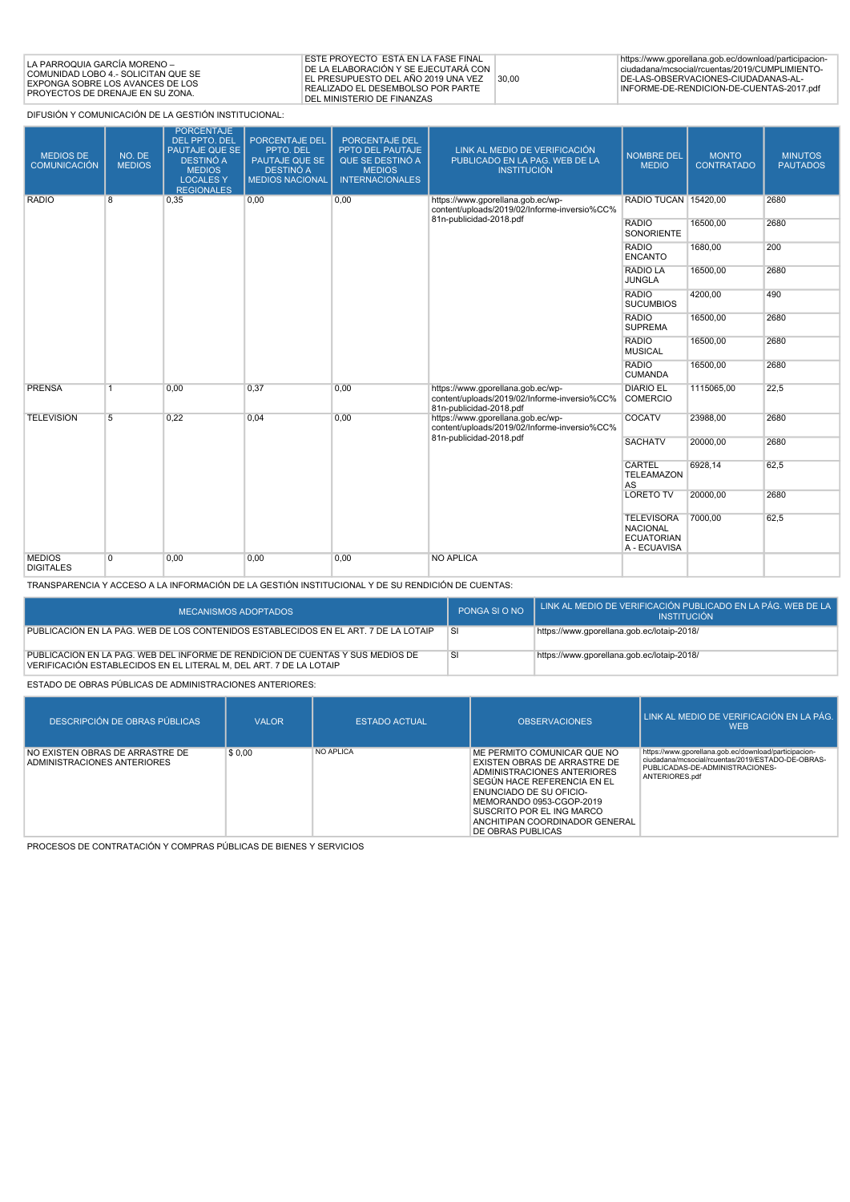| I LA PARROQUIA GARCÍA MORENO –<br>COMUNIDAD LOBO 4.- SOLICITAN QUE SE<br>EXPONGA SOBRE LOS AVANCES DE LOS<br><b>PROYECTOS DE DRENAJE EN SU ZONA.</b> | ESTE PROYECTO ESTÁ EN LA FASE FINAL<br><b>IDE LA ELABORACIÓN Y SE EJECUTARÁ CON 1</b><br>I EL PRESUPUESTO DEL AÑO 2019 UNA VEZ<br>30.00<br><b>IREALIZADO EL DESEMBOLSO POR PARTE</b><br><b>DEL MINISTERIO DE FINANZAS</b> | https://www.gporellana.gob.ec/download/participacion-<br>ciudadana/mcsocial/rcuentas/2019/CUMPLIMIENTO-<br>DE-LAS-OBSERVACIONES-CIUDADANAS-AL-<br>INFORME-DE-RENDICION-DE-CUENTAS-2017.pdf |
|------------------------------------------------------------------------------------------------------------------------------------------------------|---------------------------------------------------------------------------------------------------------------------------------------------------------------------------------------------------------------------------|--------------------------------------------------------------------------------------------------------------------------------------------------------------------------------------------|
|------------------------------------------------------------------------------------------------------------------------------------------------------|---------------------------------------------------------------------------------------------------------------------------------------------------------------------------------------------------------------------------|--------------------------------------------------------------------------------------------------------------------------------------------------------------------------------------------|

DIFUSIÓN Y COMUNICACIÓN DE LA GESTIÓN INSTITUCIONAL:

| <b>MEDIOS DE</b><br><b>COMUNICACIÓN</b> | NO. DE<br><b>MEDIOS</b> | <b>PORCENTAJE</b><br><b>DEL PPTO, DEL</b><br>PAUTAJE QUE SE<br>DESTINÓ A<br><b>MEDIOS</b><br><b>LOCALES Y</b><br><b>REGIONALES</b> | <b>PORCENTAJE DEL</b><br>PPTO, DEL<br>PAUTAJE QUE SE<br><b>DESTINÓ A</b><br><b>MEDIOS NACIONAL</b> | PORCENTAJE DEL<br>PPTO DEL PAUTAJE<br>QUE SE DESTINÓ A<br><b>MEDIOS</b><br><b>INTERNACIONALES</b> | LINK AL MEDIO DE VERIFICACIÓN<br>PUBLICADO EN LA PAG. WEB DE LA<br><b>INSTITUCIÓN</b>                        | <b>NOMBRE DEL</b><br><b>MEDIO</b>                                         | <b>MONTO</b><br><b>CONTRATADO</b> | <b>MINUTOS</b><br><b>PAUTADOS</b> |
|-----------------------------------------|-------------------------|------------------------------------------------------------------------------------------------------------------------------------|----------------------------------------------------------------------------------------------------|---------------------------------------------------------------------------------------------------|--------------------------------------------------------------------------------------------------------------|---------------------------------------------------------------------------|-----------------------------------|-----------------------------------|
| <b>RADIO</b>                            | 8                       | 0,35                                                                                                                               | 0,00                                                                                               | 0,00                                                                                              | https://www.qporellana.qob.ec/wp-<br>content/uploads/2019/02/Informe-inversio%CC%<br>81n-publicidad-2018.pdf | RADIO TUCAN 15420,00                                                      |                                   | 2680                              |
|                                         |                         |                                                                                                                                    |                                                                                                    |                                                                                                   |                                                                                                              | <b>RADIO</b><br>SONORIENTE                                                | 16500,00                          | 2680                              |
|                                         |                         |                                                                                                                                    |                                                                                                    |                                                                                                   |                                                                                                              | <b>RADIO</b><br><b>ENCANTO</b>                                            | 1680,00                           | 200                               |
|                                         |                         | <b>RADIO LA</b><br><b>JUNGLA</b>                                                                                                   | 16500,00                                                                                           | 2680                                                                                              |                                                                                                              |                                                                           |                                   |                                   |
|                                         |                         |                                                                                                                                    |                                                                                                    |                                                                                                   | <b>RADIO</b><br><b>SUCUMBIOS</b>                                                                             | 4200,00                                                                   | 490                               |                                   |
|                                         |                         |                                                                                                                                    | <b>RADIO</b><br><b>SUPREMA</b>                                                                     | 16500,00                                                                                          | 2680                                                                                                         |                                                                           |                                   |                                   |
|                                         |                         |                                                                                                                                    |                                                                                                    |                                                                                                   |                                                                                                              | <b>RADIO</b><br><b>MUSICAL</b>                                            | 16500,00                          | 2680                              |
|                                         |                         |                                                                                                                                    |                                                                                                    |                                                                                                   |                                                                                                              | <b>RADIO</b><br><b>CUMANDA</b>                                            | 16500,00                          | 2680                              |
| <b>PRENSA</b>                           | $\overline{1}$          | 0.00                                                                                                                               | 0.37                                                                                               | 0,00                                                                                              | https://www.gporellana.gob.ec/wp-<br>content/uploads/2019/02/Informe-inversio%CC%<br>81n-publicidad-2018.pdf | <b>DIARIO EL</b><br><b>COMERCIO</b>                                       | 1115065.00                        | 22,5                              |
| <b>TELEVISION</b>                       | 5                       | 0,22                                                                                                                               | 0,04                                                                                               | 0,00                                                                                              | https://www.qporellana.qob.ec/wp-<br>content/uploads/2019/02/Informe-inversio%CC%                            | COCATV                                                                    | 23988,00                          | 2680                              |
|                                         |                         |                                                                                                                                    |                                                                                                    |                                                                                                   | 81n-publicidad-2018.pdf                                                                                      | <b>SACHATV</b>                                                            | 20000,00                          | 2680                              |
|                                         |                         |                                                                                                                                    |                                                                                                    |                                                                                                   | CARTEL<br><b>TELEAMAZON</b><br>AS                                                                            | 6928,14                                                                   | 62,5                              |                                   |
|                                         |                         |                                                                                                                                    |                                                                                                    | <b>LORETO TV</b>                                                                                  | 20000,00                                                                                                     | 2680                                                                      |                                   |                                   |
|                                         |                         |                                                                                                                                    |                                                                                                    |                                                                                                   |                                                                                                              | <b>TELEVISORA</b><br><b>NACIONAL</b><br><b>ECUATORIAN</b><br>A - ECUAVISA | 7000.00                           | 62,5                              |
| <b>MEDIOS</b><br><b>DIGITALES</b>       | $\overline{0}$          | 0,00                                                                                                                               | 0,00                                                                                               | 0,00                                                                                              | <b>NO APLICA</b>                                                                                             |                                                                           |                                   |                                   |

TRANSPARENCIA Y ACCESO A LA INFORMACIÓN DE LA GESTIÓN INSTITUCIONAL Y DE SU RENDICIÓN DE CUENTAS:

| <b>MECANISMOS ADOPTADOS</b>                                                                                                                          | PONGA SI O NO | LINK AL MEDIO DE VERIFICACIÓN PUBLICADO EN LA PÁG. WEB DE LA<br><b>INSTITUCIÓN</b> |
|------------------------------------------------------------------------------------------------------------------------------------------------------|---------------|------------------------------------------------------------------------------------|
| PUBLICACIÓN EN LA PÁG. WEB DE LOS CONTENIDOS ESTABLECIDOS EN EL ART. 7 DE LA LOTAIP                                                                  | 'SI           | https://www.gporellana.gob.ec/lotaip-2018/                                         |
| PUBLICACIÓN EN LA PÁG. WEB DEL INFORME DE RENDICIÓN DE CUENTAS Y SUS MEDIOS DE<br>VERIFICACIÓN ESTABLECIDOS EN EL LITERAL M, DEL ART. 7 DE LA LOTAIP | <sub>SI</sub> | https://www.gporellana.gob.ec/lotaip-2018/                                         |

ESTADO DE OBRAS PÚBLICAS DE ADMINISTRACIONES ANTERIORES:

| DESCRIPCIÓN DE OBRAS PÚBLICAS                                  | <b>VALOR</b> | <b>ESTADO ACTUAL</b> | <b>OBSERVACIONES</b>                                                                                                                                                                                                                                                 | LINK AL MEDIO DE VERIFICACIÓN EN LA PÁG.<br><b>WEB</b>                                                                                                          |
|----------------------------------------------------------------|--------------|----------------------|----------------------------------------------------------------------------------------------------------------------------------------------------------------------------------------------------------------------------------------------------------------------|-----------------------------------------------------------------------------------------------------------------------------------------------------------------|
| NO EXISTEN OBRAS DE ARRASTRE DE<br>ADMINISTRACIONES ANTERIORES | \$0.00       | <b>NO APLICA</b>     | ME PERMITO COMUNICAR QUE NO<br>EXISTEN OBRAS DE ARRASTRE DE<br>ADMINISTRACIONES ANTERIORES<br>SEGÚN HACE REFERENCIA EN EL<br>ENUNCIADO DE SU OFICIO-<br>MEMORANDO 0953-CGOP-2019<br>SUSCRITO POR EL ING MARCO<br>ANCHITIPAN COORDINADOR GENERAL<br>DE OBRAS PUBLICAS | https://www.gporellana.gob.ec/download/participacion-<br>ciudadana/mcsocial/rcuentas/2019/ESTADO-DE-OBRAS-<br>PUBLICADAS-DE-ADMINISTRACIONES-<br>ANTERIORES.pdf |

PROCESOS DE CONTRATACIÓN Y COMPRAS PÚBLICAS DE BIENES Y SERVICIOS